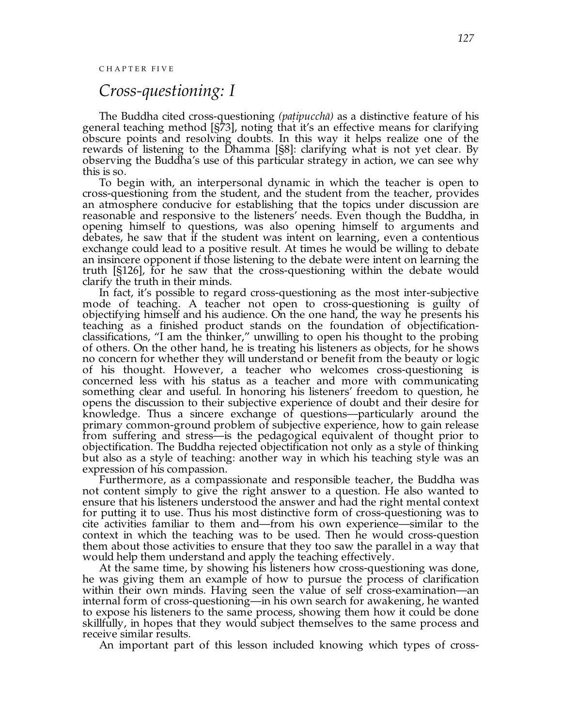# *Cross-questioning: I*

The Buddha cited cross-questioning *(patipuccha)* as a distinctive feature of his general teaching method [§73], noting that it's an effective means for clarifying obscure points and resolving doubts. In this way it helps realize one of the rewards of listening to the Dhamma [§8]: clarifying what is not yet clear. By observing the Buddha's use of this particular strategy in action, we can see why this is so.

To begin with, an interpersonal dynamic in which the teacher is open to cross-questioning from the student, and the student from the teacher, provides an atmosphere conducive for establishing that the topics under discussion are reasonable and responsive to the listeners' needs. Even though the Buddha, in opening himself to questions, was also opening himself to arguments and debates, he saw that if the student was intent on learning, even a contentious exchange could lead to a positive result. At times he would be willing to debate an insincere opponent if those listening to the debate were intent on learning the truth [§126], for he saw that the cross-questioning within the debate would clarify the truth in their minds.

In fact, it's possible to regard cross-questioning as the most inter-subjective mode of teaching. A teacher not open to cross-questioning is guilty of objectifying himself and his audience. On the one hand, the way he presents his teaching as a finished product stands on the foundation of objectificationclassifications, "I am the thinker," unwilling to open his thought to the probing of others. On the other hand, he is treating his listeners as objects, for he shows no concern for whether they will understand or benefit from the beauty or logic of his thought. However, a teacher who welcomes cross-questioning is concerned less with his status as a teacher and more with communicating something clear and useful. In honoring his listeners' freedom to question, he opens the discussion to their subjective experience of doubt and their desire for knowledge. Thus a sincere exchange of questions—particularly around the primary common-ground problem of subjective experience, how to gain release from suffering and stress—is the pedagogical equivalent of thought prior to objectification. The Buddha rejected objectification not only as a style of thinking but also as a style of teaching: another way in which his teaching style was an expression of his compassion.

Furthermore, as a compassionate and responsible teacher, the Buddha was not content simply to give the right answer to a question. He also wanted to ensure that his listeners understood the answer and had the right mental context for putting it to use. Thus his most distinctive form of cross-questioning was to cite activities familiar to them and—from his own experience—similar to the context in which the teaching was to be used. Then he would cross-question them about those activities to ensure that they too saw the parallel in a way that would help them understand and apply the teaching effectively.

At the same time, by showing his listeners how cross-questioning was done, he was giving them an example of how to pursue the process of clarification within their own minds. Having seen the value of self cross-examination—an internal form of cross-questioning—in his own search for awakening, he wanted to expose his listeners to the same process, showing them how it could be done skillfully, in hopes that they would subject themselves to the same process and receive similar results.

An important part of this lesson included knowing which types of cross-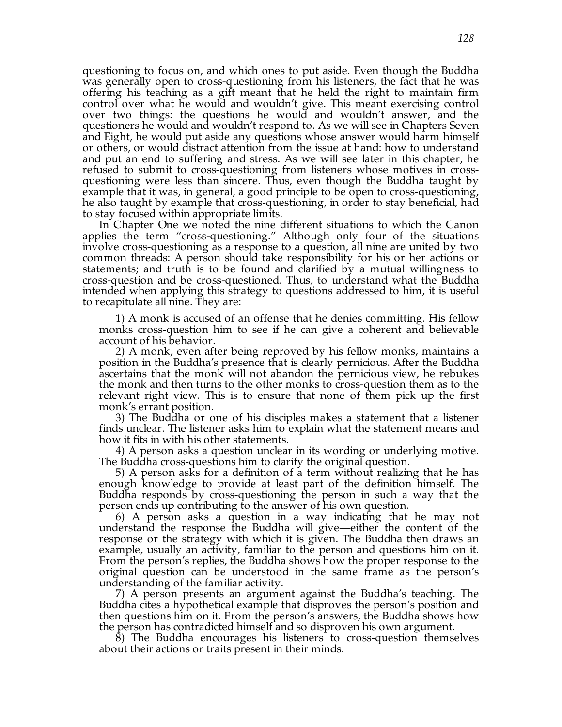questioning to focus on, and which ones to put aside. Even though the Buddha was generally open to cross-questioning from his listeners, the fact that he was offering his teaching as a gift meant that he held the right to maintain firm control over what he would and wouldn't give. This meant exercising control over two things: the questions he would and wouldn't answer, and the questioners he would and wouldn't respond to. As we will see in Chapters Seven and Eight, he would put aside any questions whose answer would harm himself or others, or would distract attention from the issue at hand: how to understand and put an end to suffering and stress. As we will see later in this chapter, he refused to submit to cross-questioning from listeners whose motives in cross- questioning were less than sincere. Thus, even though the Buddha taught by example that it was, in general, a good principle to be open to cross-questioning, he also taught by example that cross-questioning, in order to stay beneficial, had to stay focused within appropriate limits.

In Chapter One we noted the nine different situations to which the Canon applies the term "cross-questioning." Although only four of the situations involve cross-questioning as a response to a question, all nine are united by two common threads: A person should take responsibility for his or her actions or statements; and truth is to be found and clarified by a mutual willingness to cross-question and be cross-questioned. Thus, to understand what the Buddha intended when applying this strategy to questions addressed to him, it is useful to recapitulate all nine. They are:

1) A monk is accused of an offense that he denies committing. His fellow monks cross-question him to see if he can give a coherent and believable account of his behavior.

2) A monk, even after being reproved by his fellow monks, maintains a position in the Buddha's presence that is clearly pernicious. After the Buddha ascertains that the monk will not abandon the pernicious view, he rebukes the monk and then turns to the other monks to cross-question them as to the relevant right view. This is to ensure that none of them pick up the first monk's errant position.

3) The Buddha or one of his disciples makes a statement that a listener finds unclear. The listener asks him to explain what the statement means and how it fits in with his other statements.

4) A person asks a question unclear in its wording or underlying motive. The Buddha cross-questions him to clarify the original question.

5) A person asks for a definition of a term without realizing that he has enough knowledge to provide at least part of the definition himself. The Buddha responds by cross-questioning the person in such a way that the person ends up contributing to the answer of his own question.

6) A person asks a question in a way indicating that he may not understand the response the Buddha will give—either the content of the response or the strategy with which it is given. The Buddha then draws an example, usually an activity, familiar to the person and questions him on it. From the person's replies, the Buddha shows how the proper response to the original question can be understood in the same frame as the person's understanding of the familiar activity.

7) A person presents an argument against the Buddha's teaching. The Buddha cites a hypothetical example that disproves the person's position and then questions him on it. From the person's answers, the Buddha shows how the person has contradicted himself and so disproven his own argument.

8) The Buddha encourages his listeners to cross-question themselves about their actions or traits present in their minds.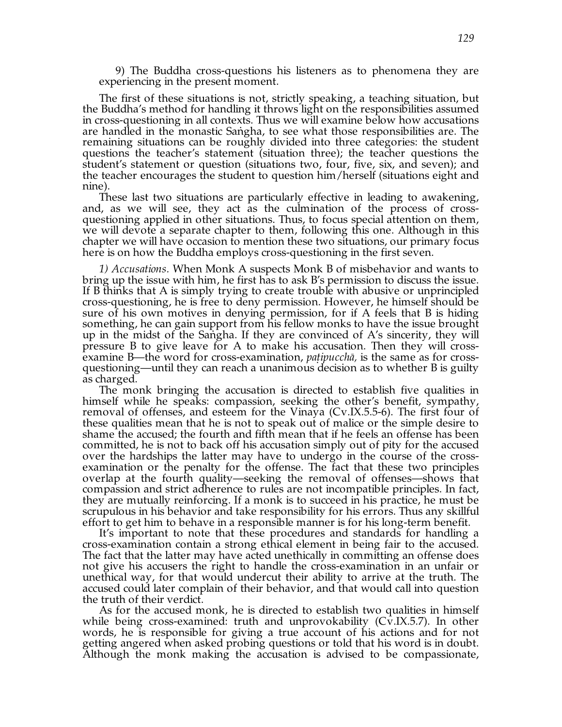9) The Buddha cross-questions his listeners as to phenomena they are experiencing in the present moment.

The first of these situations is not, strictly speaking, a teaching situation, but the Buddha's method for handling it throws light on the responsibilities assumed in cross-questioning in all contexts. Thus we will examine below how accusations are handled in the monastic Sangha, to see what those responsibilities are. The remaining situations can be roughly divided into three categories: the student questions the teacher's statement (situation three); the teacher questions the student's statement or question (situations two, four, five, six, and seven); and the teacher encourages the student to question him/herself (situations eight and nine).

These last two situations are particularly effective in leading to awakening, and, as we will see, they act as the culmination of the process of cross-questioning applied in other situations. Thus, to focus special attenti we will devote a separate chapter to them, following this one. Although in this chapter we will have occasion to mention these two situations, our primary focus here is on how the Buddha employs cross-questioning in the first seven.

*1) Accusations.* When Monk A suspects Monk B of misbehavior and wants to bring up the issue with him, he first has to ask B's permission to discuss the issue. If B thinks that A is simply trying to create trouble with abusive or unprincipled cross-questioning, he is free to deny permission. However, he himself should be sure of his own motives in denying permission, for if A feels that B is hiding something, he can gain support from his fellow monks to have the issue brought up in the midst of the Sangha. If they are convinced of A's sincerity, they will pressure B to give leave for A to make his accusation. Then they will cross-<br>examine B—the word for cross-examination, *patipucchā*, is the same as for cross-<br>questioning—until they can reach a unanimous decision as to whe as charged.

The monk bringing the accusation is directed to establish five qualities in himself while he speaks: compassion, seeking the other's benefit, sympathy, removal of offenses, and esteem for the Vinaya (Cv.IX.5.5-6). The first four of these qualities mean that he is not to speak out of malice or the simple desire to shame the accused; the fourth and fifth mean that if he feels an offense has been committed, he is not to back off his accusation simply out of pity for the accused over the hardships the latter may have to undergo in the course of the crossexamination or the penalty for the offense. The fact that these two principles overlap at the fourth quality—seeking the removal of offenses—shows that compassion and strict adherence to rules are not incompatible principles. In fact, they are mutually reinforcing. If a monk is to succeed in his practice, he must be scrupulous in his behavior and take responsibility for his errors. Thus any skillful effort to get him to behave in a responsible manner is for his long-term benefit.

It's important to note that these procedures and standards for handling a cross-examination contain a strong ethical element in being fair to the accused. The fact that the latter may have acted unethically in committing an offense does not give his accusers the right to handle the cross-examination in an unfair or unethical way, for that would undercut their ability to arrive at the truth. The accused could later complain of their behavior, and that would call into question the truth of their verdict.

As for the accused monk, he is directed to establish two qualities in himself while being cross-examined: truth and unprovokability (Cv.IX.5.7). In other words, he is responsible for giving a true account of his actions and for not getting angered when asked probing questions or told that his word is in doubt. Although the monk making the accusation is advised to be compassionate,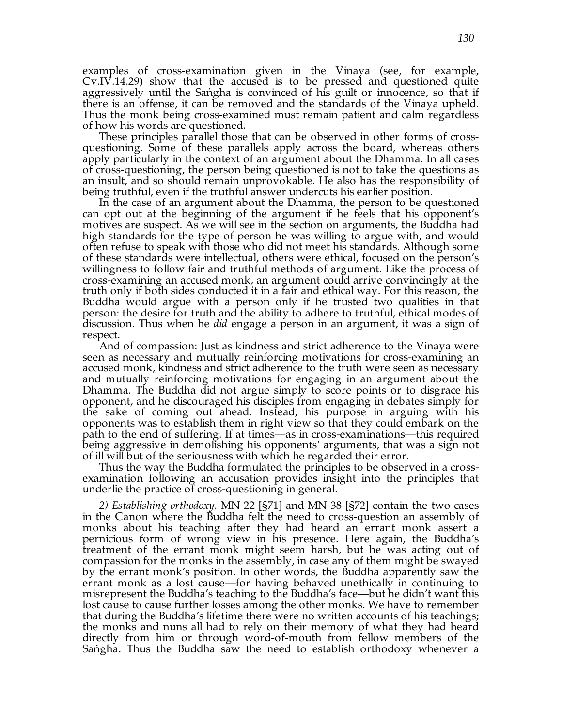examples of cross-examination given in the Vinaya (see, for example, Cv.IV.14.29) show that the accused is to be pressed and questioned quite aggressively until the Sangha is convinced of his guilt or innocence, so that if there is an offense, it can be removed and the standards of the Vinaya upheld. Thus the monk being cross-examined must remain patient and calm regardless of how his words are questioned.

These principles parallel those that can be observed in other forms of cross- questioning. Some of these parallels apply across the board, whereas others apply particularly in the context of an argument about the Dhamma. In all cases of cross-questioning, the person being questioned is not to take the questions as an insult, and so should remain unprovokable. He also has the responsibility of being truthful, even if the truthful answer undercuts his earlier position.

In the case of an argument about the Dhamma, the person to be questioned can opt out at the beginning of the argument if he feels that his opponent's motives are suspect. As we will see in the section on arguments, the Buddha had high standards for the type of person he was willing to argue with, and would often refuse to speak with those who did not meet his standards. Although some of these standards were intellectual, others were ethical, focused on the person's willingness to follow fair and truthful methods of argument. Like the process of cross-examining an accused monk, an argument could arrive convincingly at the truth only if both sides conducted it in a fair and ethical way. For this reason, the Buddha would argue with a person only if he trusted two qualities in that person: the desire for truth and the ability to adhere to truthful, ethical modes of discussion. Thus when he *did* engage a person in an argument, it was a sign of respect.

And of compassion: Just as kindness and strict adherence to the Vinaya were seen as necessary and mutually reinforcing motivations for cross-examining an accused monk, kindness and strict adherence to the truth were seen as necessary and mutually reinforcing motivations for engaging in an argument about the Dhamma. The Buddha did not argue simply to score points or to disgrace his opponent, and he discouraged his disciples from engaging in debates simply for the sake of coming out ahead. Instead, his purpose in arguing with his opponents was to establish them in right view so that they could embark on the path to the end of suffering. If at times—as in cross-examinations—this required being aggressive in demolishing his opponents' arguments, that was a sign not of ill will but of the seriousness with which he regarded their error.

Thus the way the Buddha formulated the principles to be observed in a crossexamination following an accusation provides insight into the principles that underlie the practice of cross-questioning in general.

*2) Establishing orthodoxy.* MN 22 [§71] and MN 38 [§72] contain the two cases in the Canon where the Buddha felt the need to cross-question an assembly of monks about his teaching after they had heard an errant monk assert a pernicious form of wrong view in his presence. Here again, the Buddha's treatment of the errant monk might seem harsh, but he was acting out of compassion for the monks in the assembly, in case any of them might be swayed by the errant monk's position. In other words, the Buddha apparently saw the errant monk as a lost cause—for having behaved unethically in continuing to misrepresent the Buddha's teaching to the Buddha's face—but he didn't want this lost cause to cause further losses among the other monks. We have to remember that during the Buddha's lifetime there were no written accounts of his teachings; the monks and nuns all had to rely on their memory of what they had heard directly from him or through word-of-mouth from fellow members of the Sangha. Thus the Buddha saw the need to establish orthodoxy whenever a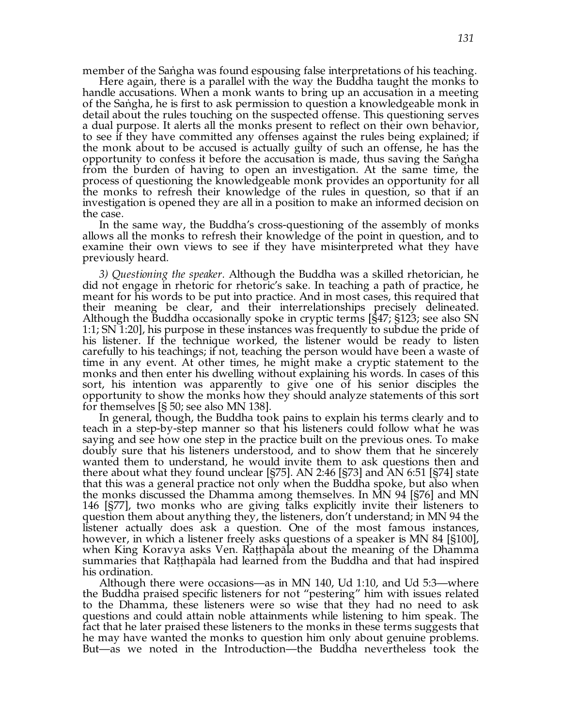member of the Sangha was found espousing false interpretations of his teaching.

Here again, there is a parallel with the way the Buddha taught the monks to handle accusations. When a monk wants to bring up an accusation in a meeting of the Sangha, he is first to ask permission to question a knowledgeable monk in detail about the rules touching on the suspected offense. This questioning serves a dual purpose. It alerts all the monks present to reflect on their own behavior, to see if they have committed any offenses against the rules being explained; if the monk about to be accused is actually guilty of such an offense, he has the opportunity to confess it before the accusation is made, thus saving the Sangha from the burden of having to open an investigation. At the same time, the process of questioning the knowledgeable monk provides an opportunity for all the monks to refresh their knowledge of the rules in question, so that if an investigation is opened they are all in a position to make an informed decision on the case.

In the same way, the Buddha's cross-questioning of the assembly of monks allows all the monks to refresh their knowledge of the point in question, and to examine their own views to see if they have misinterpreted what they have previously heard.

*3) Questioning the speaker.* Although the Buddha was a skilled rhetorician, he did not engage in rhetoric for rhetoric's sake. In teaching a path of practice, he meant for his words to be put into practice. And in most cases, this required that their meaning be clear, and their interrelationships precisely delineated. Although the Buddha occasionally spoke in cryptic terms [§47; §123; see also SN 1:1; SN 1:20], his purpose in these instances was frequently to subdue the pride of his listener. If the technique worked, the listener would be ready to listen carefully to his teachings; if not, teaching the person would have been a waste of time in any event. At other times, he might make a cryptic statement to the monks and then enter his dwelling without explaining his words. In cases of this sort, his intention was apparently to give one of his senior disciples the opportunity to show the monks how they should analyze statements of this sort for themselves [§ 50; see also MN 138].

In general, though, the Buddha took pains to explain his terms clearly and to teach in a step-by-step manner so that his listeners could follow what he was saying and see how one step in the practice built on the previous ones. To make doubly sure that his listeners understood, and to show them that he sincerely wanted them to understand, he would invite them to ask questions then and there about what they found unclear [§75]. AN 2:46 [§73] and AN 6:51 [§74] state that this was a general practice not only when the Buddha spoke, but also when the monks discussed the Dhamma among themselves. In MN 94 [§76] and MN 146 [§77], two monks who are giving talks explicitly invite their listeners to question them about anything they, the listeners, don't understand; in MN 94 the listener actually does ask a question. One of the most famous instances, however, in which a listener freely asks questions of a speaker is MN 84 [§100], when King Koravya asks Ven. Ratthapala about the meaning of the Dhamma summaries that Ratthapala had learned from the Buddha and that had inspired his ordination.

Although there were occasions—as in MN 140, Ud 1:10, and Ud 5:3—where the Buddha praised specific listeners for not "pestering" him with issues related to the Dhamma, these listeners were so wise that they had no need to ask questions and could attain noble attainments while listening to him speak. The fact that he later praised these listeners to the monks in these terms suggests that he may have wanted the monks to question him only about genuine problems. But—as we noted in the Introduction—the Buddha nevertheless took the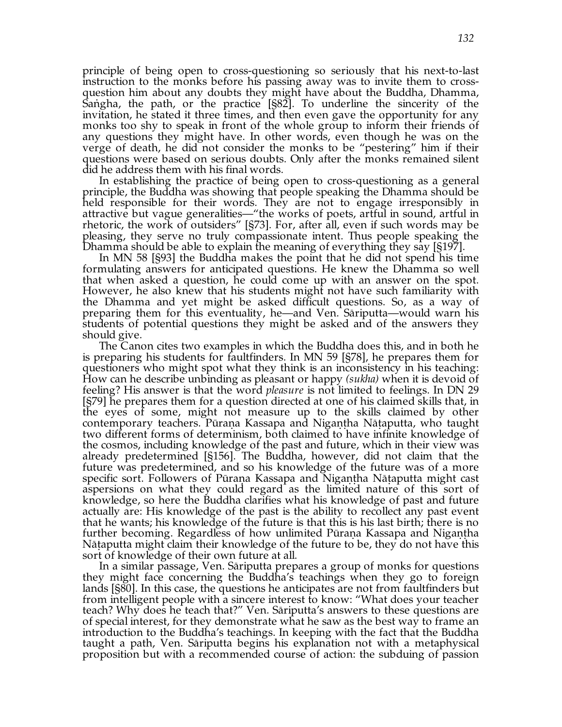principle of being open to cross-questioning so seriously that his next-to-last instruction to the monks before his passing away was to invite them to cross- question him about any doubts they might have about the Buddha, Dhamma, Sangha, the path, or the practice  $[$ §82]. To underline the sincerity of the invitation, he stated it three times, and then even gave the opportunity for any monks too shy to speak in front of the whole group to inform their friends of any questions they might have. In other words, even though he was on the verge of death, he did not consider the monks to be "pestering" him if their questions were based on serious doubts. Only after the monks remained silent did he address them with his final words.

In establishing the practice of being open to cross-questioning as a general principle, the Buddha was showing that people speaking the Dhamma should be held responsible for their words. They are not to engage irresponsibly in attractive but vague generalities—"the works of poets, artful in sound, artful in rhetoric, the work of outsiders" [§73]. For, after all, even if such words may be pleasing, they serve no truly compassionate intent. Thus people speaking the Dhamma should be able to explain the meaning of everything they say [§197].

In MN 58 [§93] the Buddha makes the point that he did not spend his time formulating answers for anticipated questions. He knew the Dhamma so well that when asked a question, he could come up with an answer on the spot. However, he also knew that his students might not have such familiarity with the Dhamma and yet might be asked difficult questions. So, as a way of preparing them for this eventuality, he—and Ven. Sariputta—would warn his students of potential questions they might be asked and of the answers they should give.

The Canon cites two examples in which the Buddha does this, and in both he is preparing his students for faultfinders. In MN 59 [§78], he prepares them for questioners who might spot what they think is an inconsistency in his teaching: How can he describe unbinding as pleasant or happy *(sukha)* when it is devoid of feeling? His answer is that the word *pleasure* is not limited to feelings. In DN 29 [§79] he prepares them for a question directed at one of his claimed skills that, in the eyes of some, might not measure up to the skills claimed by other contemporary teachers. Pūraṇa Kassapa and Nigantha Nāṭaputta, who taught two different forms of determinism, both claimed to have infinite knowledge of the cosmos, including knowledge of the past and future, which in their view was already predetermined [§156]. The Buddha, however, did not claim that the future was predetermined, and so his knowledge of the future was of a more specific sort. Followers of Pūraṇa Kassapa and Nigantha Nātaputta might cast aspersions on what they could regard as the limited nature of this sort of knowledge, so here the Buddha clarifies what his knowledge of past and future actually are: His knowledge of the past is the ability to recollect any past event that he wants; his knowledge of the future is that this is his last birth; there is no further becoming. Regardless of how unlimited Pūrana Kassapa and Nigantha Nātaputta might claim their knowledge of the future to be, they do not have this sort of knowledge of their own future at all.

In a similar passage, Ven. Sariputta prepares a group of monks for questions they might face concerning the Buddha's teachings when they go to foreign lands [§80]. In this case, the questions he anticipates are not from faultfinders but from intelligent people with a sincere interest to know: "What does your teacher teach? Why does he teach that?" Ven. Sariputta's answers to these questions are of special interest, for they demonstrate what he saw as the best way to frame an introduction to the Buddha's teachings. In keeping with the fact that the Buddha taught a path, Ven. Sariputta begins his explanation not with a metaphysical proposition but with a recommended course of action: the subduing of passion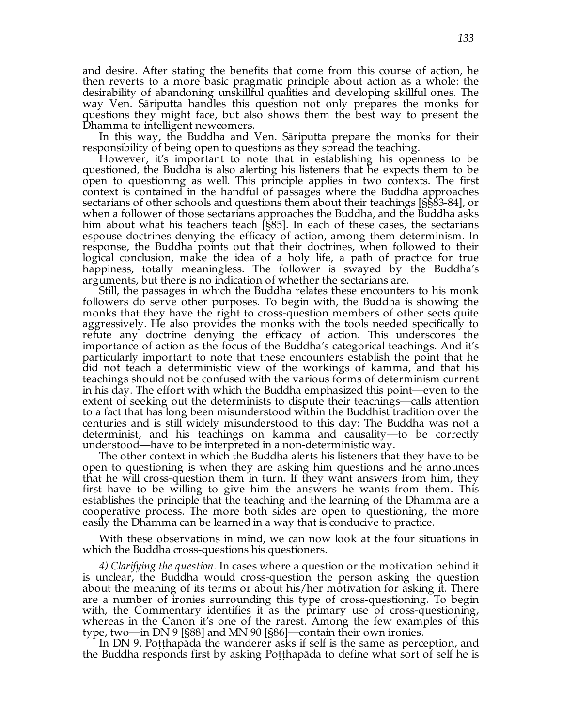and desire. After stating the benefits that come from this course of action, he then reverts to a more basic pragmatic principle about action as a whole: the desirability of abandoning unskillful qualities and developing skillful ones. The way Ven. Sariputta handles this question not only prepares the monks for questions they might face, but also shows them the best way to present the Dhamma to intelligent newcomers.

In this way, the Buddha and Ven. Sariputta prepare the monks for their responsibility of being open to questions as they spread the teaching.

However, it's important to note that in establishing his openness to be questioned, the Buddha is also alerting his listeners that he expects them to be open to questioning as well. This principle applies in two contexts. The first context is contained in the handful of passages where the Buddha approaches sectarians of other schools and questions them about their teachings [§§83-84], or when a follower of those sectarians approaches the Buddha, and the Buddha asks him about what his teachers teach [§85]. In each of these cases, the sectarians espouse doctrines denying the efficacy of action, among them determinism. In response, the Buddha points out that their doctrines, when followed to their logical conclusion, make the idea of a holy life, a path of practice for true happiness, totally meaningless. The follower is swayed by the Buddha's arguments, but there is no indication of whether the sectarians are.

Still, the passages in which the Buddha relates these encounters to his monk followers do serve other purposes. To begin with, the Buddha is showing the monks that they have the right to cross-question members of other sects quite aggressively. He also provides the monks with the tools needed specifically to refute any doctrine denying the efficacy of action. This underscores the importance of action as the focus of the Buddha's categorical teachings. And it's particularly important to note that these encounters establish the point that he did not teach a deterministic view of the workings of kamma, and that his teachings should not be confused with the various forms of determinism current in his day. The effort with which the Buddha emphasized this point—even to the extent of seeking out the determinists to dispute their teachings—calls attention to a fact that has long been misunderstood within the Buddhist tradition over the centuries and is still widely misunderstood to this day: The Buddha was not a determinist, and his teachings on kamma and causality—to be correctly understood—have to be interpreted in a non-deterministic way.

The other context in which the Buddha alerts his listeners that they have to be open to questioning is when they are asking him questions and he announces that he will cross-question them in turn. If they want answers from him, they first have to be willing to give him the answers he wants from them. This establishes the principle that the teaching and the learning of the Dhamma are a cooperative process. The more both sides are open to questioning, the more easily the Dhamma can be learned in a way that is conducive to practice.

With these observations in mind, we can now look at the four situations in which the Buddha cross-questions his questioners.

*4) Clarifying the question.* In cases where a question or the motivation behind it is unclear, the Buddha would cross-question the person asking the question about the meaning of its terms or about his/her motivation for asking it. There are a number of ironies surrounding this type of cross-questioning. To begin with, the Commentary identifies it as the primary use of cross-questioning, whereas in the Canon it's one of the rarest. Among the few examples of this type, two—in DN 9 [§88] and MN 90 [§86]—contain their own ironies.

In DN 9, Potthapada the wanderer asks if self is the same as perception, and the Buddha responds first by asking Potthapada to define what sort of self he is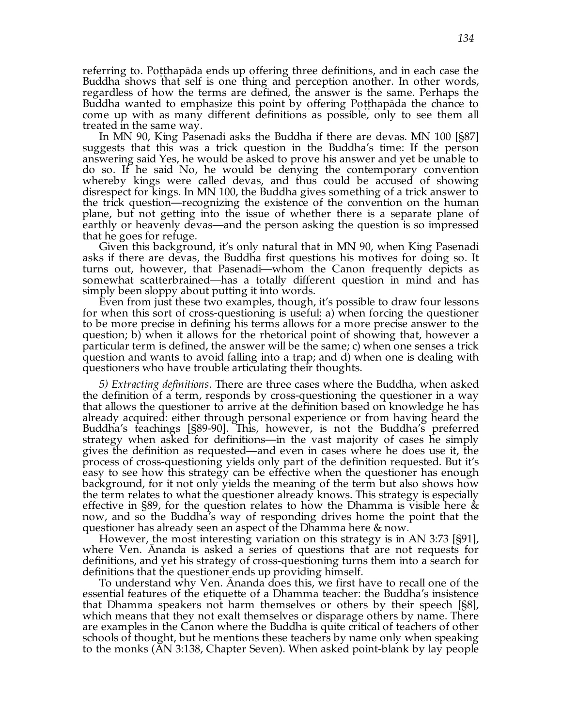referring to. Potthapada ends up offering three definitions, and in each case the Buddha shows that self is one thing and perception another. In other words, regardless of how the terms are defined, the answer is the same. Perhaps the Buddha wanted to emphasize this point by offering Potthapada the chance to come up with as many different definitions as possible, only to see them all treated in the same way.

In MN 90, King Pasenadi asks the Buddha if there are devas. MN 100 [§87] suggests that this was a trick question in the Buddha's time: If the person answering said Yes, he would be asked to prove his answer and yet be unable to do so. If he said No, he would be denying the contemporary convention whereby kings were called devas, and thus could be accused of showing disrespect for kings. In MN 100, the Buddha gives something of a trick answer to the trick question—recognizing the existence of the convention on the human plane, but not getting into the issue of whether there is a separate plane of earthly or heavenly devas—and the person asking the question is so impressed that he goes for refuge.

Given this background, it's only natural that in MN 90, when King Pasenadi asks if there are devas, the Buddha first questions his motives for doing so. It turns out, however, that Pasenadi—whom the Canon frequently depicts as somewhat scatterbrained—has a totally different question in mind and has simply been sloppy about putting it into words.

Even from just these two examples, though, it's possible to draw four lessons for when this sort of cross-questioning is useful: a) when forcing the questioner to be more precise in defining his terms allows for a more precise answer to the question; b) when it allows for the rhetorical point of showing that, however a particular term is defined, the answer will be the same; c) when one senses a trick question and wants to avoid falling into a trap; and d) when one is dealing with questioners who have trouble articulating their thoughts.

*5) Extracting definitions.* There are three cases where the Buddha, when asked the definition of a term, responds by cross-questioning the questioner in a way that allows the questioner to arrive at the definition based on knowledge he has already acquired: either through personal experience or from having heard the Buddha's teachings [§89-90]. This, however, is not the Buddha's preferred strategy when asked for definitions—in the vast majority of cases he simply gives the definition as requested—and even in cases where he does use it, the process of cross-questioning yields only part of the definition requested. But it's easy to see how this strategy can be effective when the questioner has enough background, for it not only yields the meaning of the term but also shows how the term relates to what the questioner already knows. This strategy is especially effective in §89, for the question relates to how the Dhamma is visible here  $\&$ now, and so the Buddha's way of responding drives home the point that the questioner has already seen an aspect of the Dhamma here & now.

However, the most interesting variation on this strategy is in AN 3:73 [§91], where Ven. Ananda is asked a series of questions that are not requests for definitions, and yet his strategy of cross-questioning turns them into a search for definitions that the questioner ends up providing himself.

To understand why Ven. Ananda does this, we first have to recall one of the essential features of the etiquette of a Dhamma teacher: the Buddha's insistence that Dhamma speakers not harm themselves or others by their speech [§8], which means that they not exalt themselves or disparage others by name. There are examples in the Canon where the Buddha is quite critical of teachers of other schools of thought, but he mentions these teachers by name only when speaking to the monks (AN 3:138, Chapter Seven). When asked point-blank by lay people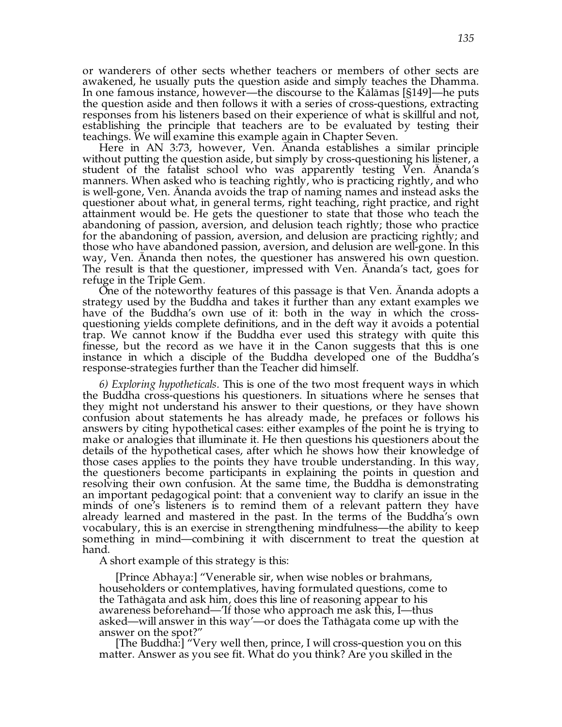or wanderers of other sects whether teachers or members of other sects are awakened, he usually puts the question aside and simply teaches the Dhamma. In one famous instance, however—the discourse to the Kalamas [§149]—he puts the question aside and then follows it with a series of cross-questions, extracting responses from his listeners based on their experience of what is skillful and not, establishing the principle that teachers are to be evaluated by testing their teachings. We will examine this example again in Chapter Seven.

Here in AN 3:73, however, Ven. Ananda establishes a similar principle without putting the question aside, but simply by cross-questioning his listener, a student of the fatalist school who was apparently testing Ven. Ananda's manners. When asked who is teaching rightly, who is practicing rightly, and who is well-gone, Ven. Ananda avoids the trap of naming names and instead asks the questioner about what, in general terms, right teaching, right practice, and right attainment would be. He gets the questioner to state that those who teach the abandoning of passion, aversion, and delusion teach rightly; those who practice for the abandoning of passion, aversion, and delusion are practicing rightly; and those who have abandoned passion, aversion, and delusion are well-gone. In this way, Ven. Ananda then notes, the questioner has answered his own question. The result is that the questioner, impressed with Ven. Ananda's tact, goes for refuge in the Triple Gem.

One of the noteworthy features of this passage is that Ven. Ananda adopts a strategy used by the Buddha and takes it further than any extant examples we have of the Buddha's own use of it: both in the way in which the cross- questioning yields complete definitions, and in the deft way it avoids a potential trap. We cannot know if the Buddha ever used this strategy with quite this finesse, but the record as we have it in the Canon suggests that this is one instance in which a disciple of the Buddha developed one of the Buddha's response-strategies further than the Teacher did himself.

*6) Exploring hypotheticals.* This is one of the two most frequent ways in which the Buddha cross-questions his questioners. In situations where he senses that they might not understand his answer to their questions, or they have shown confusion about statements he has already made, he prefaces or follows his answers by citing hypothetical cases: either examples of the point he is trying to make or analogies that illuminate it. He then questions his questioners about the details of the hypothetical cases, after which he shows how their knowledge of those cases applies to the points they have trouble understanding. In this way, the questioners become participants in explaining the points in question and resolving their own confusion. At the same time, the Buddha is demonstrating an important pedagogical point: that a convenient way to clarify an issue in the minds of one's listeners is to remind them of a relevant pattern they have already learned and mastered in the past. In the terms of the Buddha's own vocabulary, this is an exercise in strengthening mindfulness—the ability to keep something in mind—combining it with discernment to treat the question at hand.

A short example of this strategy is this:

[Prince Abhaya:] "Venerable sir, when wise nobles or brahmans, householders or contemplatives, having formulated questions, come to the Tathagata and ask him, does this line of reasoning appear to his awareness beforehand—'If those who approach me ask this, I—thus asked—will answer in this way'—or does the Tathagata come up with the answer on the spot?"

[The Buddha:] "Very well then, prince, I will cross-question you on this matter. Answer as you see fit. What do you think? Are you skilled in the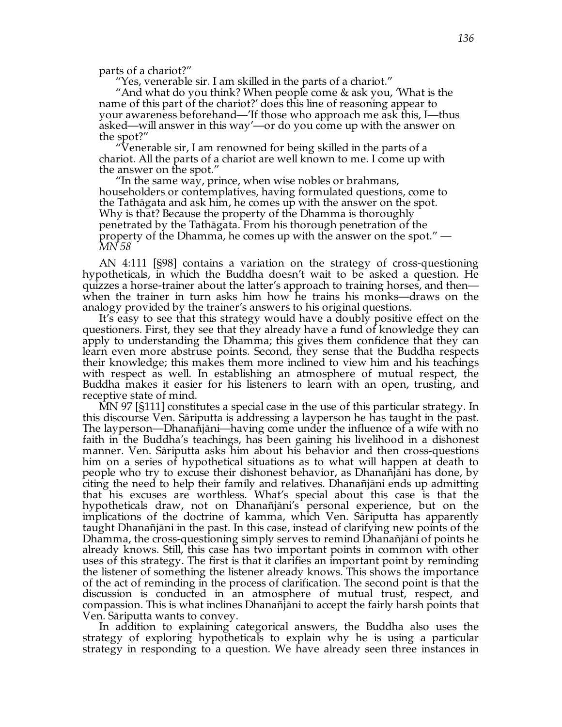parts of a chariot?"

"Yes, venerable sir. I am skilled in the parts of a chariot."

"And what do you think? When people come & ask you, 'What is the name of this part of the chariot?' does this line of reasoning appear to your awareness beforehand—'If those who approach me ask this, I—thus asked—will answer in this way'—or do you come up with the answer on the spot?"

"Venerable sir, I am renowned for being skilled in the parts of a chariot. All the parts of a chariot are well known to me. I come up with the answer on the spot."

"In the same way, prince, when wise nobles or brahmans, householders or contemplatives, having formulated questions, come to the Tathagata and ask him, he comes up with the answer on the spot. Why is that? Because the property of the Dhamma is thoroughly penetrated by the Tathagata. From his thorough penetration of the property of the Dhamma, he comes up with the answer on the spot." — *MN 58* 

AN 4:111 [§98] contains a variation on the strategy of cross-questioning hypotheticals, in which the Buddha doesn't wait to be asked a question. He quizzes a horse-trainer about the latter's approach to training horses, and then— when the trainer in turn asks him how he trains his monks—draws on the analogy provided by the trainer's answers to his original questions.

It's easy to see that this strategy would have a doubly positive effect on the questioners. First, they see that they already have a fund of knowledge they can apply to understanding the Dhamma; this gives them confidence that they can learn even more abstruse points. Second, they sense that the Buddha respects their knowledge; this makes them more inclined to view him and his teachings with respect as well. In establishing an atmosphere of mutual respect, the Buddha makes it easier for his listeners to learn with an open, trusting, and receptive state of mind.

MN 97 [§111] constitutes a special case in the use of this particular strategy. In this discourse Ven. Sariputta is addressing a layperson he has taught in the past. The layperson—Dhanañjāni—having come under the influence of a wife with no faith in the Buddha's teachings, has been gaining his livelihood in a dishonest manner. Ven. Sariputta asks him about his behavior and then cross-questions him on a series of hypothetical situations as to what will happen at death to people who try to excuse their dishonest behavior, as Dhanañjāni has done, by citing the need to help their family and relatives. Dhanañjāni ends up admitting that his excuses are worthless. What's special about this case is that the hypotheticals draw, not on Dhanañjāni's personal experience, but on the implications of the doctrine of kamma, which Ven. Sariputta has apparently taught Dhanañjāni in the past. In this case, instead of clarifying new points of the Dhamma, the cross-questioning simply serves to remind Dhanañjāni of points he already knows. Still, this case has two important points in common with other uses of this strategy. The first is that it clarifies an important point by reminding the listener of something the listener already knows. This shows the importance of the act of reminding in the process of clarification. The second point is that the discussion is conducted in an atmosphere of mutual trust, respect, and compassion. This is what inclines Dhanañjāni to accept the fairly harsh points that Ven. Sariputta wants to convey.

In addition to explaining categorical answers, the Buddha also uses the strategy of exploring hypotheticals to explain why he is using a particular strategy in responding to a question. We have already seen three instances in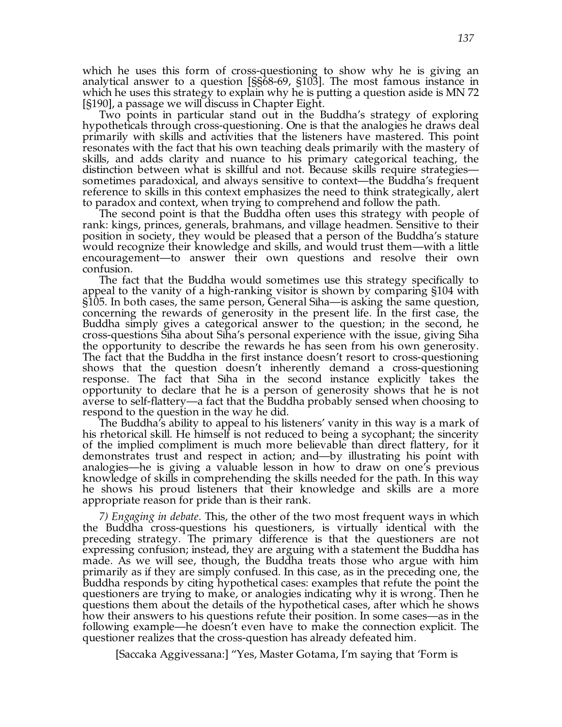which he uses this form of cross-questioning to show why he is giving an analytical answer to a question [§§68-69, §103]. The most famous instance in which he uses this strategy to explain why he is putting a question aside is MN 72 [§190], a passage we will discuss in Chapter Eight.

Two points in particular stand out in the Buddha's strategy of exploring hypotheticals through cross-questioning. One is that the analogies he draws deal primarily with skills and activities that the listeners have mastered. This point resonates with the fact that his own teaching deals primarily with the mastery of skills, and adds clarity and nuance to his primary categorical teaching, the distinction between what is skillful and not. Because skills require strategies— sometimes paradoxical, and always sensitive to context—the Buddha's frequent reference to skills in this context emphasizes the need to think strategically, alert to paradox and context, when trying to comprehend and follow the path.

The second point is that the Buddha often uses this strategy with people of rank: kings, princes, generals, brahmans, and village headmen. Sensitive to their position in society, they would be pleased that a person of the Buddha's stature would recognize their knowledge and skills, and would trust them—with a little encouragement—to answer their own questions and resolve their own confusion.

The fact that the Buddha would sometimes use this strategy specifically to appeal to the vanity of a high-ranking visitor is shown by comparing §104 with §105. In both cases, the same person, General Sıha—is asking the same question, concerning the rewards of generosity in the present life. In the first case, the Buddha simply gives a categorical answer to the question; in the second, he cross-questions Sıha about Sıha's personal experience with the issue, giving Sıha the opportunity to describe the rewards he has seen from his own generosity. The fact that the Buddha in the first instance doesn't resort to cross-questioning shows that the question doesn't inherently demand a cross-questioning response. The fact that Sıha in the second instance explicitly takes the opportunity to declare that he is a person of generosity shows that he is not averse to self-flattery—a fact that the Buddha probably sensed when choosing to respond to the question in the way he did.

The Buddha's ability to appeal to his listeners' vanity in this way is a mark of his rhetorical skill. He himself is not reduced to being a sycophant; the sincerity of the implied compliment is much more believable than direct flattery, for it demonstrates trust and respect in action; and—by illustrating his point with analogies—he is giving a valuable lesson in how to draw on one's previous knowledge of skills in comprehending the skills needed for the path. In this way he shows his proud listeners that their knowledge and skills are a more appropriate reason for pride than is their rank.

*7) Engaging in debate.* This, the other of the two most frequent ways in which the Buddha cross-questions his questioners, is virtually identical with the preceding strategy. The primary difference is that the questioners are not expressing confusion; instead, they are arguing with a statement the Buddha has made. As we will see, though, the Buddha treats those who argue with him primarily as if they are simply confused. In this case, as in the preceding one, the Buddha responds by citing hypothetical cases: examples that refute the point the questioners are trying to make, or analogies indicating why it is wrong. Then he questions them about the details of the hypothetical cases, after which he shows how their answers to his questions refute their position. In some cases—as in the following example—he doesn't even have to make the connection explicit. The questioner realizes that the cross-question has already defeated him.

[Saccaka Aggivessana:] "Yes, Master Gotama, I'm saying that 'Form is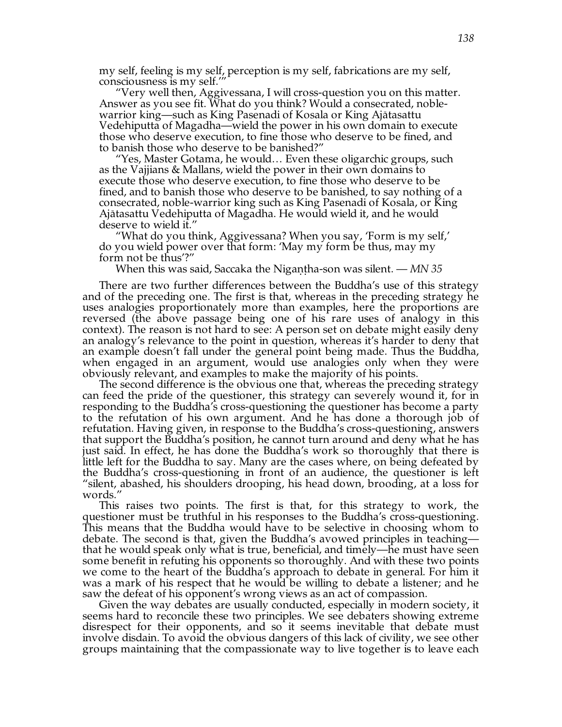my self, feeling is my self, perception is my self, fabrications are my self,

"Very well then, Aggivessana, I will cross-question you on this matter. Answer as you see fit. What do you think? Would a consecrated, noble-<br>warrior king—such as King Pasenadi of Kosala or King Ajātasattu Vedehiputta of Magadha—wield the power in his own domain to execute those who deserve execution, to fine those who deserve to be fined, and to banish those who deserve to be banished?"

"Yes, Master Gotama, he would… Even these oligarchic groups, such as the Vajjians & Mallans, wield the power in their own domains to execute those who deserve execution, to fine those who deserve to be fined, and to banish those who deserve to be banished, to say nothing of a consecrated, noble-warrior king such as King Pasenadi of Kosala, or King Ajātasattu Vedehiputta of Magadha. He would wield it, and he would deserve to wield it."

"What do you think, Aggivessana? When you say, 'Form is my self,' do you wield power over that form: 'May my form be thus, may my form not be thus'?"

When this was said, Saccaka the Nigantha-son was silent. — *MN* 35

There are two further differences between the Buddha's use of this strategy and of the preceding one. The first is that, whereas in the preceding strategy he uses analogies proportionately more than examples, here the proportions are reversed (the above passage being one of his rare uses of analogy in this context). The reason is not hard to see: A person set on debate might easily deny an analogy's relevance to the point in question, whereas it's harder to deny that an example doesn't fall under the general point being made. Thus the Buddha, when engaged in an argument, would use analogies only when they were obviously relevant, and examples to make the majority of his points.

The second difference is the obvious one that, whereas the preceding strategy can feed the pride of the questioner, this strategy can severely wound it, for in responding to the Buddha's cross-questioning the questioner has become a party to the refutation of his own argument. And he has done a thorough job of refutation. Having given, in response to the Buddha's cross-questioning, answers that support the Buddha's position, he cannot turn around and deny what he has just said. In effect, he has done the Buddha's work so thoroughly that there is little left for the Buddha to say. Many are the cases where, on being defeated by the Buddha's cross-questioning in front of an audience, the questioner is left "silent, abashed, his shoulders drooping, his head down, brooding, at a loss for words."

This raises two points. The first is that, for this strategy to work, the questioner must be truthful in his responses to the Buddha's cross-questioning. This means that the Buddha would have to be selective in choosing whom to debate. The second is that, given the Buddha's avowed principles in teaching that he would speak only what is true, beneficial, and timely—he must have seen some benefit in refuting his opponents so thoroughly. And with these two points we come to the heart of the Buddha's approach to debate in general. For him it was a mark of his respect that he would be willing to debate a listener; and he saw the defeat of his opponent's wrong views as an act of compassion.

Given the way debates are usually conducted, especially in modern society, it seems hard to reconcile these two principles. We see debaters showing extreme disrespect for their opponents, and so it seems inevitable that debate must involve disdain. To avoid the obvious dangers of this lack of civility, we see other groups maintaining that the compassionate way to live together is to leave each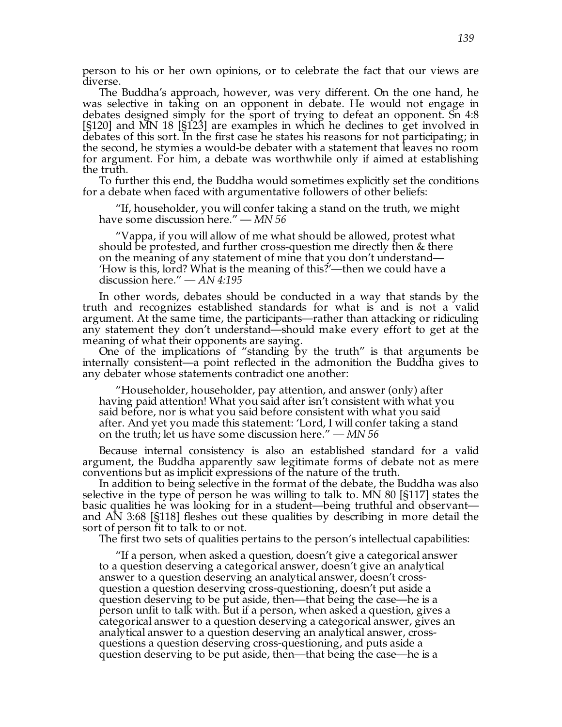person to his or her own opinions, or to celebrate the fact that our views are diverse.

The Buddha's approach, however, was very different. On the one hand, he was selective in taking on an opponent in debate. He would not engage in debates designed simply for the sport of trying to defeat an opponent. Sn 4:8 [§120] and MN 18 [§123] are examples in which he declines to get involved in debates of this sort. In the first case he states his reasons for not participating; in the second, he stymies a would-be debater with a statement that leaves no room for argument. For him, a debate was worthwhile only if aimed at establishing the truth.

To further this end, the Buddha would sometimes explicitly set the conditions for a debate when faced with argumentative followers of other beliefs:

"If, householder, you will confer taking a stand on the truth, we might have some discussion here." — *MN 56*

"Vappa, if you will allow of me what should be allowed, protest what should be protested, and further cross-question me directly then & there on the meaning of any statement of mine that you don't understand— 'How is this, lord? What is the meaning of this?'—then we could have a discussion here." — *AN 4:195*

In other words, debates should be conducted in a way that stands by the truth and recognizes established standards for what is and is not a valid argument. At the same time, the participants—rather than attacking or ridiculing any statement they don't understand—should make every effort to get at the meaning of what their opponents are saying.

One of the implications of "standing by the truth" is that arguments be internally consistent—a point reflected in the admonition the Buddha gives to any debater whose statements contradict one another:

"Householder, householder, pay attention, and answer (only) after having paid attention! What you said after isn't consistent with what you said before, nor is what you said before consistent with what you said after. And yet you made this statement: 'Lord, I will confer taking a stand on the truth; let us have some discussion here." — *MN 56*

Because internal consistency is also an established standard for a valid argument, the Buddha apparently saw legitimate forms of debate not as mere conventions but as implicit expressions of the nature of the truth.

In addition to being selective in the format of the debate, the Buddha was also selective in the type of person he was willing to talk to. MN 80 [§117] states the basic qualities he was looking for in a student—being truthful and observant and AN 3:68 [§118] fleshes out these qualities by describing in more detail the sort of person fit to talk to or not.

The first two sets of qualities pertains to the person's intellectual capabilities:

"If a person, when asked a question, doesn't give a categorical answer to a question deserving a categorical answer, doesn't give an analytical answer to a question deserving an analytical answer, doesn't crossquestion a question deserving cross-questioning, doesn't put aside a question deserving to be put aside, then—that being the case—he is a person unfit to talk with. But if a person, when asked a question, gives a categorical answer to a question deserving a categorical answer, gives an analytical answer to a question deserving an analytical answer, cross- questions a question deserving cross-questioning, and puts aside a question deserving to be put aside, then—that being the case—he is a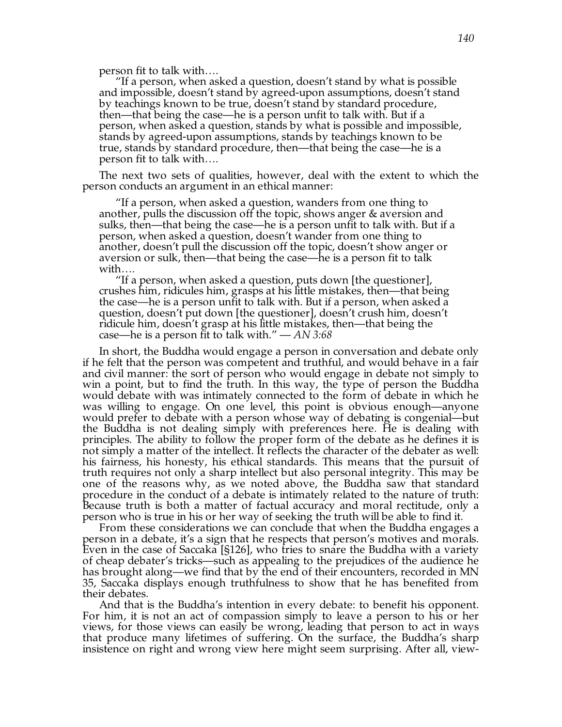person fit to talk with….<br>If a person, when asked a question, doesn't stand by what is possible and impossible, doesn't stand by agreed-upon assumptions, doesn't stand by teachings known to be true, doesn't stand by standard procedure, then—that being the case—he is a person unfit to talk with. But if a person, when asked a question, stands by what is possible and impossible, stands by agreed-upon assumptions, stands by teachings known to be true, stands by standard procedure, then—that being the case—he is a person fit to talk with….

The next two sets of qualities, however, deal with the extent to which the person conducts an argument in an ethical manner:

"If a person, when asked a question, wanders from one thing to another, pulls the discussion off the topic, shows anger & aversion and sulks, then—that being the case—he is a person unfit to talk with. But if a person, when asked a question, doesn't wander from one thing to another, doesn't pull the discussion off the topic, doesn't show anger or aversion or sulk, then—that being the case—he is a person fit to talk with....<br>If a person, when asked a question, puts down [the questioner],

crushes him, ridicules him, grasps at his little mistakes, then—that being the case—he is a person unfit to talk with. But if a person, when asked a question, doesn't put down [the questioner], doesn't crush him, doesn't ridicule him, doesn't grasp at his little mistakes, then—that being the case—he is a person fit to talk with." — *AN 3:68*

In short, the Buddha would engage a person in conversation and debate only if he felt that the person was competent and truthful, and would behave in a fair and civil manner: the sort of person who would engage in debate not simply to win a point, but to find the truth. In this way, the type of person the Buddha would debate with was intimately connected to the form of debate in which he was willing to engage. On one level, this point is obvious enough—anyone would prefer to debate with a person whose way of debating is congenial—but the Buddha is not dealing simply with preferences here. He is dealing with principles. The ability to follow the proper form of the debate as he defines it is not simply a matter of the intellect. It reflects the character of the debater as well: his fairness, his honesty, his ethical standards. This means that the pursuit of truth requires not only a sharp intellect but also personal integrity. This may be one of the reasons why, as we noted above, the Buddha saw that standard procedure in the conduct of a debate is intimately related to the nature of truth: Because truth is both a matter of factual accuracy and moral rectitude, only a person who is true in his or her way of seeking the truth will be able to find it.

From these considerations we can conclude that when the Buddha engages a person in a debate, it's a sign that he respects that person's motives and morals. Even in the case of Saccaka [§126], who tries to snare the Buddha with a variety of cheap debater's tricks—such as appealing to the prejudices of the audience he has brought along—we find that by the end of their encounters, recorded in MN 35, Saccaka displays enough truthfulness to show that he has benefited from their debates.

And that is the Buddha's intention in every debate: to benefit his opponent. For him, it is not an act of compassion simply to leave a person to his or her views, for those views can easily be wrong, leading that person to act in ways that produce many lifetimes of suffering. On the surface, the Buddha's sharp insistence on right and wrong view here might seem surprising. After all, view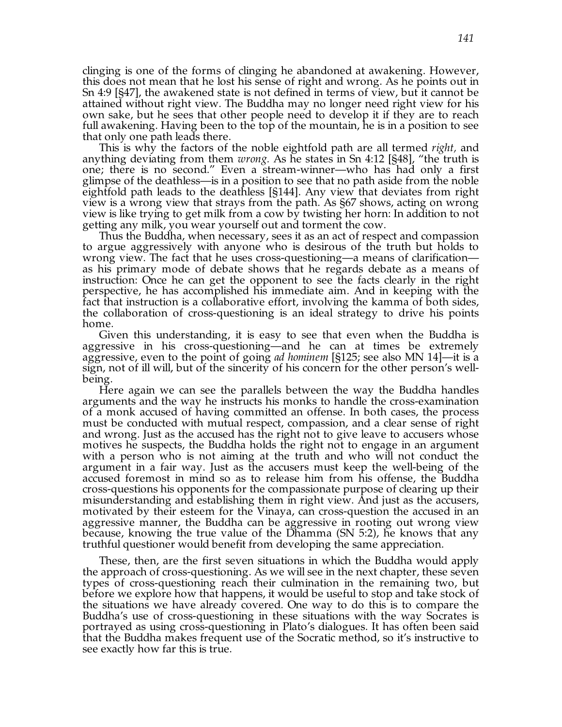clinging is one of the forms of clinging he abandoned at awakening. However, this does not mean that he lost his sense of right and wrong. As he points out in Sn 4:9 [§47], the awakened state is not defined in terms of view, but it cannot be attained without right view. The Buddha may no longer need right view for his own sake, but he sees that other people need to develop it if they are to reach full awakening. Having been to the top of the mountain, he is in a position to see that only one path leads there.

This is why the factors of the noble eightfold path are all termed *right,* and anything deviating from them *wrong.* As he states in Sn 4:12 [§48], "the truth is one; there is no second." Even a stream-winner—who has had only a first glimpse of the deathless—is in a position to see that no path aside from the noble eightfold path leads to the deathless [§144]. Any view that deviates from right view is a wrong view that strays from the path. As §67 shows, acting on wrong view is like trying to get milk from a cow by twisting her horn: In addition to not getting any milk, you wear yourself out and torment the cow.

Thus the Buddha, when necessary, sees it as an act of respect and compassion to argue aggressively with anyone who is desirous of the truth but holds to wrong view. The fact that he uses cross-questioning—a means of clarification— as his primary mode of debate shows that he regards debate as a means of instruction: Once he can get the opponent to see the facts clearly in the right perspective, he has accomplished his immediate aim. And in keeping with the fact that instruction is a collaborative effort, involving the kamma of both sides, the collaboration of cross-questioning is an ideal strategy to drive his points home.

Given this understanding, it is easy to see that even when the Buddha is aggressive in his cross-questioning—and he can at times be extremely aggressive, even to the point of going *ad hominem* [§125; see also MN 14]—it is a sign, not of ill will, but of the sincerity of his concern for the other person's well- being.

Here again we can see the parallels between the way the Buddha handles arguments and the way he instructs his monks to handle the cross-examination of a monk accused of having committed an offense. In both cases, the process must be conducted with mutual respect, compassion, and a clear sense of right and wrong. Just as the accused has the right not to give leave to accusers whose motives he suspects, the Buddha holds the right not to engage in an argument with a person who is not aiming at the truth and who will not conduct the argument in a fair way. Just as the accusers must keep the well-being of the accused foremost in mind so as to release him from his offense, the Buddha cross-questions his opponents for the compassionate purpose of clearing up their misunderstanding and establishing them in right view. And just as the accusers, motivated by their esteem for the Vinaya, can cross-question the accused in an aggressive manner, the Buddha can be aggressive in rooting out wrong view because, knowing the true value of the Dhamma (SN 5:2), he knows that any truthful questioner would benefit from developing the same appreciation.

These, then, are the first seven situations in which the Buddha would apply the approach of cross-questioning. As we will see in the next chapter, these seven types of cross-questioning reach their culmination in the remaining two, but before we explore how that happens, it would be useful to stop and take stock of the situations we have already covered. One way to do this is to compare the Buddha's use of cross-questioning in these situations with the way Socrates is portrayed as using cross-questioning in Plato's dialogues. It has often been said that the Buddha makes frequent use of the Socratic method, so it's instructive to see exactly how far this is true.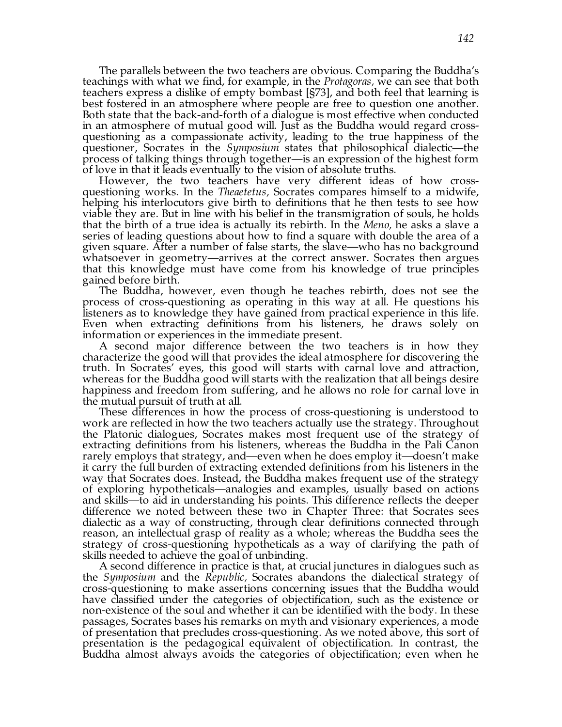The parallels between the two teachers are obvious. Comparing the Buddha's teachings with what we find, for example, in the *Protagoras,* we can see that both teachers express a dislike of empty bombast [§73], and both feel that learning is best fostered in an atmosphere where people are free to question one another. Both state that the back-and-forth of a dialogue is most effective when conducted in an atmosphere of mutual good will. Just as the Buddha would regard cross- questioning as a compassionate activity, leading to the true happiness of the questioner, Socrates in the *Symposium* states that philosophical dialectic—the process of talking things through together—is an expression of the highest form of love in that it leads eventually to the vision of absolute truths.

However, the two teachers have very different ideas of how cross- questioning works. In the *Theaetetus,* Socrates compares himself to a midwife, helping his interlocutors give birth to definitions that he then tests to see how viable they are. But in line with his belief in the transmigration of souls, he holds that the birth of a true idea is actually its rebirth. In the *Meno,* he asks a slave a series of leading questions about how to find a square with double the area of a given square. After a number of false starts, the slave—who has no background whatsoever in geometry—arrives at the correct answer. Socrates then argues that this knowledge must have come from his knowledge of true principles gained before birth.

The Buddha, however, even though he teaches rebirth, does not see the process of cross-questioning as operating in this way at all. He questions his listeners as to knowledge they have gained from practical experience in this life. Even when extracting definitions from his listeners, he draws solely on information or experiences in the immediate present.

A second major difference between the two teachers is in how they characterize the good will that provides the ideal atmosphere for discovering the truth. In Socrates' eyes, this good will starts with carnal love and attraction, whereas for the Buddha good will starts with the realization that all beings desire happiness and freedom from suffering, and he allows no role for carnal love in the mutual pursuit of truth at all.

These differences in how the process of cross-questioning is understood to work are reflected in how the two teachers actually use the strategy. Throughout the Platonic dialogues, Socrates makes most frequent use of the strategy of extracting definitions from his listeners, whereas the Buddha in the Pali Canon rarely employs that strategy, and—even when he does employ it—doesn't make it carry the full burden of extracting extended definitions from his listeners in the way that Socrates does. Instead, the Buddha makes frequent use of the strategy of exploring hypotheticals—analogies and examples, usually based on actions and skills—to aid in understanding his points. This difference reflects the deeper difference we noted between these two in Chapter Three: that Socrates sees dialectic as a way of constructing, through clear definitions connected through reason, an intellectual grasp of reality as a whole; whereas the Buddha sees the strategy of cross-questioning hypotheticals as a way of clarifying the path of skills needed to achieve the goal of unbinding.

A second difference in practice is that, at crucial junctures in dialogues such as the *Symposium* and the *Republic,* Socrates abandons the dialectical strategy of cross-questioning to make assertions concerning issues that the Buddha would have classified under the categories of objectification, such as the existence or non-existence of the soul and whether it can be identified with the body. In these passages, Socrates bases his remarks on myth and visionary experiences, a mode of presentation that precludes cross-questioning. As we noted above, this sort of presentation is the pedagogical equivalent of objectification. In contrast, the Buddha almost always avoids the categories of objectification; even when he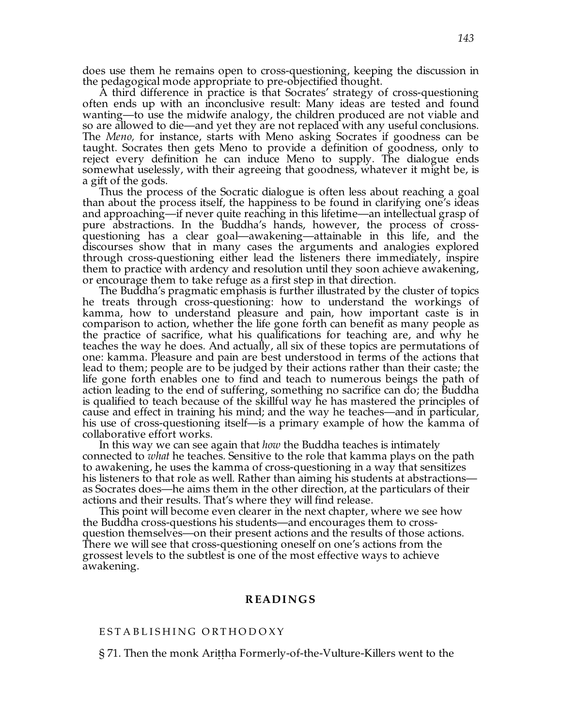does use them he remains open to cross-questioning, keeping the discussion in the pedagogical mode appropriate to pre-objectified thought.

A third difference in practice is that Socrates' strategy of cross-questioning often ends up with an inconclusive result: Many ideas are tested and found wanting—to use the midwife analogy, the children produced are not viable and so are allowed to die—and yet they are not replaced with any useful conclusions. The *Meno,* for instance, starts with Meno asking Socrates if goodness can be taught. Socrates then gets Meno to provide a definition of goodness, only to reject every definition he can induce Meno to supply. The dialogue ends somewhat uselessly, with their agreeing that goodness, whatever it might be, is a gift of the gods.

Thus the process of the Socratic dialogue is often less about reaching a goal than about the process itself, the happiness to be found in clarifying one's ideas and approaching—if never quite reaching in this lifetime—an intellectual grasp of pure abstractions. In the Buddha's hands, however, the process of cross- questioning has a clear goal—awakening—attainable in this life, and the discourses show that in many cases the arguments and analogies explored through cross-questioning either lead the listeners there immediately, inspire them to practice with ardency and resolution until they soon achieve awakening, or encourage them to take refuge as a first step in that direction.

The Buddha's pragmatic emphasis is further illustrated by the cluster of topics he treats through cross-questioning: how to understand the workings of kamma, how to understand pleasure and pain, how important caste is in comparison to action, whether the life gone forth can benefit as many people as the practice of sacrifice, what his qualifications for teaching are, and why he teaches the way he does. And actually, all six of these topics are permutations of one: kamma. Pleasure and pain are best understood in terms of the actions that lead to them; people are to be judged by their actions rather than their caste; the life gone forth enables one to find and teach to numerous beings the path of action leading to the end of suffering, something no sacrifice can do; the Buddha is qualified to teach because of the skillful way he has mastered the principles of cause and effect in training his mind; and the way he teaches—and in particular, his use of cross-questioning itself—is a primary example of how the kamma of collaborative effort works.

In this way we can see again that *how* the Buddha teaches is intimately connected to *what* he teaches. Sensitive to the role that kamma plays on the path to awakening, he uses the kamma of cross-questioning in a way that sensitizes his listeners to that role as well. Rather than aiming his students at abstractions— as Socrates does—he aims them in the other direction, at the particulars of their actions and their results. That's where they will find release.

This point will become even clearer in the next chapter, where we see how the Buddha cross-questions his students—and encourages them to crossquestion themselves—on their present actions and the results of those actions. There we will see that cross-questioning oneself on one's actions from the grossest levels to the subtlest is one of the most effective ways to achieve awakening.

# **READINGS**

### ESTABLISHING ORTHODOXY

§ 71. Then the monk Ari˛˛ha Formerly-of-the-Vulture-Killers went to the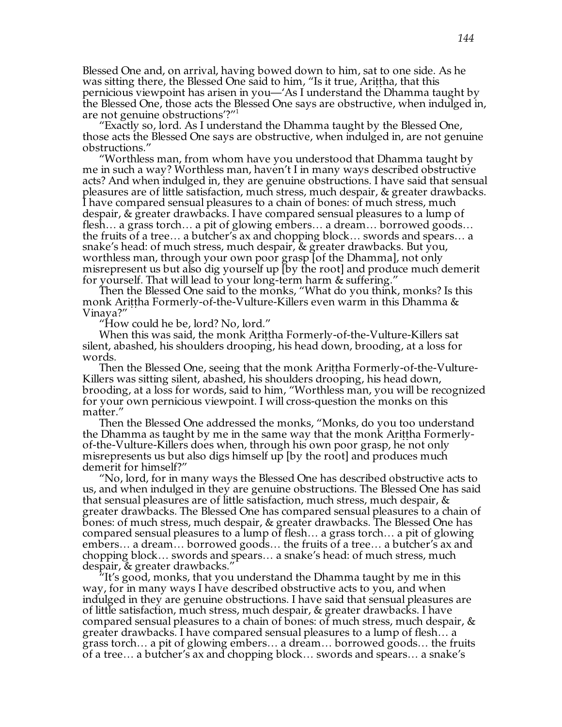Blessed One and, on arrival, having bowed down to him, sat to one side. As he was sitting there, the Blessed One said to him, "Is it true, Arittha, that this pernicious viewpoint has arisen in you—'As I understand the Dhamma taught by the Blessed One, those acts the Blessed One says are obstructive, when indulged in, are not genuine obstructions'?"1

"Exactly so, lord. As I understand the Dhamma taught by the Blessed One, those acts the Blessed One says are obstructive, when indulged in, are not genuine obstructions."

"Worthless man, from whom have you understood that Dhamma taught by me in such a way? Worthless man, haven't I in many ways described obstructive acts? And when indulged in, they are genuine obstructions. I have said that sensual pleasures are of little satisfaction, much stress, much despair, & greater drawbacks. I have compared sensual pleasures to a chain of bones: of much stress, much despair, & greater drawbacks. I have compared sensual pleasures to a lump of flesh… a grass torch… a pit of glowing embers… a dream… borrowed goods… the fruits of a tree… a butcher's ax and chopping block… swords and spears… a snake's head: of much stress, much despair, & greater drawbacks. But you, worthless man, through your own poor grasp [of the Dhamma], not only misrepresent us but also dig yourself up [by the root] and produce much demerit for yourself. That will lead to your long-term harm & suffering."

Then the Blessed One said to the monks, "What do you think, monks? Is this monk Arittha Formerly-of-the-Vulture-Killers even warm in this Dhamma & Vinaya?"

"How could he be, lord? No, lord."

When this was said, the monk Arittha Formerly-of-the-Vulture-Killers sat silent, abashed, his shoulders drooping, his head down, brooding, at a loss for words.

Then the Blessed One, seeing that the monk Ariṭṭha Formerly-of-the-Vulture-<br>Killers was sitting silent, abashed, his shoulders drooping, his head down, brooding, at a loss for words, said to him, "Worthless man, you will be recognized for your own pernicious viewpoint. I will cross-question the monks on this matter."

Then the Blessed One addressed the monks, "Monks, do you too understand the Dhamma as taught by me in the same way that the monk Arittha Formerlyof-the-Vulture-Killers does when, through his own poor grasp, he not only misrepresents us but also digs himself up [by the root] and produces much demerit for himself?"

"No, lord, for in many ways the Blessed One has described obstructive acts to us, and when indulged in they are genuine obstructions. The Blessed One has said that sensual pleasures are of little satisfaction, much stress, much despair, & greater drawbacks. The Blessed One has compared sensual pleasures to a chain of bones: of much stress, much despair, & greater drawbacks. The Blessed One has compared sensual pleasures to a lump of flesh… a grass torch… a pit of glowing embers… a dream… borrowed goods… the fruits of a tree… a butcher's ax and chopping block… swords and spears… a snake's head: of much stress, much despair, & greater drawbacks."

"It's good, monks, that you understand the Dhamma taught by me in this way, for in many ways I have described obstructive acts to you, and when indulged in they are genuine obstructions. I have said that sensual pleasures are of little satisfaction, much stress, much despair, & greater drawbacks. I have compared sensual pleasures to a chain of bones: of much stress, much despair, & greater drawbacks. I have compared sensual pleasures to a lump of flesh… a grass torch… a pit of glowing embers… a dream… borrowed goods… the fruits of a tree… a butcher's ax and chopping block… swords and spears… a snake's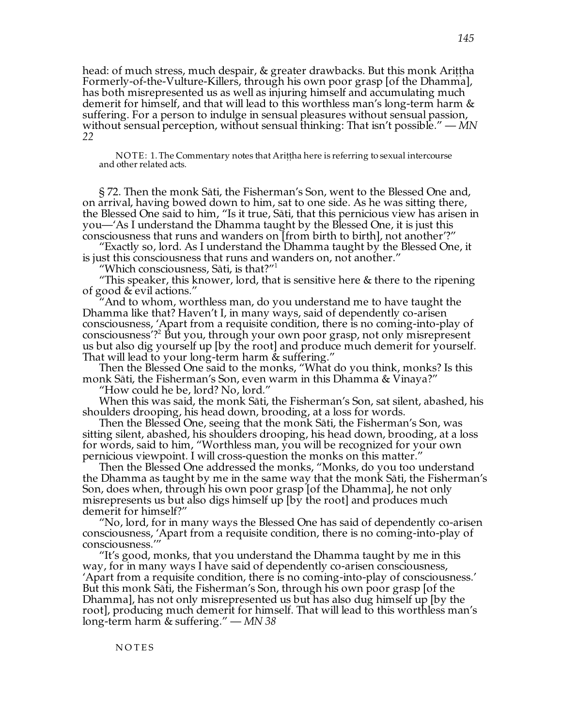head: of much stress, much despair, & greater drawbacks. But this monk Arittha Formerly-of-the-Vulture-Killers, through his own poor grasp [of the Dhamma], has both misrepresented us as well as injuring himself and accumulating much demerit for himself, and that will lead to this worthless man's long-term harm & suffering. For a person to indulge in sensual pleasures without sensual passion, without sensual perception, without sensual thinking: That isn't possible." — *MN 22*

NOTE: 1. The Commentary notes that Arittha here is referring to sexual intercourse and other related acts.

§ 72. Then the monk Sāti, the Fisherman's Son, went to the Blessed One and, on arrival, having bowed down to him, sat to one side. As he was sitting there, the Blessed One said to him, "Is it true, Sati, that this pernicious view has arisen in you—'As I understand the Dhamma taught by the Blessed One, it is just this consciousness that runs and wanders on [from birth to birth], not another'?"

"Exactly so, lord. As I understand the Dhamma taught by the Blessed One, it is just this consciousness that runs and wanders on, not another."

"Which consciousness, Sati, is that?" $1$ 

"This speaker, this knower, lord, that is sensitive here & there to the ripening of good & evil actions."

"And to whom, worthless man, do you understand me to have taught the Dhamma like that? Haven't I, in many ways, said of dependently co-arisen consciousness, 'Apart from a requisite condition, there is no coming-into-play of consciousness'?2 But you, through your own poor grasp, not only misrepresent us but also dig yourself up [by the root] and produce much demerit for yourself. That will lead to your long-term harm & suffering."

Then the Blessed One said to the monks, "What do you think, monks? Is this monk Sāti, the Fisherman's Son, even warm in this Dhamma & Vinaya?"

"How could he be, lord? No, lord."

When this was said, the monk Sāti, the Fisherman's Son, sat silent, abashed, his shoulders drooping, his head down, brooding, at a loss for words.

Then the Blessed One, seeing that the monk Sāti, the Fisherman's Son, was sitting silent, abashed, his shoulders drooping, his head down, brooding, at a loss for words, said to him, "Worthless man, you will be recognized for your own pernicious viewpoint. I will cross-question the monks on this matter."

Then the Blessed One addressed the monks, "Monks, do you too understand the Dhamma as taught by me in the same way that the monk Sati, the Fisherman's Son, does when, through his own poor grasp [of the Dhamma], he not only misrepresents us but also digs himself up [by the root] and produces much demerit for himself?"

"No, lord, for in many ways the Blessed One has said of dependently co-arisen consciousness, 'Apart from a requisite condition, there is no coming-into-play of consciousness.'"

"It's good, monks, that you understand the Dhamma taught by me in this way, for in many ways I have said of dependently co-arisen consciousness, 'Apart from a requisite condition, there is no coming-into-play of consciousness.' But this monk Sāti, the Fisherman's Son, through his own poor grasp [of the Dhamma], has not only misrepresented us but has also dug himself up [by the root], producing much demerit for himself. That will lead to this worthless man's long-term harm & suffering." — *MN 38*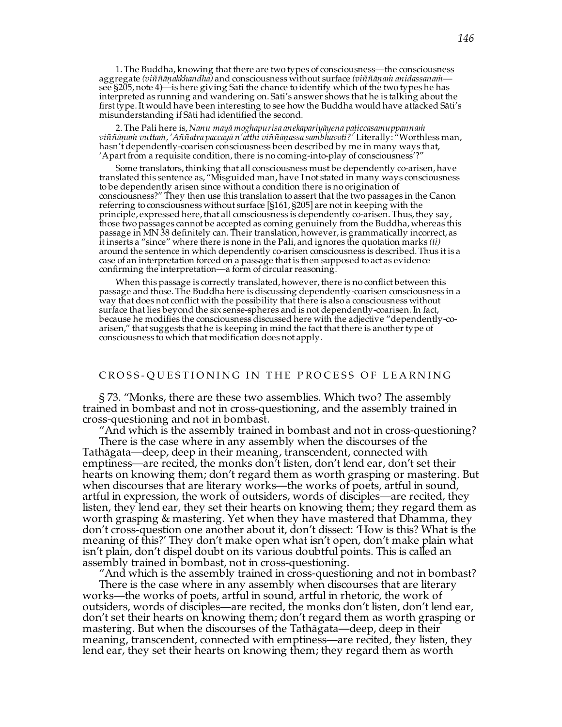1. The Buddha, knowing that there are two types of consciousness—the consciousness aggregate *(viññānakkhandha)* and consciousness without surface *(viññānam anidassanam*see  $\S205$ , note 4)—is here giving Sati the chance to identify which of the two types he has interpreted as running and wandering on. Sati's answer shows that he is talking about the first type. It would have been interesting to see how the Buddha would have attacked Sati's misunderstanding if Sāti had identified the second.

2. The Pali here is, *Nanu mayā moghapurisa anekapariyāyena paticcasamuppannam* viññānam vuttam, 'Aññatra paccayā n'atthi viññānassa sambhavoti?' Literally: "Worthless man, hasn't dependently-coarisen consciousness been described by me in many ways that, 'Apart from a requisite condition, there is no coming-into-play of consciousness'?"

Some translators, thinking that all consciousness must be dependently co-arisen, have translated this sentence as, "Misguided man, have I not stated in many ways consciousness to be dependently arisen since without a condition there is no origination of consciousness?" They then use this translation to assert that the two passages in the Canon referring to consciousness without surface [§161, §205] are not in keeping with the principle, expressed here, that all consciousness is dependently co-arisen. Thus, they say, those two passages cannot be accepted as coming genuinely from the Buddha, whereas this passage in MN 38 definitely can. Their translation, however, is grammatically incorrect, as it inserts a "since" where there is none in the Pali, and ignores the quotation marks *(ti)* around the sentence in which dependently co-arisen consciousness is described. Thus it is a case of an interpretation forced on a passage that is then supposed to act as evidence confirming the interpretation—a form of circular reasoning.

When this passage is correctly translated, however, there is no conflict between this passage and those. The Buddha here is discussing dependently-coarisen consciousness in a way that does not conflict with the possibility that there is also a consciousness without surface that lies beyond the six sense-spheres and is not dependently-coarisen. In fact, because he modifies the consciousness discussed here with the adjective "dependently-coarisen," that suggests that he is keeping in mind the fact that there is another type of consciousness to which that modification does not apply.

### CROSS - QUESTIONING IN THE PROCESS OF LEARNING

§ 73. "Monks, there are these two assemblies. Which two? The assembly trained in bombast and not in cross-questioning, and the assembly trained in cross-questioning and not in bombast.

"And which is the assembly trained in bombast and not in cross-questioning?

There is the case where in any assembly when the discourses of the Tathāgata—deep, deep in their meaning, transcendent, connected with emptiness—are recited, the monks don't listen, don't lend ear, don't set their hearts on knowing them; don't regard them as worth grasping or mastering. But when discourses that are literary works—the works of poets, artful in sound, artful in expression, the work of outsiders, words of disciples—are recited, they listen, they lend ear, they set their hearts on knowing them; they regard them as worth grasping & mastering. Yet when they have mastered that Dhamma, they don't cross-question one another about it, don't dissect: 'How is this? What is the meaning of this?' They don't make open what isn't open, don't make plain what isn't plain, don't dispel doubt on its various doubtful points. This is called an assembly trained in bombast, not in cross-questioning.

"And which is the assembly trained in cross-questioning and not in bombast? There is the case where in any assembly when discourses that are literary works—the works of poets, artful in sound, artful in rhetoric, the work of outsiders, words of disciples—are recited, the monks don't listen, don't lend ear, don't set their hearts on knowing them; don't regard them as worth grasping or mastering. But when the discourses of the Tathagata—deep, deep in their meaning, transcendent, connected with emptiness—are recited, they listen, they lend ear, they set their hearts on knowing them; they regard them as worth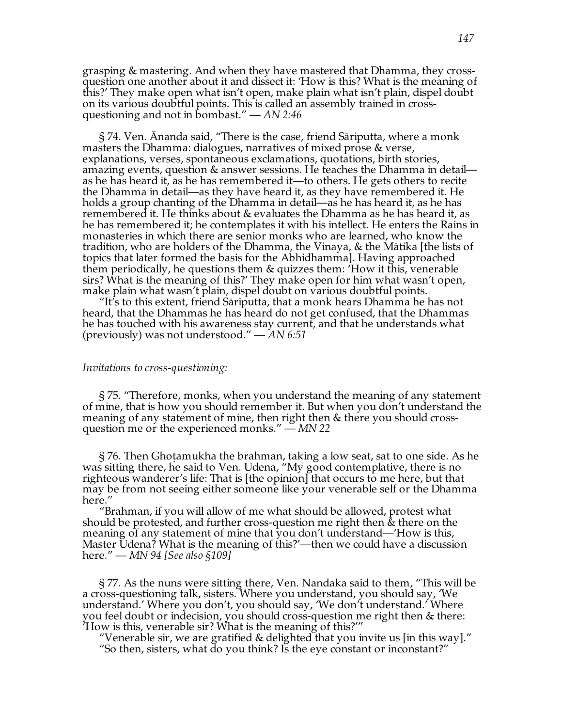grasping & mastering. And when they have mastered that Dhamma, they cross- question one another about it and dissect it: 'How is this? What is the meaning of this?' They make open what isn't open, make plain what isn't plain, dispel doubt on its various doubtful points. This is called an assembly trained in cross- questioning and not in bombast." — *AN 2:46*

§ 74. Ven. Ananda said, "There is the case, friend Sariputta, where a monk masters the Dhamma: dialogues, narratives of mixed prose & verse, explanations, verses, spontaneous exclamations, quotations, birth stories, amazing events, question & answer sessions. He teaches the Dhamma in detail— as he has heard it, as he has remembered it—to others. He gets others to recite the Dhamma in detail—as they have heard it, as they have remembered it. He holds a group chanting of the Dhamma in detail—as he has heard it, as he has remembered it. He thinks about & evaluates the Dhamma as he has heard it, as he has remembered it; he contemplates it with his intellect. He enters the Rains in monasteries in which there are senior monks who are learned, who know the tradition, who are holders of the Dhamma, the Vinaya, & the Mātika [the lists of topics that later formed the basis for the Abhidhamma]. Having approached them periodically, he questions them & quizzes them: 'How it this, venerable sirs? What is the meaning of this?' They make open for him what wasn't open, make plain what wasn't plain, dispel doubt on various doubtful points.

"It's to this extent, friend Sariputta, that a monk hears Dhamma he has not heard, that the Dhammas he has heard do not get confused, that the Dhammas he has touched with his awareness stay current, and that he understands what (previously) was not understood." — *AN 6:51*

# *Invitations to cross-questioning:*

§ 75. "Therefore, monks, when you understand the meaning of any statement of mine, that is how you should remember it. But when you don't understand the meaning of any statement of mine, then right then & there you should crossquestion me or the experienced monks." *— MN 22*

§ 76. Then Gho˛amukha the brahman, taking a low seat, sat to one side. As he was sitting there, he said to Ven. Udena, "My good contemplative, there is no righteous wanderer's life: That is [the opinion] that occurs to me here, but that may be from not seeing either someone like your venerable self or the Dhamma here."

"Brahman, if you will allow of me what should be allowed, protest what should be protested, and further cross-question me right then & there on the meaning of any statement of mine that you don't understand—'How is this, Master Udena? What is the meaning of this?'—then we could have a discussion here." — *MN 94 [See also §109]*

§ 77. As the nuns were sitting there, Ven. Nandaka said to them, "This will be a cross-questioning talk, sisters. Where you understand, you should say, 'We understand.' Where you don't, you should say, 'We don't understand.' Where you feel doubt or indecision, you should cross-question me right then & there: 'How is this, venerable sir? What is the meaning of this?'"

"Venerable sir, we are gratified & delighted that you invite us [in this way]." "So then, sisters, what do you think? Is the eye constant or inconstant?"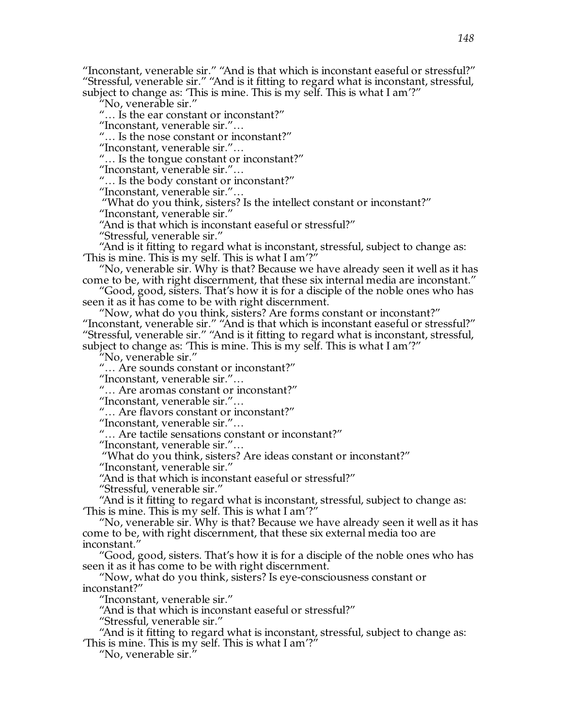"Inconstant, venerable sir." "And is that which is inconstant easeful or stressful?" "Stressful, venerable sir." "And is it fitting to regard what is inconstant, stressful, subject to change as: 'This is mine. This is my self. This is what I am'?"

"No, venerable sir."

"… Is the ear constant or inconstant?"

"Inconstant, venerable sir."…

"… Is the nose constant or inconstant?"

"Inconstant, venerable sir."…

"… Is the tongue constant or inconstant?"

"Inconstant, venerable sir."…

"… Is the body constant or inconstant?"

"Inconstant, venerable sir."…

"What do you think, sisters? Is the intellect constant or inconstant?"

"Inconstant, venerable sir."

"And is that which is inconstant easeful or stressful?"

"Stressful, venerable sir."

"And is it fitting to regard what is inconstant, stressful, subject to change as: 'This is mine. This is my self. This is what I am'?"

"No, venerable sir. Why is that? Because we have already seen it well as it has come to be, with right discernment, that these six internal media are inconstant."

"Good, good, sisters. That's how it is for a disciple of the noble ones who has seen it as it has come to be with right discernment.

"Now, what do you think, sisters? Are forms constant or inconstant?" "Inconstant, venerable sir." "And is that which is inconstant easeful or stressful?" "Stressful, venerable sir." "And is it fitting to regard what is inconstant, stressful, subject to change as: 'This is mine. This is my self. This is what I am'?"

"No, venerable sir."

"… Are sounds constant or inconstant?"

"Inconstant, venerable sir."…

"… Are aromas constant or inconstant?"

"Inconstant, venerable sir."…

"… Are flavors constant or inconstant?"

"Inconstant, venerable sir."…

"… Are tactile sensations constant or inconstant?"

"Inconstant, venerable sir."…

"What do you think, sisters? Are ideas constant or inconstant?"

"Inconstant, venerable sir."

"And is that which is inconstant easeful or stressful?"

"Stressful, venerable sir."

"And is it fitting to regard what is inconstant, stressful, subject to change as: 'This is mine. This is my self. This is what I am'?"

"No, venerable sir. Why is that? Because we have already seen it well as it has come to be, with right discernment, that these six external media too are inconstant."

"Good, good, sisters. That's how it is for a disciple of the noble ones who has seen it as it has come to be with right discernment.

"Now, what do you think, sisters? Is eye-consciousness constant or inconstant?"

"Inconstant, venerable sir."

"And is that which is inconstant easeful or stressful?"

"Stressful, venerable sir."

"And is it fitting to regard what is inconstant, stressful, subject to change as: 'This is mine. This is my self. This is what I am'?"

"No, venerable sir."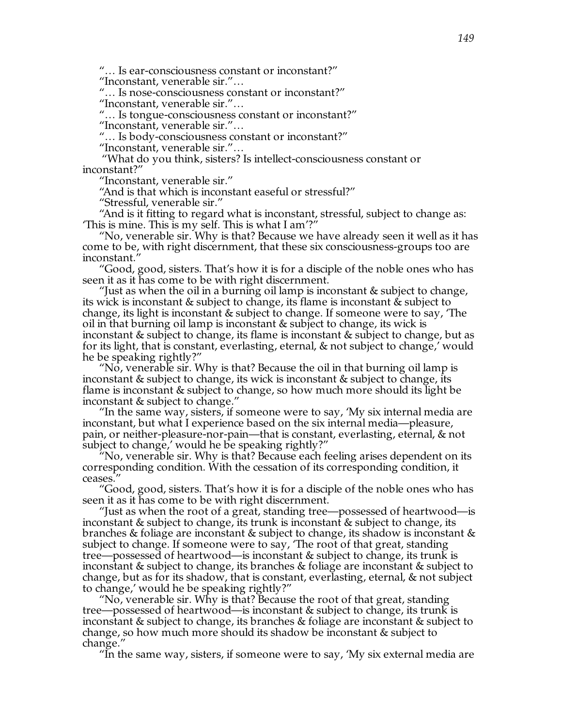"… Is ear-consciousness constant or inconstant?"

"Inconstant, venerable sir."…

"… Is nose-consciousness constant or inconstant?"

"Inconstant, venerable sir."…

"… Is tongue-consciousness constant or inconstant?"

"Inconstant, venerable sir."…

"... Is body-consciousness constant or inconstant?"

"Inconstant, venerable sir."…

 "What do you think, sisters? Is intellect-consciousness constant or inconstant?"

"Inconstant, venerable sir."

"And is that which is inconstant easeful or stressful?"

"Stressful, venerable sir."

"And is it fitting to regard what is inconstant, stressful, subject to change as: 'This is mine. This is my self. This is what I am'?"

"No, venerable sir. Why is that? Because we have already seen it well as it has come to be, with right discernment, that these six consciousness-groups too are inconstant."

"Good, good, sisters. That's how it is for a disciple of the noble ones who has seen it as it has come to be with right discernment.

"Just as when the oil in a burning oil lamp is inconstant & subject to change, its wick is inconstant & subject to change, its flame is inconstant & subject to change, its light is inconstant & subject to change. If someone were to say, 'The oil in that burning oil lamp is inconstant & subject to change, its wick is inconstant & subject to change, its flame is inconstant & subject to change, but as for its light, that is constant, everlasting, eternal, & not subject to change,' would he be speaking rightly?"

"No, venerable sir. Why is that? Because the oil in that burning oil lamp is inconstant & subject to change, its wick is inconstant & subject to change, its flame is inconstant & subject to change, so how much more should its light be inconstant & subject to change."

"In the same way, sisters, if someone were to say, 'My six internal media are inconstant, but what I experience based on the six internal media—pleasure, pain, or neither-pleasure-nor-pain—that is constant, everlasting, eternal, & not subject to change,' would he be speaking rightly?"

"No, venerable sir. Why is that? Because each feeling arises dependent on its corresponding condition. With the cessation of its corresponding condition, it ceases."

"Good, good, sisters. That's how it is for a disciple of the noble ones who has seen it as it has come to be with right discernment.

"Just as when the root of a great, standing tree—possessed of heartwood—is inconstant & subject to change, its trunk is inconstant & subject to change, its branches & foliage are inconstant & subject to change, its shadow is inconstant & subject to change. If someone were to say, 'The root of that great, standing tree—possessed of heartwood—is inconstant & subject to change, its trunk is inconstant & subject to change, its branches & foliage are inconstant & subject to change, but as for its shadow, that is constant, everlasting, eternal, & not subject to change,' would he be speaking rightly?"

"No, venerable sir. Why is that? Because the root of that great, standing tree—possessed of heartwood—is inconstant & subject to change, its trunk is inconstant & subject to change, its branches & foliage are inconstant & subject to change, so how much more should its shadow be inconstant & subject to change."

"In the same way, sisters, if someone were to say, 'My six external media are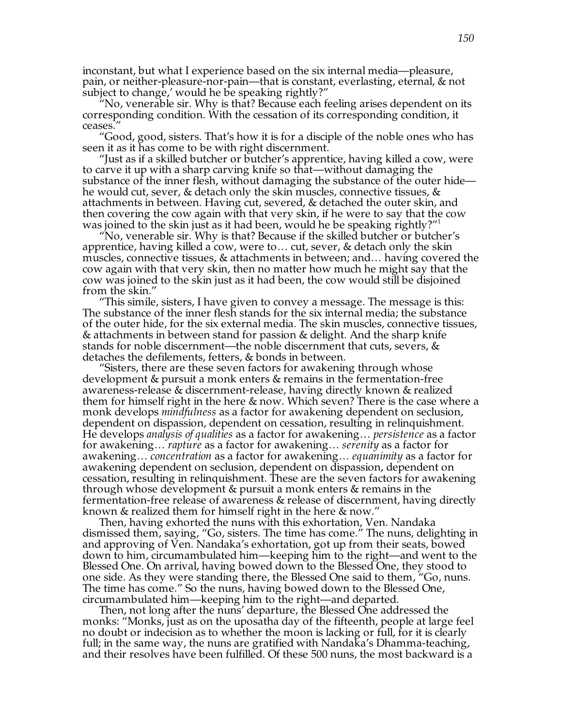inconstant, but what I experience based on the six internal media—pleasure, pain, or neither-pleasure-nor-pain—that is constant, everlasting, eternal, & not subject to change,' would he be speaking rightly?"

"No, venerable sir. Why is that? Because each feeling arises dependent on its corresponding condition. With the cessation of its corresponding condition, it ceases."

"Good, good, sisters. That's how it is for a disciple of the noble ones who has seen it as it has come to be with right discernment.

"Just as if a skilled butcher or butcher's apprentice, having killed a cow, were to carve it up with a sharp carving knife so that—without damaging the substance of the inner flesh, without damaging the substance of the outer hide—<br>he would cut, sever, & detach only the skin muscles, connective tissues, & attachments in between. Having cut, severed, & detached the outer skin, and then covering the cow again with that very skin, if he were to say that the cow was joined to the skin just as it had been, would he be speaking rightly?"

"No, venerable sir. Why is that? Because if the skilled butcher or butcher's apprentice, having killed a cow, were to… cut, sever, & detach only the skin muscles, connective tissues, & attachments in between; and… having covered the cow again with that very skin, then no matter how much he might say that the cow was joined to the skin just as it had been, the cow would still be disjoined from the skin."

"This simile, sisters, I have given to convey a message. The message is this: The substance of the inner flesh stands for the six internal media; the substance of the outer hide, for the six external media. The skin muscles, connective tissues, & attachments in between stand for passion & delight. And the sharp knife stands for noble discernment—the noble discernment that cuts, severs, & detaches the defilements, fetters, & bonds in between.

"Sisters, there are these seven factors for awakening through whose development & pursuit a monk enters & remains in the fermentation-free awareness-release & discernment-release, having directly known & realized them for himself right in the here & now. Which seven? There is the case where a monk develops *mindfulness* as a factor for awakening dependent on seclusion, dependent on dispassion, dependent on cessation, resulting in relinquishment. He develops *analysis of qualities* as a factor for awakening… *persistence* as a factor for awakening… *rapture* as a factor for awakening… *serenity* as a factor for awakening… *concentration* as a factor for awakening… *equanimity* as a factor for awakening dependent on seclusion, dependent on dispassion, dependent on cessation, resulting in relinquishment. These are the seven factors for awakening through whose development & pursuit a monk enters & remains in the fermentation-free release of awareness & release of discernment, having directly known & realized them for himself right in the here & now."

Then, having exhorted the nuns with this exhortation, Ven. Nandaka dismissed them, saying, "Go, sisters. The time has come." The nuns, delighting in and approving of Ven. Nandaka's exhortation, got up from their seats, bowed down to him, circumambulated him—keeping him to the right—and went to the Blessed One. On arrival, having bowed down to the Blessed One, they stood to one side. As they were standing there, the Blessed One said to them, "Go, nuns. The time has come." So the nuns, having bowed down to the Blessed One, circumambulated him—keeping him to the right—and departed.

Then, not long after the nuns' departure, the Blessed One addressed the monks: "Monks, just as on the uposatha day of the fifteenth, people at large feel no doubt or indecision as to whether the moon is lacking or full, for it is clearly full; in the same way, the nuns are gratified with Nandaka's Dhamma-teaching, and their resolves have been fulfilled. Of these 500 nuns, the most backward is a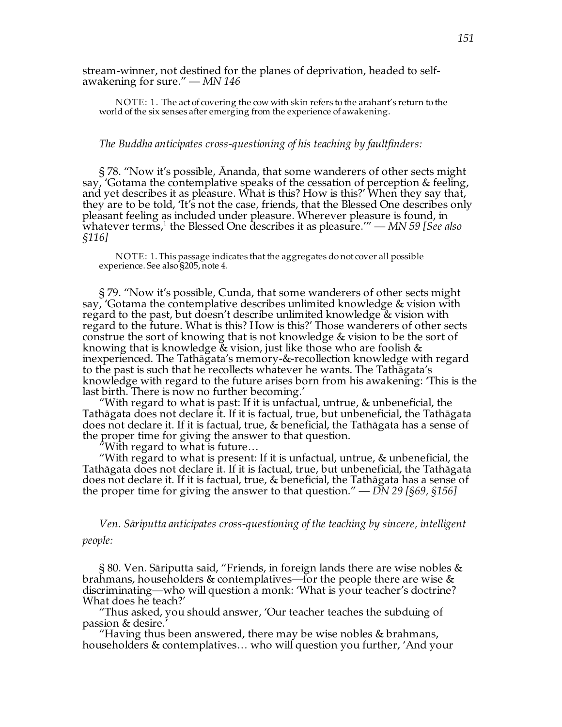stream-winner, not destined for the planes of deprivation, headed to self- awakening for sure." — *MN 146*

NOTE: 1. The act of covering the cow with skin refers to the arahant's return to the world of the six senses after emerging from the experience of awakening.

#### *The Buddha anticipates cross-questioning of his teaching by faultfinders:*

§ 78. "Now it's possible,  $\bar{A}$ nanda, that some wanderers of other sects might say, 'Gotama the contemplative speaks of the cessation of perception & feeling, and yet describes it as pleasure. What is this? How is this?' When they say that, they are to be told, 'It's not the case, friends, that the Blessed One describes only pleasant feeling as included under pleasure. Wherever pleasure is found, in whatever terms,<sup>1</sup> the Blessed One describes it as pleasure.''' — *MN* 59 [See also *§116]*

NOTE: 1. This passage indicates that the aggregates do not cover all possible experience. See also §205, note 4.

§ 79. "Now it's possible, Cunda, that some wanderers of other sects might say, 'Gotama the contemplative describes unlimited knowledge & vision with regard to the past, but doesn't describe unlimited knowledge & vision with regard to the future. What is this? How is this?' Those wanderers of other sects construe the sort of knowing that is not knowledge & vision to be the sort of knowing that is knowledge  $\&$  vision, just like those who are foolish  $\&$ inexperienced. The Tathagata's memory-&-recollection knowledge with regard to the past is such that he recollects whatever he wants. The Tathagata's knowledge with regard to the future arises born from his awakening: 'This is the last birth. There is now no further becoming.'

"With regard to what is past: If it is unfactual, untrue, & unbeneficial, the Tathāgata does not declare it. If it is factual, true, but unbeneficial, the Tathāgata does not declare it. If it is factual, true,  $\&$  beneficial, the Tathagata has a sense of the proper time for giving the answer to that question.

"With regard to what is future…

"With regard to what is present: If it is unfactual, untrue, & unbeneficial, the Tathāgata does not declare it. If it is factual, true, but unbeneficial, the Tathāgata does not declare it. If it is factual, true,  $\&$  beneficial, the Tathagata has a sense of the proper time for giving the answer to that question." — *DN 29 [§69, §156]*

*Ven. Sariputta anticipates cross-questioning of the teaching by sincere, intelligent people:*

§ 80. Ven. Sariputta said, "Friends, in foreign lands there are wise nobles  $\&$ brahmans, householders & contemplatives—for the people there are wise & discriminating—who will question a monk: 'What is your teacher's doctrine? What does he teach?'

"Thus asked, you should answer, 'Our teacher teaches the subduing of passion & desire.'

"Having thus been answered, there may be wise nobles & brahmans, householders & contemplatives… who will question you further, 'And your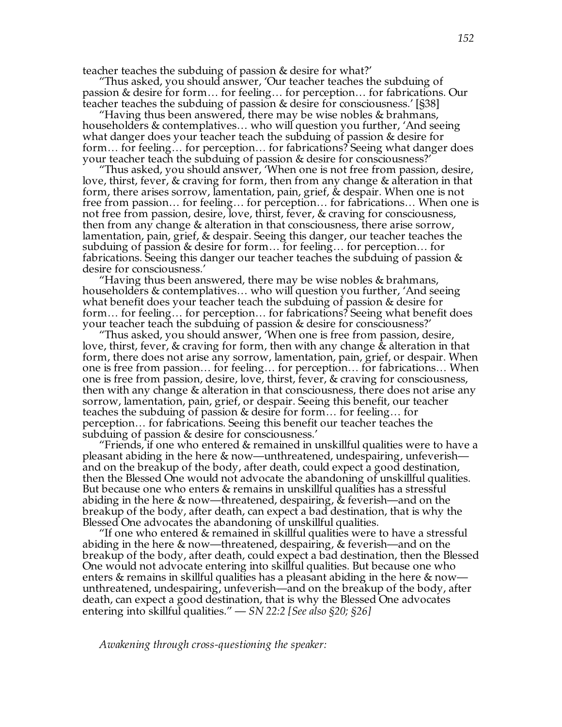teacher teaches the subduing of passion & desire for what?'

"Thus asked, you should answer, 'Our teacher teaches the subduing of passion & desire for form… for feeling… for perception… for fabrications. Our teacher teaches the subduing of passion & desire for consciousness.' [§38]

"Having thus been answered, there may be wise nobles & brahmans, householders & contemplatives… who will question you further, 'And seeing what danger does your teacher teach the subduing of passion & desire for form… for feeling… for perception… for fabrications? Seeing what danger does your teacher teach the subduing of passion & desire for consciousness?'

"Thus asked, you should answer, 'When one is not free from passion, desire, love, thirst, fever, & craving for form, then from any change & alteration in that form, there arises sorrow, lamentation, pain, grief, & despair. When one is not free from passion… for feeling… for perception… for fabrications… When one is not free from passion, desire, love, thirst, fever, & craving for consciousness, then from any change & alteration in that consciousness, there arise sorrow, lamentation, pain, grief, & despair. Seeing this danger, our teacher teaches the subduing of passion & desire for form… for feeling… for perception… for fabrications. Seeing this danger our teacher teaches the subduing of passion  $\&$ desire for consciousness.'

"Having thus been answered, there may be wise nobles & brahmans, householders & contemplatives… who will question you further, 'And seeing what benefit does your teacher teach the subduing of passion & desire for form… for feeling… for perception… for fabrications? Seeing what benefit does your teacher teach the subduing of passion & desire for consciousness?'

"Thus asked, you should answer, 'When one is free from passion, desire, love, thirst, fever, & craving for form, then with any change & alteration in that form, there does not arise any sorrow, lamentation, pain, grief, or despair. When one is free from passion… for feeling… for perception… for fabrications… When one is free from passion, desire, love, thirst, fever, & craving for consciousness, then with any change & alteration in that consciousness, there does not arise any sorrow, lamentation, pain, grief, or despair. Seeing this benefit, our teacher teaches the subduing of passion & desire for form… for feeling… for perception… for fabrications. Seeing this benefit our teacher teaches the subduing of passion & desire for consciousness.'

"Friends, if one who entered & remained in unskillful qualities were to have a pleasant abiding in the here & now—unthreatened, undespairing, unfeverish and on the breakup of the body, after death, could expect a good destination, then the Blessed One would not advocate the abandoning of unskillful qualities. But because one who enters & remains in unskillful qualities has a stressful abiding in the here & now—threatened, despairing, & feverish—and on the breakup of the body, after death, can expect a bad destination, that is why the Blessed One advocates the abandoning of unskillful qualities.

"If one who entered & remained in skillful qualities were to have a stressful abiding in the here & now—threatened, despairing, & feverish—and on the breakup of the body, after death, could expect a bad destination, then the Blessed One would not advocate entering into skillful qualities. But because one who enters & remains in skillful qualities has a pleasant abiding in the here & now unthreatened, undespairing, unfeverish—and on the breakup of the body, after death, can expect a good destination, that is why the Blessed One advocates entering into skillful qualities." — *SN 22:2 [See also §20; §26]*

*Awakening through cross-questioning the speaker:*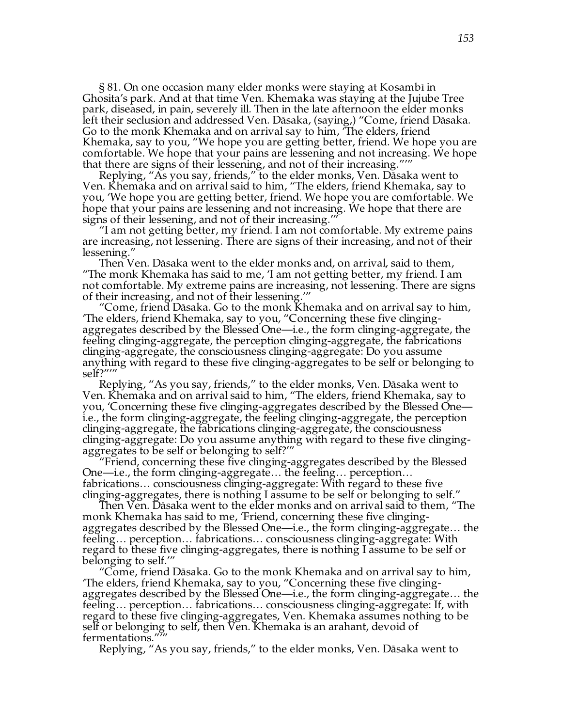§ 81. On one occasion many elder monks were staying at Kosambı in Ghosita's park. And at that time Ven. Khemaka was staying at the Jujube Tree park, diseased, in pain, severely ill. Then in the late afternoon the elder monks left their seclusion and addressed Ven. Dāsaka, (saying,) "Come, friend Dāsaka. Go to the monk Khemaka and on arrival say to him, 'The elders, friend Khemaka, say to you, "We hope you are getting better, friend. We hope you are comfortable. We hope that your pains are lessening and not increasing. We hope that there are signs of their lessening, and not of their increasing."'"

Replying, "As you say, friends," to the elder monks, Ven. Dasaka went to Ven. Khemaka and on arrival said to him, "The elders, friend Khemaka, say to you, 'We hope you are getting better, friend. We hope you are comfortable. We hope that your pains are lessening and not increasing. We hope that there are signs of their lessening, and not of their increasing.'"

"I am not getting better, my friend. I am not comfortable. My extreme pains are increasing, not lessening. There are signs of their increasing, and not of their lessening."

Then Ven. Dasaka went to the elder monks and, on arrival, said to them, "The monk Khemaka has said to me, 'I am not getting better, my friend. I am not comfortable. My extreme pains are increasing, not lessening. There are signs of their increasing, and not of their lessening.'"

"Come, friend Dāsaka. Go to the monk Khemaka and on arrival say to him, 'The elders, friend Khemaka, say to you, "Concerning these five clinging- aggregates described by the Blessed One—i.e., the form clinging-aggregate, the feeling clinging-aggregate, the perception clinging-aggregate, the fabrications clinging-aggregate, the consciousness clinging-aggregate: Do you assume anything with regard to these five clinging-aggregates to be self or belonging to self?"'"

Replying, "As you say, friends," to the elder monks, Ven. Dasaka went to Ven. Khemaka and on arrival said to him, "The elders, friend Khemaka, say to you, 'Concerning these five clinging-aggregates described by the Blessed One i.e., the form clinging-aggregate, the feeling clinging-aggregate, the perception clinging-aggregate, the fabrications clinging-aggregate, the consciousness clinging-aggregate: Do you assume anything with regard to these five clingingaggregates to be self or belonging to self?"

"Friend, concerning these five clinging-aggregates described by the Blessed One—i.e., the form clinging-aggregate… the feeling… perception… fabrications… consciousness clinging-aggregate: With regard to these five clinging-aggregates, there is nothing I assume to be self or belonging to self."

Then Ven. Dasaka went to the elder monks and on arrival said to them, "The monk Khemaka has said to me, 'Friend, concerning these five clingingaggregates described by the Blessed One—i.e., the form clinging-aggregate… the feeling… perception… fabrications… consciousness clinging-aggregate: With regard to these five clinging-aggregates, there is nothing I assume to be self or belonging to self.'"

"Come, friend Dāsaka. Go to the monk Khemaka and on arrival say to him, 'The elders, friend Khemaka, say to you, "Concerning these five clingingaggregates described by the Blessed One—i.e., the form clinging-aggregate… the feeling… perception… fabrications… consciousness clinging-aggregate: If, with regard to these five clinging-aggregates, Ven. Khemaka assumes nothing to be self or belonging to self, then Ven. Khemaka is an arahant, devoid of fermentations."'"

Replying, "As you say, friends," to the elder monks, Ven. Dasaka went to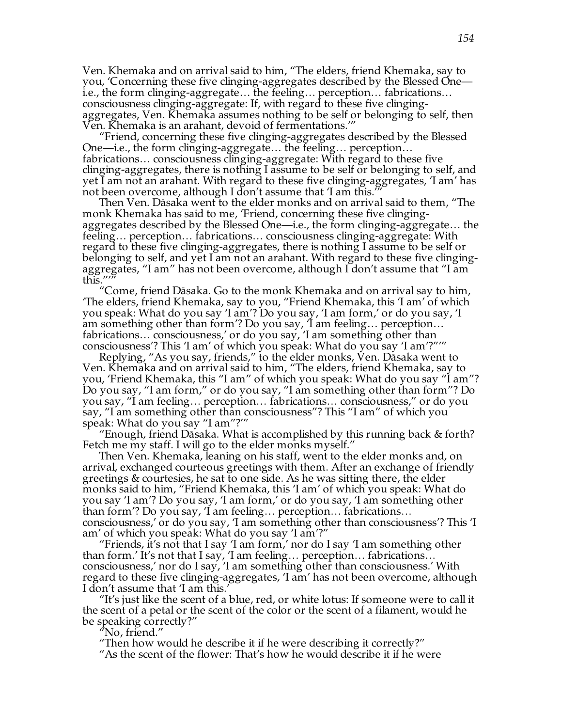Ven. Khemaka and on arrival said to him, "The elders, friend Khemaka, say to you, 'Concerning these five clinging-aggregates described by the Blessed One— i.e., the form clinging-aggregate… the feeling… perception… fabrications… consciousness clinging-aggregate: If, with regard to these five clinging-<br>aggregates, Ven. Khemaka assumes nothing to be self or belonging to self, then Ven. Khemaka is an arahant, devoid of fermentations.'"

"Friend, concerning these five clinging-aggregates described by the Blessed One—i.e., the form clinging-aggregate… the feeling… perception… fabrications… consciousness clinging-aggregate: With regard to these five clinging-aggregates, there is nothing I assume to be self or belonging to self, and yet I am not an arahant. With regard to these five clinging-aggregates, 'I am' has not been overcome, although I don't assume that 'I am this.

Then Ven. Dasaka went to the elder monks and on arrival said to them, "The monk Khemaka has said to me, 'Friend, concerning these five clinging-<br>aggregates described by the Blessed One—i.e., the form clinging-aggregate... the feeling… perception… fabrications… consciousness clinging-aggregate: With regard to these five clinging-aggregates, there is nothing I assume to be self or belonging to self, and yet I am not an arahant. With regard to these five clinging-<br>aggregates, "I am" has not been overcome, although I don't assume that "I am this."'"

"Come, friend Dāsaka. Go to the monk Khemaka and on arrival say to him, 'The elders, friend Khemaka, say to you, "Friend Khemaka, this 'I am' of which you speak: What do you say 'I am'? Do you say, 'I am form,' or do you say, 'I am something other than form'? Do you say, 'I am feeling… perception… fabrications… consciousness,' or do you say, 'I am something other than consciousness'? This 'I am' of which you speak: What do you say 'I am'?"'"

Replying, "As you say, friends," to the elder monks, Ven. Dasaka went to Ven. Khemaka and on arrival said to him, "The elders, friend Khemaka, say to you, 'Friend Khemaka, this "I am" of which you speak: What do you say "I am"? Do you say, "I am form," or do you say, "I am something other than form"? Do you say, "I am feeling… perception… fabrications… consciousness," or do you say, "I am something other than consciousness"? This "I am" of which you speak: What do you say "I am"?'"

"Enough, friend Dāsaka. What is accomplished by this running back  $\&$  forth? Fetch me my staff. I will go to the elder monks myself."

Then Ven. Khemaka, leaning on his staff, went to the elder monks and, on arrival, exchanged courteous greetings with them. After an exchange of friendly greetings & courtesies, he sat to one side. As he was sitting there, the elder monks said to him, "Friend Khemaka, this 'I am' of which you speak: What do you say 'I am'? Do you say, 'I am form,' or do you say, 'I am something other than form'? Do you say, 'I am feeling… perception… fabrications… consciousness,' or do you say, 'I am something other than consciousness'? This 'I am' of which you speak: What do you say 'I am'?"

"Friends, it's not that I say 'I am form,' nor do I say 'I am something other than form.' It's not that I say, 'I am feeling… perception… fabrications… consciousness,' nor do I say, 'I am something other than consciousness.' With regard to these five clinging-aggregates, 'I am' has not been overcome, although I don't assume that 'I am this.'

"It's just like the scent of a blue, red, or white lotus: If someone were to call it the scent of a petal or the scent of the color or the scent of a filament, would he be speaking correctly?"

"No, friend."

"Then how would he describe it if he were describing it correctly?"

"As the scent of the flower: That's how he would describe it if he were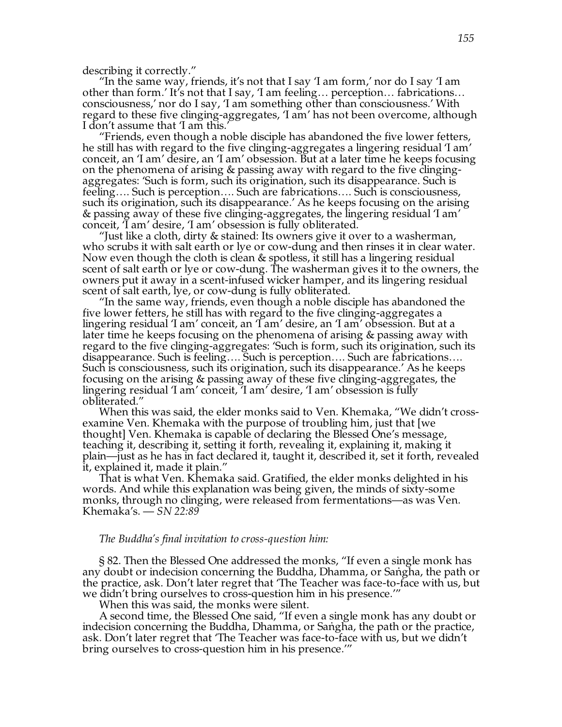describing it correctly."

"In the same way, friends, it's not that I say 'I am form,' nor do I say 'I am other than form.' It's not that I say, 'I am feeling… perception… fabrications… consciousness,' nor do I say, 'I am something other than consciousness.' With regard to these five clinging-aggregates, 'I am' has not been overcome, although I don't assume that 'I am this.'

"Friends, even though a noble disciple has abandoned the five lower fetters, he still has with regard to the five clinging-aggregates a lingering residual 'I am' conceit, an 'I am' desire, an 'I am' obsession. But at a later time he keeps focusing on the phenomena of arising & passing away with regard to the five clinging-<br>aggregates: 'Such is form, such its origination, such its disappearance. Such is feeling…. Such is perception…. Such are fabrications…. Such is consciousness, such its origination, such its disappearance.' As he keeps focusing on the arising & passing away of these five clinging-aggregates, the lingering residual 'I am' conceit, 'I am' desire, 'I am' obsession is fully obliterated.

"Just like a cloth, dirty & stained: Its owners give it over to a washerman, who scrubs it with salt earth or lye or cow-dung and then rinses it in clear water. Now even though the cloth is clean & spotless, it still has a lingering residual scent of salt earth or lye or cow-dung. The washerman gives it to the owners, the owners put it away in a scent-infused wicker hamper, and its lingering residual scent of salt earth, lye, or cow-dung is fully obliterated.

"In the same way, friends, even though a noble disciple has abandoned the five lower fetters, he still has with regard to the five clinging-aggregates a lingering residual 'I am' conceit, an 'I am' desire, an 'I am' obsession. But at a later time he keeps focusing on the phenomena of arising & passing away with regard to the five clinging-aggregates: 'Such is form, such its origination, such its disappearance. Such is feeling…. Such is perception…. Such are fabrications…. Such is consciousness, such its origination, such its disappearance.' As he keeps focusing on the arising & passing away of these five clinging-aggregates, the lingering residual 'I am' conceit, 'I am' desire, 'I am' obsession is fully obliterated."

When this was said, the elder monks said to Ven. Khemaka, "We didn't crossexamine Ven. Khemaka with the purpose of troubling him, just that [we thought] Ven. Khemaka is capable of declaring the Blessed One's message, teaching it, describing it, setting it forth, revealing it, explaining it, making it plain—just as he has in fact declared it, taught it, described it, set it forth, revealed it, explained it, made it plain."

That is what Ven. Khemaka said. Gratified, the elder monks delighted in his words. And while this explanation was being given, the minds of sixty-some monks, through no clinging, were released from fermentations—as was Ven. Khemaka's. — *SN 22:89*

#### *The Buddha's final invitation to cross-question him:*

§ 82. Then the Blessed One addressed the monks, "If even a single monk has any doubt or indecision concerning the Buddha, Dhamma, or Sangha, the path or the practice, ask. Don't later regret that 'The Teacher was face-to-face with us, but we didn't bring ourselves to cross-question him in his presence.'"

When this was said, the monks were silent.

A second time, the Blessed One said, "If even a single monk has any doubt or indecision concerning the Buddha, Dhamma, or Sangha, the path or the practice, ask. Don't later regret that 'The Teacher was face-to-face with us, but we didn't bring ourselves to cross-question him in his presence.'"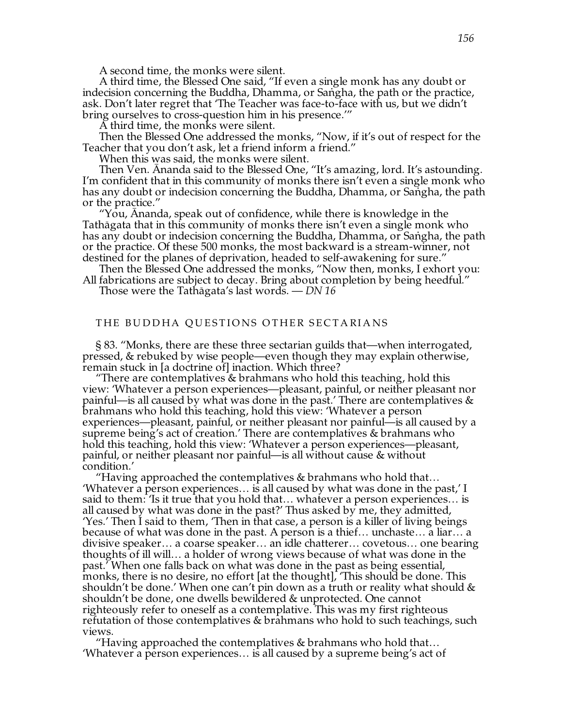A second time, the monks were silent.

A third time, the Blessed One said, "If even a single monk has any doubt or indecision concerning the Buddha, Dhamma, or Sangha, the path or the practice, ask. Don't later regret that 'The Teacher was face-to-face with us, but we didn't bring ourselves to cross-question him in his presence.'"

A third time, the monks were silent.

Then the Blessed One addressed the monks, "Now, if it's out of respect for the Teacher that you don't ask, let a friend inform a friend."

When this was said, the monks were silent.

Then Ven. Ananda said to the Blessed One, "It's amazing, lord. It's astounding.<br>I'm confident that in this community of monks there isn't even a single monk who has any doubt or indecision concerning the Buddha, Dhamma, or Saṅgha, the path or the practice." "You, finanda, speak out of confidence, while there is knowledge in the

Tathāgata that in this community of monks there isn't even a single monk who has any doubt or indecision concerning the Buddha, Dhamma, or Sangha, the path or the practice. Of these 500 monks, the most backward is a stream-winner, not destined for the planes of deprivation, headed to self-awakening for sure."

Then the Blessed One addressed the monks, "Now then, monks, I exhort you: All fabrications are subject to decay. Bring about completion by being heedful."

Those were the Tath<sub>agata</sub>'s last words. — *DN* 16

# THE BUDDHA QUESTIONS OTHER SECTARIANS

§ 83. "Monks, there are these three sectarian guilds that—when interrogated, pressed, & rebuked by wise people—even though they may explain otherwise, remain stuck in [a doctrine of] inaction. Which three?

"There are contemplatives & brahmans who hold this teaching, hold this view: 'Whatever a person experiences—pleasant, painful, or neither pleasant nor painful—is all caused by what was done in the past.' There are contemplatives  $\&$ brahmans who hold this teaching, hold this view: 'Whatever a person experiences—pleasant, painful, or neither pleasant nor painful—is all caused by a supreme being's act of creation.' There are contemplatives & brahmans who hold this teaching, hold this view: 'Whatever a person experiences—pleasant, painful, or neither pleasant nor painful—is all without cause & without condition.'

"Having approached the contemplatives & brahmans who hold that… 'Whatever a person experiences… is all caused by what was done in the past,' I said to them: 'Is it true that you hold that… whatever a person experiences… is all caused by what was done in the past?' Thus asked by me, they admitted, 'Yes.' Then I said to them, 'Then in that case, a person is a killer of living beings because of what was done in the past. A person is a thief… unchaste… a liar… a divisive speaker… a coarse speaker… an idle chatterer… covetous… one bearing thoughts of ill will… a holder of wrong views because of what was done in the past.' When one falls back on what was done in the past as being essential, monks, there is no desire, no effort [at the thought], 'This should be done. This shouldn't be done.' When one can't pin down as a truth or reality what should & shouldn't be done, one dwells bewildered & unprotected. One cannot righteously refer to oneself as a contemplative. This was my first righteous refutation of those contemplatives & brahmans who hold to such teachings, such views.

"Having approached the contemplatives & brahmans who hold that... 'Whatever a person experiences… is all caused by a supreme being's act of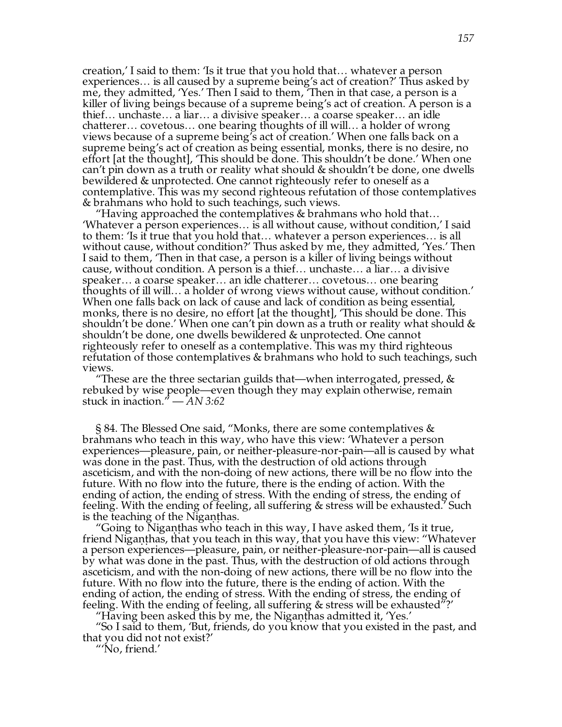creation,' I said to them: 'Is it true that you hold that… whatever a person experiences… is all caused by a supreme being's act of creation?' Thus asked by me, they admitted, 'Yes.' Then I said to them, 'Then in that case, a person is a killer of living beings because of a supreme being's act of creation. A person is a thief… unchaste… a liar… a divisive speaker… a coarse speaker… an idle chatterer… covetous… one bearing thoughts of ill will… a holder of wrong views because of a supreme being's act of creation.' When one falls back on a supreme being's act of creation as being essential, monks, there is no desire, no effort [at the thought], 'This should be done. This shouldn't be done.' When one can't pin down as a truth or reality what should & shouldn't be done, one dwells bewildered & unprotected. One cannot righteously refer to oneself as a contemplative. This was my second righteous refutation of those contemplatives & brahmans who hold to such teachings, such views.

"Having approached the contemplatives  $\&$  brahmans who hold that... 'Whatever a person experiences… is all without cause, without condition,' I said to them: 'Is it true that you hold that… whatever a person experiences… is all without cause, without condition?' Thus asked by me, they admitted, 'Yes.' Then I said to them, 'Then in that case, a person is a killer of living beings without cause, without condition. A person is a thief… unchaste… a liar… a divisive speaker… a coarse speaker… an idle chatterer… covetous… one bearing thoughts of ill will… a holder of wrong views without cause, without condition.' When one falls back on lack of cause and lack of condition as being essential, monks, there is no desire, no effort [at the thought], 'This should be done. This shouldn't be done.' When one can't pin down as a truth or reality what should & shouldn't be done, one dwells bewildered & unprotected. One cannot righteously refer to oneself as a contemplative. This was my third righteous refutation of those contemplatives & brahmans who hold to such teachings, such views.

"These are the three sectarian guilds that—when interrogated, pressed,  $\&$ rebuked by wise people—even though they may explain otherwise, remain stuck in inaction." — *AN 3:62*

§ 84. The Blessed One said, "Monks, there are some contemplatives & brahmans who teach in this way, who have this view: 'Whatever a person experiences—pleasure, pain, or neither-pleasure-nor-pain—all is caused by what was done in the past. Thus, with the destruction of old actions through asceticism, and with the non-doing of new actions, there will be no flow into the future. With no flow into the future, there is the ending of action. With the ending of action, the ending of stress. With the ending of stress, the ending of feeling. With the ending of feeling, all suffering & stress will be exhausted.' Such is the teaching of the Niganthas.

"Going to Niganthas who teach in this way, I have asked them, 'Is it true, friend Niganthas, that you teach in this way, that you have this view: "Whatever" a person experiences—pleasure, pain, or neither-pleasure-nor-pain—all is caused by what was done in the past. Thus, with the destruction of old actions through asceticism, and with the non-doing of new actions, there will be no flow into the future. With no flow into the future, there is the ending of action. With the ending of action, the ending of stress. With the ending of stress, the ending of feeling. With the ending of feeling, all suffering & stress will be exhausted"?'

"Having been asked this by me, the Niganthas admitted it, 'Yes.'

"So I said to them, 'But, friends, do you know that you existed in the past, and that you did not not exist?'

"'No, friend.'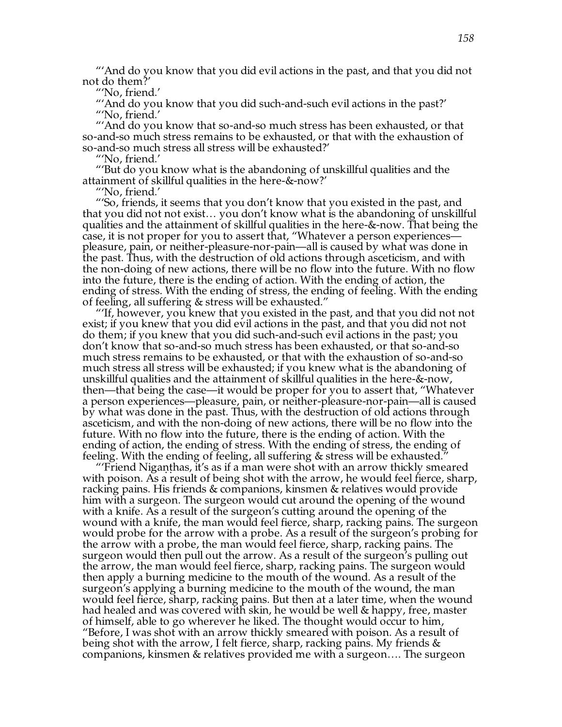"'And do you know that you did evil actions in the past, and that you did not not do them?'

"'No, friend.'

"'And do you know that you did such-and-such evil actions in the past?' "'No, friend.'

"'And do you know that so-and-so much stress has been exhausted, or that so-and-so much stress remains to be exhausted, or that with the exhaustion of so-and-so much stress all stress will be exhausted?'

"'No, friend.'

"'But do you know what is the abandoning of unskillful qualities and the attainment of skillful qualities in the here-&-now?'

"'No, friend.'

"'So, friends, it seems that you don't know that you existed in the past, and that you did not not exist… you don't know what is the abandoning of unskillful qualities and the attainment of skillful qualities in the here-&-now. That being the case, it is not proper for you to assert that, "Whatever a person experiences— pleasure, pain, or neither-pleasure-nor-pain—all is caused by what was done in the past. Thus, with the destruction of old actions through asceticism, and with the non-doing of new actions, there will be no flow into the future. With no flow into the future, there is the ending of action. With the ending of action, the ending of stress. With the ending of stress, the ending of feeling. With the ending of feeling, all suffering & stress will be exhausted."

"'If, however, you knew that you existed in the past, and that you did not not exist; if you knew that you did evil actions in the past, and that you did not not do them; if you knew that you did such-and-such evil actions in the past; you don't know that so-and-so much stress has been exhausted, or that so-and-so much stress remains to be exhausted, or that with the exhaustion of so-and-so much stress all stress will be exhausted; if you knew what is the abandoning of unskillful qualities and the attainment of skillful qualities in the here-&-now, then—that being the case—it would be proper for you to assert that, "Whatever a person experiences—pleasure, pain, or neither-pleasure-nor-pain—all is caused by what was done in the past. Thus, with the destruction of old actions through asceticism, and with the non-doing of new actions, there will be no flow into the future. With no flow into the future, there is the ending of action. With the ending of action, the ending of stress. With the ending of stress, the ending of feeling. With the ending of feeling, all suffering & stress will be exhausted."

"'Friend Niganthas, it's as if a man were shot with an arrow thickly smeared with poison. As a result of being shot with the arrow, he would feel fierce, sharp, racking pains. His friends & companions, kinsmen & relatives would provide him with a surgeon. The surgeon would cut around the opening of the wound with a knife. As a result of the surgeon's cutting around the opening of the wound with a knife, the man would feel fierce, sharp, racking pains. The surgeon would probe for the arrow with a probe. As a result of the surgeon's probing for the arrow with a probe, the man would feel fierce, sharp, racking pains. The surgeon would then pull out the arrow. As a result of the surgeon's pulling out the arrow, the man would feel fierce, sharp, racking pains. The surgeon would then apply a burning medicine to the mouth of the wound. As a result of the surgeon's applying a burning medicine to the mouth of the wound, the man would feel fierce, sharp, racking pains. But then at a later time, when the wound had healed and was covered with skin, he would be well & happy, free, master of himself, able to go wherever he liked. The thought would occur to him, "Before, I was shot with an arrow thickly smeared with poison. As a result of being shot with the arrow, I felt fierce, sharp, racking pains. My friends & companions, kinsmen & relatives provided me with a surgeon…. The surgeon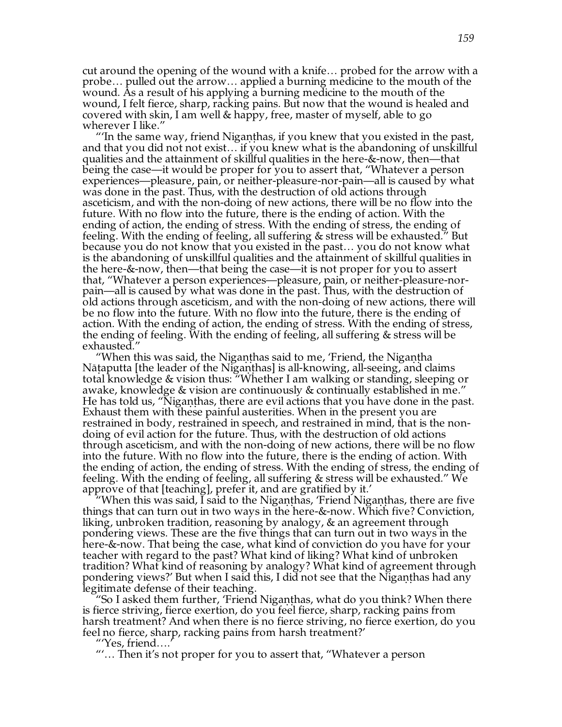cut around the opening of the wound with a knife… probed for the arrow with a probe… pulled out the arrow… applied a burning medicine to the mouth of the wound. As a result of his applying a burning medicine to the mouth of the wound, I felt fierce, sharp, racking pains. But now that the wound is healed and covered with skin, I am well & happy, free, master of myself, able to go wherever I like."

"Th the same way, friend Niganthas, if you knew that you existed in the past, and that you did not not exist… if you knew what is the abandoning of unskillful qualities and the attainment of skillful qualities in the here-&-now, then—that being the case—it would be proper for you to assert that, "Whatever a person experiences—pleasure, pain, or neither-pleasure-nor-pain—all is caused by what was done in the past. Thus, with the destruction of old actions through asceticism, and with the non-doing of new actions, there will be no flow into the future. With no flow into the future, there is the ending of action. With the ending of action, the ending of stress. With the ending of stress, the ending of feeling. With the ending of feeling, all suffering & stress will be exhausted." But because you do not know that you existed in the past… you do not know what is the abandoning of unskillful qualities and the attainment of skillful qualities in the here-&-now, then—that being the case—it is not proper for you to assert that, "Whatever a person experiences—pleasure, pain, or neither-pleasure-nor- pain—all is caused by what was done in the past. Thus, with the destruction of old actions through asceticism, and with the non-doing of new actions, there will be no flow into the future. With no flow into the future, there is the ending of action. With the ending of action, the ending of stress. With the ending of stress, the ending of feeling. With the ending of feeling, all suffering & stress will be exhausted."

"When this was said, the Niganthas said to me, 'Friend, the Nigantha Nātaputta [the leader of the Niganthas] is all-knowing, all-seeing, and claims total knowledge & vision thus: "Whether I am walking or standing, sleeping or awake, knowledge & vision are continuously & continually established in me." He has told us, "Niganthas, there are evil actions that you have done in the past. Exhaust them with these painful austerities. When in the present you are restrained in body, restrained in speech, and restrained in mind, that is the nondoing of evil action for the future. Thus, with the destruction of old actions through asceticism, and with the non-doing of new actions, there will be no flow into the future. With no flow into the future, there is the ending of action. With the ending of action, the ending of stress. With the ending of stress, the ending of feeling. With the ending of feeling, all suffering & stress will be exhausted." We approve of that [teaching], prefer it, and are gratified by it.'

"When this was said,  $\bar{\rm I}$  said to the Niganthas, 'Friend Niganthas, there are five things that can turn out in two ways in the here-&-now. Which five? Conviction, liking, unbroken tradition, reasoning by analogy, & an agreement through pondering views. These are the five things that can turn out in two ways in the here-&-now. That being the case, what kind of conviction do you have for your teacher with regard to the past? What kind of liking? What kind of unbroken tradition? What kind of reasoning by analogy? What kind of agreement through pondering views?' But when I said this, I did not see that the Niganthas had any legitimate defense of their teaching.

'So I asked them further, 'Friend Niganthas, what do you think? When there is fierce striving, fierce exertion, do you feel fierce, sharp, racking pains from harsh treatment? And when there is no fierce striving, no fierce exertion, do you feel no fierce, sharp, racking pains from harsh treatment?'

 $\alpha$ <sup>"</sup>Yes, friend....

"'… Then it's not proper for you to assert that, "Whatever a person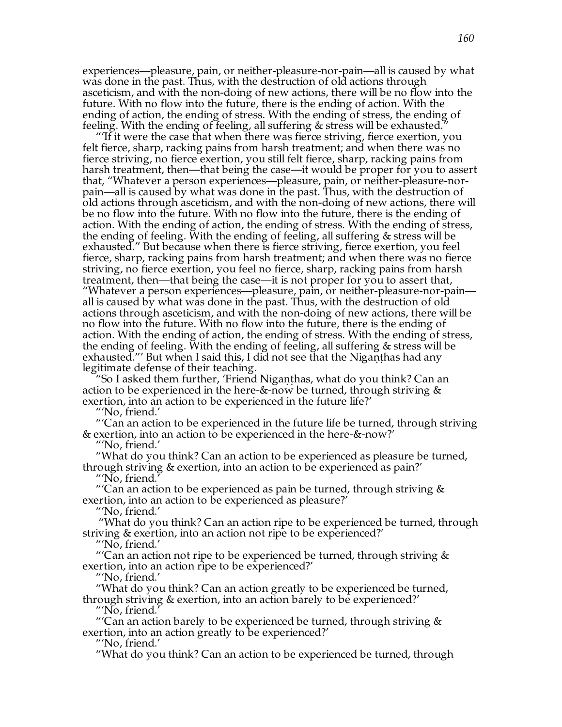experiences—pleasure, pain, or neither-pleasure-nor-pain—all is caused by what was done in the past. Thus, with the destruction of old actions through asceticism, and with the non-doing of new actions, there will be no flow into the future. With no flow into the future, there is the ending of action. With the ending of action, the ending of stress. With the ending of stress, the ending of feeling. With the ending of feeling, all suffering & stress will be exhausted."

"'If it were the case that when there was fierce striving, fierce exertion, you felt fierce, sharp, racking pains from harsh treatment; and when there was no fierce striving, no fierce exertion, you still felt fierce, sharp, racking pains from harsh treatment, then—that being the case—it would be proper for you to assert that, "Whatever a person experiences—pleasure, pain, or neither-pleasure-nor- pain—all is caused by what was done in the past. Thus, with the destruction of old actions through asceticism, and with the non-doing of new actions, there will be no flow into the future. With no flow into the future, there is the ending of action. With the ending of action, the ending of stress. With the ending of stress, the ending of feeling. With the ending of feeling, all suffering & stress will be exhausted." But because when there is fierce striving, fierce exertion, you feel fierce, sharp, racking pains from harsh treatment; and when there was no fierce striving, no fierce exertion, you feel no fierce, sharp, racking pains from harsh treatment, then—that being the case—it is not proper for you to assert that, "Whatever a person experiences—pleasure, pain, or neither-pleasure-nor-pain— all is caused by what was done in the past. Thus, with the destruction of old actions through asceticism, and with the non-doing of new actions, there will be no flow into the future. With no flow into the future, there is the ending of action. With the ending of action, the ending of stress. With the ending of stress, the ending of feeling. With the ending of feeling, all suffering & stress will be exhausted."' But when I said this, I did not see that the Niganthas had any legitimate defense of their teaching.

"So I asked them further, 'Friend Niganthas, what do you think? Can an action to be experienced in the here-&-now be turned, through striving  $\&$ exertion, into an action to be experienced in the future life?'

"'No, friend.'

"'Can an action to be experienced in the future life be turned, through striving & exertion, into an action to be experienced in the here-&-now?'

"'No, friend.'

"What do you think? Can an action to be experienced as pleasure be turned, through striving & exertion, into an action to be experienced as pain?'

"'No, friend.'

"'Can an action to be experienced as pain be turned, through striving & exertion, into an action to be experienced as pleasure?'

"'No, friend.'

 "What do you think? Can an action ripe to be experienced be turned, through striving & exertion, into an action not ripe to be experienced?'

"'No, friend.'

"'Can an action not ripe to be experienced be turned, through striving & exertion, into an action ripe to be experienced?'

"'No, friend.'

"What do you think? Can an action greatly to be experienced be turned, through striving & exertion, into an action barely to be experienced?'

"'No, friend.'

"'Can an action barely to be experienced be turned, through striving  $&$ exertion, into an action greatly to be experienced?'

"'No, friend.'

"What do you think? Can an action to be experienced be turned, through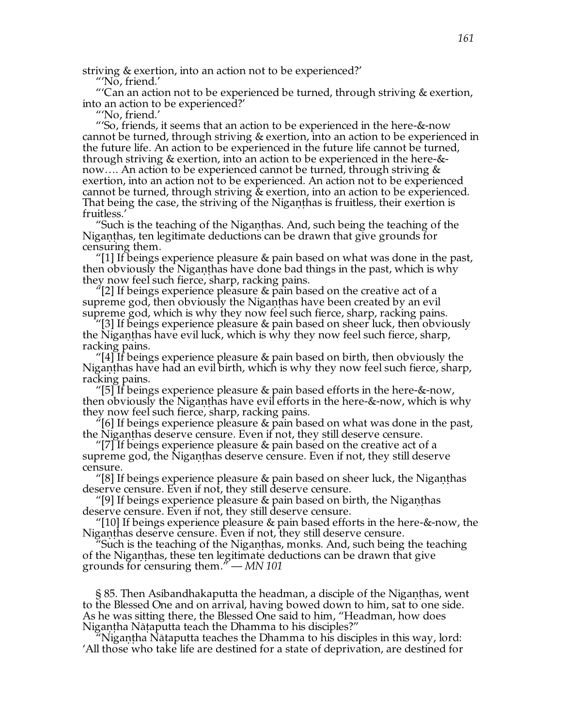striving & exertion, into an action not to be experienced?'

"'No, friend.'

"'Can an action not to be experienced be turned, through striving & exertion, into an action to be experienced?'

"'No, friend.'

"'So, friends, it seems that an action to be experienced in the here-&-now cannot be turned, through striving & exertion, into an action to be experienced in the future life. An action to be experienced in the future life cannot be turned, through striving & exertion, into an action to be experienced in the here-&- now…. An action to be experienced cannot be turned, through striving & exertion, into an action not to be experienced. An action not to be experienced cannot be turned, through striving & exertion, into an action to be experienced. That being the case, the striving of the Niganthas is fruitless, their exertion is fruitless.'

"Such is the teaching of the Niganthas. And, such being the teaching of the Niganthas, ten legitimate deductions can be drawn that give grounds for censuring them.

"[1] If beings experience pleasure  $\&$  pain based on what was done in the past, then obviously the Niganthas have done bad things in the past, which is why they now feel such fierce, sharp, racking pains.

"[2] If beings experience pleasure & pain based on the creative act of a supreme god, then obviously the Niganthas have been created by an evil supreme god, which is why they now feel such fierce, sharp, racking pains.

"[3] If beings experience pleasure & pain based on sheer luck, then obviously the Nigan thas have evil luck, which is why they now feel such fierce, sharp, racking pains.

"[4] If beings experience pleasure  $\&$  pain based on birth, then obviously the Niganthas have had an evil birth, which is why they now feel such fierce, sharp, racking pains.

"[5] If beings experience pleasure & pain based efforts in the here-&-now, then obviously the Niganthas have evil efforts in the here-&-now, which is why they now feel such fierce, sharp, racking pains.

"[6] If beings experience pleasure  $\&$  pain based on what was done in the past, the Niganthas deserve censure. Even if not, they still deserve censure.

"[7] If beings experience pleasure & pain based on the creative act of a supreme god, the Niganthas deserve censure. Even if not, they still deserve censure.

"[8] If beings experience pleasure & pain based on sheer luck, the Niganthas deserve censure. Even if not, they still deserve censure.

"[9] If beings experience pleasure & pain based on birth, the Niganthas deserve censure. Even if not, they still deserve censure.

"[10] If beings experience pleasure & pain based efforts in the here-&-now, the Niganthas deserve censure. Even if not, they still deserve censure.

"Such is the teaching of the Niganthas, monks. And, such being the teaching of the Niganthas, these ten legitimate deductions can be drawn that give grounds for censuring them." — *MN 101*

§ 85. Then Asibandhakaputta the headman, a disciple of the Niganthas, went to the Blessed One and on arrival, having bowed down to him, sat to one side. As he was sitting there, the Blessed One said to him, "Headman, how does Nigantha Nātaputta teach the Dhamma to his disciples?"

'Nigantha Nātaputta teaches the Dhamma to his disciples in this way, lord: 'All those who take life are destined for a state of deprivation, are destined for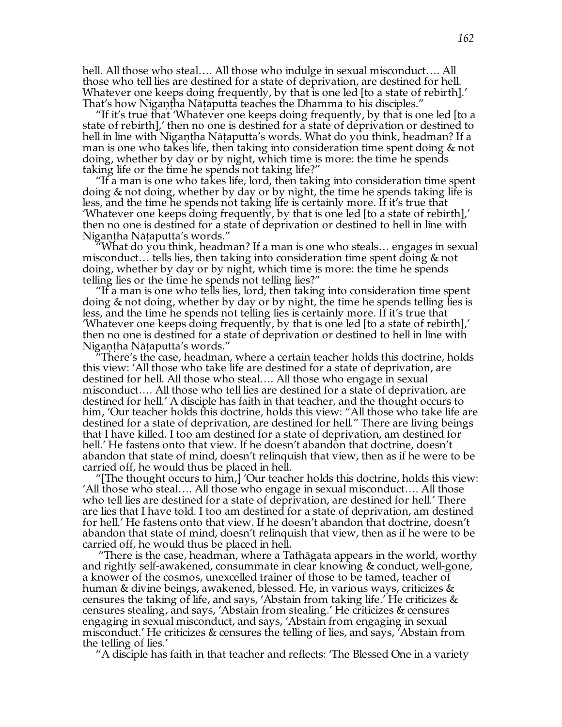hell. All those who steal…. All those who indulge in sexual misconduct…. All those who tell lies are destined for a state of deprivation, are destined for hell. Whatever one keeps doing frequently, by that is one led [to a state of rebirth].' That's how Nigantha Nātaputta teaches the Dhamma to his disciples."

"If it's true that 'Whatever one keeps doing frequently, by that is one led [to a state of rebirth],' then no one is destined for a state of deprivation or destined to hell in line with Nigantha Nātaputta's words. What do you think, headman? If a man is one who takes life, then taking into consideration time spent doing & not doing, whether by day or by night, which time is more: the time he spends taking life or the time he spends not taking life?"

"If a man is one who takes life, lord, then taking into consideration time spent doing & not doing, whether by day or by night, the time he spends taking life is less, and the time he spends not taking life is certainly more. If it's true that 'Whatever one keeps doing frequently, by that is one led [to a state of rebirth],' then no one is destined for a state of deprivation or destined to hell in line with Nigantha Nāṭaputta's words."

"What do you think, headman? If a man is one who steals… engages in sexual misconduct… tells lies, then taking into consideration time spent doing & not doing, whether by day or by night, which time is more: the time he spends telling lies or the time he spends not telling lies?"

"If a man is one who tells lies, lord, then taking into consideration time spent doing & not doing, whether by day or by night, the time he spends telling lies is less, and the time he spends not telling lies is certainly more. If it's true that 'Whatever one keeps doing frequently, by that is one led [to a state of rebirth],' then no one is destined for a state of deprivation or destined to hell in line with Nigantha Nāṭaputta's words."

"There's the case, headman, where a certain teacher holds this doctrine, holds this view: 'All those who take life are destined for a state of deprivation, are destined for hell. All those who steal…. All those who engage in sexual misconduct…. All those who tell lies are destined for a state of deprivation, are destined for hell.' A disciple has faith in that teacher, and the thought occurs to him, 'Our teacher holds this doctrine, holds this view: "All those who take life are destined for a state of deprivation, are destined for hell." There are living beings that I have killed. I too am destined for a state of deprivation, am destined for hell.' He fastens onto that view. If he doesn't abandon that doctrine, doesn't abandon that state of mind, doesn't relinquish that view, then as if he were to be carried off, he would thus be placed in hell.

"[The thought occurs to him,] 'Our teacher holds this doctrine, holds this view: 'All those who steal…. All those who engage in sexual misconduct…. All those who tell lies are destined for a state of deprivation, are destined for hell.' There are lies that I have told. I too am destined for a state of deprivation, am destined for hell.' He fastens onto that view. If he doesn't abandon that doctrine, doesn't abandon that state of mind, doesn't relinquish that view, then as if he were to be carried off, he would thus be placed in hell.

"There is the case, headman, where a Tath $a$ gata appears in the world, worthy and rightly self-awakened, consummate in clear knowing & conduct, well-gone, a knower of the cosmos, unexcelled trainer of those to be tamed, teacher of human & divine beings, awakened, blessed. He, in various ways, criticizes & censures the taking of life, and says, 'Abstain from taking life.' He criticizes  $\&$ censures stealing, and says, 'Abstain from stealing.' He criticizes & censures engaging in sexual misconduct, and says, 'Abstain from engaging in sexual misconduct.' He criticizes & censures the telling of lies, and says, 'Abstain from the telling of lies.'

"A disciple has faith in that teacher and reflects: 'The Blessed One in a variety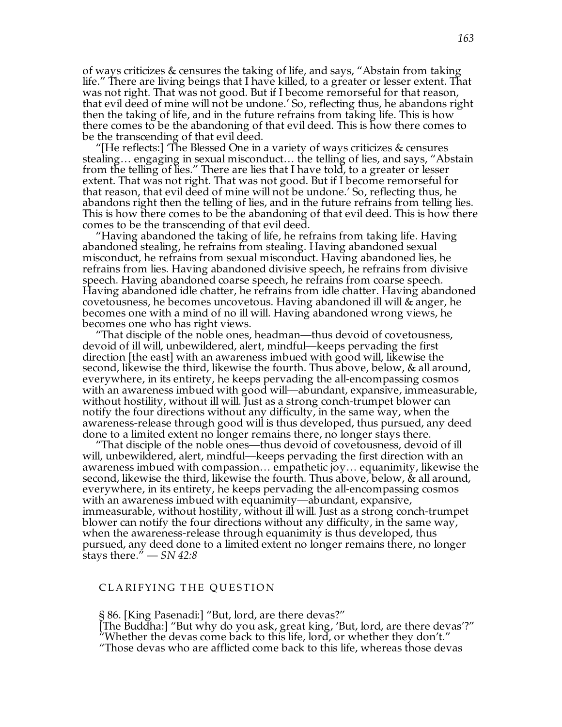of ways criticizes & censures the taking of life, and says, "Abstain from taking life." There are living beings that I have killed, to a greater or lesser extent. That was not right. That was not good. But if I become remorseful for that reason, that evil deed of mine will not be undone.' So, reflecting thus, he abandons right then the taking of life, and in the future refrains from taking life. This is how there comes to be the abandoning of that evil deed. This is how there comes to be the transcending of that evil deed.

"[He reflects:] 'The Blessed One in a variety of ways criticizes & censures stealing… engaging in sexual misconduct… the telling of lies, and says, "Abstain from the telling of lies." There are lies that I have told, to a greater or lesser extent. That was not right. That was not good. But if I become remorseful for that reason, that evil deed of mine will not be undone.' So, reflecting thus, he abandons right then the telling of lies, and in the future refrains from telling lies. This is how there comes to be the abandoning of that evil deed. This is how there comes to be the transcending of that evil deed.

"Having abandoned the taking of life, he refrains from taking life. Having abandoned stealing, he refrains from stealing. Having abandoned sexual misconduct, he refrains from sexual misconduct. Having abandoned lies, he refrains from lies. Having abandoned divisive speech, he refrains from divisive speech. Having abandoned coarse speech, he refrains from coarse speech. Having abandoned idle chatter, he refrains from idle chatter. Having abandoned covetousness, he becomes uncovetous. Having abandoned ill will & anger, he becomes one with a mind of no ill will. Having abandoned wrong views, he becomes one who has right views.

"That disciple of the noble ones, headman—thus devoid of covetousness, devoid of ill will, unbewildered, alert, mindful—keeps pervading the first direction [the east] with an awareness imbued with good will, likewise the second, likewise the third, likewise the fourth. Thus above, below, & all around, everywhere, in its entirety, he keeps pervading the all-encompassing cosmos with an awareness imbued with good will—abundant, expansive, immeasurable, without hostility, without ill will. Just as a strong conch-trumpet blower can notify the four directions without any difficulty, in the same way, when the awareness-release through good will is thus developed, thus pursued, any deed done to a limited extent no longer remains there, no longer stays there.

"That disciple of the noble ones—thus devoid of covetousness, devoid of ill will, unbewildered, alert, mindful—keeps pervading the first direction with an awareness imbued with compassion… empathetic joy… equanimity, likewise the second, likewise the third, likewise the fourth. Thus above, below, & all around, everywhere, in its entirety, he keeps pervading the all-encompassing cosmos with an awareness imbued with equanimity—abundant, expansive, immeasurable, without hostility, without ill will. Just as a strong conch-trumpet blower can notify the four directions without any difficulty, in the same way, when the awareness-release through equanimity is thus developed, thus pursued, any deed done to a limited extent no longer remains there, no longer stays there." — *SN 42:8*

# CLARIFYING THE QUESTION

§ 86. [King Pasenadi:] "But, lord, are there devas?"

[The Buddha:] "But why do you ask, great king, 'But, lord, are there devas'?" "Whether the devas come back to this life, lord, or whether they don't." "Those devas who are afflicted come back to this life, whereas those devas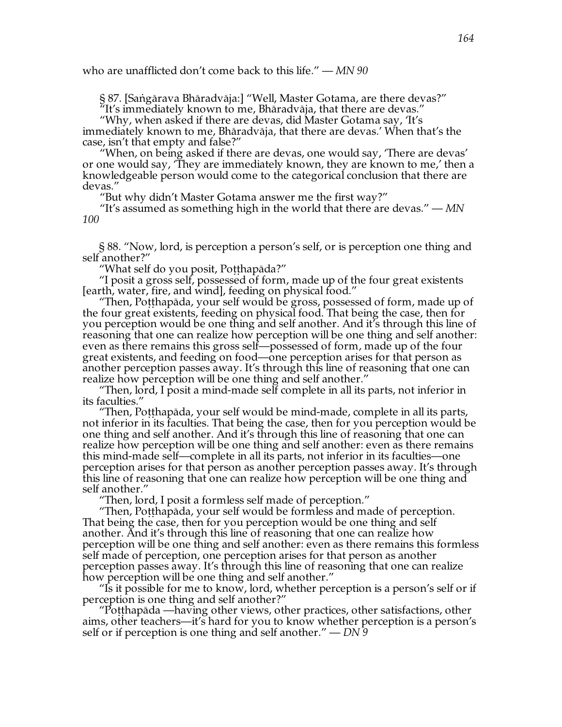who are unafflicted don't come back to this life." — *MN 90*

§ 87. [Sangārava Bhāradvāja:] "Well, Master Gotama, are there devas?"

"It's immediately known to me, Bharadvaja, that there are devas."

"Why, when asked if there are devas, did Master Gotama say, 'It's immediately known to me, Bhāradvāja, that there are devas.' When that's the case, isn't that empty and false?"

"When, on being asked if there are devas, one would say, 'There are devas' or one would say, 'They are immediately known, they are known to me,' then a knowledgeable person would come to the categorical conclusion that there are devas."

"But why didn't Master Gotama answer me the first way?"

"It's assumed as something high in the world that there are devas." — *MN 100*

§ 88. "Now, lord, is perception a person's self, or is perception one thing and self another?"

"What self do you posit, Potthapada?"

"I posit a gross self, possessed of form, made up of the four great existents [earth, water, fire, and wind], feeding on physical food."

"Then, Potthapāda, your self would be gross, possessed of form, made up of the four great existents, feeding on physical food. That being the case, then for you perception would be one thing and self another. And it's through this line of reasoning that one can realize how perception will be one thing and self another: even as there remains this gross self—possessed of form, made up of the four great existents, and feeding on food—one perception arises for that person as another perception passes away. It's through this line of reasoning that one can realize how perception will be one thing and self another."

"Then, lord, I posit a mind-made self complete in all its parts, not inferior in its faculties."

"Then, Potthapada, your self would be mind-made, complete in all its parts, not inferior in its faculties. That being the case, then for you perception would be one thing and self another. And it's through this line of reasoning that one can realize how perception will be one thing and self another: even as there remains this mind-made self—complete in all its parts, not inferior in its faculties—one perception arises for that person as another perception passes away. It's through this line of reasoning that one can realize how perception will be one thing and self another."

"Then, lord, I posit a formless self made of perception."

"Then, Potthapada, your self would be formless and made of perception. That being the case, then for you perception would be one thing and self another. And it's through this line of reasoning that one can realize how perception will be one thing and self another: even as there remains this formless self made of perception, one perception arises for that person as another perception passes away. It's through this line of reasoning that one can realize how perception will be one thing and self another."

"Is it possible for me to know, lord, whether perception is a person's self or if perception is one thing and self another?"

"Potthapāda —having other views, other practices, other satisfactions, other aims, other teachers—it's hard for you to know whether perception is a person's self or if perception is one thing and self another." — *DN 9*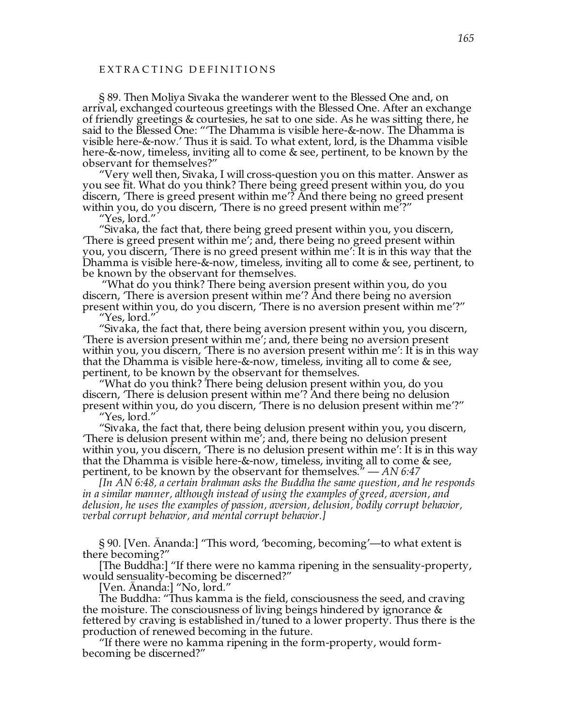#### EXTRACTING DEFINITIONS

§ 89. Then Moliya Sivaka the wanderer went to the Blessed One and, on arrival, exchanged courteous greetings with the Blessed One. After an exchange of friendly greetings & courtesies, he sat to one side. As he was sitting there, he said to the Blessed One: "'The Dhamma is visible here-&-now. The Dhamma is visible here-&-now.' Thus it is said. To what extent, lord, is the Dhamma visible here-&-now, timeless, inviting all to come & see, pertinent, to be known by the observant for themselves?"

"Very well then, Sıvaka, I will cross-question you on this matter. Answer as you see fit. What do you think? There being greed present within you, do you discern, 'There is greed present within me'? And there being no greed present within you, do you discern, 'There is no greed present within me'?"

"Yes, lord."

"Sıvaka, the fact that, there being greed present within you, you discern, 'There is greed present within me'; and, there being no greed present within you, you discern, 'There is no greed present within me': It is in this way that the Dhamma is visible here-&-now, timeless, inviting all to come & see, pertinent, to be known by the observant for themselves.

 "What do you think? There being aversion present within you, do you discern, 'There is aversion present within me'? And there being no aversion present within you, do you discern, 'There is no aversion present within me'?"

"Yes, lord."

"Sıvaka, the fact that, there being aversion present within you, you discern, 'There is aversion present within me'; and, there being no aversion present within you, you discern, 'There is no aversion present within me': It is in this way that the Dhamma is visible here-&-now, timeless, inviting all to come & see, pertinent, to be known by the observant for themselves.

"What do you think? There being delusion present within you, do you discern, 'There is delusion present within me'? And there being no delusion present within you, do you discern, 'There is no delusion present within me'?" "Yes, lord."

"Sıvaka, the fact that, there being delusion present within you, you discern, 'There is delusion present within me'; and, there being no delusion present within you, you discern, 'There is no delusion present within me': It is in this way that the Dhamma is visible here-&-now, timeless, inviting all to come & see, pertinent, to be known by the observant for themselves." — *AN 6:47* 

*[In AN 6:48, a certain brahman asks the Buddha the same question, and he responds in a similar manner, although instead of using the examples of greed, aversion, and delusion, he uses the examples of passion, aversion, delusion, bodily corrupt behavior, verbal corrupt behavior, and mental corrupt behavior.]*

§ 90. [Ven. Ananda:] "This word, 'becoming, becoming'—to what extent is there becoming?"

[The Buddha:] "If there were no kamma ripening in the sensuality-property, would sensuality-becoming be discerned?"

[Ven. Ananda:] "No, lord."

The Buddha: "Thus kamma is the field, consciousness the seed, and craving the moisture. The consciousness of living beings hindered by ignorance  $\&$ fettered by craving is established in/tuned to a lower property. Thus there is the production of renewed becoming in the future.

"If there were no kamma ripening in the form-property, would formbecoming be discerned?"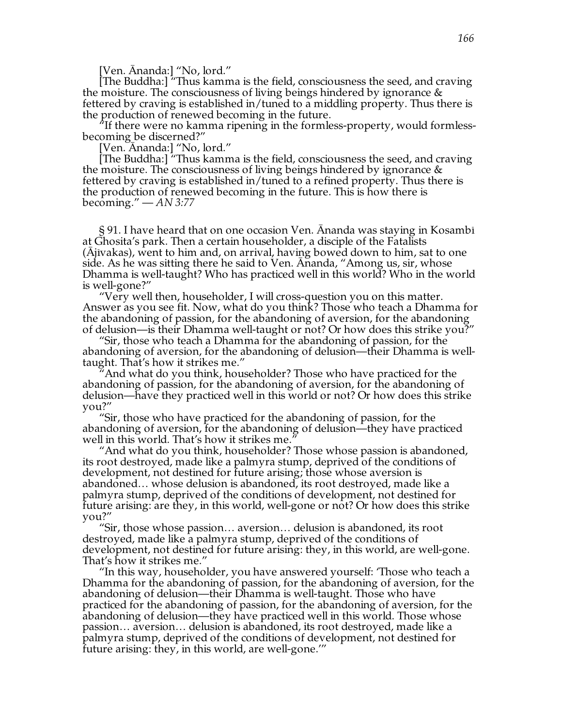[Ven. Ananda:] "No, lord."

[The Buddha:] "Thus kamma is the field, consciousness the seed, and craving the moisture. The consciousness of living beings hindered by ignorance  $\&$ fettered by craving is established in/tuned to a middling property. Thus there is the production of renewed becoming in the future.

"If there were no kamma ripening in the formless-property, would formless- becoming be discerned?"

[Ven. Ananda:] "No, lord."

[The Buddha:] "Thus kamma is the field, consciousness the seed, and craving the moisture. The consciousness of living beings hindered by ignorance  $\&$ fettered by craving is established in/tuned to a refined property. Thus there is the production of renewed becoming in the future. This is how there is becoming." — *AN 3:77*

§ 91. I have heard that on one occasion Ven. Ananda was staying in Kosambi at Ghosita's park. Then a certain householder, a disciple of the Fatalists (Ajivakas), went to him and, on arrival, having bowed down to him, sat to one side. As he was sitting there he said to Ven. Ananda, "Among us, sir, whose Dhamma is well-taught? Who has practiced well in this world? Who in the world is well-gone?"

"Very well then, householder, I will cross-question you on this matter. Answer as you see fit. Now, what do you think? Those who teach a Dhamma for the abandoning of passion, for the abandoning of aversion, for the abandoning of delusion—is their Dhamma well-taught or not? Or how does this strike you?"

"Sir, those who teach a Dhamma for the abandoning of passion, for the abandoning of aversion, for the abandoning of delusion—their Dhamma is well-<br>taught. That's how it strikes me."

"And what do you think, householder? Those who have practiced for the abandoning of passion, for the abandoning of aversion, for the abandoning of delusion—have they practiced well in this world or not? Or how does this strike you?"

"Sir, those who have practiced for the abandoning of passion, for the abandoning of aversion, for the abandoning of delusion—they have practiced well in this world. That's how it strikes me."

"And what do you think, householder? Those whose passion is abandoned, its root destroyed, made like a palmyra stump, deprived of the conditions of development, not destined for future arising; those whose aversion is abandoned… whose delusion is abandoned, its root destroyed, made like a palmyra stump, deprived of the conditions of development, not destined for future arising: are they, in this world, well-gone or not? Or how does this strike you?"

"Sir, those whose passion… aversion… delusion is abandoned, its root destroyed, made like a palmyra stump, deprived of the conditions of development, not destined for future arising: they, in this world, are well-gone. That's how it strikes me."

"In this way, householder, you have answered yourself: 'Those who teach a Dhamma for the abandoning of passion, for the abandoning of aversion, for the abandoning of delusion—their Dhamma is well-taught. Those who have practiced for the abandoning of passion, for the abandoning of aversion, for the abandoning of delusion—they have practiced well in this world. Those whose passion… aversion… delusion is abandoned, its root destroyed, made like a palmyra stump, deprived of the conditions of development, not destined for future arising: they, in this world, are well-gone.'"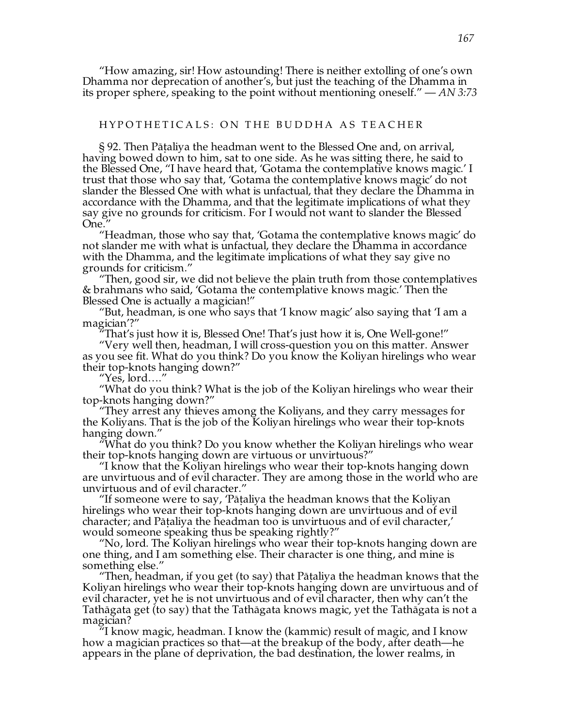"How amazing, sir! How astounding! There is neither extolling of one's own Dhamma nor deprecation of another's, but just the teaching of the Dhamma in its proper sphere, speaking to the point without mentioning oneself." — *AN 3:73*

# HYPOTHETICALS: ON THE BUDDHA AS TEACHER

 $\S$  92. Then Pātaliya the headman went to the Blessed One and, on arrival, having bowed down to him, sat to one side. As he was sitting there, he said to the Blessed One, "I have heard that, 'Gotama the contemplative knows magic.' I trust that those who say that, 'Gotama the contemplative knows magic' do not slander the Blessed One with what is unfactual, that they declare the Dhamma in accordance with the Dhamma, and that the legitimate implications of what they say give no grounds for criticism. For I would not want to slander the Blessed One.

"Headman, those who say that, 'Gotama the contemplative knows magic' do not slander me with what is unfactual, they declare the Dhamma in accordance with the Dhamma, and the legitimate implications of what they say give no grounds for criticism."

"Then, good sir, we did not believe the plain truth from those contemplatives & brahmans who said, 'Gotama the contemplative knows magic.' Then the Blessed One is actually a magician!"

"But, headman, is one who says that 'I know magic' also saying that 'I am a magician'?"

"That's just how it is, Blessed One! That's just how it is, One Well-gone!"

"Very well then, headman, I will cross-question you on this matter. Answer as you see fit. What do you think? Do you know the Koliyan hirelings who wear their top-knots hanging down?"

"Yes, lord…."

"What do you think? What is the job of the Koliyan hirelings who wear their top-knots hanging down?"

"They arrest any thieves among the Koliyans, and they carry messages for the Koliyans. That is the job of the Koliyan hirelings who wear their top-knots hanging down."

"What do you think? Do you know whether the Koliyan hirelings who wear their top-knots hanging down are virtuous or unvirtuous?"

"I know that the Koliyan hirelings who wear their top-knots hanging down are unvirtuous and of evil character. They are among those in the world who are unvirtuous and of evil character."

"If someone were to say, 'Pāṭaliya the headman knows that the Koliyan hirelings who wear their top-knots hanging down are unvirtuous and of evil character; and Pāṭaliya the headman too is unvirtuous and of evil character,' would someone speaking thus be speaking rightly?"

"No, lord. The Koliyan hirelings who wear their top-knots hanging down are one thing, and I am something else. Their character is one thing, and mine is something else."

"Then, headman, if you get (to say) that Pāṭaliya the headman knows that the Koliyan hirelings who wear their top-knots hanging down are unvirtuous and of evil character, yet he is not unvirtuous and of evil character, then why can't the Tathāgata get (to say) that the Tathāgata knows magic, yet the Tathāgata is not a magician?

"I know magic, headman. I know the (kammic) result of magic, and I know how a magician practices so that—at the breakup of the body, after death—he appears in the plane of deprivation, the bad destination, the lower realms, in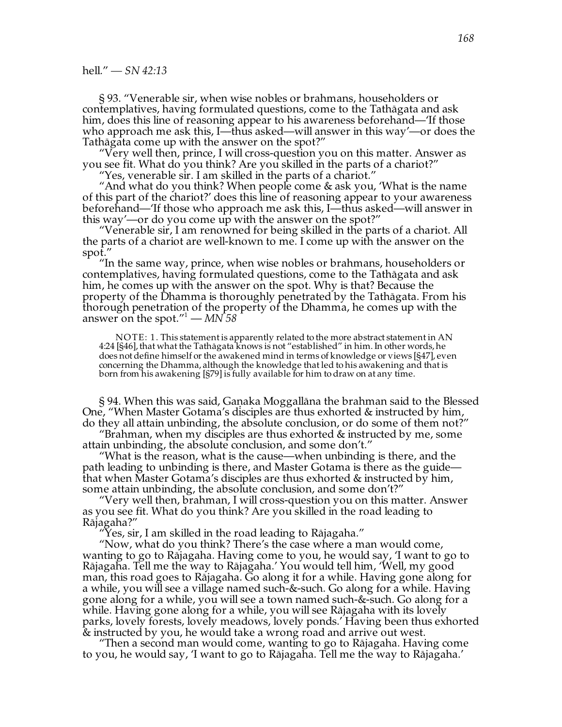# hell." *— SN 42:13*

§ 93. "Venerable sir, when wise nobles or brahmans, householders or contemplatives, having formulated questions, come to the Tathagata and ask him, does this line of reasoning appear to his awareness beforehand—'If those who approach me ask this, I—thus asked—will answer in this way'—or does the Tathāgata come up with the answer on the spot?"

"Very well then, prince, I will cross-question you on this matter. Answer as you see fit. What do you think? Are you skilled in the parts of a chariot?"

"Yes, venerable sir. I am skilled in the parts of a chariot."

"And what do you think? When people come & ask you, 'What is the name of this part of the chariot?' does this line of reasoning appear to your awareness beforehand—'If those who approach me ask this, I—thus asked—will answer in this way'—or do you come up with the answer on the spot?"

"Venerable sir, I am renowned for being skilled in the parts of a chariot. All the parts of a chariot are well-known to me. I come up with the answer on the spot."

"In the same way, prince, when wise nobles or brahmans, householders or contemplatives, having formulated questions, come to the Tathagata and ask him, he comes up with the answer on the spot. Why is that? Because the property of the Dhamma is thoroughly penetrated by the Tathāgata. From his thorough penetration of the property of the Dhamma, he comes up with the answer on the spot."1 — *MN 58* 

NOTE: 1. This statement is apparently related to the more abstract statement in AN 4:24 [§46], that what the Tathāgata knows is not "established" in him. In other words, he does not define himself or the awakened mind in terms of knowledge or views [§47], even concerning the Dhamma, although the knowledge that led to his awakening and that is born from his awakening [§79] is fully available for him to draw on at any time.

§ 94. When this was said, Ganaka Moggallāna the brahman said to the Blessed One, "When Master Gotama's disciples are thus exhorted & instructed by him, do they all attain unbinding, the absolute conclusion, or do some of them not?"

"Brahman, when my disciples are thus exhorted  $\&$  instructed by me, some attain unbinding, the absolute conclusion, and some don't."

"What is the reason, what is the cause—when unbinding is there, and the path leading to unbinding is there, and Master Gotama is there as the guide that when Master Gotama's disciples are thus exhorted & instructed by him, some attain unbinding, the absolute conclusion, and some don't?"

"Very well then, brahman, I will cross-question you on this matter. Answer as you see fit. What do you think? Are you skilled in the road leading to Rājagaha?"

"Yes,  $\sin$ , I am skilled in the road leading to Rājagaha."

"Now, what do you think? There's the case where a man would come, wanting to go to Rajagaha. Having come to you, he would say, T want to go to Rājagaha. Tell me the way to Rājagaha.' You would tell him, 'Well, my good man, this road goes to Rajagaha. Go along it for a while. Having gone along for a while, you will see a village named such-&-such. Go along for a while. Having gone along for a while, you will see a town named such-&-such. Go along for a while. Having gone along for a while, you will see Rajagaha with its lovely parks, lovely forests, lovely meadows, lovely ponds.' Having been thus exhorted & instructed by you, he would take a wrong road and arrive out west.

"Then a second man would come, wanting to go to Rajagaha. Having come to you, he would say, 'I want to go to Rajagaha. Tell me the way to Rajagaha.'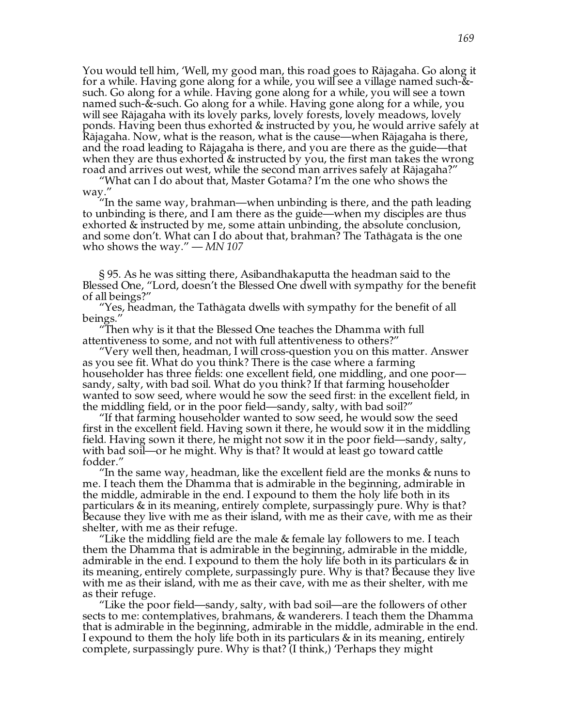You would tell him, 'Well, my good man, this road goes to Rājagaha. Go along it for a while. Having gone along for a while, you will see a village named such-&- such. Go along for a while. Having gone along for a while, you will see a town named such-&-such. Go along for a while. Having gone along for a while, you will see Rājagaha with its lovely parks, lovely forests, lovely meadows, lovely ponds. Having been thus exhorted & instructed by you, he would arrive safely at Rājagaha. Now, what is the reason, what is the cause—when Rājagaha is there, and the road leading to Rajagaha is there, and you are there as the guide—that when they are thus exhorted & instructed by you, the first man takes the wrong road and arrives out west, while the second man arrives safely at Rājagaha?"

"What can I do about that, Master Gotama? I'm the one who shows the way."

"In the same way, brahman—when unbinding is there, and the path leading to unbinding is there, and I am there as the guide—when my disciples are thus exhorted & instructed by me, some attain unbinding, the absolute conclusion, and some don't. What can I do about that, brahman? The Tathāgata is the one who shows the way." — *MN 107*

§ 95. As he was sitting there, Asibandhakaputta the headman said to the Blessed One, "Lord, doesn't the Blessed One dwell with sympathy for the benefit of all beings?"

"Yes, headman, the Tathāgata dwells with sympathy for the benefit of all beings."

"Then why is it that the Blessed One teaches the Dhamma with full attentiveness to some, and not with full attentiveness to others?"

"Very well then, headman, I will cross-question you on this matter. Answer as you see fit. What do you think? There is the case where a farming householder has three fields: one excellent field, one middling, and one poor sandy, salty, with bad soil. What do you think? If that farming householder wanted to sow seed, where would he sow the seed first: in the excellent field, in the middling field, or in the poor field—sandy, salty, with bad soil?"

"If that farming householder wanted to sow seed, he would sow the seed first in the excellent field. Having sown it there, he would sow it in the middling field. Having sown it there, he might not sow it in the poor field—sandy, salty, with bad soil—or he might. Why is that? It would at least go toward cattle fodder."

"In the same way, headman, like the excellent field are the monks & nuns to me. I teach them the Dhamma that is admirable in the beginning, admirable in the middle, admirable in the end. I expound to them the holy life both in its particulars & in its meaning, entirely complete, surpassingly pure. Why is that? Because they live with me as their island, with me as their cave, with me as their shelter, with me as their refuge.

"Like the middling field are the male & female lay followers to me. I teach them the Dhamma that is admirable in the beginning, admirable in the middle, admirable in the end. I expound to them the holy life both in its particulars & in its meaning, entirely complete, surpassingly pure. Why is that? Because they live with me as their island, with me as their cave, with me as their shelter, with me as their refuge.

"Like the poor field—sandy, salty, with bad soil—are the followers of other sects to me: contemplatives, brahmans, & wanderers. I teach them the Dhamma that is admirable in the beginning, admirable in the middle, admirable in the end. I expound to them the holy life both in its particulars & in its meaning, entirely complete, surpassingly pure. Why is that? (I think,) 'Perhaps they might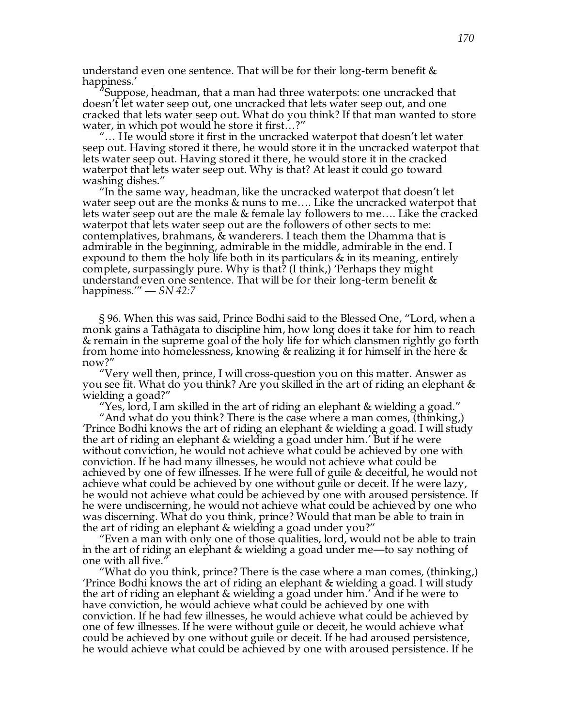understand even one sentence. That will be for their long-term benefit  $\&$ happiness.'

"Suppose, headman, that a man had three waterpots: one uncracked that doesn't let water seep out, one uncracked that lets water seep out, and one cracked that lets water seep out. What do you think? If that man wanted to store water, in which pot would he store it first…?"

"… He would store it first in the uncracked waterpot that doesn't let water seep out. Having stored it there, he would store it in the uncracked waterpot that lets water seep out. Having stored it there, he would store it in the cracked waterpot that lets water seep out. Why is that? At least it could go toward washing dishes."

"In the same way, headman, like the uncracked waterpot that doesn't let water seep out are the monks & nuns to me…. Like the uncracked waterpot that lets water seep out are the male & female lay followers to me…. Like the cracked waterpot that lets water seep out are the followers of other sects to me: contemplatives, brahmans, & wanderers. I teach them the Dhamma that is admirable in the beginning, admirable in the middle, admirable in the end. I expound to them the holy life both in its particulars & in its meaning, entirely complete, surpassingly pure. Why is that? (I think,) 'Perhaps they might understand even one sentence. That will be for their long-term benefit  $\&$ happiness.'" — *SN 42:7*

§ 96. When this was said, Prince Bodhi said to the Blessed One, "Lord, when a monk gains a Tathāgata to discipline him, how long does it take for him to reach & remain in the supreme goal of the holy life for which clansmen rightly go forth from home into homelessness, knowing & realizing it for himself in the here & now?"

"Very well then, prince, I will cross-question you on this matter. Answer as you see fit. What do you think? Are you skilled in the art of riding an elephant & wielding a goad?"

"Yes, lord, I am skilled in the art of riding an elephant & wielding a goad."

"And what do you think? There is the case where a man comes, (thinking,) 'Prince Bodhi knows the art of riding an elephant & wielding a goad. I will study the art of riding an elephant & wielding a goad under him.' But if he were without conviction, he would not achieve what could be achieved by one with conviction. If he had many illnesses, he would not achieve what could be achieved by one of few illnesses. If he were full of guile & deceitful, he would not achieve what could be achieved by one without guile or deceit. If he were lazy, he would not achieve what could be achieved by one with aroused persistence. If he were undiscerning, he would not achieve what could be achieved by one who was discerning. What do you think, prince? Would that man be able to train in the art of riding an elephant & wielding a goad under you?"

"Even a man with only one of those qualities, lord, would not be able to train in the art of riding an elephant & wielding a goad under me—to say nothing of one with all five.'

"What do you think, prince? There is the case where a man comes, (thinking,) 'Prince Bodhi knows the art of riding an elephant & wielding a goad. I will study the art of riding an elephant & wielding a goad under him.' And if he were to have conviction, he would achieve what could be achieved by one with conviction. If he had few illnesses, he would achieve what could be achieved by one of few illnesses. If he were without guile or deceit, he would achieve what could be achieved by one without guile or deceit. If he had aroused persistence, he would achieve what could be achieved by one with aroused persistence. If he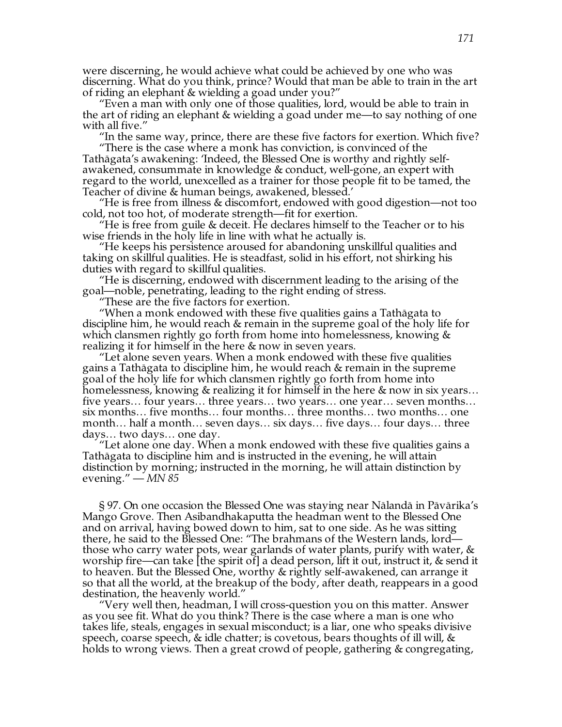were discerning, he would achieve what could be achieved by one who was discerning. What do you think, prince? Would that man be able to train in the art of riding an elephant & wielding a goad under you?"

"Even a man with only one of those qualities, lord, would be able to train in the art of riding an elephant & wielding a goad under me—to say nothing of one with all five."

"In the same way, prince, there are these five factors for exertion. Which five?

"There is the case where a monk has conviction, is convinced of the Tathāgata's awakening: 'Indeed, the Blessed One is worthy and rightly self- awakened, consummate in knowledge & conduct, well-gone, an expert with regard to the world, unexcelled as a trainer for those people fit to be tamed, the Teacher of divine & human beings, awakened, blessed.'

"He is free from illness & discomfort, endowed with good digestion—not too cold, not too hot, of moderate strength—fit for exertion.

"He is free from guile & deceit. He declares himself to the Teacher or to his wise friends in the holy life in line with what he actually is.

"He keeps his persistence aroused for abandoning unskillful qualities and taking on skillful qualities. He is steadfast, solid in his effort, not shirking his duties with regard to skillful qualities.

"He is discerning, endowed with discernment leading to the arising of the goal—noble, penetrating, leading to the right ending of stress.

"These are the five factors for exertion.

"When a monk endowed with these five qualities gains a Tathāgata to discipline him, he would reach & remain in the supreme goal of the holy life for which clansmen rightly go forth from home into homelessness, knowing  $\&$ realizing it for himself in the here & now in seven years.

"Let alone seven years. When a monk endowed with these five qualities gains a Tathāgata to discipline him, he would reach & remain in the supreme goal of the holy life for which clansmen rightly go forth from home into homelessness, knowing & realizing it for himself in the here & now in six years… five years… four years… three years… two years… one year… seven months… six months… five months… four months… three months… two months… one month… half a month… seven days… six days… five days… four days… three days… two days… one day.

"Let alone one day. When a monk endowed with these five qualities gains a Tathāgata to discipline him and is instructed in the evening, he will attain distinction by morning; instructed in the morning, he will attain distinction by evening." — *MN 85*

§ 97. On one occasion the Blessed One was staying near Nālandā in Pāvārika's Mango Grove. Then Asibandhakaputta the headman went to the Blessed One and on arrival, having bowed down to him, sat to one side. As he was sitting there, he said to the Blessed One: "The brahmans of the Western lands, lord those who carry water pots, wear garlands of water plants, purify with water, & worship fire—can take [the spirit of] a dead person, lift it out, instruct it, & send it to heaven. But the Blessed One, worthy & rightly self-awakened, can arrange it so that all the world, at the breakup of the body, after death, reappears in a good destination, the heavenly world."

"Very well then, headman, I will cross-question you on this matter. Answer as you see fit. What do you think? There is the case where a man is one who takes life, steals, engages in sexual misconduct; is a liar, one who speaks divisive speech, coarse speech,  $\&$  idle chatter; is covetous, bears thoughts of ill will,  $\&$ holds to wrong views. Then a great crowd of people, gathering & congregating,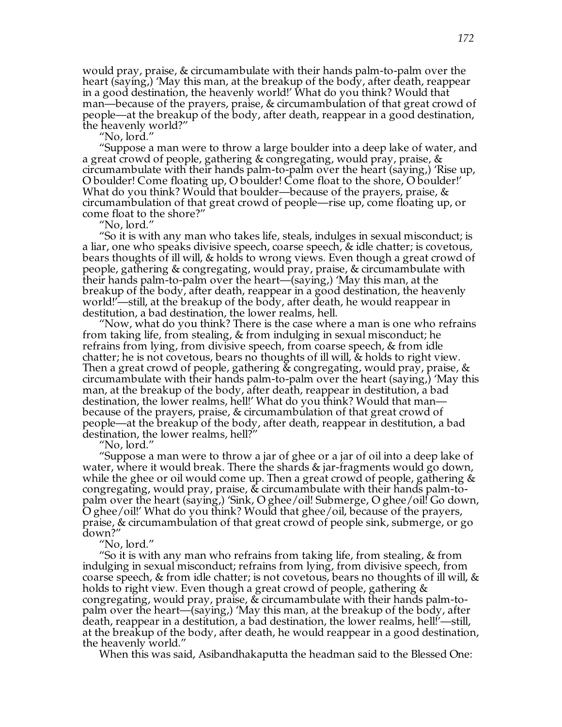would pray, praise, & circumambulate with their hands palm-to-palm over the heart (saying,) 'May this man, at the breakup of the body, after death, reappear in a good destination, the heavenly world!' What do you think? Would that man—because of the prayers, praise, & circumambulation of that great crowd of people—at the breakup of the body, after death, reappear in a good destination, the heavenly world?"

"No, lord."

"Suppose a man were to throw a large boulder into a deep lake of water, and a great crowd of people, gathering & congregating, would pray, praise, & circumambulate with their hands palm-to-palm over the heart (saying,) 'Rise up, O boulder! Come floating up, O boulder! Come float to the shore, O boulder!' What do you think? Would that boulder—because of the prayers, praise,  $\&$ circumambulation of that great crowd of people—rise up, come floating up, or come float to the shore?"

"No, lord."

"So it is with any man who takes life, steals, indulges in sexual misconduct; is a liar, one who speaks divisive speech, coarse speech, & idle chatter; is covetous, bears thoughts of ill will, & holds to wrong views. Even though a great crowd of people, gathering & congregating, would pray, praise, & circumambulate with their hands palm-to-palm over the heart—(saying,) 'May this man, at the breakup of the body, after death, reappear in a good destination, the heavenly world!'—still, at the breakup of the body, after death, he would reappear in destitution, a bad destination, the lower realms, hell.

"Now, what do you think? There is the case where a man is one who refrains from taking life, from stealing, & from indulging in sexual misconduct; he refrains from lying, from divisive speech, from coarse speech, & from idle chatter; he is not covetous, bears no thoughts of ill will, & holds to right view. Then a great crowd of people, gathering & congregating, would pray, praise, & circumambulate with their hands palm-to-palm over the heart (saying,) 'May this man, at the breakup of the body, after death, reappear in destitution, a bad destination, the lower realms, hell!' What do you think? Would that man because of the prayers, praise, & circumambulation of that great crowd of people—at the breakup of the body, after death, reappear in destitution, a bad destination, the lower realms, hell?"

"No, lord."

"Suppose a man were to throw a jar of ghee or a jar of oil into a deep lake of water, where it would break. There the shards & jar-fragments would go down, while the ghee or oil would come up. Then a great crowd of people, gathering  $\&$ congregating, would pray, praise, & circumambulate with their hands palm-topalm over the heart (saying,) 'Sink, O ghee/oil! Submerge, O ghee/oil! Go down, O ghee/oil!' What do you think? Would that ghee/oil, because of the prayers, praise, & circumambulation of that great crowd of people sink, submerge, or go down?"

"No, lord."

"So it is with any man who refrains from taking life, from stealing, & from indulging in sexual misconduct; refrains from lying, from divisive speech, from coarse speech, & from idle chatter; is not covetous, bears no thoughts of ill will,  $\&$ holds to right view. Even though a great crowd of people, gathering & congregating, would pray, praise, & circumambulate with their hands palm-topalm over the heart—(saying,) 'May this man, at the breakup of the body, after death, reappear in a destitution, a bad destination, the lower realms, hell!'—still, at the breakup of the body, after death, he would reappear in a good destination, the heavenly world."

When this was said, Asibandhakaputta the headman said to the Blessed One: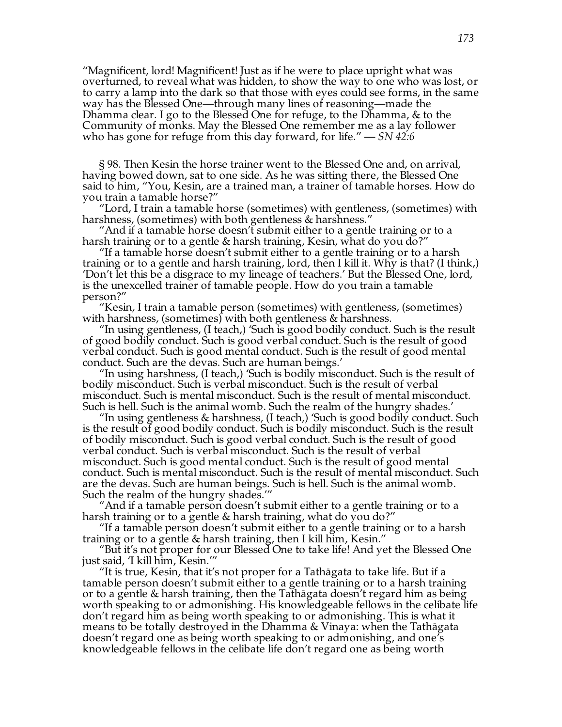"Magnificent, lord! Magnificent! Just as if he were to place upright what was overturned, to reveal what was hidden, to show the way to one who was lost, or to carry a lamp into the dark so that those with eyes could see forms, in the same way has the Blessed One—through many lines of reasoning—made the Dhamma clear. I go to the Blessed One for refuge, to the Dhamma, & to the Community of monks. May the Blessed One remember me as a lay follower who has gone for refuge from this day forward, for life." — *SN 42:6*

§ 98. Then Kesin the horse trainer went to the Blessed One and, on arrival, having bowed down, sat to one side. As he was sitting there, the Blessed One said to him, "You, Kesin, are a trained man, a trainer of tamable horses. How do you train a tamable horse?"

"Lord, I train a tamable horse (sometimes) with gentleness, (sometimes) with harshness, (sometimes) with both gentleness & harshness."

"And if a tamable horse doesn't submit either to a gentle training or to a harsh training or to a gentle & harsh training, Kesin, what do you do?"

"If a tamable horse doesn't submit either to a gentle training or to a harsh training or to a gentle and harsh training, lord, then I kill it. Why is that? (I think,) 'Don't let this be a disgrace to my lineage of teachers.' But the Blessed One, lord, is the unexcelled trainer of tamable people. How do you train a tamable person?"

"Kesin, I train a tamable person (sometimes) with gentleness, (sometimes) with harshness, (sometimes) with both gentleness & harshness.

"In using gentleness, (I teach,) 'Such is good bodily conduct. Such is the result of good bodily conduct. Such is good verbal conduct. Such is the result of good verbal conduct. Such is good mental conduct. Such is the result of good mental conduct. Such are the devas. Such are human beings.'

"In using harshness, (I teach,) 'Such is bodily misconduct. Such is the result of bodily misconduct. Such is verbal misconduct. Such is the result of verbal misconduct. Such is mental misconduct. Such is the result of mental misconduct. Such is hell. Such is the animal womb. Such the realm of the hungry shades.'

"In using gentleness & harshness, (I teach,) 'Such is good bodily conduct. Such is the result of good bodily conduct. Such is bodily misconduct. Such is the result of bodily misconduct. Such is good verbal conduct. Such is the result of good verbal conduct. Such is verbal misconduct. Such is the result of verbal misconduct. Such is good mental conduct. Such is the result of good mental conduct. Such is mental misconduct. Such is the result of mental misconduct. Such are the devas. Such are human beings. Such is hell. Such is the animal womb. Such the realm of the hungry shades.'"

"And if a tamable person doesn't submit either to a gentle training or to a harsh training or to a gentle & harsh training, what do you do?"

"If a tamable person doesn't submit either to a gentle training or to a harsh training or to a gentle & harsh training, then I kill him, Kesin."

"But it's not proper for our Blessed One to take life! And yet the Blessed One just said, 'I kill him, Kesin.'"

"It is true, Kesin, that it's not proper for a Tathāgata to take life. But if a tamable person doesn't submit either to a gentle training or to a harsh training or to a gentle & harsh training, then the Tathāgata doesn't regard him as being worth speaking to or admonishing. His knowledgeable fellows in the celibate life don't regard him as being worth speaking to or admonishing. This is what it means to be totally destroyed in the Dhamma & Vinaya: when the Tathāgata doesn't regard one as being worth speaking to or admonishing, and one's knowledgeable fellows in the celibate life don't regard one as being worth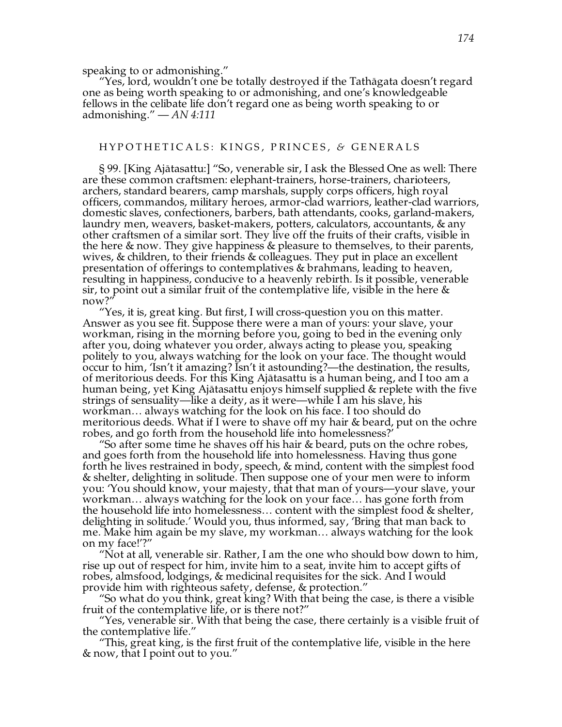speaking to or admonishing."

"Yes, lord, wouldn't one be totally destroyed if the Tath $\bar{a}$ gata doesn't regard one as being worth speaking to or admonishing, and one's knowledgeable fellows in the celibate life don't regard one as being worth speaking to or admonishing." — *AN 4:111*

# HYPOTHETICALS: KINGS, PRINCES, *&* GENERALS

§ 99. [King Ajātasattu:] "So, venerable sir, I ask the Blessed One as well: There are these common craftsmen: elephant-trainers, horse-trainers, charioteers, archers, standard bearers, camp marshals, supply corps officers, high royal officers, commandos, military heroes, armor-clad warriors, leather-clad warriors, domestic slaves, confectioners, barbers, bath attendants, cooks, garland-makers, laundry men, weavers, basket-makers, potters, calculators, accountants, & any other craftsmen of a similar sort. They live off the fruits of their crafts, visible in the here & now. They give happiness & pleasure to themselves, to their parents, wives, & children, to their friends & colleagues. They put in place an excellent presentation of offerings to contemplatives & brahmans, leading to heaven, resulting in happiness, conducive to a heavenly rebirth. Is it possible, venerable sir, to point out a similar fruit of the contemplative life, visible in the here  $\&$ now?"

"Yes, it is, great king. But first, I will cross-question you on this matter. Answer as you see fit. Suppose there were a man of yours: your slave, your workman, rising in the morning before you, going to bed in the evening only after you, doing whatever you order, always acting to please you, speaking politely to you, always watching for the look on your face. The thought would occur to him, 'Isn't it amazing? Isn't it astounding?—the destination, the results, of meritorious deeds. For this King Ajātasattu is a human being, and I too am a human being, yet King Ajātasattu enjoys himself supplied & replete with the five strings of sensuality—like a deity, as it were—while I am his slave, his workman… always watching for the look on his face. I too should do meritorious deeds. What if I were to shave off my hair & beard, put on the ochre robes, and go forth from the household life into homelessness?'

"So after some time he shaves off his hair & beard, puts on the ochre robes, and goes forth from the household life into homelessness. Having thus gone forth he lives restrained in body, speech, & mind, content with the simplest food & shelter, delighting in solitude. Then suppose one of your men were to inform you: 'You should know, your majesty, that that man of yours—your slave, your workman… always watching for the look on your face… has gone forth from the household life into homelessness… content with the simplest food & shelter, delighting in solitude.' Would you, thus informed, say, 'Bring that man back to me. Make him again be my slave, my workman… always watching for the look on my face!'?"

"Not at all, venerable sir. Rather, I am the one who should bow down to him, rise up out of respect for him, invite him to a seat, invite him to accept gifts of robes, almsfood, lodgings, & medicinal requisites for the sick. And I would provide him with righteous safety, defense, & protection."

"So what do you think, great king? With that being the case, is there a visible fruit of the contemplative life, or is there not?"

"Yes, venerable sir. With that being the case, there certainly is a visible fruit of the contemplative life."

"This, great king, is the first fruit of the contemplative life, visible in the here & now, that I point out to you."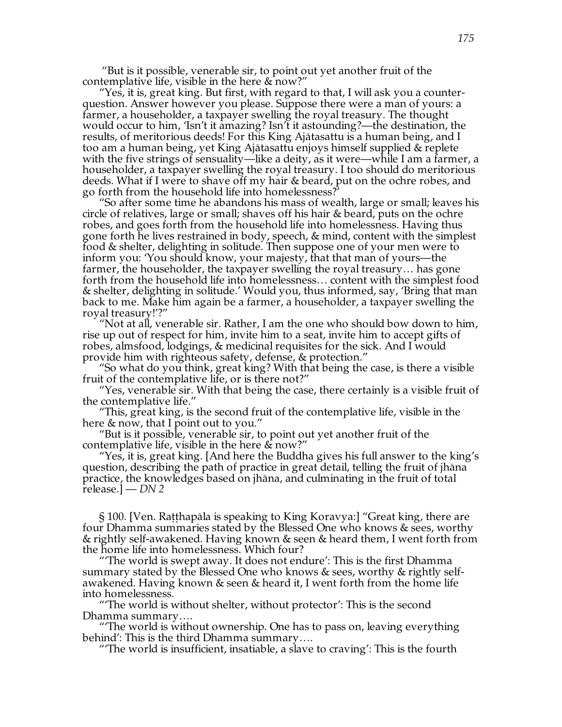"But is it possible, venerable sir, to point out yet another fruit of the contemplative life, visible in the here  $\&$  now?"

"Yes, it is, great king. But first, with regard to that, I will ask you a counter- question. Answer however you please. Suppose there were a man of yours: a farmer, a householder, a taxpayer swelling the royal treasury. The thought would occur to him, 'Isn't it amazing? Isn't it astounding?—the destination, the results, of meritorious deeds! For this King Ajātasattu is a human being, and I too am a human being, yet King Ajātasattu enjoys himself supplied & replete with the five strings of sensuality—like a deity, as it were—while I am a farmer, a householder, a taxpayer swelling the royal treasury. I too should do meritorious deeds. What if I were to shave off my hair & beard, put on the ochre robes, and go forth from the household life into homelessness?'

"So after some time he abandons his mass of wealth, large or small; leaves his circle of relatives, large or small; shaves off his hair & beard, puts on the ochre robes, and goes forth from the household life into homelessness. Having thus gone forth he lives restrained in body, speech, & mind, content with the simplest food & shelter, delighting in solitude. Then suppose one of your men were to inform you: 'You should know, your majesty, that that man of yours—the farmer, the householder, the taxpayer swelling the royal treasury… has gone forth from the household life into homelessness… content with the simplest food & shelter, delighting in solitude.' Would you, thus informed, say, 'Bring that man back to me. Make him again be a farmer, a householder, a taxpayer swelling the royal treasury!'?"

"Not at all, venerable sir. Rather, I am the one who should bow down to him, rise up out of respect for him, invite him to a seat, invite him to accept gifts of robes, almsfood, lodgings, & medicinal requisites for the sick. And I would provide him with righteous safety, defense, & protection."

"So what do you think, great king? With that being the case, is there a visible fruit of the contemplative life, or is there not?"

"Yes, venerable sir. With that being the case, there certainly is a visible fruit of the contemplative life."

"This, great king, is the second fruit of the contemplative life, visible in the here & now, that I point out to you."

"But is it possible, venerable sir, to point out yet another fruit of the contemplative life, visible in the here & now?"

"Yes, it is, great king. [And here the Buddha gives his full answer to the king's question, describing the path of practice in great detail, telling the fruit of jhāna practice, the knowledges based on jhāna, and culminating in the fruit of total release.] — *DN 2*

§ 100. [Ven. Ratthapāla is speaking to King Koravya:] "Great king, there are four Dhamma summaries stated by the Blessed One who knows & sees, worthy & rightly self-awakened. Having known & seen & heard them, I went forth from the home life into homelessness. Which four?

"'The world is swept away. It does not endure': This is the first Dhamma summary stated by the Blessed One who knows & sees, worthy & rightly selfawakened. Having known & seen & heard it, I went forth from the home life into homelessness.

"'The world is without shelter, without protector': This is the second Dhamma summary….

"'The world is without ownership. One has to pass on, leaving everything behind': This is the third Dhamma summary….

"'The world is insufficient, insatiable, a slave to craving': This is the fourth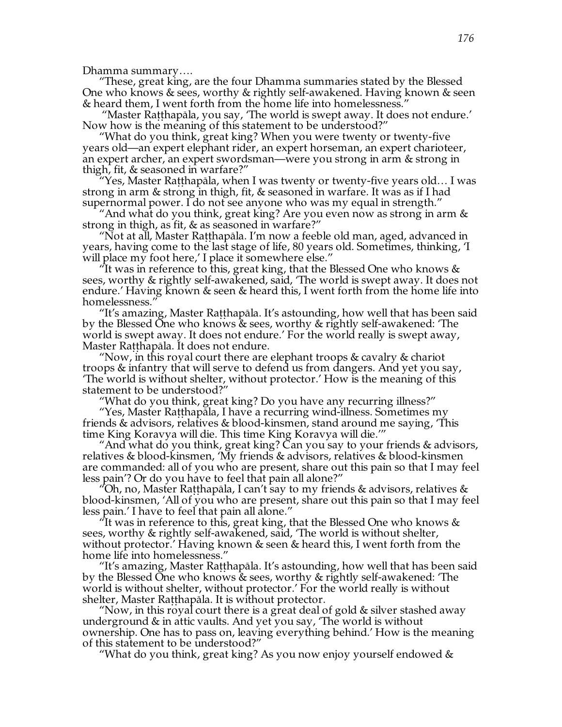Dhamma summary….

"These, great king, are the four Dhamma summaries stated by the Blessed One who knows & sees, worthy & rightly self-awakened. Having known & seen & heard them, I went forth from the home life into homelessness."

"Master Raṭṭhapāla, you say, 'The world is swept away. It does not endure.' Now how is the meaning of this statement to be understood?"

"What do you think, great king? When you were twenty or twenty-five years old—an expert elephant rider, an expert horseman, an expert charioteer, an expert archer, an expert swordsman—were you strong in arm & strong in thigh, fit, & seasoned in warfare?"

"Yes, Master Ratthapāla, when I was twenty or twenty-five years old… I was strong in arm & strong in thigh, fit, & seasoned in warfare. It was as if I had supernormal power. I do not see anyone who was my equal in strength."

"And what do you think, great king? Are you even now as strong in arm  $\&$ strong in thigh, as fit, & as seasoned in warfare?"

"Not at all, Master Ratthapāla. I'm now a feeble old man, aged, advanced in years, having come to the last stage of life, 80 years old. Sometimes, thinking, 'I will place my foot here,' I place it somewhere else."

"It was in reference to this, great king, that the Blessed One who knows  $\&$ sees, worthy & rightly self-awakened, said, 'The world is swept away. It does not endure.' Having known & seen & heard this, I went forth from the home life into homelessness."

"It's amazing, Master Ratthapāla. It's astounding, how well that has been said by the Blessed One who knows & sees, worthy & rightly self-awakened: 'The world is swept away. It does not endure.' For the world really is swept away, Master Ratthapala. It does not endure.

"Now, in this royal court there are elephant troops  $\&$  cavalry  $\&$  chariot troops & infantry that will serve to defend us from dangers. And yet you say, 'The world is without shelter, without protector.' How is the meaning of this statement to be understood?"

"What do you think, great king? Do you have any recurring illness?"

"Yes, Master Raṭṭhapāla, I have a recurring wind-illness. Sometimes my friends & advisors, relatives & blood-kinsmen, stand around me saying, 'This time King Koravya will die. This time King Koravya will die.'"

"And what do you think, great king? Can you say to your friends & advisors, relatives & blood-kinsmen, 'My friends & advisors, relatives & blood-kinsmen are commanded: all of you who are present, share out this pain so that I may feel less pain'? Or do you have to feel that pain all alone?"

Oh, no, Master Ratthapāla, I can't say to my friends & advisors, relatives & blood-kinsmen, 'All of you who are present, share out this pain so that I may feel less pain.' I have to feel that pain all alone."

"It was in reference to this, great king, that the Blessed One who knows  $\&$ sees, worthy & rightly self-awakened, said, 'The world is without shelter, without protector.' Having known & seen & heard this, I went forth from the home life into homelessness."

"It's amazing, Master Ratthapāla. It's astounding, how well that has been said by the Blessed One who knows & sees, worthy & rightly self-awakened: 'The world is without shelter, without protector.' For the world really is without shelter, Master Ratthapala. It is without protector.

"Now, in this royal court there is a great deal of gold  $\&$  silver stashed away underground & in attic vaults. And yet you say, 'The world is without ownership. One has to pass on, leaving everything behind.' How is the meaning of this statement to be understood?"

"What do you think, great king? As you now enjoy yourself endowed  $\&$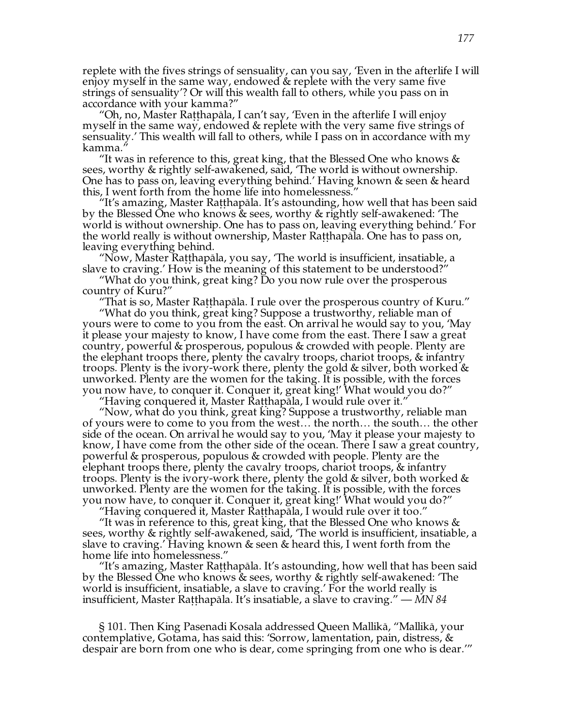replete with the fives strings of sensuality, can you say, 'Even in the afterlife I will enjoy myself in the same way, endowed & replete with the very same five strings of sensuality'? Or will this wealth fall to others, while you pass on in accordance with your kamma?"

"Oh, no, Master Ratthapāla, I can't say, 'Even in the afterlife I will enjoy myself in the same way, endowed & replete with the very same five strings of sensuality.' This wealth will fall to others, while I pass on in accordance with my kamma."

"It was in reference to this, great king, that the Blessed One who knows  $\&$ sees, worthy & rightly self-awakened, said, 'The world is without ownership. One has to pass on, leaving everything behind.' Having known & seen & heard this, I went forth from the home life into homelessness."

"It's amazing, Master Ratthapāla. It's astounding, how well that has been said by the Blessed One who knows & sees, worthy & rightly self-awakened: 'The world is without ownership. One has to pass on, leaving everything behind.' For the world really is without ownership, Master Ratthapala. One has to pass on, leaving everything behind.

"Now, Master Ratthapāla, you say, 'The world is insufficient, insatiable, a slave to craving.' How is the meaning of this statement to be understood?"

"What do you think, great king? Do you now rule over the prosperous country of Kuru?"

"That is so, Master Ratthapala. I rule over the prosperous country of Kuru."

"What do you think, great king? Suppose a trustworthy, reliable man of yours were to come to you from the east. On arrival he would say to you, 'May it please your majesty to know, I have come from the east. There I saw a great country, powerful & prosperous, populous & crowded with people. Plenty are the elephant troops there, plenty the cavalry troops, chariot troops, & infantry troops. Plenty is the ivory-work there, plenty the gold & silver, both worked & unworked. Plenty are the women for the taking. It is possible, with the forces you now have, to conquer it. Conquer it, great king!' What would you do?" "Having conquered it, Master Raṭṭhapāla, I would rule over it."

"Now, what do you think, great king? Suppose a trustworthy, reliable man of yours were to come to you from the west… the north… the south… the other side of the ocean. On arrival he would say to you, 'May it please your majesty to know, I have come from the other side of the ocean. There I saw a great country, powerful & prosperous, populous & crowded with people. Plenty are the elephant troops there, plenty the cavalry troops, chariot troops, & infantry troops. Plenty is the ivory-work there, plenty the gold & silver, both worked & unworked. Plenty are the women for the taking. It is possible, with the forces you now have, to conquer it. Conquer it, great king!' What would you do?"

"Having conquered it, Master Raṭṭhapāla, I would rule over it too."

"It was in reference to this, great king, that the Blessed One who knows  $\&$ sees, worthy & rightly self-awakened, said, 'The world is insufficient, insatiable, a slave to craving.' Having known & seen & heard this, I went forth from the home life into homelessness."

"It's amazing, Master Ratthapāla. It's astounding, how well that has been said by the Blessed One who knows & sees, worthy & rightly self-awakened: 'The world is insufficient, insatiable, a slave to craving.' For the world really is insufficient, Master Ratthapala. It's insatiable, a slave to craving." — *MN 84* 

§ 101. Then King Pasenadi Kosala addressed Queen Mallikā, "Mallikā, your contemplative, Gotama, has said this: 'Sorrow, lamentation, pain, distress, & despair are born from one who is dear, come springing from one who is dear.'"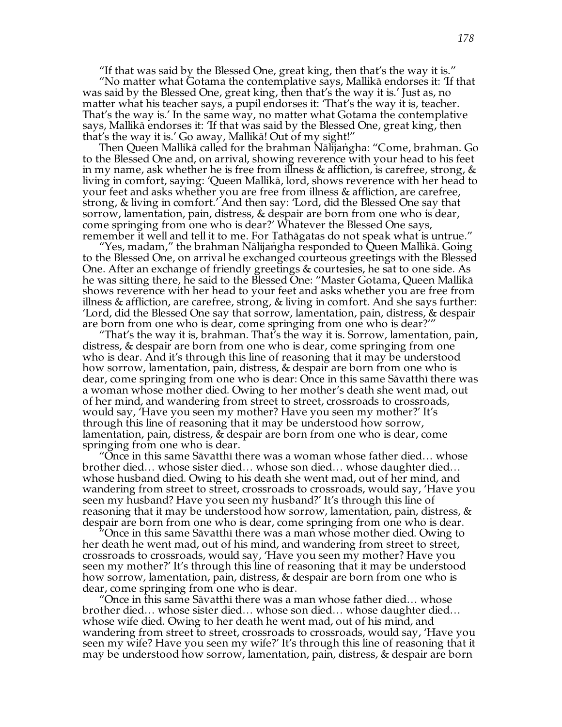"If that was said by the Blessed One, great king, then that's the way it is."

"No matter what Gotama the contemplative says, Mallika endorses it: 'If that was said by the Blessed One, great king, then that's the way it is.' Just as, no matter what his teacher says, a pupil endorses it: 'That's the way it is, teacher. That's the way is.' In the same way, no matter what Gotama the contemplative says, Mallikā endorses it: 'If that was said by the Blessed One, great king, then that's the way it is.' Go away, Mallika! Out of my sight!"

Then Queen Mallikā called for the brahman Nālijaṅgha: "Come, brahman. Go to the Blessed One and, on arrival, showing reverence with your head to his feet in my name, ask whether he is free from illness & affliction, is carefree, strong, & living in comfort, saying: 'Queen Mallika, lord, shows reverence with her head to your feet and asks whether you are free from illness & affliction, are carefree, strong, & living in comfort.' And then say: 'Lord, did the Blessed One say that sorrow, lamentation, pain, distress, & despair are born from one who is dear, come springing from one who is dear?' Whatever the Blessed One says, remember it well and tell it to me. For Tathagatas do not speak what is untrue."

"Yes, madam," the brahman Nālijangha responded to Queen Mallikā. Going to the Blessed One, on arrival he exchanged courteous greetings with the Blessed One. After an exchange of friendly greetings & courtesies, he sat to one side. As he was sitting there, he said to the Blessed One: "Master Gotama, Queen Mallika shows reverence with her head to your feet and asks whether you are free from illness  $\&$  affliction, are carefree, strong,  $\&$  living in comfort. And she says further: 'Lord, did the Blessed One say that sorrow, lamentation, pain, distress, & despair are born from one who is dear, come springing from one who is dear?'"

"That's the way it is, brahman. That's the way it is. Sorrow, lamentation, pain, distress, & despair are born from one who is dear, come springing from one who is dear. And it's through this line of reasoning that it may be understood how sorrow, lamentation, pain, distress, & despair are born from one who is dear, come springing from one who is dear: Once in this same S<sub>avatth</sub> there was a woman whose mother died. Owing to her mother's death she went mad, out of her mind, and wandering from street to street, crossroads to crossroads, would say, 'Have you seen my mother? Have you seen my mother?' It's through this line of reasoning that it may be understood how sorrow, lamentation, pain, distress, & despair are born from one who is dear, come springing from one who is dear.

"Once in this same Sāvatthī there was a woman whose father died... whose brother died… whose sister died… whose son died… whose daughter died… whose husband died. Owing to his death she went mad, out of her mind, and wandering from street to street, crossroads to crossroads, would say, 'Have you seen my husband? Have you seen my husband?' It's through this line of reasoning that it may be understood how sorrow, lamentation, pain, distress, & despair are born from one who is dear, come springing from one who is dear.

'Once in this same Sāvatthī there was a man whose mother died. Owing to her death he went mad, out of his mind, and wandering from street to street, crossroads to crossroads, would say, 'Have you seen my mother? Have you seen my mother?' It's through this line of reasoning that it may be understood how sorrow, lamentation, pain, distress, & despair are born from one who is dear, come springing from one who is dear.

"Once in this same Sāvatthī there was a man whose father died... whose brother died… whose sister died… whose son died… whose daughter died… whose wife died. Owing to her death he went mad, out of his mind, and wandering from street to street, crossroads to crossroads, would say, 'Have you seen my wife? Have you seen my wife?' It's through this line of reasoning that it may be understood how sorrow, lamentation, pain, distress, & despair are born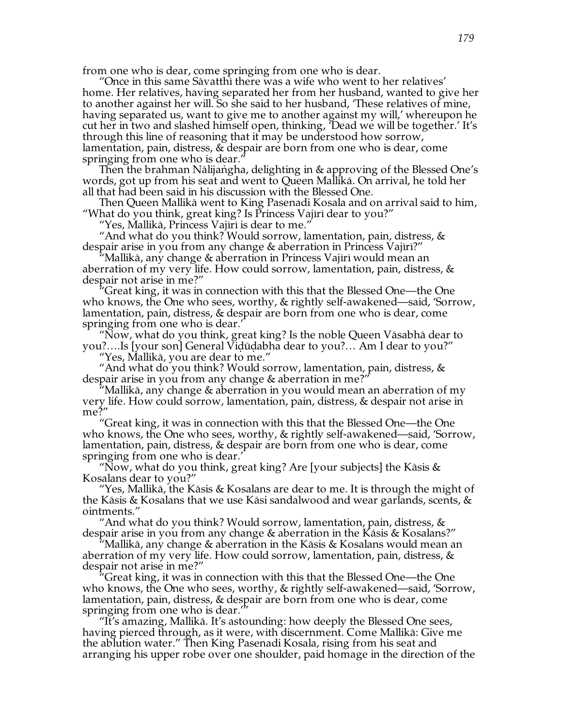from one who is dear, come springing from one who is dear.

"Once in this same Sāvatthī there was a wife who went to her relatives' home. Her relatives, having separated her from her husband, wanted to give her to another against her will. So she said to her husband, 'These relatives of mine, having separated us, want to give me to another against my will,' whereupon he cut her in two and slashed himself open, thinking, 'Dead we will be together.' It's through this line of reasoning that it may be understood how sorrow, lamentation, pain, distress, & despair are born from one who is dear, come springing from one who is dear.'

Then the brahman Nālijaṅgha, delighting in & approving of the Blessed One's words, got up from his seat and went to Queen Mallikā. On arrival, he told her all that had been said in his discussion with the Blessed One.

Then Queen Mallikā went to King Pasenadi Kosala and on arrival said to him, "What do you think, great king? Is Princess Vajırı dear to you?"

"Yes, Mallikā, Princess Vajīrī is dear to me."

"And what do you think? Would sorrow, lamentation, pain, distress,  $\&$ despair arise in you from any change & aberration in Princess Vajırı?"

'Mallikā, any change & aberration in Princess Vajīrī would mean an aberration of my very life. How could sorrow, lamentation, pain, distress,  $\&$ despair not arise in me?"

"Great king, it was in connection with this that the Blessed One—the One who knows, the One who sees, worthy, & rightly self-awakened—said, 'Sorrow, lamentation, pain, distress, & despair are born from one who is dear, come

springing from one who is dear.'<br>''Now, what do you think, great king? Is the noble Queen Vāsabhā dear to you?….Is [your son] General Vidūdabha dear to you?… Am I dear to you?"

"Yes, Mallikā, you are dear to me."

"And what do you think? Would sorrow, lamentation, pain, distress, & despair arise in you from any change & aberration in me?"

"Mallikā, any change & aberration in you would mean an aberration of my very life. How could sorrow, lamentation, pain, distress, & despair not arise in me?"

"Great king, it was in connection with this that the Blessed One—the One who knows, the One who sees, worthy, & rightly self-awakened—said, 'Sorrow, lamentation, pain, distress, & despair are born from one who is dear, come springing from one who is dear.'

"Now, what do you think, great king? Are [your subjects] the Kasis  $\&$ Kosalans dear to you?"

"Yes, Mallika, the Kasis & Kosalans are dear to me. It is through the might of the Kāsis & Kosalans that we use Kāsi sandalwood and wear garlands, scents, & ointments."

"And what do you think? Would sorrow, lamentation, pain, distress, & despair arise in you from any change & aberration in the Kāsis & Kosalans?"

'Mallikā, any change & aberration in the Kāsis & Kosalans would mean an aberration of my very life. How could sorrow, lamentation, pain, distress,  $\&$ despair not arise in me?"

"Great king, it was in connection with this that the Blessed One—the One who knows, the One who sees, worthy, & rightly self-awakened—said, 'Sorrow, lamentation, pain, distress, & despair are born from one who is dear, come springing from one who is dear.'

"It's amazing, Mallik $\tilde{a}$ . It's astounding: how deeply the Blessed One sees, having pierced through, as it were, with discernment. Come Mallikā: Give me the ablution water." Then King Pasenadi Kosala, rising from his seat and arranging his upper robe over one shoulder, paid homage in the direction of the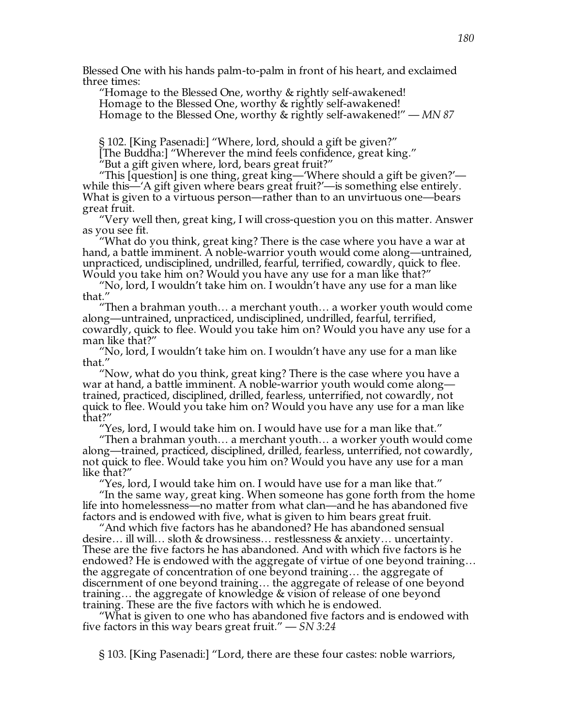Blessed One with his hands palm-to-palm in front of his heart, and exclaimed three times:

"Homage to the Blessed One, worthy & rightly self-awakened! Homage to the Blessed One, worthy & rightly self-awakened! Homage to the Blessed One, worthy & rightly self-awakened!" — *MN 87*

§ 102. [King Pasenadi:] "Where, lord, should a gift be given?"

[The Buddha:] "Wherever the mind feels confidence, great king."

"But a gift given where, lord, bears great fruit?"

"This [question] is one thing, great king—'Where should a gift be given?'— while this—'A gift given where bears great fruit?'—is something else entirely. What is given to a virtuous person—rather than to an unvirtuous one—bears great fruit.

"Very well then, great king, I will cross-question you on this matter. Answer as you see fit.

"What do you think, great king? There is the case where you have a war at hand, a battle imminent. A noble-warrior youth would come along—untrained, unpracticed, undisciplined, undrilled, fearful, terrified, cowardly, quick to flee. Would you take him on? Would you have any use for a man like that?"

"No, lord, I wouldn't take him on. I wouldn't have any use for a man like that."

"Then a brahman youth… a merchant youth… a worker youth would come along—untrained, unpracticed, undisciplined, undrilled, fearful, terrified, cowardly, quick to flee. Would you take him on? Would you have any use for a man like that?"

"No, lord, I wouldn't take him on. I wouldn't have any use for a man like that."

"Now, what do you think, great king? There is the case where you have a war at hand, a battle imminent. A noble-warrior youth would come along trained, practiced, disciplined, drilled, fearless, unterrified, not cowardly, not quick to flee. Would you take him on? Would you have any use for a man like that?"

"Yes, lord, I would take him on. I would have use for a man like that."

"Then a brahman youth… a merchant youth… a worker youth would come along—trained, practiced, disciplined, drilled, fearless, unterrified, not cowardly, not quick to flee. Would take you him on? Would you have any use for a man like that?"

"Yes, lord, I would take him on. I would have use for a man like that."

"In the same way, great king. When someone has gone forth from the home life into homelessness—no matter from what clan—and he has abandoned five factors and is endowed with five, what is given to him bears great fruit.

"And which five factors has he abandoned? He has abandoned sensual desire… ill will… sloth & drowsiness… restlessness & anxiety… uncertainty. These are the five factors he has abandoned. And with which five factors is he endowed? He is endowed with the aggregate of virtue of one beyond training… the aggregate of concentration of one beyond training… the aggregate of discernment of one beyond training… the aggregate of release of one beyond training… the aggregate of knowledge & vision of release of one beyond training. These are the five factors with which he is endowed.

"What is given to one who has abandoned five factors and is endowed with five factors in this way bears great fruit." — *SN 3:24*

§ 103. [King Pasenadi:] "Lord, there are these four castes: noble warriors,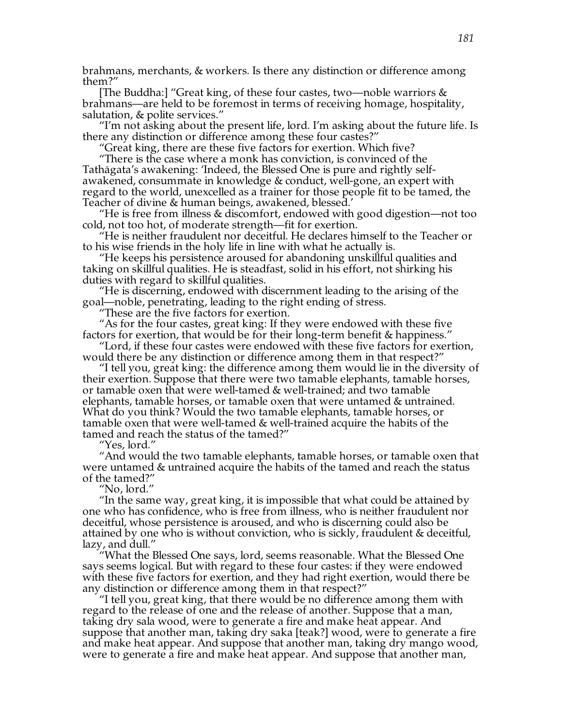brahmans, merchants, & workers. Is there any distinction or difference among them?"

[The Buddha:] "Great king, of these four castes, two—noble warriors & brahmans—are held to be foremost in terms of receiving homage, hospitality, salutation, & polite services."

"I'm not asking about the present life, lord. I'm asking about the future life. Is there any distinction or difference among these four castes?"

"Great king, there are these five factors for exertion. Which five?

"There is the case where a monk has conviction, is convinced of the Tathāgata's awakening: 'Indeed, the Blessed One is pure and rightly self-<br>awakened, consummate in knowledge & conduct, well-gone, an expert with regard to the world, unexcelled as a trainer for those people fit to be tamed, the Teacher of divine & human beings, awakened, blessed.'

"He is free from illness & discomfort, endowed with good digestion—not too cold, not too hot, of moderate strength—fit for exertion.

"He is neither fraudulent nor deceitful. He declares himself to the Teacher or to his wise friends in the holy life in line with what he actually is. "He keeps his persistence aroused for abandoning unskillful qualities and

taking on skillful qualities. He is steadfast, solid in his effort, not shirking his duties with regard to skillful qualities.

"He is discerning, endowed with discernment leading to the arising of the goal—noble, penetrating, leading to the right ending of stress.

"These are the five factors for exertion.

"As for the four castes, great king: If they were endowed with these five factors for exertion, that would be for their long-term benefit & happiness."

"Lord, if these four castes were endowed with these five factors for exertion, would there be any distinction or difference among them in that respect?"

"I tell you, great king: the difference among them would lie in the diversity of their exertion. Suppose that there were two tamable elephants, tamable horses, or tamable oxen that were well-tamed & well-trained; and two tamable elephants, tamable horses, or tamable oxen that were untamed & untrained. What do you think? Would the two tamable elephants, tamable horses, or tamable oxen that were well-tamed & well-trained acquire the habits of the tamed and reach the status of the tamed?"

"Yes, lord."

"And would the two tamable elephants, tamable horses, or tamable oxen that were untamed & untrained acquire the habits of the tamed and reach the status of the tamed?"

"No, lord."

"In the same way, great king, it is impossible that what could be attained by one who has confidence, who is free from illness, who is neither fraudulent nor deceitful, whose persistence is aroused, and who is discerning could also be attained by one who is without conviction, who is sickly, fraudulent & deceitful, lazy, and dull."

"What the Blessed One says, lord, seems reasonable. What the Blessed One says seems logical. But with regard to these four castes: if they were endowed with these five factors for exertion, and they had right exertion, would there be any distinction or difference among them in that respect?"

"I tell you, great king, that there would be no difference among them with regard to the release of one and the release of another. Suppose that a man, taking dry sala wood, were to generate a fire and make heat appear. And suppose that another man, taking dry saka [teak?] wood, were to generate a fire and make heat appear. And suppose that another man, taking dry mango wood, were to generate a fire and make heat appear. And suppose that another man,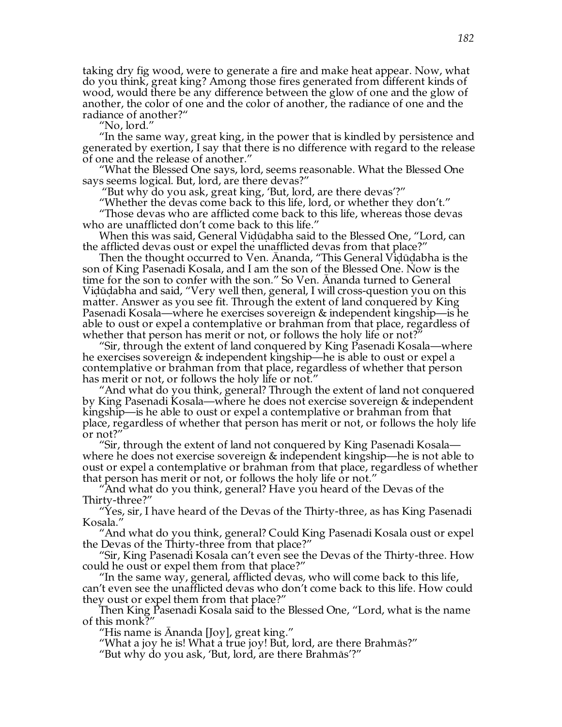taking dry fig wood, were to generate a fire and make heat appear. Now, what do you think, great king? Among those fires generated from different kinds of wood, would there be any difference between the glow of one and the glow of another, the color of one and the color of another, the radiance of one and the radiance of another?"

"No, lord."

"In the same way, great king, in the power that is kindled by persistence and generated by exertion, I say that there is no difference with regard to the release of one and the release of another."

"What the Blessed One says, lord, seems reasonable. What the Blessed One says seems logical. But, lord, are there devas?"

"But why do you ask, great king, 'But, lord, are there devas'?"

"Whether the devas come back to this life, lord, or whether they don't."

"Those devas who are afflicted come back to this life, whereas those devas who are unafflicted don't come back to this life."

When this was said, General Vidūdabha said to the Blessed One, "Lord, can the afflicted devas oust or expel the unafflicted devas from that place?"<br>Then the thought occurred to Ven. Ananda, "This General Vidūdabha is the

son of King Pasenadi Kosala, and I am the son of the Blessed One. Now is the time for the son to confer with the son." So Ven. Ananda turned to General Vidūdabha and said, "Very well then, general, I will cross-question you on this matter. Answer as you see fit. Through the extent of land conquered by King Pasenadi Kosala—where he exercises sovereign & independent kingship—is he able to oust or expel a contemplative or brahman from that place, regardless of whether that person has merit or not, or follows the holy life or not?"

"Sir, through the extent of land conquered by King Pasenadi Kosala—where he exercises sovereign & independent kingship—he is able to oust or expel a contemplative or brahman from that place, regardless of whether that person has merit or not, or follows the holy life or not."

"And what do you think, general? Through the extent of land not conquered by King Pasenadi Kosala—where he does not exercise sovereign & independent kingship—is he able to oust or expel a contemplative or brahman from that place, regardless of whether that person has merit or not, or follows the holy life or not?"

"Sir, through the extent of land not conquered by King Pasenadi Kosala where he does not exercise sovereign & independent kingship—he is not able to oust or expel a contemplative or brahman from that place, regardless of whether that person has merit or not, or follows the holy life or not."

"And what do you think, general? Have you heard of the Devas of the Thirty-three?"

"Yes, sir, I have heard of the Devas of the Thirty-three, as has King Pasenadi Kosala."

"And what do you think, general? Could King Pasenadi Kosala oust or expel the Devas of the Thirty-three from that place?"

"Sir, King Pasenadi Kosala can't even see the Devas of the Thirty-three. How could he oust or expel them from that place?"

"In the same way, general, afflicted devas, who will come back to this life, can't even see the unafflicted devas who don't come back to this life. How could they oust or expel them from that place?"

Then King Pasenadi Kosala said to the Blessed One, "Lord, what is the name of this monk?"

"His name is Ananda  $[$ Joy $]$ , great king."

"What a joy he is! What a true joy! But, lord, are there Brahmās?"

"But why do you ask, 'But, lord, are there Brahmas'?"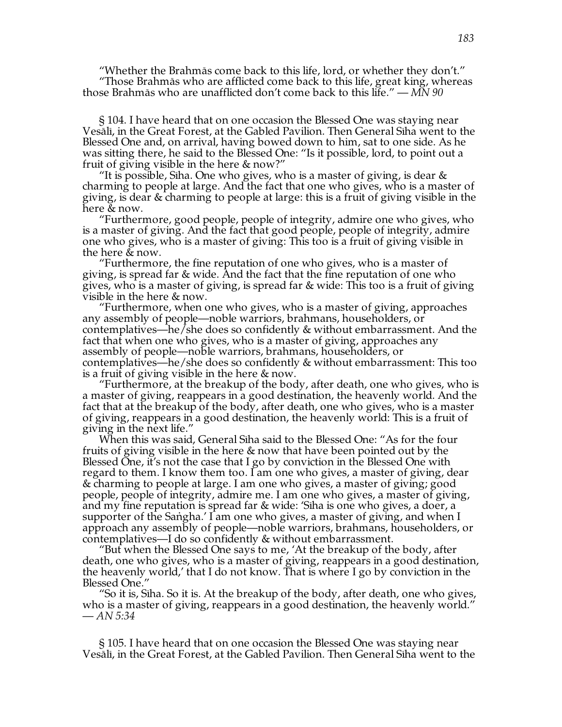"Whether the Brahmas come back to this life, lord, or whether they don't." "Those Brahmās who are afflicted come back to this life, great king, whereas those Brahmas who are unafflicted don't come back to this life." — *MN* 90

§ 104. I have heard that on one occasion the Blessed One was staying near Vesāli, in the Great Forest, at the Gabled Pavilion. Then General Siha went to the Blessed One and, on arrival, having bowed down to him, sat to one side. As he was sitting there, he said to the Blessed One: "Is it possible, lord, to point out a fruit of giving visible in the here & now?"

"It is possible, Siha. One who gives, who is a master of giving, is dear  $\&$ charming to people at large. And the fact that one who gives, who is a master of giving, is dear & charming to people at large: this is a fruit of giving visible in the here & now.

"Furthermore, good people, people of integrity, admire one who gives, who is a master of giving. And the fact that good people, people of integrity, admire one who gives, who is a master of giving: This too is a fruit of giving visible in the here & now.

"Furthermore, the fine reputation of one who gives, who is a master of giving, is spread far & wide. And the fact that the fine reputation of one who gives, who is a master of giving, is spread far & wide: This too is a fruit of giving visible in the here & now.

"Furthermore, when one who gives, who is a master of giving, approaches any assembly of people—noble warriors, brahmans, householders, or contemplatives—he/she does so confidently & without embarrassment. And the fact that when one who gives, who is a master of giving, approaches any assembly of people—noble warriors, brahmans, householders, or contemplatives—he/she does so confidently & without embarrassment: This too is a fruit of giving visible in the here & now.

"Furthermore, at the breakup of the body, after death, one who gives, who is a master of giving, reappears in a good destination, the heavenly world. And the fact that at the breakup of the body, after death, one who gives, who is a master of giving, reappears in a good destination, the heavenly world: This is a fruit of giving in the next life."

When this was said, General Sıha said to the Blessed One: "As for the four fruits of giving visible in the here & now that have been pointed out by the Blessed One, it's not the case that I go by conviction in the Blessed One with regard to them. I know them too. I am one who gives, a master of giving, dear & charming to people at large. I am one who gives, a master of giving; good people, people of integrity, admire me. I am one who gives, a master of giving, and my fine reputation is spread far & wide: 'Sıha is one who gives, a doer, a supporter of the Sangha.' I am one who gives, a master of giving, and when I approach any assembly of people—noble warriors, brahmans, householders, or contemplatives—I do so confidently & without embarrassment.

"But when the Blessed One says to me, 'At the breakup of the body, after death, one who gives, who is a master of giving, reappears in a good destination, the heavenly world,' that I do not know. That is where I go by conviction in the Blessed One."

"So it is, Sıha. So it is. At the breakup of the body, after death, one who gives, who is a master of giving, reappears in a good destination, the heavenly world." — *AN 5:34*

§ 105. I have heard that on one occasion the Blessed One was staying near Vesāli, in the Great Forest, at the Gabled Pavilion. Then General Siha went to the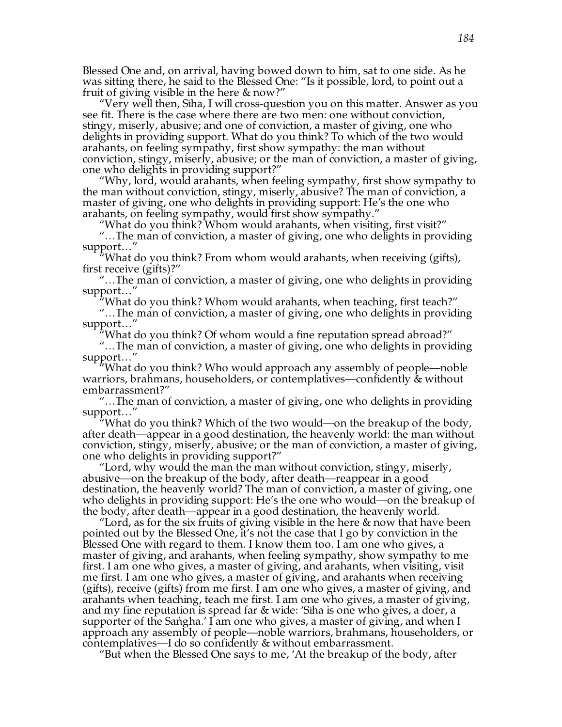Blessed One and, on arrival, having bowed down to him, sat to one side. As he was sitting there, he said to the Blessed One: "Is it possible, lord, to point out a fruit of giving visible in the here & now?"

"Very well then, Sıha, I will cross-question you on this matter. Answer as you see fit. There is the case where there are two men: one without conviction, stingy, miserly, abusive; and one of conviction, a master of giving, one who delights in providing support. What do you think? To which of the two would arahants, on feeling sympathy, first show sympathy: the man without conviction, stingy, miserly, abusive; or the man of conviction, a master of giving, one who delights in providing support?"

"Why, lord, would arahants, when feeling sympathy, first show sympathy to the man without conviction, stingy, miserly, abusive? The man of conviction, a master of giving, one who delights in providing support: He's the one who arahants, on feeling sympathy, would first show sympathy."

"What do you think? Whom would arahants, when visiting, first visit?"

"…The man of conviction, a master of giving, one who delights in providing support…"

"What do you think? From whom would arahants, when receiving (gifts), first receive (gifts)?"

"…The man of conviction, a master of giving, one who delights in providing support…"

"What do you think? Whom would arahants, when teaching, first teach?"

"…The man of conviction, a master of giving, one who delights in providing support…"

"What do you think? Of whom would a fine reputation spread abroad?"

"…The man of conviction, a master of giving, one who delights in providing support…"

"What do you think? Who would approach any assembly of people—noble warriors, brahmans, householders, or contemplatives—confidently & without embarrassment?"

"…The man of conviction, a master of giving, one who delights in providing support…"

"What do you think? Which of the two would—on the breakup of the body, after death—appear in a good destination, the heavenly world: the man without conviction, stingy, miserly, abusive; or the man of conviction, a master of giving, one who delights in providing support?"

"Lord, why would the man the man without conviction, stingy, miserly, abusive—on the breakup of the body, after death—reappear in a good destination, the heavenly world? The man of conviction, a master of giving, one who delights in providing support: He's the one who would—on the breakup of the body, after death—appear in a good destination, the heavenly world.

"Lord, as for the six fruits of giving visible in the here & now that have been pointed out by the Blessed One, it's not the case that I go by conviction in the Blessed One with regard to them. I know them too. I am one who gives, a master of giving, and arahants, when feeling sympathy, show sympathy to me first. I am one who gives, a master of giving, and arahants, when visiting, visit me first. I am one who gives, a master of giving, and arahants when receiving (gifts), receive (gifts) from me first. I am one who gives, a master of giving, and arahants when teaching, teach me first. I am one who gives, a master of giving, and my fine reputation is spread far & wide: 'Sıha is one who gives, a doer, a supporter of the Sangha.' I am one who gives, a master of giving, and when I approach any assembly of people—noble warriors, brahmans, householders, or contemplatives—I do so confidently & without embarrassment.

"But when the Blessed One says to me, 'At the breakup of the body, after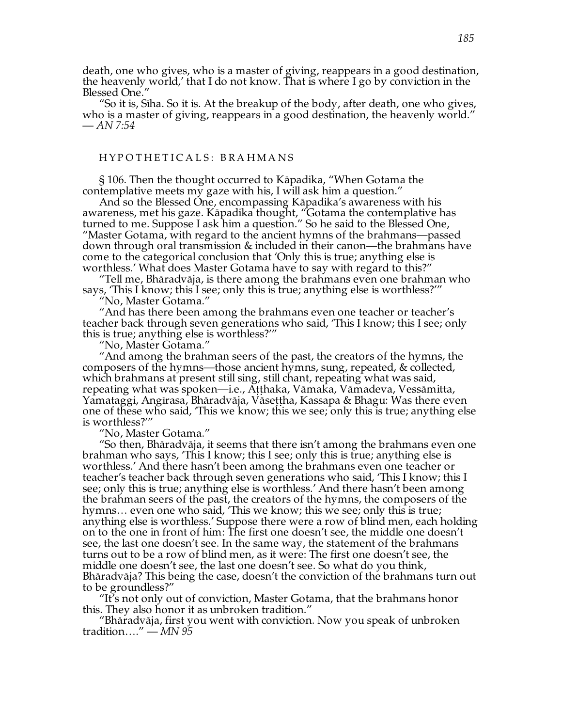death, one who gives, who is a master of giving, reappears in a good destination, the heavenly world,' that I do not know. That is where I go by conviction in the Blessed One."

"So it is, Sıha. So it is. At the breakup of the body, after death, one who gives, who is a master of giving, reappears in a good destination, the heavenly world." — *AN 7:54*

# HYPOTHETICALS: BRAHMANS

§ 106. Then the thought occurred to Kāpadika, "When Gotama the contemplative meets my gaze with his, I will ask him a question."

And so the Blessed One, encompassing Kapadika's awareness with his awareness, met his gaze. Kāpadika thought, "Gotama the contemplative has turned to me. Suppose I ask him a question." So he said to the Blessed One, "Master Gotama, with regard to the ancient hymns of the brahmans—passed down through oral transmission & included in their canon—the brahmans have come to the categorical conclusion that 'Only this is true; anything else is worthless.' What does Master Gotama have to say with regard to this?"

"Tell me, Bhāradvāja, is there among the brahmans even one brahman who says, 'This I know; this I see; only this is true; anything else is worthless?'"

"No, Master Gotama."

"And has there been among the brahmans even one teacher or teacher's teacher back through seven generations who said, 'This I know; this I see; only this is true; anything else is worthless?'"

"No, Master Gotama."

"And among the brahman seers of the past, the creators of the hymns, the composers of the hymns—those ancient hymns, sung, repeated, & collected, which brahmans at present still sing, still chant, repeating what was said, repeating what was spoken—i.e., Atthaka, Vāmaka, Vāmadeva, Vessāmitta, Yamataggi, Angirasa, Bhāradvāja, Vāseṭṭha, Kassapa & Bhagu: Was there even one of these who said, 'This we know; this we see; only this is true; anything else is worthless?'"

"No, Master Gotama."

"So then, Bhāradvāja, it seems that there isn't among the brahmans even one brahman who says, 'This I know; this I see; only this is true; anything else is worthless.' And there hasn't been among the brahmans even one teacher or teacher's teacher back through seven generations who said, 'This I know; this I see; only this is true; anything else is worthless.' And there hasn't been among the brahman seers of the past, the creators of the hymns, the composers of the hymns… even one who said, 'This we know; this we see; only this is true; anything else is worthless.' Suppose there were a row of blind men, each holding on to the one in front of him: The first one doesn't see, the middle one doesn't see, the last one doesn't see. In the same way, the statement of the brahmans turns out to be a row of blind men, as it were: The first one doesn't see, the middle one doesn't see, the last one doesn't see. So what do you think, Bhāradvāja? This being the case, doesn't the conviction of the brahmans turn out to be groundless?"

"It's not only out of conviction, Master Gotama, that the brahmans honor this. They also honor it as unbroken tradition."

"Bhāradvāja, first you went with conviction. Now you speak of unbroken tradition…." — *MN 95*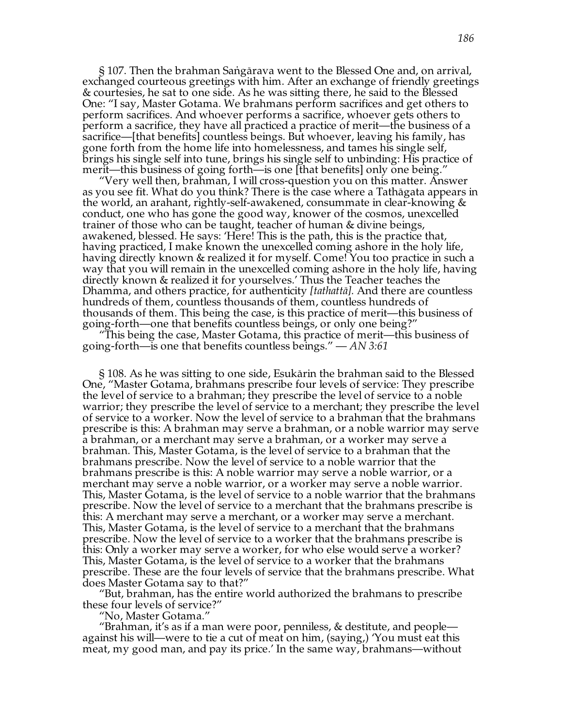§ 107. Then the brahman Saṅgārava went to the Blessed One and, on arrival, exchanged courteous greetings with him. After an exchange of friendly greetings & courtesies, he sat to one side. As he was sitting there, he said to the Blessed One: "I say, Master Gotama. We brahmans perform sacrifices and get others to perform sacrifices. And whoever performs a sacrifice, whoever gets others to perform a sacrifice, they have all practiced a practice of merit—the business of a sacrifice—[that benefits] countless beings. But whoever, leaving his family, has gone forth from the home life into homelessness, and tames his single self, brings his single self into tune, brings his single self to unbinding: His practice of merit—this business of going forth—is one [that benefits] only one being."

"Very well then, brahman, I will cross-question you on this matter. Answer as you see fit. What do you think? There is the case where a Tathagata appears in the world, an arahant, rightly-self-awakened, consummate in clear-knowing & conduct, one who has gone the good way, knower of the cosmos, unexcelled trainer of those who can be taught, teacher of human & divine beings, awakened, blessed. He says: 'Here! This is the path, this is the practice that, having practiced, I make known the unexcelled coming ashore in the holy life, having directly known & realized it for myself. Come! You too practice in such a way that you will remain in the unexcelled coming ashore in the holy life, having directly known & realized it for yourselves.' Thus the Teacher teaches the Dhamma, and others practice, for authenticity *[tathatta]*. And there are countless hundreds of them, countless thousands of them, countless hundreds of thousands of them. This being the case, is this practice of merit—this business of going-forth—one that benefits countless beings, or only one being?"

"This being the case, Master Gotama, this practice of merit—this business of going-forth—is one that benefits countless beings." — *AN 3:61*

§ 108. As he was sitting to one side, Esukārin the brahman said to the Blessed One, "Master Gotama, brahmans prescribe four levels of service: They prescribe the level of service to a brahman; they prescribe the level of service to a noble warrior; they prescribe the level of service to a merchant; they prescribe the level of service to a worker. Now the level of service to a brahman that the brahmans prescribe is this: A brahman may serve a brahman, or a noble warrior may serve a brahman, or a merchant may serve a brahman, or a worker may serve a brahman. This, Master Gotama, is the level of service to a brahman that the brahmans prescribe. Now the level of service to a noble warrior that the brahmans prescribe is this: A noble warrior may serve a noble warrior, or a merchant may serve a noble warrior, or a worker may serve a noble warrior. This, Master Gotama, is the level of service to a noble warrior that the brahmans prescribe. Now the level of service to a merchant that the brahmans prescribe is this: A merchant may serve a merchant, or a worker may serve a merchant. This, Master Gotama, is the level of service to a merchant that the brahmans prescribe. Now the level of service to a worker that the brahmans prescribe is this: Only a worker may serve a worker, for who else would serve a worker? This, Master Gotama, is the level of service to a worker that the brahmans prescribe. These are the four levels of service that the brahmans prescribe. What does Master Gotama say to that?"

"But, brahman, has the entire world authorized the brahmans to prescribe these four levels of service?"

"No, Master Gotama."

"Brahman, it's as if a man were poor, penniless,  $\&$  destitute, and people— against his will—were to tie a cut of meat on him, (saying,) 'You must eat this meat, my good man, and pay its price.' In the same way, brahmans—without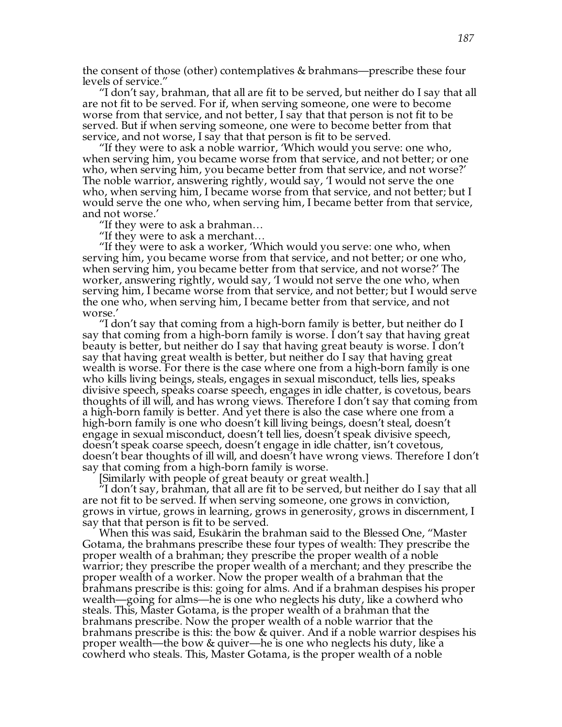the consent of those (other) contemplatives & brahmans—prescribe these four levels of service."

"I don't say, brahman, that all are fit to be served, but neither do I say that all are not fit to be served. For if, when serving someone, one were to become worse from that service, and not better, I say that that person is not fit to be served. But if when serving someone, one were to become better from that service, and not worse, I say that that person is fit to be served.

"If they were to ask a noble warrior, 'Which would you serve: one who, when serving him, you became worse from that service, and not better; or one who, when serving him, you became better from that service, and not worse?' The noble warrior, answering rightly, would say, 'I would not serve the one who, when serving him, I became worse from that service, and not better; but I would serve the one who, when serving him, I became better from that service, and not worse.'

"If they were to ask a brahman… "If they were to ask a merchant…

"If they were to ask a worker, 'Which would you serve: one who, when serving him, you became worse from that service, and not better; or one who, when serving him, you became better from that service, and not worse?' The worker, answering rightly, would say, 'I would not serve the one who, when serving him, I became worse from that service, and not better; but I would serve the one who, when serving him, I became better from that service, and not worse.'

"I don't say that coming from a high-born family is better, but neither do I say that coming from a high-born family is worse. I don't say that having great beauty is better, but neither do I say that having great beauty is worse. I don't say that having great wealth is better, but neither do I say that having great wealth is worse. For there is the case where one from a high-born family is one who kills living beings, steals, engages in sexual misconduct, tells lies, speaks divisive speech, speaks coarse speech, engages in idle chatter, is covetous, bears thoughts of ill will, and has wrong views. Therefore I don't say that coming from a high-born family is better. And yet there is also the case where one from a high-born family is one who doesn't kill living beings, doesn't steal, doesn't engage in sexual misconduct, doesn't tell lies, doesn't speak divisive speech, doesn't speak coarse speech, doesn't engage in idle chatter, isn't covetous, doesn't bear thoughts of ill will, and doesn't have wrong views. Therefore I don't say that coming from a high-born family is worse.

[Similarly with people of great beauty or great wealth.]

"I don't say, brahman, that all are fit to be served, but neither do I say that all are not fit to be served. If when serving someone, one grows in conviction, grows in virtue, grows in learning, grows in generosity, grows in discernment, I say that that person is fit to be served.

When this was said, Esukārin the brahman said to the Blessed One, "Master Gotama, the brahmans prescribe these four types of wealth: They prescribe the proper wealth of a brahman; they prescribe the proper wealth of a noble warrior; they prescribe the proper wealth of a merchant; and they prescribe the proper wealth of a worker. Now the proper wealth of a brahman that the brahmans prescribe is this: going for alms. And if a brahman despises his proper wealth—going for alms—he is one who neglects his duty, like a cowherd who steals. This, Master Gotama, is the proper wealth of a brahman that the brahmans prescribe. Now the proper wealth of a noble warrior that the brahmans prescribe is this: the bow & quiver. And if a noble warrior despises his proper wealth—the bow & quiver—he is one who neglects his duty, like a cowherd who steals. This, Master Gotama, is the proper wealth of a noble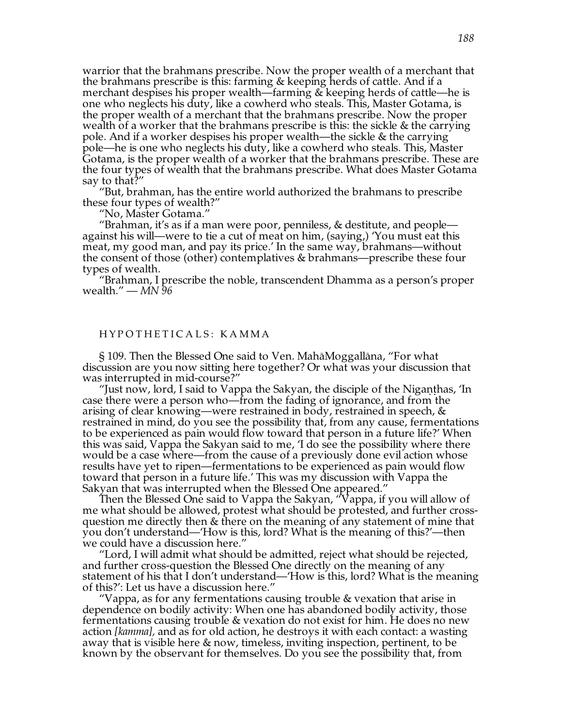warrior that the brahmans prescribe. Now the proper wealth of a merchant that the brahmans prescribe is this: farming & keeping herds of cattle. And if a merchant despises his proper wealth—farming & keeping herds of cattle—he is one who neglects his duty, like a cowherd who steals. This, Master Gotama, is the proper wealth of a merchant that the brahmans prescribe. Now the proper wealth of a worker that the brahmans prescribe is this: the sickle & the carrying pole. And if a worker despises his proper wealth—the sickle & the carrying pole—he is one who neglects his duty, like a cowherd who steals. This, Master Gotama, is the proper wealth of a worker that the brahmans prescribe. These are the four types of wealth that the brahmans prescribe. What does Master Gotama say to that?"

"But, brahman, has the entire world authorized the brahmans to prescribe these four types of wealth?"

"No, Master Gotama."

"Brahman, it's as if a man were poor, penniless, & destitute, and people— against his will—were to tie a cut of meat on him, (saying,) 'You must eat this meat, my good man, and pay its price.' In the same way, brahmans—without the consent of those (other) contemplatives & brahmans—prescribe these four types of wealth.<br>"Brahman, I prescribe the noble, transcendent Dhamma as a person's proper

wealth." — *MN 96*

# HYPOTHETICALS: KAMMA

§ 109. Then the Blessed One said to Ven. MahāMoggallāna, "For what discussion are you now sitting here together? Or what was your discussion that was interrupted in mid-course?"

"Just now, lord, I said to Vappa the Sakyan, the disciple of the Niganthas, 'In case there were a person who—from the fading of ignorance, and from the arising of clear knowing—were restrained in body, restrained in speech, & restrained in mind, do you see the possibility that, from any cause, fermentations to be experienced as pain would flow toward that person in a future life?' When this was said, Vappa the Sakyan said to me, 'I do see the possibility where there would be a case where—from the cause of a previously done evil action whose results have yet to ripen—fermentations to be experienced as pain would flow toward that person in a future life.' This was my discussion with Vappa the Sakyan that was interrupted when the Blessed One appeared."

Then the Blessed One said to Vappa the Sakyan, "Vappa, if you will allow of me what should be allowed, protest what should be protested, and further crossquestion me directly then & there on the meaning of any statement of mine that you don't understand—'How is this, lord? What is the meaning of this?'—then we could have a discussion here."

"Lord, I will admit what should be admitted, reject what should be rejected, and further cross-question the Blessed One directly on the meaning of any statement of his that I don't understand—'How is this, lord? What is the meaning of this?': Let us have a discussion here."

"Vappa, as for any fermentations causing trouble & vexation that arise in dependence on bodily activity: When one has abandoned bodily activity, those fermentations causing trouble & vexation do not exist for him. He does no new action *[kamma],* and as for old action, he destroys it with each contact: a wasting away that is visible here & now, timeless, inviting inspection, pertinent, to be known by the observant for themselves. Do you see the possibility that, from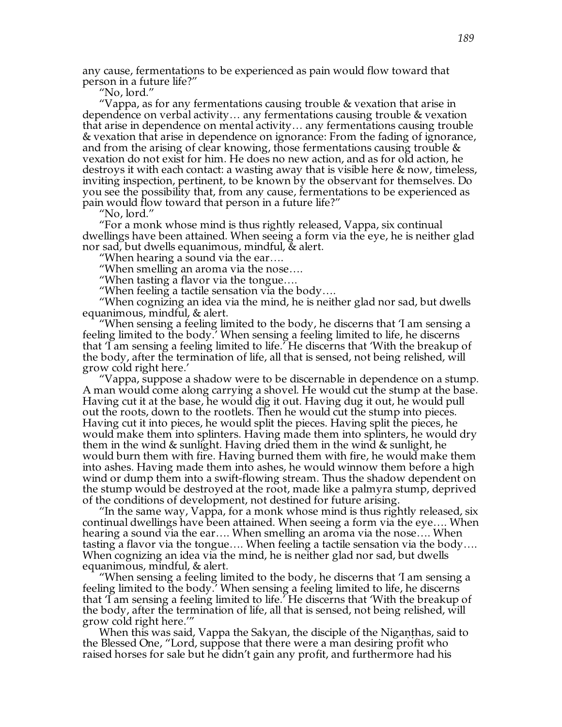any cause, fermentations to be experienced as pain would flow toward that person in a future life?"

"No, lord."

"Vappa, as for any fermentations causing trouble & vexation that arise in dependence on verbal activity… any fermentations causing trouble & vexation that arise in dependence on mental activity… any fermentations causing trouble & vexation that arise in dependence on ignorance: From the fading of ignorance, and from the arising of clear knowing, those fermentations causing trouble  $\&$ vexation do not exist for him. He does no new action, and as for old action, he destroys it with each contact: a wasting away that is visible here & now, timeless, inviting inspection, pertinent, to be known by the observant for themselves. Do you see the possibility that, from any cause, fermentations to be experienced as pain would flow toward that person in a future life?"

"No, lord."

"For a monk whose mind is thus rightly released, Vappa, six continual dwellings have been attained. When seeing a form via the eye, he is neither glad nor sad, but dwells equanimous, mindful, & alert.

"When hearing a sound via the ear....<br>"When smelling an aroma via the nose....<br>"When tasting a flavor via the tongue....<br>"When feeling a tactile sensation via the body....<br>"When cognizing an idea via the mind, he is neithe equanimous, mindful, & alert.

"When sensing a feeling limited to the body, he discerns that 'I am sensing a feeling limited to the body.' When sensing a feeling limited to life, he discerns that 'I am sensing a feeling limited to life.' He discerns that 'With the breakup of the body, after the termination of life, all that is sensed, not being relished, will grow cold right here.'

"Vappa, suppose a shadow were to be discernable in dependence on a stump. A man would come along carrying a shovel. He would cut the stump at the base. Having cut it at the base, he would dig it out. Having dug it out, he would pull out the roots, down to the rootlets. Then he would cut the stump into pieces. Having cut it into pieces, he would split the pieces. Having split the pieces, he would make them into splinters. Having made them into splinters, he would dry them in the wind & sunlight. Having dried them in the wind & sunlight, he would burn them with fire. Having burned them with fire, he would make them into ashes. Having made them into ashes, he would winnow them before a high wind or dump them into a swift-flowing stream. Thus the shadow dependent on the stump would be destroyed at the root, made like a palmyra stump, deprived of the conditions of development, not destined for future arising.

"In the same way, Vappa, for a monk whose mind is thus rightly released, six continual dwellings have been attained. When seeing a form via the eye…. When hearing a sound via the ear…. When smelling an aroma via the nose…. When tasting a flavor via the tongue…. When feeling a tactile sensation via the body…. When cognizing an idea via the mind, he is neither glad nor sad, but dwells equanimous, mindful, & alert.

"When sensing a feeling limited to the body, he discerns that 'I am sensing a feeling limited to the body.' When sensing a feeling limited to life, he discerns that 'I am sensing a feeling limited to life.' He discerns that 'With the breakup of the body, after the termination of life, all that is sensed, not being relished, will grow cold right here.'"

When this was said, Vappa the Sakyan, the disciple of the Niganthas, said to the Blessed One, "Lord, suppose that there were a man desiring profit who raised horses for sale but he didn't gain any profit, and furthermore had his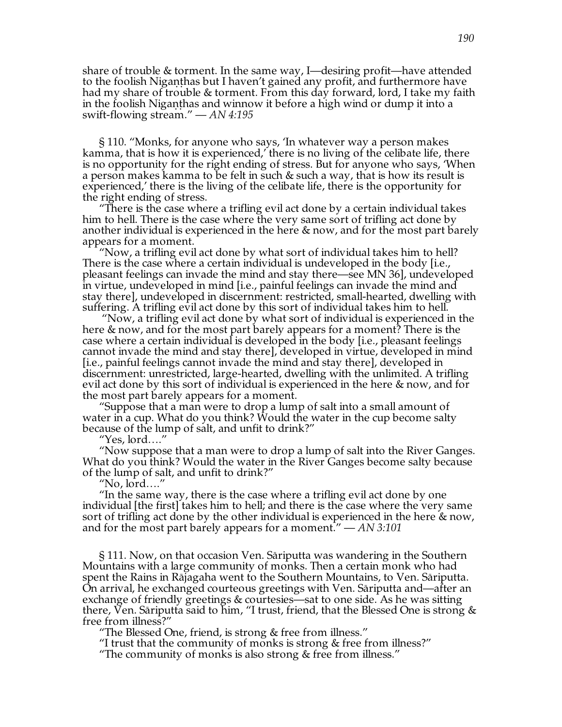share of trouble & torment. In the same way, I—desiring profit—have attended to the foolish Niganthas but I haven't gained any profit, and furthermore have had my share of trouble & torment. From this day forward, lord, I take my faith in the foolish Niganthas and winnow it before a high wind or dump it into a swift-flowing stream." — *AN 4:195* 

§ 110. "Monks, for anyone who says, 'In whatever way a person makes kamma, that is how it is experienced,' there is no living of the celibate life, there is no opportunity for the right ending of stress. But for anyone who says, 'When a person makes kamma to be felt in such & such a way, that is how its result is experienced,' there is the living of the celibate life, there is the opportunity for the right ending of stress.

"There is the case where a trifling evil act done by a certain individual takes him to hell. There is the case where the very same sort of trifling act done by another individual is experienced in the here & now, and for the most part barely appears for a moment.<br>"Now, a trifling evil act done by what sort of individual takes him to hell?"

There is the case where a certain individual is undeveloped in the body [i.e., pleasant feelings can invade the mind and stay there—see MN 36], undeveloped in virtue, undeveloped in mind [i.e., painful feelings can invade the mind and stay there], undeveloped in discernment: restricted, small-hearted, dwelling with suffering. A trifling evil act done by this sort of individual takes him to hell.

 "Now, a trifling evil act done by what sort of individual is experienced in the here & now, and for the most part barely appears for a moment? There is the case where a certain individual is developed in the body [i.e., pleasant feelings cannot invade the mind and stay there], developed in virtue, developed in mind [i.e., painful feelings cannot invade the mind and stay there], developed in discernment: unrestricted, large-hearted, dwelling with the unlimited. A trifling evil act done by this sort of individual is experienced in the here & now, and for the most part barely appears for a moment.

"Suppose that a man were to drop a lump of salt into a small amount of water in a cup. What do you think? Would the water in the cup become salty because of the lump of salt, and unfit to drink?"

"Yes, lord…."

"Now suppose that a man were to drop a lump of salt into the River Ganges. What do you think? Would the water in the River Ganges become salty because of the lump of salt, and unfit to drink?"

"No, lord…."

"In the same way, there is the case where a trifling evil act done by one individual [the first] takes him to hell; and there is the case where the very same sort of trifling act done by the other individual is experienced in the here & now, and for the most part barely appears for a moment." — *AN 3:101*

§ 111. Now, on that occasion Ven. Sāriputta was wandering in the Southern Mountains with a large community of monks. Then a certain monk who had spent the Rains in Rājagaha went to the Southern Mountains, to Ven. Sāriputta. On arrival, he exchanged courteous greetings with Ven. Sāriputta and—after an exchange of friendly greetings & courtesies—sat to one side. As he was sitting there, Ven. Sariputta said to him, "I trust, friend, that the Blessed One is strong  $\&$ free from illness?"

"The Blessed One, friend, is strong & free from illness."

"I trust that the community of monks is strong & free from illness?"

"The community of monks is also strong & free from illness."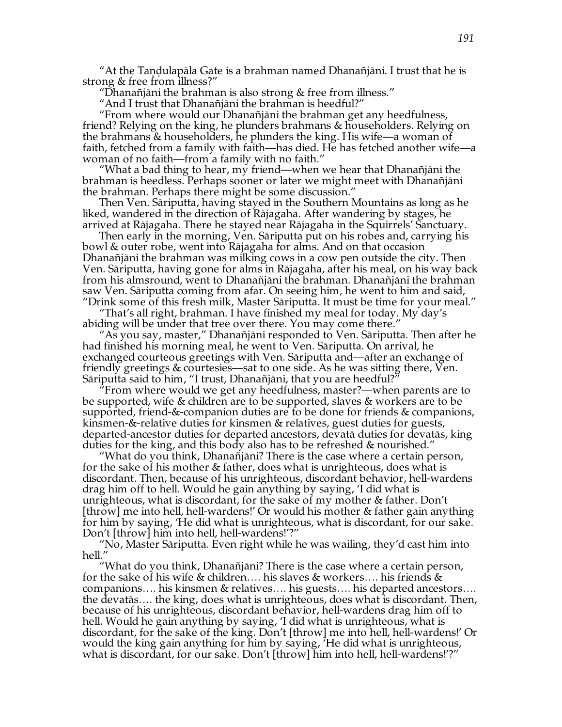"At the Tandulapāla Gate is a brahman named Dhanañjāni. I trust that he is strong & free from illness?"<br>"Dhanañjāni the brahman is also strong & free from illness."

"And I trust that Dhanañjāni the brahman is heedful?"

"From where would our Dhanañjāni the brahman get any heedfulness, friend? Relying on the king, he plunders brahmans & householders. Relying on the brahmans & householders, he plunders the king. His wife—a woman of faith, fetched from a family with faith—has died. He has fetched another wife—a woman of no faith—from a family with no faith."

"What a bad thing to hear, my friend—when we hear that Dhanañjāni the brahman is heedless. Perhaps sooner or later we might meet with Dhanañjāni the brahman. Perhaps there might be some discussion."

Then Ven. Sariputta, having stayed in the Southern Mountains as long as he liked, wandered in the direction of Rājagaha. After wandering by stages, he arrived at Rājagaha. There he stayed near Rājagaha in the Squirrels' Sanctuary.

Then early in the morning, Ven. Sāriputta put on his robes and, carrying his bowl & outer robe, went into Rajagaha for alms. And on that occasion Dhanañjāni the brahman was milking cows in a cow pen outside the city. Then Ven. Sāriputta, having gone for alms in Rājagaha, after his meal, on his way back from his almsround, went to Dhanañjāni the brahman. Dhanañjāni the brahman saw Ven. Sariputta coming from afar. On seeing him, he went to him and said, "Drink some of this fresh milk, Master Sariputta. It must be time for your meal."

"That's all right, brahman. I have finished my meal for today. My day's abiding will be under that tree over there. You may come there."

"As you say, master," Dhanañjāni responded to Ven. Sāriputta. Then after he had finished his morning meal, he went to Ven. Sāriputta. On arrival, he exchanged courteous greetings with Ven. Sariputta and—after an exchange of friendly greetings & courtesies—sat to one side. As he was sitting there, Ven. Sāriputta said to him, "I trust, Dhanañjāni, that you are heedful?"

"From where would we get any heedfulness, master?—when parents are to be supported, wife & children are to be supported, slaves & workers are to be supported, friend-&-companion duties are to be done for friends & companions, kinsmen-&-relative duties for kinsmen & relatives, guest duties for guests, departed-ancestor duties for departed ancestors, devatā duties for devatās, king duties for the king, and this body also has to be refreshed & nourished."

"What do you think, Dhanañjāni? There is the case where a certain person, for the sake of his mother & father, does what is unrighteous, does what is discordant. Then, because of his unrighteous, discordant behavior, hell-wardens drag him off to hell. Would he gain anything by saying, 'I did what is unrighteous, what is discordant, for the sake of my mother & father. Don't [throw] me into hell, hell-wardens!' Or would his mother & father gain anything for him by saying, 'He did what is unrighteous, what is discordant, for our sake. Don't [throw] him into hell, hell-wardens!'?"

"No, Master Sāriputta. Even right while he was wailing, they'd cast him into hell."

"What do you think, Dhanañjāni? There is the case where a certain person, for the sake of his wife & children…. his slaves & workers…. his friends & companions…. his kinsmen & relatives…. his guests…. his departed ancestors…. the devatās…. the king, does what is unrighteous, does what is discordant. Then, because of his unrighteous, discordant behavior, hell-wardens drag him off to hell. Would he gain anything by saying, 'I did what is unrighteous, what is discordant, for the sake of the king. Don't [throw] me into hell, hell-wardens!' Or would the king gain anything for him by saying, 'He did what is unrighteous, what is discordant, for our sake. Don't [throw] him into hell, hell-wardens!'?"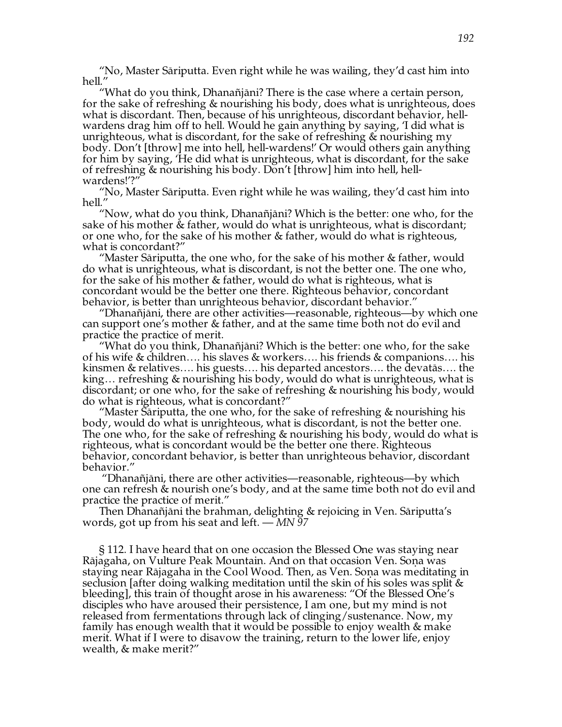"No, Master Sāriputta. Even right while he was wailing, they'd cast him into hell."

"What do you think, Dhanañjāni? There is the case where a certain person, for the sake of refreshing & nourishing his body, does what is unrighteous, does what is discordant. Then, because of his unrighteous, discordant behavior, hell- wardens drag him off to hell. Would he gain anything by saying, 'I did what is unrighteous, what is discordant, for the sake of refreshing  $\&$  nourishing my body. Don't [throw] me into hell, hell-wardens!' Or would others gain anything for him by saying, 'He did what is unrighteous, what is discordant, for the sake of refreshing & nourishing his body. Don't [throw] him into hell, hell- wardens!'?"

"No, Master Sāriputta. Even right while he was wailing, they'd cast him into hell."

"Now, what do you think, Dhanañjāni? Which is the better: one who, for the sake of his mother & father, would do what is unrighteous, what is discordant; or one who, for the sake of his mother & father, would do what is righteous, what is concordant?"

"Master Sāriputta, the one who, for the sake of his mother  $\&$  father, would do what is unrighteous, what is discordant, is not the better one. The one who, for the sake of his mother & father, would do what is righteous, what is concordant would be the better one there. Righteous behavior, concordant behavior, is better than unrighteous behavior, discordant behavior."<br>"Dhanañjāni, there are other activities—reasonable, righteous—by which one

can support one's mother & father, and at the same time both not do evil and practice the practice of merit.

"What do you think, Dhanañjāni? Which is the better: one who, for the sake of his wife & children…. his slaves & workers…. his friends & companions…. his kinsmen & relatives.... his guests.... his departed ancestors.... the devatās.... the king… refreshing & nourishing his body, would do what is unrighteous, what is discordant; or one who, for the sake of refreshing & nourishing his body, would do what is righteous, what is concordant?"

"Master Sāriputta, the one who, for the sake of refreshing  $\&$  nourishing his body, would do what is unrighteous, what is discordant, is not the better one. The one who, for the sake of refreshing & nourishing his body, would do what is righteous, what is concordant would be the better one there. Righteous behavior, concordant behavior, is better than unrighteous behavior, discordant behavior."

"Dhanañjāni, there are other activities—reasonable, righteous—by which one can refresh & nourish one's body, and at the same time both not do evil and practice the practice of merit."

Then Dhanañjāni the brahman, delighting & rejoicing in Ven. Sāriputta's words, got up from his seat and left. — *MN 97*

§ 112. I have heard that on one occasion the Blessed One was staying near Rājagaha, on Vulture Peak Mountain. And on that occasion Ven. Sona was staying near Rājagaha in the Cool Wood. Then, as Ven. Sona was meditating in seclusion [after doing walking meditation until the skin of his soles was split & bleeding], this train of thought arose in his awareness: "Of the Blessed One's disciples who have aroused their persistence, I am one, but my mind is not released from fermentations through lack of clinging/sustenance. Now, my family has enough wealth that it would be possible to enjoy wealth & make merit. What if I were to disavow the training, return to the lower life, enjoy wealth, & make merit?"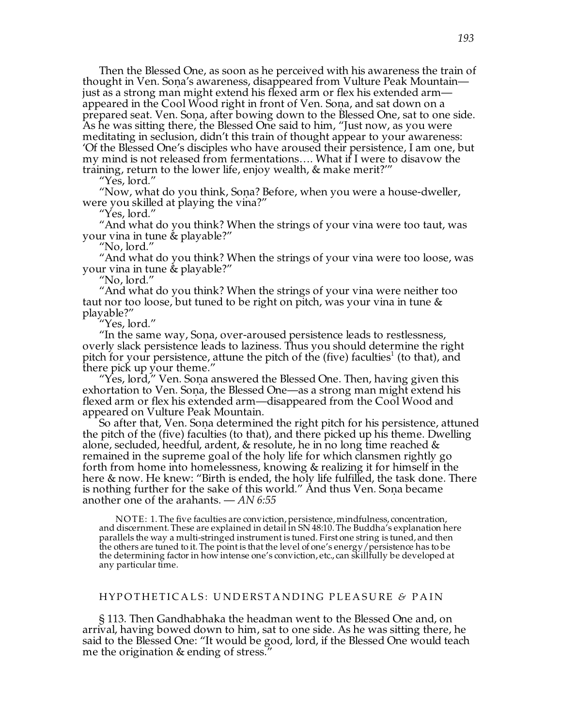Then the Blessed One, as soon as he perceived with his awareness the train of thought in Ven. Soṇa's awareness, disappeared from Vulture Peak Mountain—<br>just as a strong man might extend his flexed arm or flex his extended arm—<br>appeared in the Cool Wood right in front of Ven. Soṇa, and sat down on a prepared seat. Ven. Sona, after bowing down to the Blessed One, sat to one side. As he was sitting there, the Blessed One said to him, "Just now, as you were meditating in seclusion, didn't this train of thought appear to your awareness: 'Of the Blessed One's disciples who have aroused their persistence, I am one, but my mind is not released from fermentations…. What if I were to disavow the training, return to the lower life, enjoy wealth, & make merit?'"

"Yes, lord."

"Now, what do you think, Sona? Before, when you were a house-dweller, were you skilled at playing the vina?"

"Yes, lord."

"And what do you think? When the strings of your vina were too taut, was your vina in tune & playable?"

"No, lord."

"And what do you think? When the strings of your vina were too loose, was your vina in tune & playable?"

"No, lord."

"And what do you think? When the strings of your vina were neither too taut nor too loose, but tuned to be right on pitch, was your vina in tune  $\&$ playable?"

"Yes, lord."

"In the same way, Sona, over-aroused persistence leads to restlessness, overly slack persistence leads to laziness. Thus you should determine the right pitch for your persistence, attune the pitch of the (five) faculties<sup>1</sup> (to that), and there pick up your theme."

"Yes, lord," Ven. Sona answered the Blessed One. Then, having given this exhortation to Ven. Sona, the Blessed One—as a strong man might extend his flexed arm or flex his extended arm—disappeared from the Cool Wood and appeared on Vulture Peak Mountain.

So after that, Ven. Sona determined the right pitch for his persistence, attuned the pitch of the (five) faculties (to that), and there picked up his theme. Dwelling alone, secluded, heedful, ardent, & resolute, he in no long time reached  $\&$ remained in the supreme goal of the holy life for which clansmen rightly go forth from home into homelessness, knowing & realizing it for himself in the here & now. He knew: "Birth is ended, the holy life fulfilled, the task done. There is nothing further for the sake of this world." And thus Ven. Sona became another one of the arahants. — *AN 6:55*

NOTE: 1. The five faculties are conviction, persistence, mindfulness, concentration, and discernment. These are explained in detail in SN 48:10. The Buddha's explanation here parallels the way a multi-stringed instrument is tuned. First one string is tuned, and then the others are tuned to it. The point is that the level of one's energy/persistence has to be the determining factor in how intense one's conviction, etc., can skillfully be developed at any particular time.

## HYPOTHETICALS: UNDERSTANDING PLEASURE *&* PAIN

§ 113. Then Gandhabhaka the headman went to the Blessed One and, on arrival, having bowed down to him, sat to one side. As he was sitting there, he said to the Blessed One: "It would be good, lord, if the Blessed One would teach me the origination & ending of stress."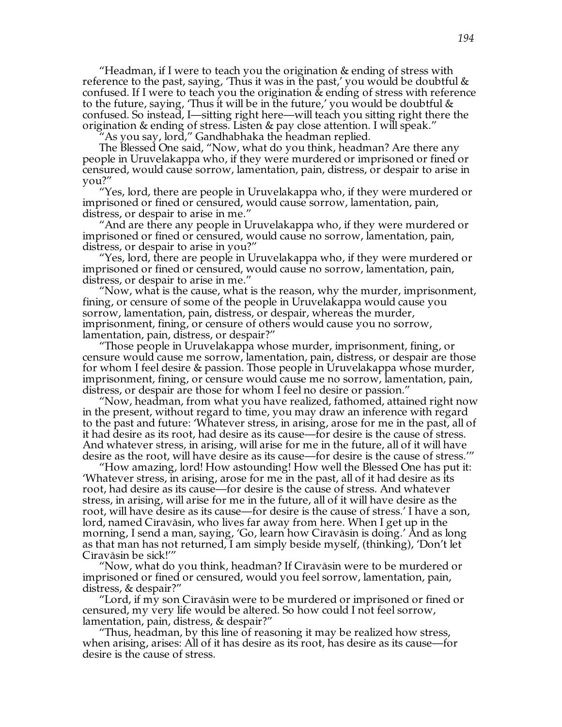"Headman, if I were to teach you the origination  $\&$  ending of stress with reference to the past, saying, 'Thus it was in the past,' you would be doubtful & confused. If I were to teach you the origination & ending of stress with reference to the future, saying, 'Thus it will be in the future,' you would be doubtful & confused. So instead, I—sitting right here—will teach you sitting right there the origination & ending of stress. Listen & pay close attention. I will speak."

"As you say, lord," Gandhabhaka the headman replied.

The Blessed One said, "Now, what do you think, headman? Are there any people in Uruvelakappa who, if they were murdered or imprisoned or fined or censured, would cause sorrow, lamentation, pain, distress, or despair to arise in you?"

"Yes, lord, there are people in Uruvelakappa who, if they were murdered or imprisoned or fined or censured, would cause sorrow, lamentation, pain, distress, or despair to arise in me."

"And are there any people in Uruvelakappa who, if they were murdered or imprisoned or fined or censured, would cause no sorrow, lamentation, pain, distress, or despair to arise in you?"

"Yes, lord, there are people in Uruvelakappa who, if they were murdered or imprisoned or fined or censured, would cause no sorrow, lamentation, pain,

distress, or despair to arise in me."<br>"Now, what is the cause, what is the reason, why the murder, imprisonment, fining, or censure of some of the people in Uruvelakappa would cause you sorrow, lamentation, pain, distress, or despair, whereas the murder, imprisonment, fining, or censure of others would cause you no sorrow, lamentation, pain, distress, or despair?"

"Those people in Uruvelakappa whose murder, imprisonment, fining, or censure would cause me sorrow, lamentation, pain, distress, or despair are those for whom I feel desire & passion. Those people in Uruvelakappa whose murder, imprisonment, fining, or censure would cause me no sorrow, lamentation, pain, distress, or despair are those for whom I feel no desire or passion."

"Now, headman, from what you have realized, fathomed, attained right now in the present, without regard to time, you may draw an inference with regard to the past and future: 'Whatever stress, in arising, arose for me in the past, all of it had desire as its root, had desire as its cause—for desire is the cause of stress. And whatever stress, in arising, will arise for me in the future, all of it will have desire as the root, will have desire as its cause—for desire is the cause of stress.'"

"How amazing, lord! How astounding! How well the Blessed One has put it: 'Whatever stress, in arising, arose for me in the past, all of it had desire as its root, had desire as its cause—for desire is the cause of stress. And whatever stress, in arising, will arise for me in the future, all of it will have desire as the root, will have desire as its cause—for desire is the cause of stress.' I have a son, lord, named Ciravāsin, who lives far away from here. When I get up in the morning, I send a man, saying, 'Go, learn how Ciravāsin is doing.' And as long as that man has not returned, I am simply beside myself, (thinking), 'Don't let Ciravāsin be sick!'"

"Now, what do you think, headman? If Ciravāsin were to be murdered or imprisoned or fined or censured, would you feel sorrow, lamentation, pain, distress, & despair?"

"Lord, if my son Ciravāsin were to be murdered or imprisoned or fined or censured, my very life would be altered. So how could I not feel sorrow,

lamentation, pain, distress, & despair?" "Thus, headman, by this line of reasoning it may be realized how stress, when arising, arises: All of it has desire as its root, has desire as its cause—for desire is the cause of stress.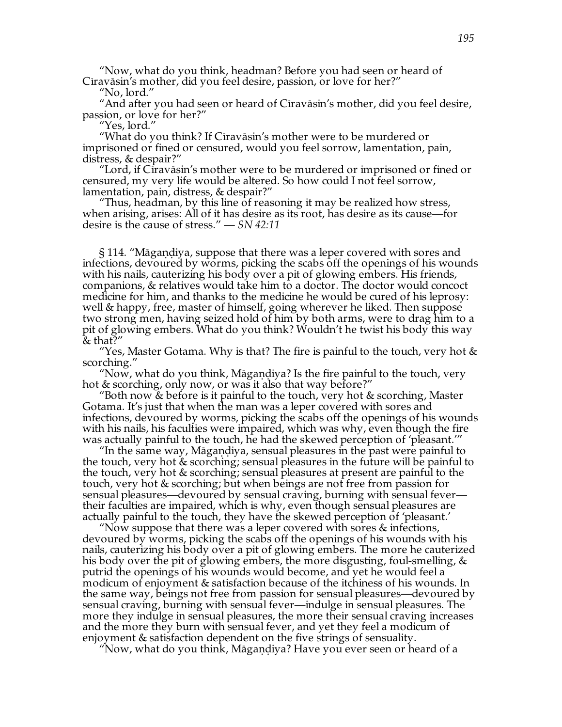"Now, what do you think, headman? Before you had seen or heard of Ciravāsin's mother, did you feel desire, passion, or love for her?"

"No, lord."

"And after you had seen or heard of Ciravāsin's mother, did you feel desire, passion, or love for her?"

"Yes, lord."

"What do you think? If Ciravāsin's mother were to be murdered or imprisoned or fined or censured, would you feel sorrow, lamentation, pain, distress, & despair?"

"Lord, if Ciravāsin's mother were to be murdered or imprisoned or fined or censured, my very life would be altered. So how could I not feel sorrow, lamentation, pain, distress, & despair?"

"Thus, headman, by this line of reasoning it may be realized how stress, when arising, arises: All of it has desire as its root, has desire as its cause—for desire is the cause of stress." — *SN 42:11*

 $\S 114.$  "Magandiya, suppose that there was a leper covered with sores and infections, devoured by worms, picking the scabs off the openings of his wounds with his nails, cauterizing his body over a pit of glowing embers. His friends, companions, & relatives would take him to a doctor. The doctor would concoct medicine for him, and thanks to the medicine he would be cured of his leprosy: well & happy, free, master of himself, going wherever he liked. Then suppose two strong men, having seized hold of him by both arms, were to drag him to a pit of glowing embers. What do you think? Wouldn't he twist his body this way & that?"

"Yes, Master Gotama. Why is that? The fire is painful to the touch, very hot  $\&$ 

scorching."<br>"Now, what do you think, Māgandiya? Is the fire painful to the touch, very hot & scorching, only now, or was it also that way before?"

"Both now & before is it painful to the touch, very hot & scorching, Master Gotama. It's just that when the man was a leper covered with sores and infections, devoured by worms, picking the scabs off the openings of his wounds with his nails, his faculties were impaired, which was why, even though the fire was actually painful to the touch, he had the skewed perception of 'pleasant.'"

"In the same way, Magandiya, sensual pleasures in the past were painful to the touch, very hot & scorching; sensual pleasures in the future will be painful to the touch, very hot & scorching; sensual pleasures at present are painful to the touch, very hot & scorching; but when beings are not free from passion for sensual pleasures—devoured by sensual craving, burning with sensual fever their faculties are impaired, which is why, even though sensual pleasures are actually painful to the touch, they have the skewed perception of 'pleasant.'

"Now suppose that there was a leper covered with sores & infections, devoured by worms, picking the scabs off the openings of his wounds with his nails, cauterizing his body over a pit of glowing embers. The more he cauterized his body over the pit of glowing embers, the more disgusting, foul-smelling, & putrid the openings of his wounds would become, and yet he would feel a modicum of enjoyment & satisfaction because of the itchiness of his wounds. In the same way, beings not free from passion for sensual pleasures—devoured by sensual craving, burning with sensual fever—indulge in sensual pleasures. The more they indulge in sensual pleasures, the more their sensual craving increases and the more they burn with sensual fever, and yet they feel a modicum of enjoyment & satisfaction dependent on the five strings of sensuality.<br>"Now, what do you think, Māgandiya? Have you ever seen or heard of a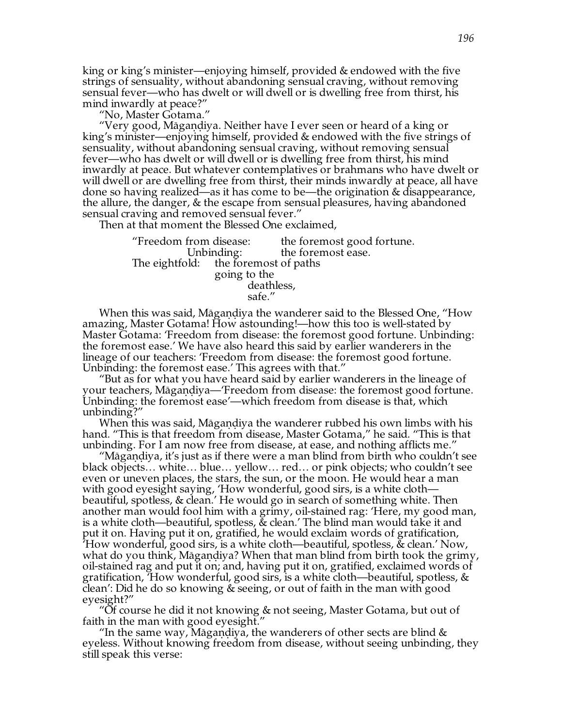king or king's minister—enjoying himself, provided & endowed with the five strings of sensuality, without abandoning sensual craving, without removing sensual fever—who has dwelt or will dwell or is dwelling free from thirst, his mind inwardly at peace?"

"No, Master Gotama."

"Very good, Māgaṇḍiya. Neither have I ever seen or heard of a king or king's minister—enjoying himself, provided & endowed with the five strings of sensuality, without abandoning sensual craving, without removing sensual fever—who has dwelt or will dwell or is dwelling free from thirst, his mind inwardly at peace. But whatever contemplatives or brahmans who have dwelt or will dwell or are dwelling free from thirst, their minds inwardly at peace, all have done so having realized—as it has come to be—the origination & disappearance, the allure, the danger, & the escape from sensual pleasures, having abandoned sensual craving and removed sensual fever."

Then at that moment the Blessed One exclaimed,

"Freedom from disease: the foremost good fortune. Unbinding: the foremost ease. The eightfold: the foremost of paths going to the deathless, safe."

When this was said, Māgandiya the wanderer said to the Blessed One, "How amazing, Master Gotama! How astounding!—how this too is well-stated by Master Gotama: 'Freedom from disease: the foremost good fortune. Unbinding: the foremost ease.' We have also heard this said by earlier wanderers in the lineage of our teachers: 'Freedom from disease: the foremost good fortune. Unbinding: the foremost ease.' This agrees with that."

"But as for what you have heard said by earlier wanderers in the lineage of your teachers, Māgandiya—'Freedom from disease: the foremost good fortune. Unbinding: the foremost ease'—which freedom from disease is that, which unbinding?"

When this was said, Māgandiya the wanderer rubbed his own limbs with his hand. "This is that freedom from disease, Master Gotama," he said. "This is that unbinding. For I am now free from disease, at ease, and nothing afflicts me."

"Magandiya, it's just as if there were a man blind from birth who couldn't see black objects… white… blue… yellow… red… or pink objects; who couldn't see even or uneven places, the stars, the sun, or the moon. He would hear a man with good eyesight saying, 'How wonderful, good sirs, is a white cloth beautiful, spotless, & clean.' He would go in search of something white. Then another man would fool him with a grimy, oil-stained rag: 'Here, my good man, is a white cloth—beautiful, spotless, & clean.' The blind man would take it and put it on. Having put it on, gratified, he would exclaim words of gratification, 'How wonderful, good sirs, is a white cloth—beautiful, spotless, & clean.' Now, what do you think, Māgandiya? When that man blind from birth took the grimy, oil-stained rag and put it on; and, having put it on, gratified, exclaimed words of gratification, 'How wonderful, good sirs, is a white cloth—beautiful, spotless, & clean': Did he do so knowing & seeing, or out of faith in the man with good eyesight?"

"Of course he did it not knowing & not seeing, Master Gotama, but out of faith in the man with good eyesight."

"In the same way, Magandiya, the wanderers of other sects are blind  $\&$ eyeless. Without knowing freedom from disease, without seeing unbinding, they still speak this verse: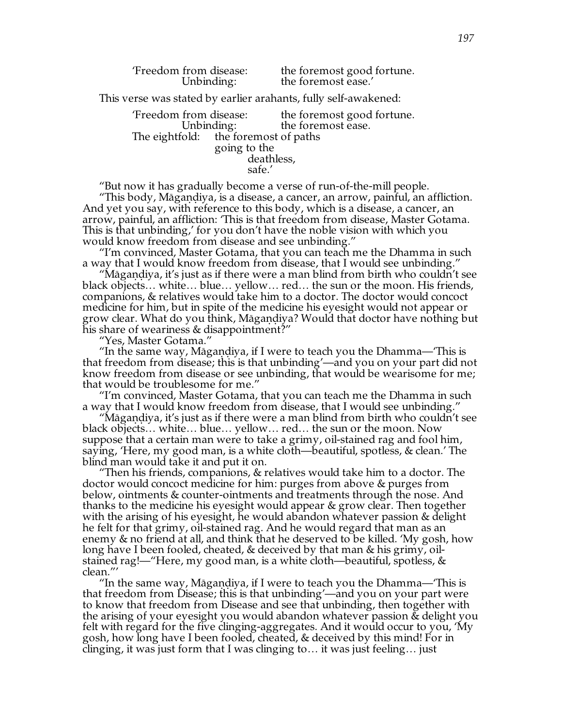'Freedom from disease: the foremost good fortune. Unbinding: the foremost ease.'

This verse was stated by earlier arahants, fully self-awakened:

'Freedom from disease: the foremost good fortune. Unbinding: the foremost ease. The eightfold: the foremost of paths going to the deathless, safe.'

"But now it has gradually become a verse of run-of-the-mill people.

"This body, Māgandiya, is a disease, a cancer, an arrow, painful, an affliction. And yet you say, with reference to this body, which is a disease, a cancer, an arrow, painful, an affliction: 'This is that freedom from disease, Master Gotama. This is that unbinding,' for you don't have the noble vision with which you would know freedom from disease and see unbinding."

"I'm convinced, Master Gotama, that you can teach me the Dhamma in such a way that I would know freedom from disease, that I would see unbinding."

"Māgandiya, it's just as if there were a man blind from birth who couldn't see black objects… white… blue… yellow… red… the sun or the moon. His friends, companions, & relatives would take him to a doctor. The doctor would concoct medicine for him, but in spite of the medicine his eyesight would not appear or grow clear. What do you think, Magandiya? Would that doctor have nothing but his share of weariness & disappointment?"

"Yes, Master Gotama."

"In the same way, Magandiya, if I were to teach you the Dhamma— $\gamma$ This is that freedom from disease; this is that unbinding'—and you on your part did not know freedom from disease or see unbinding, that would be wearisome for me; that would be troublesome for me."

"I'm convinced, Master Gotama, that you can teach me the Dhamma in such a way that I would know freedom from disease, that I would see unbinding."

"Māgandiya, it's just as if there were a man blind from birth who couldn't see black objects… white… blue… yellow… red… the sun or the moon. Now suppose that a certain man were to take a grimy, oil-stained rag and fool him, saying, 'Here, my good man, is a white cloth—beautiful, spotless, & clean.' The blind man would take it and put it on.

"Then his friends, companions,  $\&$  relatives would take him to a doctor. The doctor would concoct medicine for him: purges from above & purges from below, ointments & counter-ointments and treatments through the nose. And thanks to the medicine his eyesight would appear & grow clear. Then together with the arising of his eyesight, he would abandon whatever passion & delight he felt for that grimy, oil-stained rag. And he would regard that man as an enemy & no friend at all, and think that he deserved to be killed. 'My gosh, how long have I been fooled, cheated, & deceived by that man & his grimy, oilstained rag!—"Here, my good man, is a white cloth—beautiful, spotless, & clean."'

"In the same way, Māgandiya, if I were to teach you the Dhamma—'This is that freedom from Disease; this is that unbinding'—and you on your part were to know that freedom from Disease and see that unbinding, then together with the arising of your eyesight you would abandon whatever passion  $\bar{\mathbf{x}}$  delight you felt with regard for the five clinging-aggregates. And it would occur to you, 'My gosh, how long have I been fooled, cheated, & deceived by this mind! For in clinging, it was just form that I was clinging to… it was just feeling… just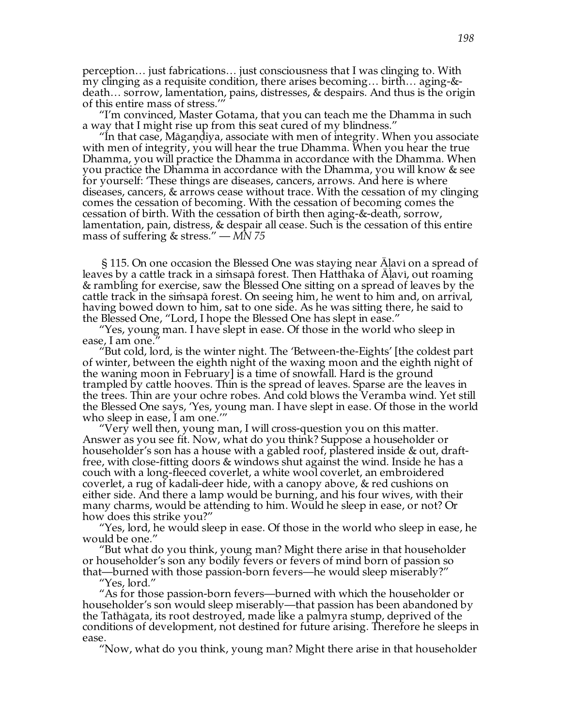perception… just fabrications… just consciousness that I was clinging to. With my clinging as a requisite condition, there arises becoming… birth… aging-&- death… sorrow, lamentation, pains, distresses, & despairs. And thus is the origin of this entire mass of stress.'"

"I'm convinced, Master Gotama, that you can teach me the Dhamma in such a way that I might rise up from this seat cured of my blindness."

"In that case, Māgandiya, associate with men of integrity. When you associate with men of integrity, you will hear the true Dhamma. When you hear the true Dhamma, you will practice the Dhamma in accordance with the Dhamma. When you practice the Dhamma in accordance with the Dhamma, you will know & see for yourself: 'These things are diseases, cancers, arrows. And here is where diseases, cancers, & arrows cease without trace. With the cessation of my clinging comes the cessation of becoming. With the cessation of becoming comes the cessation of birth. With the cessation of birth then aging-&-death, sorrow, lamentation, pain, distress, & despair all cease. Such is the cessation of this entire mass of suffering & stress." — *MN 75*

§ 115. On one occasion the Blessed One was staying near Alavi on a spread of leaves by a cattle track in a simsapa forest. Then Hatthaka of Alavi, out roaming & rambling for exercise, saw the Blessed One sitting on a spread of leaves by the cattle track in the simsapa forest. On seeing him, he went to him and, on arrival, having bowed down to him, sat to one side. As he was sitting there, he said to the Blessed One, "Lord, I hope the Blessed One has slept in ease."

"Yes, young man. I have slept in ease. Of those in the world who sleep in ease, I am one.

"But cold, lord, is the winter night. The 'Between-the-Eights' [the coldest part of winter, between the eighth night of the waxing moon and the eighth night of the waning moon in February] is a time of snowfall. Hard is the ground trampled by cattle hooves. Thin is the spread of leaves. Sparse are the leaves in the trees. Thin are your ochre robes. And cold blows the Veramba wind. Yet still the Blessed One says, 'Yes, young man. I have slept in ease. Of those in the world who sleep in ease, I am one.'"

"Very well then, young man, I will cross-question you on this matter. Answer as you see fit. Now, what do you think? Suppose a householder or householder's son has a house with a gabled roof, plastered inside & out, draftfree, with close-fitting doors & windows shut against the wind. Inside he has a couch with a long-fleeced coverlet, a white wool coverlet, an embroidered coverlet, a rug of kadali-deer hide, with a canopy above, & red cushions on either side. And there a lamp would be burning, and his four wives, with their many charms, would be attending to him. Would he sleep in ease, or not? Or how does this strike you?"

"Yes, lord, he would sleep in ease. Of those in the world who sleep in ease, he would be one."

"But what do you think, young man? Might there arise in that householder or householder's son any bodily fevers or fevers of mind born of passion so that—burned with those passion-born fevers—he would sleep miserably?"

"Yes, lord."

"As for those passion-born fevers—burned with which the householder or householder's son would sleep miserably—that passion has been abandoned by the Tathāgata, its root destroyed, made like a palmyra stump, deprived of the conditions of development, not destined for future arising. Therefore he sleeps in ease.

"Now, what do you think, young man? Might there arise in that householder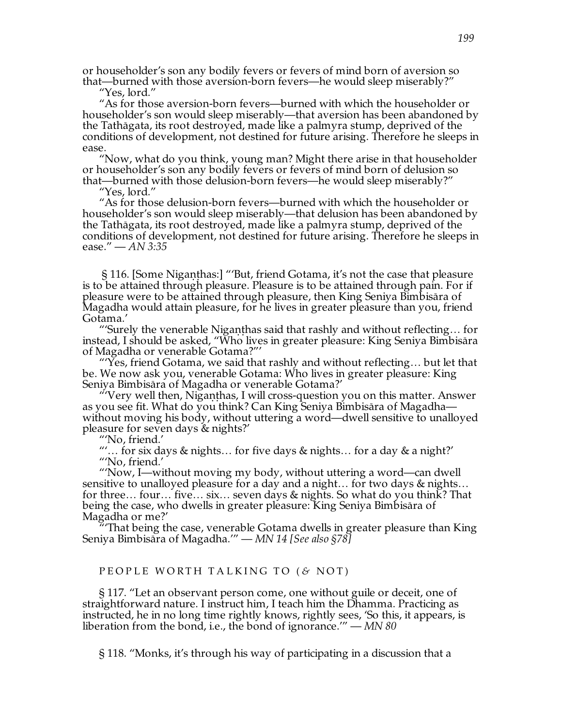or householder's son any bodily fevers or fevers of mind born of aversion so that—burned with those aversion-born fevers—he would sleep miserably?"

"Yes, lord."

"As for those aversion-born fevers—burned with which the householder or householder's son would sleep miserably—that aversion has been abandoned by the Tathāgata, its root destroyed, made like a palmyra stump, deprived of the conditions of development, not destined for future arising. Therefore he sleeps in ease.

"Now, what do you think, young man? Might there arise in that householder or householder's son any bodily fevers or fevers of mind born of delusion so that—burned with those delusion-born fevers—he would sleep miserably?"

"Yes, lord."

"As for those delusion-born fevers—burned with which the householder or householder's son would sleep miserably—that delusion has been abandoned by the Tathāgata, its root destroyed, made like a palmyra stump, deprived of the conditions of development, not destined for future arising. Therefore he sleeps in ease." — *AN 3:35*

§ 116. [Some Niganthas:] "'But, friend Gotama, it's not the case that pleasure is to be attained through pleasure. Pleasure is to be attained through pain. For if pleasure were to be attained through pleasure, then King Seniya Bimbisāra of Magadha would attain pleasure, for he lives in greater pleasure than you, friend Gotama.'

"'Surely the venerable Niganthas said that rashly and without reflecting... for instead, I should be asked, "Who lives in greater pleasure: King Seniya Bimbisāra of Magadha or venerable Gotama?"'

" $\gamma$ es, friend Gotama, we said that rashly and without reflecting... but let that be. We now ask you, venerable Gotama: Who lives in greater pleasure: King Seniya Bimbisāra of Magadha or venerable Gotama?'

"Very well then, Niganthas, I will cross-question you on this matter. Answer as you see fit. What do you think? Can King Seniya Bimbisāra of Magadha without moving his body, without uttering a word—dwell sensitive to unalloyed pleasure for seven days & nights?'

"'No, friend.'

"'… for six days & nights… for five days & nights… for a day & a night?' "'No, friend.'

"'Now, I—without moving my body, without uttering a word—can dwell sensitive to unalloyed pleasure for a day and a night… for two days & nights… for three… four… five… six… seven days & nights. So what do you think? That being the case, who dwells in greater pleasure: King Seniya Bimbisāra of Magadha or me?'

"'That being the case, venerable Gotama dwells in greater pleasure than King Seniya Bimbisāra of Magadha.''' — *MN 14 [See also §78]* 

## P EOPLE WORTH TALKING TO ( *&* NOT)

§ 117. "Let an observant person come, one without guile or deceit, one of straightforward nature. I instruct him, I teach him the Dhamma. Practicing as instructed, he in no long time rightly knows, rightly sees, 'So this, it appears, is liberation from the bond, i.e., the bond of ignorance.'" — *MN 80*

§ 118. "Monks, it's through his way of participating in a discussion that a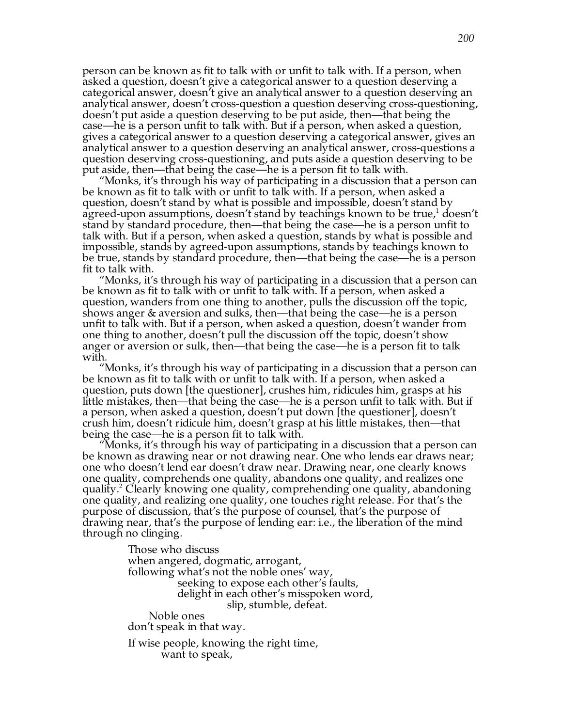person can be known as fit to talk with or unfit to talk with. If a person, when asked a question, doesn't give a categorical answer to a question deserving a categorical answer, doesn't give an analytical answer to a question deserving an analytical answer, doesn't cross-question a question deserving cross-questioning, doesn't put aside a question deserving to be put aside, then—that being the case—he is a person unfit to talk with. But if a person, when asked a question, gives a categorical answer to a question deserving a categorical answer, gives an analytical answer to a question deserving an analytical answer, cross-questions a question deserving cross-questioning, and puts aside a question deserving to be put aside, then—that being the case—he is a person fit to talk with.

"Monks, it's through his way of participating in a discussion that a person can be known as fit to talk with or unfit to talk with. If a person, when asked a question, doesn't stand by what is possible and impossible, doesn't stand by agreed-upon assumptions, doesn't stand by teachings known to be true,<sup>1</sup> doesn't stand by standard procedure, then—that being the case—he is a person unfit to talk with. But if a person, when asked a question, stands by what is possible and impossible, stands by agreed-upon assumptions, stands by teachings known to be true, stands by standard procedure, then—that being the case—he is a person fit to talk with.

"Monks, it's through his way of participating in a discussion that a person can be known as fit to talk with or unfit to talk with. If a person, when asked a question, wanders from one thing to another, pulls the discussion off the topic, shows anger & aversion and sulks, then—that being the case—he is a person unfit to talk with. But if a person, when asked a question, doesn't wander from one thing to another, doesn't pull the discussion off the topic, doesn't show anger or aversion or sulk, then—that being the case—he is a person fit to talk with.

"Monks, it's through his way of participating in a discussion that a person can be known as fit to talk with or unfit to talk with. If a person, when asked a question, puts down [the questioner], crushes him, ridicules him, grasps at his little mistakes, then—that being the case—he is a person unfit to talk with. But if a person, when asked a question, doesn't put down [the questioner], doesn't crush him, doesn't ridicule him, doesn't grasp at his little mistakes, then—that being the case—he is a person fit to talk with.

"Monks, it's through his way of participating in a discussion that a person can be known as drawing near or not drawing near. One who lends ear draws near; one who doesn't lend ear doesn't draw near. Drawing near, one clearly knows one quality, comprehends one quality, abandons one quality, and realizes one quality.2 Clearly knowing one quality, comprehending one quality, abandoning one quality, and realizing one quality, one touches right release. For that's the purpose of discussion, that's the purpose of counsel, that's the purpose of drawing near, that's the purpose of lending ear: i.e., the liberation of the mind through no clinging.

> Those who discuss when angered, dogmatic, arrogant, following what's not the noble ones' way, seeking to expose each other's faults, delight in each other's misspoken word, slip, stumble, defeat. Noble ones don't speak in that way.

If wise people, knowing the right time, want to speak,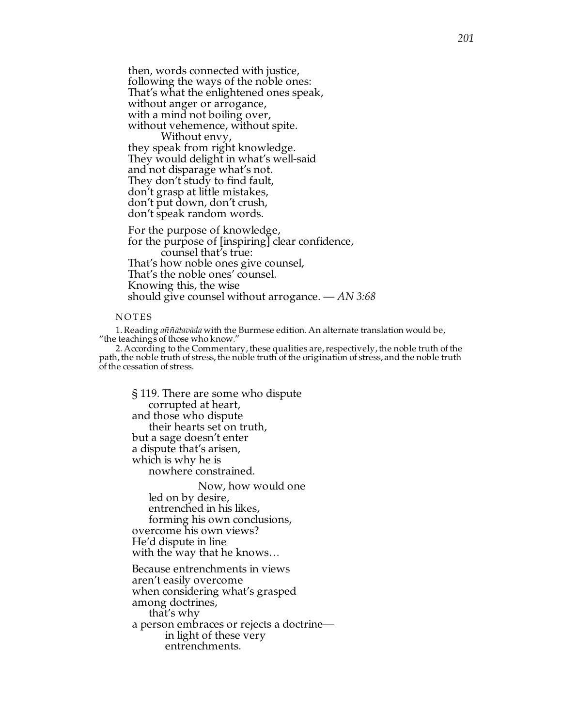then, words connected with justice, following the ways of the noble ones: That's what the enlightened ones speak, without anger or arrogance, with a mind not boiling over, without vehemence, without spite.

Without envy,<br>they speak from right knowledge. They would delight in what's well-said and not disparage what's not. They don't study to find fault, don't grasp at little mistakes, don't put down, don't crush, don't speak random words.

For the purpose of knowledge, for the purpose of [inspiring] clear confidence, counsel that's true: That's how noble ones give counsel, That's the noble ones' counsel. Knowing this, the wise should give counsel without arrogance. *— AN 3:68*

## NOTES

1. Reading *añ ñātavāda* with the Burmese edition. An alternate translation would be, "the teachings of those who know."

2. According to the Commentary, these qualities are, respectively, the noble truth of the path, the noble truth of stress, the noble truth of the origination of stress, and the noble truth of the cessation of stress.

§ 119. There are some who dispute corrupted at heart, and those who dispute their hearts set on truth, but a sage doesn't enter a dispute that's arisen, which is why he is nowhere constrained.

Now, how would one led on by desire, entrenched in his likes, forming his own conclusions, overcome his own views? He'd dispute in line with the way that he knows…

Because entrenchments in views aren't easily overcome when considering what's grasped among doctrines, that's why a person embraces or rejects a doctrine— in light of these very entrenchments.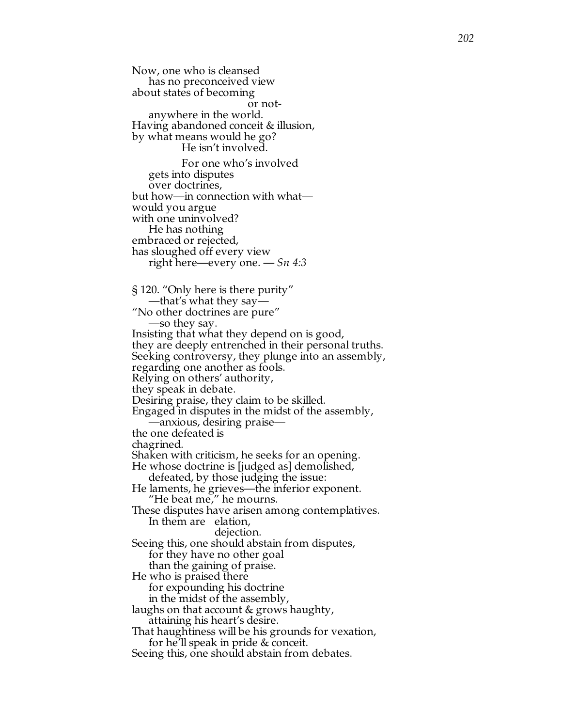Now, one who is cleansed has no preconceived view about states of becoming or not anywhere in the world. Having abandoned conceit & illusion, by what means would he go? He isn't involved. For one who's involved gets into disputes over doctrines, but how —in connection with what — would you argue with one uninvolved? He has nothing embraced or rejected, has sloughed off every view right here —every one. — *Sn 4:3* § 120. "Only here is there purity" —that's what they say— "No other doctrines are pure" —so they say. Insisting that what they depend on is good, they are deeply entrenched in their personal truths. Seeking controversy, they plunge into an assembly, regarding one another as fools. Relying on others' authority, they speak in debate. Desiring praise, they claim to be skilled. Engaged in disputes in the midst of the assembly, —anxious, desiring praise the one defeated is chagrined. Shaken with criticism, he seeks for an opening. He whose doctrine is [judged as] demolished, defeated, by those judging the issue: He laments, he grieves —the inferior exponent. "He beat me," he mourns. These disputes have arisen among contemplatives. In them are elation, dejection. Seeing this, one should abstain from disputes, for they have no other goal than the gaining of praise. He who is praised there for expounding his doctrine in the midst of the assembly, laughs on that account & grows haughty, attaining his heart's desire. That haughtiness will be his grounds for vexation, for he'll speak in pride & conceit. Seeing this, one should abstain from debates.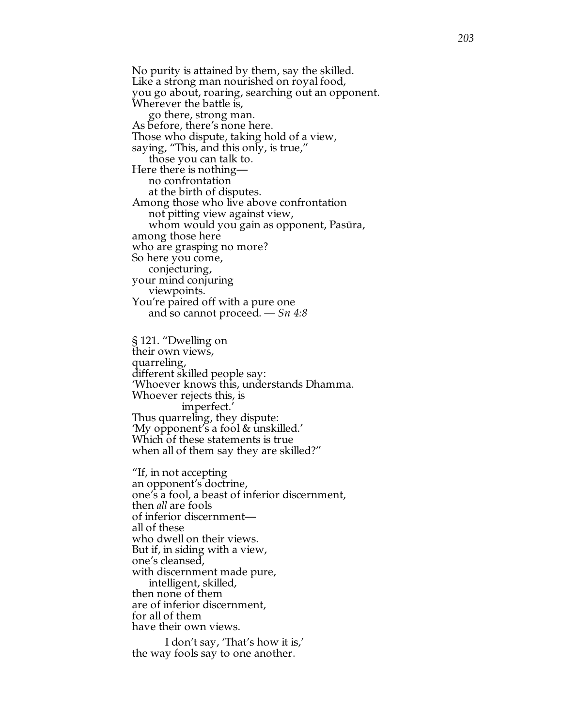No purity is attained by them, say the skilled. Like a strong man nourished on royal food, you go about, roaring, searching out an opponent. Wherever the battle is, go there, strong man. As before, there's none here. Those who dispute, taking hold of a view, saying, "This, and this only, is true," those you can talk to. Here there is nothing — no confrontation at the birth of disputes. Among those who live above confrontation not pitting view against view, whom would you gain as opponent, Pasūra, among those here who are grasping no more? So here you come, conjecturing, your mind conjuring viewpoints. You're paired off with a pure one and so cannot proceed. — *Sn 4:8* § 121. "Dwelling on

their own views, quarreling, different skilled people say: 'Whoever knows this, understands Dhamma. Whoever rejects this, is imperfect.' Thus quarreling, they dispute: 'My opponent's a fool & unskilled.' Which of these statements is true when all of them say they are skilled?"

"If, in not accepting an opponent's doctrine, one's a fool, a beast of inferior discernment, then *all* are fools of inferior discernment all of these who dwell on their views. But if, in siding with a view, one's cleansed, with discernment made pure, intelligent, skilled, then none of them are of inferior discernment, for all of them have their own views.

I don't say, 'That's how it is,' the way fools say to one another.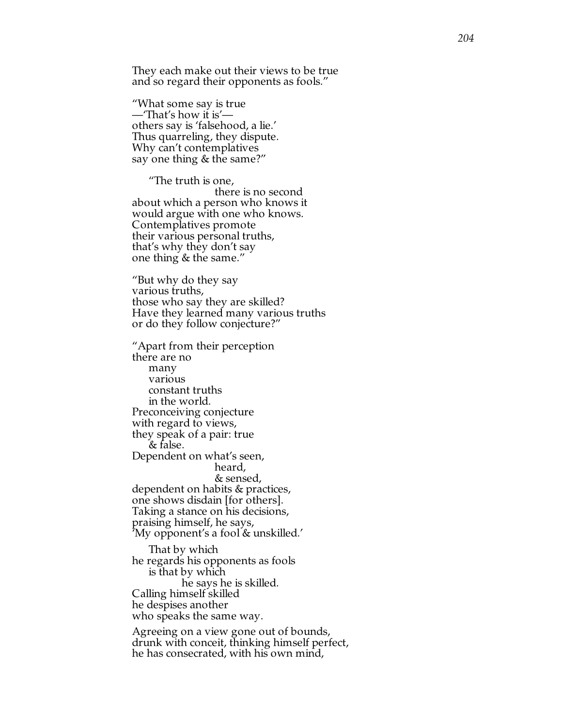They each make out their views to be true and so regard their opponents as fools."

"What some say is true<br>—'That's how it is'—<br>others say is 'falsehood, a lie.' Thus quarreling, they dispute. Why can't contemplatives say one thing & the same?"

"The truth is one, there is no second about which a person who knows it would argue with one who knows. Contemplatives promote their various personal truths, that's why they don't say one thing & the same."

"But why do they sa y various truths, those who say they are skilled? Have they learned many various truths or do they follow conjecture?"

"Apart from their perception there are no many various constant truths in the world. Preconceiving conjecture with regard to views, they speak of a pair: true & false. Dependent on what's seen, heard, & sensed, dependent on habits & practices, one shows disdain [for others]. Taking a stance on his decisions, praising himself, he says, 'My opponent's a fool & unskilled.' That by which he regards his opponents as fools is that by which he says he is skilled. Calling himself skilled he despises another

who speaks the same way.

Agreeing on a view gone out of bounds, drunk with conceit, thinking himself perfect, he has consecrated, with his own mind,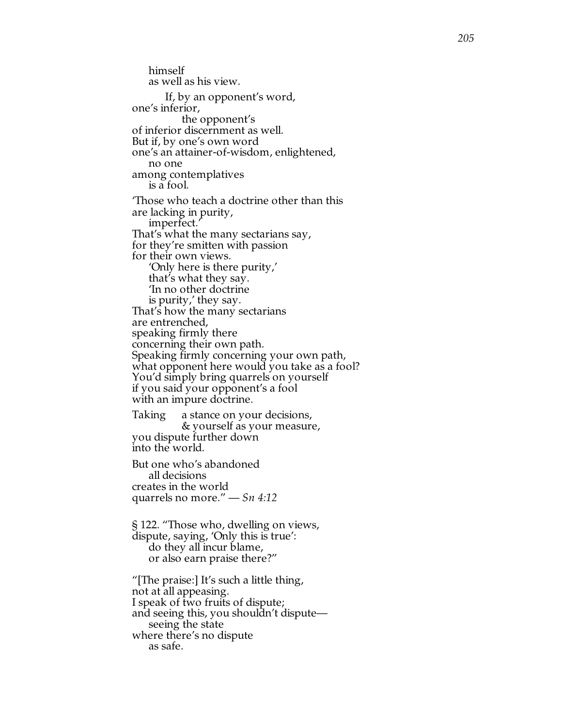himself as well as his view. If, by an opponent's word, one's inferior, the opponent's of inferior discernment as well. But if, by one's own word one's an attainer -of -wisdom, enlightened, no one among contemplatives is a fool. 'Those who teach a doctrine other than this are lacking in purity, imperfect.' That's what the many sectarians say, for they're smitten with passion for their own views. 'Only here is there purity,' that's what they say. 'In no other doctrine is purity,' they say. That's how the many sectarians are entrenched, speaking firmly there concerning their own path. Speaking firmly concerning your own path, what opponent here would you take as a fool? You'd simply bring quarrels on yourself if you said your opponent's a fool with an impure doctrine. Taking a stance on your decisions, & yourself as your measure, you dispute further down into the world. But one who's abandoned all decisions creates in the world quarrels no more." — *Sn 4:12* § 122. "Those who, dwelling on views, dispute, saying, 'Only this is true': do they all incur blame, or also earn praise there?" "[The praise:] It's such a little thing, not at all appeasing. I speak of two fruits of dispute; and seeing this, you shouldn't dispute seeing the state where there's no dispute

as safe.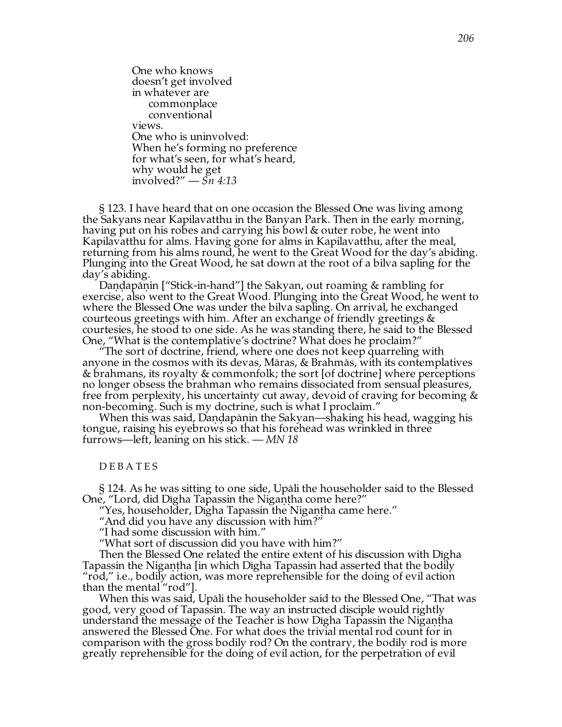One who knows doesn't get involved in whatever are commonplace conventional views. One who is uninvolved: When he's forming no preference for what's seen, for what's heard, why would he get involved?" — *Sn 4:13*

§ 123. I have heard that on one occasion the Blessed One was living among the Sakyans near Kapilavatthu in the Banyan Park. Then in the early morning, having put on his robes and carrying his bowl & outer robe, he went into Kapilavatthu for alms. Having gone for alms in Kapilavatthu, after the meal, returning from his alms round, he went to the Great Wood for the day's abiding. Plunging into the Great Wood, he sat down at the root of a bilva sapling for the day's abiding.

Daṇḍapāṇin ["Stick-in-hand"] the Sakyan, out roaming & rambling for exercise, also went to the Great Wood. Plunging into the Great Wood, he went to where the Blessed One was under the bilva sapling. On arrival, he exchanged courteous greetings with him. After an exchange of friendly greetings & courtesies, he stood to one side. As he was standing there, he said to the Blessed One, "What is the contemplative's doctrine? What does he proclaim?"

"The sort of doctrine, friend, where one does not keep quarreling with anyone in the cosmos with its devas, Māras, & Brahmās, with its contemplatives & brahmans, its royalty & commonfolk; the sort [of doctrine] where perceptions no longer obsess the brahman who remains dissociated from sensual pleasures, free from perplexity, his uncertainty cut away, devoid of craving for becoming & non-becoming. Such is my doctrine, such is what I proclaim."

When this was said, Dandapānin the Sakyan—shaking his head, wagging his tongue, raising his eyebrows so that his forehead was wrinkled in three furrows—left, leaning on his stick. — *MN 18*

DEBATES

§ 124. As he was sitting to one side, Upāli the householder said to the Blessed One, "Lord, did Digha Tapassin the Nigantha come here?"

"Yes, householder, Digha Tapassin the Nigantha came here."

"And did you have any discussion with him?"

"I had some discussion with him."

"What sort of discussion did you have with him?"

Then the Blessed One related the entire extent of his discussion with Dıgha Tapassin the Nigantha [in which Digha Tapassin had asserted that the bodily "rod," i.e., bodily action, was more reprehensible for the doing of evil action than the mental "rod"].

When this was said, Upāli the householder said to the Blessed One, "That was good, very good of Tapassin. The way an instructed disciple would rightly understand the message of the Teacher is how Digha Tapassin the Nigantha answered the Blessed One. For what does the trivial mental rod count for in comparison with the gross bodily rod? On the contrary, the bodily rod is more greatly reprehensible for the doing of evil action, for the perpetration of evil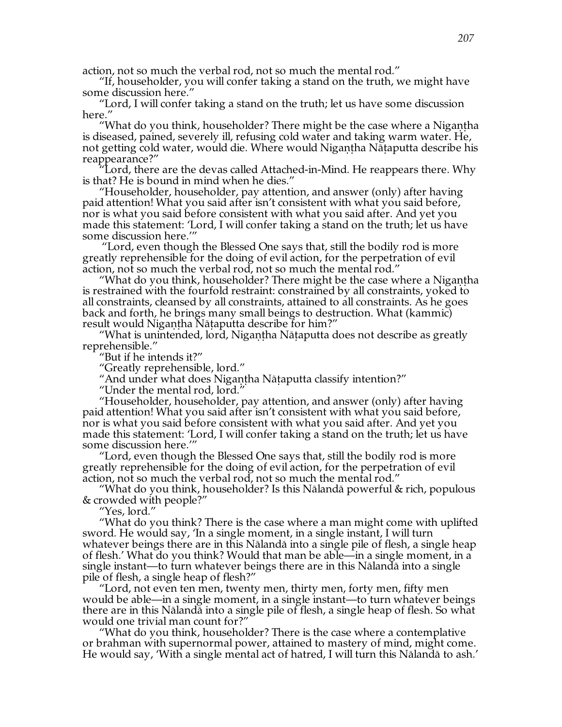action, not so much the verbal rod, not so much the mental rod."

"If, householder, you will confer taking a stand on the truth, we might have some discussion here."

"Lord, I will confer taking a stand on the truth; let us have some discussion here."

"What do you think, householder? There might be the case where a Nigantha is diseased, pained, severely ill, refusing cold water and taking warm water. He, not getting cold water, would die. Where would Nigantha Nātaputta describe his reappearance?"

"Lord, there are the devas called Attached-in-Mind. He reappears there. Why is that? He is bound in mind when he dies."

"Householder, householder, pay attention, and answer (only) after having paid attention! What you said after isn't consistent with what you said before, nor is what you said before consistent with what you said after. And yet you made this statement: 'Lord, I will confer taking a stand on the truth; let us have some discussion here.'"

 "Lord, even though the Blessed One says that, still the bodily rod is more greatly reprehensible for the doing of evil action, for the perpetration of evil action, not so much the verbal rod, not so much the mental rod."

"What do you think, householder? There might be the case where a Nigantha is restrained with the fourfold restraint: constrained by all constraints, yoked to all constraints, cleansed by all constraints, attained to all constraints. As he goes back and forth, he brings many small beings to destruction. What (kammic) result would Nigantha Nātaputta describe for him?"

"What is unintended, lord, Nigantha Nātaputta does not describe as greatly reprehensible."

"But if he intends it?"

"Greatly reprehensible, lord."

"And under what does Nigantha Nātaputta classify intention?"

"Under the mental rod, lord."

"Householder, householder, pay attention, and answer (only) after having paid attention! What you said after isn't consistent with what you said before, nor is what you said before consistent with what you said after. And yet you made this statement: 'Lord, I will confer taking a stand on the truth; let us have some discussion here.'"

"Lord, even though the Blessed One says that, still the bodily rod is more greatly reprehensible for the doing of evil action, for the perpetration of evil action, not so much the verbal rod, not so much the mental rod."

"What do you think, householder? Is this Nālandā powerful & rich, populous & crowded with people?"

"Yes, lord."

"What do you think? There is the case where a man might come with uplifted sword. He would say, 'In a single moment, in a single instant, I will turn whatever beings there are in this Nālandā into a single pile of flesh, a single heap of flesh.' What do you think? Would that man be able—in a single moment, in a single instant—to turn whatever beings there are in this Nālandā into a single pile of flesh, a single heap of flesh?"

"Lord, not even ten men, twenty men, thirty men, forty men, fifty men would be able—in a single moment, in a single instant—to turn whatever beings there are in this Nālandā into a single pile of flesh, a single heap of flesh. So what would one trivial man count for?"

"What do you think, householder? There is the case where a contemplative or brahman with supernormal power, attained to mastery of mind, might come. He would say, 'With a single mental act of hatred, I will turn this Nālandā to ash.'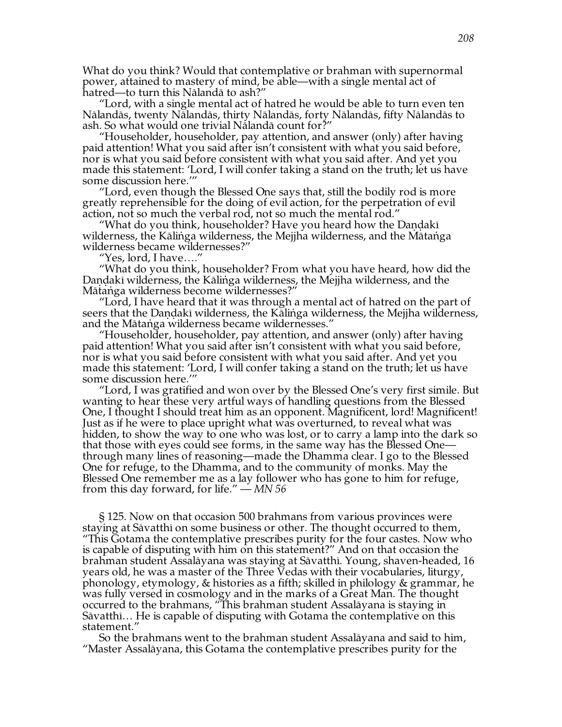What do you think? Would that contemplative or brahman with supernormal power, attained to mastery of mind, be able—with a single mental act of hatred—to turn this Nālandā to ash?"

"Lord, with a single mental act of hatred he would be able to turn even ten Nālandās, twenty Nālandās, thirty Nālandās, forty Nālandās, fifty Nālandās to ash. So what would one trivial Nālandā count for?"

"Householder, householder, pay attention, and answer (only) after having paid attention! What you said after isn't consistent with what you said before, nor is what you said before consistent with what you said after. And yet you made this statement: 'Lord, I will confer taking a stand on the truth; let us have some discussion here.'"

"Lord, even though the Blessed One says that, still the bodily rod is more greatly reprehensible for the doing of evil action, for the perpetration of evil action, not so much the verbal rod, not so much the mental rod."

"What do you think, householder? Have you heard how the Dandaki wilderness, the Kālinga wilderness, the Mejjha wilderness, and the Mātanga wilderness became wildernesses?"

"Yes, lord, I have…."

"What do you think, householder? From what you have heard, how did the Dandaki wilderness, the Kālinga wilderness, the Mejjha wilderness, and the Mātaṅga wilderness become wildernesses?"

"Lord, I have heard that it was through a mental act of hatred on the part of seers that the Dandaki wilderness, the Kalinga wilderness, the Mejjha wilderness, and the Mātanga wilderness became wildernesses."

"Householder, householder, pay attention, and answer (only) after having paid attention! What you said after isn't consistent with what you said before, nor is what you said before consistent with what you said after. And yet you made this statement: 'Lord, I will confer taking a stand on the truth; let us have some discussion here.'"

"Lord, I was gratified and won over by the Blessed One's very first simile. But wanting to hear these very artful ways of handling questions from the Blessed One, I thought I should treat him as an opponent. Magnificent, lord! Magnificent! Just as if he were to place upright what was overturned, to reveal what was hidden, to show the way to one who was lost, or to carry a lamp into the dark so that those with eyes could see forms, in the same way has the Blessed One through many lines of reasoning—made the Dhamma clear. I go to the Blessed One for refuge, to the Dhamma, and to the community of monks. May the Blessed One remember me as a lay follower who has gone to him for refuge, from this day forward, for life." — *MN 56*

§ 125. Now on that occasion 500 brahmans from various provinces were staying at Sāvatthi on some business or other. The thought occurred to them, "This Gotama the contemplative prescribes purity for the four castes. Now who is capable of disputing with him on this statement?" And on that occasion the brahman student Assalāyana was staying at Sāvatthī. Young, shaven-headed, 16 years old, he was a master of the Three Vedas with their vocabularies, liturgy, phonology, etymology, & histories as a fifth; skilled in philology & grammar, he was fully versed in cosmology and in the marks of a Great Man. The thought occurred to the brahmans, "This brahman student Assalayana is staying in Savatthi... He is capable of disputing with Gotama the contemplative on this statement."

So the brahmans went to the brahman student Assalayana and said to him, "Master Assalāyana, this Gotama the contemplative prescribes purity for the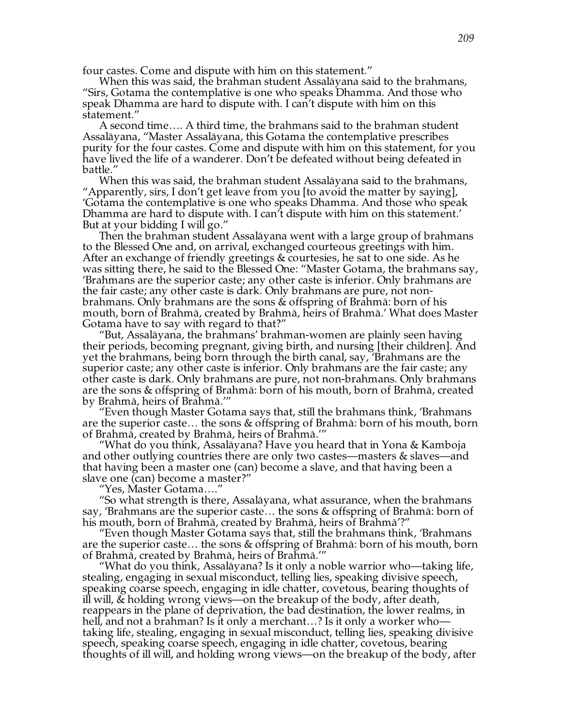four castes. Come and dispute with him on this statement."

When this was said, the brahman student Assalayana said to the brahmans, "Sirs, Gotama the contemplative is one who speaks Dhamma. And those who speak Dhamma are hard to dispute with. I can't dispute with him on this statement."

A second time…. A third time, the brahmans said to the brahman student Assalāyana, "Master Assalāyana, this Gotama the contemplative prescribes purity for the four castes. Come and dispute with him on this statement, for you have lived the life of a wanderer. Don't be defeated without being defeated in battle."

When this was said, the brahman student Assalayana said to the brahmans, "Apparently, sirs, I don't get leave from you [to avoid the matter by saying], 'Gotama the contemplative is one who speaks Dhamma. And those who speak Dhamma are hard to dispute with. I can't dispute with him on this statement.' But at your bidding I will go."

Then the brahman student Assalāyana went with a large group of brahmans to the Blessed One and, on arrival, exchanged courteous greetings with him. After an exchange of friendly greetings & courtesies, he sat to one side. As he was sitting there, he said to the Blessed One: "Master Gotama, the brahmans say, 'Brahmans are the superior caste; any other caste is inferior. Only brahmans are the fair caste; any other caste is dark. Only brahmans are pure, not non-<br>brahmans. Only brahmans are the sons & offspring of Brahmā: born of his mouth, born of Brahmā, created by Brahmā, heirs of Brahmā.' What does Master Gotama have to say with regard to that?"

"But, Assalāyana, the brahmans' brahman-women are plainly seen having their periods, becoming pregnant, giving birth, and nursing [their children]. And yet the brahmans, being born through the birth canal, say, 'Brahmans are the superior caste; any other caste is inferior. Only brahmans are the fair caste; any other caste is dark. Only brahmans are pure, not non-brahmans. Only brahmans are the sons & offspring of Brahma: born of his mouth, born of Brahma, created by Brahma, heirs of Brahma.""

"Even though Master Gotama says that, still the brahmans think, 'Brahmans are the superior caste... the sons  $\&$  offspring of Brahma: born of his mouth, born of Brahmā, created by Brahmā, heirs of Brahmā.'"

"What do you think, Assalāyana? Have you heard that in Yona & Kamboja and other outlying countries there are only two castes—masters & slaves—and that having been a master one (can) become a slave, and that having been a slave one (can) become a master?"

"Yes, Master Gotama…."

"So what strength is there, Assalayana, what assurance, when the brahmans say, 'Brahmans are the superior caste... the sons & offspring of Brahma: born of his mouth, born of Brahmā, created by Brahmā, heirs of Brahmā'?"

"Even though Master Gotama says that, still the brahmans think, 'Brahmans are the superior caste... the sons  $\&$  offspring of Brahma: born of his mouth, born of Brahmā, created by Brahmā, heirs of Brahmā.'''

"What do you think, Assalāyana? Is it only a noble warrior who—taking life, stealing, engaging in sexual misconduct, telling lies, speaking divisive speech, speaking coarse speech, engaging in idle chatter, covetous, bearing thoughts of ill will, & holding wrong views—on the breakup of the body, after death, reappears in the plane of deprivation, the bad destination, the lower realms, in hell, and not a brahman? Is it only a merchant...? Is it only a worker who—<br>taking life, stealing, engaging in sexual misconduct, telling lies, speaking divisive speech, speaking coarse speech, engaging in idle chatter, covetous, bearing thoughts of ill will, and holding wrong views—on the breakup of the body, after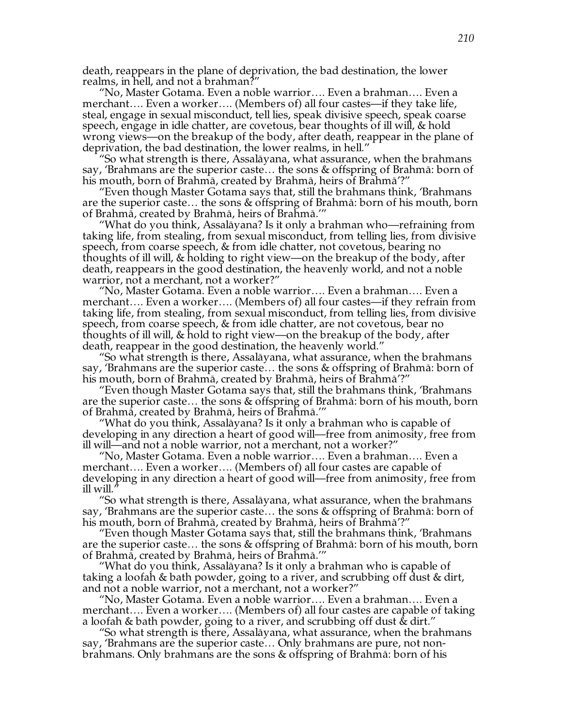death, reappears in the plane of deprivation, the bad destination, the lower realms, in hell, and not a brahman?"

"No, Master Gotama. Even a noble warrior…. Even a brahman…. Even a merchant…. Even a worker…. (Members of) all four castes—if they take life, steal, engage in sexual misconduct, tell lies, speak divisive speech, speak coarse speech, engage in idle chatter, are covetous, bear thoughts of ill will, & hold wrong views—on the breakup of the body, after death, reappear in the plane of deprivation, the bad destination, the lower realms, in hell."

"So what strength is there, Assalāyana, what assurance, when the brahmans say, 'Brahmans are the superior caste... the sons & offspring of Brahma: born of his mouth, born of Brahmā, created by Brahmā, heirs of Brahmā'?"

"Even though Master Gotama says that, still the brahmans think, 'Brahmans are the superior caste... the sons  $\&$  offspring of Brahma: born of his mouth, born of Brahmā, created by Brahmā, heirs of Brahmā.'''

"What do you think, Assalayana? Is it only a brahman who—refraining from taking life, from stealing, from sexual misconduct, from telling lies, from divisive speech, from coarse speech, & from idle chatter, not covetous, bearing no thoughts of ill will, & holding to right view—on the breakup of the body, after death, reappears in the good destination, the heavenly world, and not a noble warrior, not a merchant, not a worker?"

"No, Master Gotama. Even a noble warrior…. Even a brahman…. Even a merchant…. Even a worker…. (Members of) all four castes—if they refrain from taking life, from stealing, from sexual misconduct, from telling lies, from divisive speech, from coarse speech, & from idle chatter, are not covetous, bear no thoughts of ill will, & hold to right view—on the breakup of the body, after death, reappear in the good destination, the heavenly world."

"So what strength is there, Assalāyana, what assurance, when the brahmans say, 'Brahmans are the superior caste... the sons & offspring of Brahma: born of his mouth, born of Brahmā, created by Brahmā, heirs of Brahmā'?"

"Even though Master Gotama says that, still the brahmans think, 'Brahmans are the superior caste... the sons & offspring of Brahma: born of his mouth, born of Brahmā, created by Brahmā, heirs of Brahmā.'''

"What do you think, Assalāyana? Is it only a brahman who is capable of developing in any direction a heart of good will—free from animosity, free from ill will—and not a noble warrior, not a merchant, not a worker?"

"No, Master Gotama. Even a noble warrior…. Even a brahman…. Even a merchant…. Even a worker…. (Members of) all four castes are capable of developing in any direction a heart of good will—free from animosity, free from ill will.

'So what strength is there, Assalāyana, what assurance, when the brahmans say, 'Brahmans are the superior caste... the sons & offspring of Brahma: born of his mouth, born of Brahmā, created by Brahmā, heirs of Brahmā'?''

"Even though Master Gotama says that, still the brahmans think, 'Brahmans are the superior caste... the sons  $\&$  offspring of Brahma: born of his mouth, born of Brahmā, created by Brahmā, heirs of Brahmā.'"

"What do you think, Assalāyana? Is it only a brahman who is capable of taking a loofah & bath powder, going to a river, and scrubbing off dust & dirt, and not a noble warrior, not a merchant, not a worker?"

"No, Master Gotama. Even a noble warrior…. Even a brahman…. Even a merchant…. Even a worker…. (Members of) all four castes are capable of taking a loofah & bath powder, going to a river, and scrubbing off dust & dirt."

"So what strength is there, Assalāyana, what assurance, when the brahmans say, 'Brahmans are the superior caste... Only brahmans are pure, not non-<br>brahmans. Only brahmans are the sons & offspring of Brahmā: born of his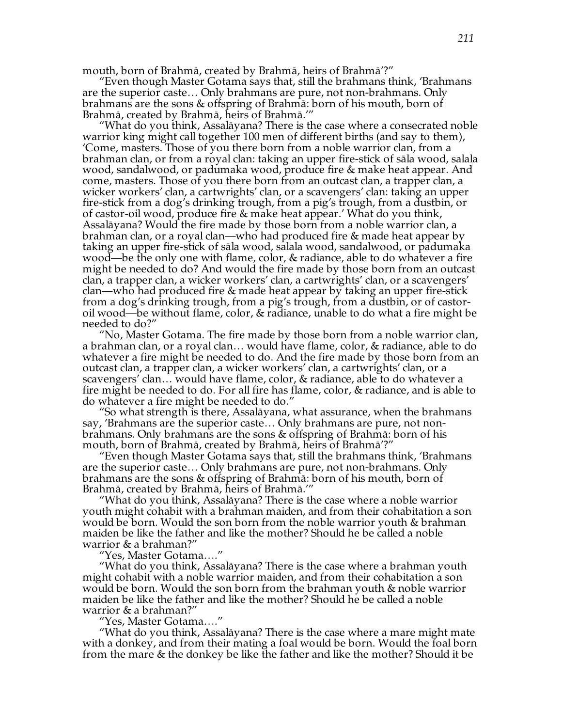mouth, born of Brahmā, created by Brahmā, heirs of Brahmā'?"

"Even though Master Gotama says that, still the brahmans think, 'Brahmans are the superior caste… Only brahmans are pure, not non-brahmans. Only brahmans are the sons & offspring of Brahmā: born of his mouth, born of Brahmā, created by Brahmā, heirs of Brahmā.'"

"What do you think, Assalāyana? There is the case where a consecrated noble warrior king might call together 100 men of different births (and say to them), 'Come, masters. Those of you there born from a noble warrior clan, from a brahman clan, or from a royal clan: taking an upper fire-stick of sāla wood, salala wood, sandalwood, or padumaka wood, produce fire & make heat appear. And come, masters. Those of you there born from an outcast clan, a trapper clan, a wicker workers' clan, a cartwrights' clan, or a scavengers' clan: taking an upper fire-stick from a dog's drinking trough, from a pig's trough, from a dustbin, or of castor-oil wood, produce fire & make heat appear.' What do you think, Assalayana? Would the fire made by those born from a noble warrior clan, a brahman clan, or a royal clan—who had produced fire & made heat appear by taking an upper fire-stick of sāla wood, salala wood, sandalwood, or padumaka wood—be the only one with flame, color, & radiance, able to do whatever a fire might be needed to do? And would the fire made by those born from an outcast clan, a trapper clan, a wicker workers' clan, a cartwrights' clan, or a scavengers' clan—who had produced fire & made heat appear by taking an upper fire-stick from a dog's drinking trough, from a pig's trough, from a dustbin, or of castor-<br>oil wood—be without flame, color, & radiance, unable to do what a fire might be needed to do?"

"No, Master Gotama. The fire made by those born from a noble warrior clan, a brahman clan, or a royal clan… would have flame, color, & radiance, able to do whatever a fire might be needed to do. And the fire made by those born from an outcast clan, a trapper clan, a wicker workers' clan, a cartwrights' clan, or a scavengers' clan… would have flame, color, & radiance, able to do whatever a fire might be needed to do. For all fire has flame, color, & radiance, and is able to do whatever a fire might be needed to do."

"So what strength is there, Assalāyana, what assurance, when the brahmans say, 'Brahmans are the superior caste… Only brahmans are pure, not nonbrahmans. Only brahmans are the sons & offspring of Brahma: born of his mouth, born of Brahmā, created by Brahmā, heirs of Brahmā'?"

"Even though Master Gotama says that, still the brahmans think, 'Brahmans are the superior caste… Only brahmans are pure, not non-brahmans. Only brahmans are the sons & offspring of Brahma: born of his mouth, born of Brahmā, created by Brahmā, heirs of Brahmā.""

"What do you think, Assalāyana? There is the case where a noble warrior youth might cohabit with a brahman maiden, and from their cohabitation a son would be born. Would the son born from the noble warrior youth & brahman maiden be like the father and like the mother? Should he be called a noble warrior & a brahman?"

"Yes, Master Gotama…."

"What do you think, Assalayana? There is the case where a brahman youth might cohabit with a noble warrior maiden, and from their cohabitation a son would be born. Would the son born from the brahman youth & noble warrior maiden be like the father and like the mother? Should he be called a noble warrior & a brahman?"

"Yes, Master Gotama…."

"What do you think, Assalayana? There is the case where a mare might mate with a donkey, and from their mating a foal would be born. Would the foal born from the mare & the donkey be like the father and like the mother? Should it be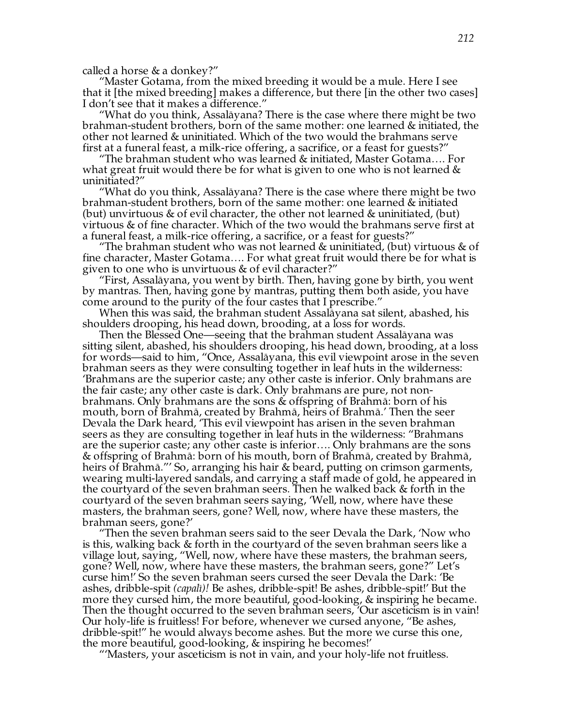called a horse & a donkey?"

"Master Gotama, from the mixed breeding it would be a mule. Here I see that it [the mixed breeding] makes a difference, but there [in the other two cases] I don't see that it makes a difference."

"What do you think, Assalāyana? There is the case where there might be two brahman-student brothers, born of the same mother: one learned & initiated, the other not learned & uninitiated. Which of the two would the brahmans serve first at a funeral feast, a milk-rice offering, a sacrifice, or a feast for guests?"

"The brahman student who was learned & initiated, Master Gotama…. For what great fruit would there be for what is given to one who is not learned  $\&$ uninitiated?"

"What do you think, Assalāyana? There is the case where there might be two brahman-student brothers, born of the same mother: one learned & initiated (but) unvirtuous  $\&$  of evil character, the other not learned  $\&$  uninitiated, (but) virtuous & of fine character. Which of the two would the brahmans serve first at a funeral feast, a milk-rice offering, a sacrifice, or a feast for guests?"

"The brahman student who was not learned & uninitiated, (but) virtuous & of fine character, Master Gotama…. For what great fruit would there be for what is given to one who is unvirtuous & of evil character?"

"First, Assalāyana, you went by birth. Then, having gone by birth, you went by mantras. Then, having gone by mantras, putting them both aside, you have come around to the purity of the four castes that I prescribe."

When this was said, the brahman student Assalāyana sat silent, abashed, his shoulders drooping, his head down, brooding, at a loss for words.

Then the Blessed One—seeing that the brahman student Assalāyana was sitting silent, abashed, his shoulders drooping, his head down, brooding, at a loss for words—said to him, "Once, Assalāyana, this evil viewpoint arose in the seven brahman seers as they were consulting together in leaf huts in the wilderness: 'Brahmans are the superior caste; any other caste is inferior. Only brahmans are the fair caste; any other caste is dark. Only brahmans are pure, not nonbrahmans. Only brahmans are the sons & offspring of Brahma: born of his mouth, born of Brahmā, created by Brahmā, heirs of Brahmā.' Then the seer Devala the Dark heard, 'This evil viewpoint has arisen in the seven brahman seers as they are consulting together in leaf huts in the wilderness: "Brahmans are the superior caste; any other caste is inferior…. Only brahmans are the sons & offspring of Brahmā: born of his mouth, born of Brahmā, created by Brahmā, heirs of Brahmā."' So, arranging his hair & beard, putting on crimson garments, wearing multi-layered sandals, and carrying a staff made of gold, he appeared in the courtyard of the seven brahman seers. Then he walked back & forth in the courtyard of the seven brahman seers saying, 'Well, now, where have these masters, the brahman seers, gone? Well, now, where have these masters, the brahman seers, gone?'

"Then the seven brahman seers said to the seer Devala the Dark, 'Now who is this, walking back & forth in the courtyard of the seven brahman seers like a village lout, saying, "Well, now, where have these masters, the brahman seers, gone? Well, now, where have these masters, the brahman seers, gone?" Let's curse him!' So the seven brahman seers cursed the seer Devala the Dark: 'Be ashes, dribble-spit *(capalı)!* Be ashes, dribble-spit! Be ashes, dribble-spit!' But the more they cursed him, the more beautiful, good-looking, & inspiring he became. Then the thought occurred to the seven brahman seers, 'Our asceticism is in vain! Our holy-life is fruitless! For before, whenever we cursed anyone, "Be ashes, dribble-spit!" he would always become ashes. But the more we curse this one, the more beautiful, good-looking, & inspiring he becomes!'

"'Masters, your asceticism is not in vain, and your holy-life not fruitless.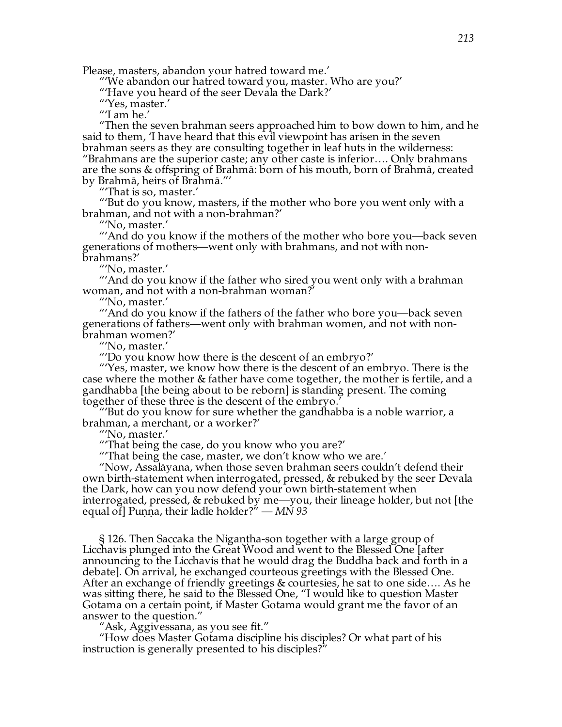Please, masters, abandon your hatred toward me.'

"'We abandon our hatred toward you, master. Who are you?'

"'Have you heard of the seer Devala the Dark?'

"'Yes, master.'

"'I am he.'

"Then the seven brahman seers approached him to bow down to him, and he said to them, 'I have heard that this evil viewpoint has arisen in the seven brahman seers as they are consulting together in leaf huts in the wilderness: "Brahmans are the superior caste; any other caste is inferior…. Only brahmans are the sons & offspring of Brahmā: born of his mouth, born of Brahmā, created by Brahmā, heirs of Brahmā."'

"'That is so, master.'

"'But do you know, masters, if the mother who bore you went only with a brahman, and not with a non-brahman?'

"'No, master.'

"'And do you know if the mothers of the mother who bore you—back seven generations of mothers—went only with brahmans, and not with non- brahmans?'

"'No, master.'

"'And do you know if the father who sired you went only with a brahman woman, and not with a non-brahman woman?' "'No, master.'

"'And do you know if the fathers of the father who bore you—back seven generations of fathers—went only with brahman women, and not with non- brahman women?'

"'No, master.'

"'Do you know how there is the descent of an embryo?'

"'Yes, master, we know how there is the descent of an embryo. There is the case where the mother & father have come together, the mother is fertile, and a gandhabba [the being about to be reborn] is standing present. The coming together of these three is the descent of the embryo.'

"'But do you know for sure whether the gandhabba is a noble warrior, a brahman, a merchant, or a worker?'

"'No, master.'

"'That being the case, do you know who you are?'

"'That being the case, master, we don't know who we are.'

"Now, Assalāyana, when those seven brahman seers couldn't defend their own birth-statement when interrogated, pressed, & rebuked by the seer Devala the Dark, how can you now defend your own birth-statement when interrogated, pressed, & rebuked by me—you, their lineage holder, but not [the equal of] Punna, their ladle holder?" —  $MN$  93

§ 126. Then Saccaka the Nigantha-son together with a large group of Licchavis plunged into the Great Wood and went to the Blessed One [after announcing to the Licchavis that he would drag the Buddha back and forth in a debate]. On arrival, he exchanged courteous greetings with the Blessed One. After an exchange of friendly greetings & courtesies, he sat to one side…. As he was sitting there, he said to the Blessed One, "I would like to question Master Gotama on a certain point, if Master Gotama would grant me the favor of an answer to the question."

"Ask, Aggivessana, as you see fit."

"How does Master Gotama discipline his disciples? Or what part of his instruction is generally presented to his disciples?"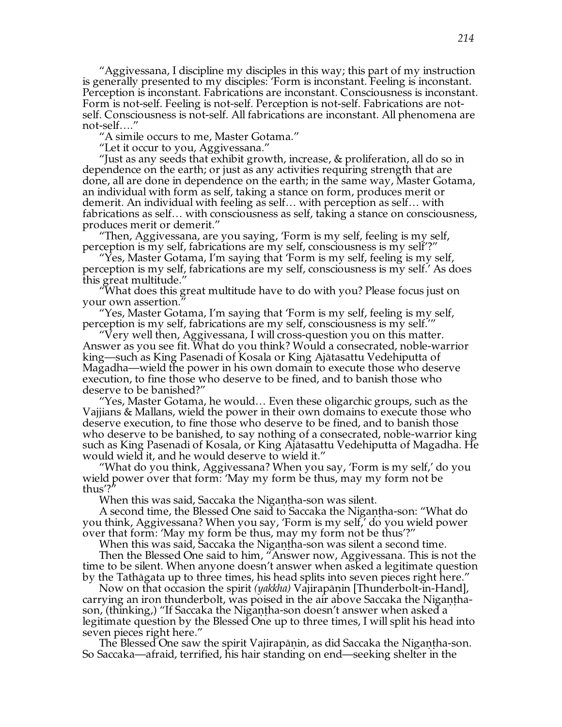"Aggivessana, I discipline my disciples in this way; this part of my instruction is generally presented to my disciples: 'Form is inconstant. Feeling is inconstant. Perception is inconstant. Fabrications are inconstant. Consciousness is inconstant. Form is not-self. Feeling is not-self. Perception is not-self. Fabrications are not- self. Consciousness is not-self. All fabrications are inconstant. All phenomena are not-self…."

"A simile occurs to me, Master Gotama."

"Let it occur to you, Aggivessana."

"Just as any seeds that exhibit growth, increase, & proliferation, all do so in dependence on the earth; or just as any activities requiring strength that are done, all are done in dependence on the earth; in the same way, Master Gotama, an individual with form as self, taking a stance on form, produces merit or demerit. An individual with feeling as self… with perception as self… with fabrications as self… with consciousness as self, taking a stance on consciousness, produces merit or demerit."

"Then, Aggivessana, are you saying, 'Form is my self, feeling is my self, perception is my self, fabrications are my self, consciousness is my self'?"

"Yes, Master Gotama, I'm saying that 'Form is my self, feeling is my self, perception is my self, fabrications are my self, consciousness is my self.' As does this great multitude."

"What does this great multitude have to do with you? Please focus just on your own assertion."

"Yes, Master Gotama, I'm saying that 'Form is my self, feeling is my self, perception is my self, fabrications are my self, consciousness is my self.'"

"Very well then, Aggivessana, I will cross-question you on this matter. Answer as you see fit. What do you think? Would a consecrated, noble-warrior king—such as King Pasenadi of Kosala or King Ajātasattu Vedehiputta of Magadha—wield the power in his own domain to execute those who deserve execution, to fine those who deserve to be fined, and to banish those who deserve to be banished?"

"Yes, Master Gotama, he would… Even these oligarchic groups, such as the Vajjians & Mallans, wield the power in their own domains to execute those who deserve execution, to fine those who deserve to be fined, and to banish those who deserve to be banished, to say nothing of a consecrated, noble-warrior king such as King Pasenadi of Kosala, or King Ajātasattu Vedehiputta of Magadha. He would wield it, and he would deserve to wield it."

"What do you think, Aggivessana? When you say, 'Form is my self,' do you wield power over that form: 'May my form be thus, may my form not be thus'?"

When this was said, Saccaka the Nigantha-son was silent.

A second time, the Blessed One said to Saccaka the Nigantha-son: "What do you think, Aggivessana? When you say, 'Form is my self,' do you wield power over that form: 'May my form be thus, may my form not be thus'?"

When this was said, Saccaka the Nigantha-son was silent a second time.

Then the Blessed One said to him, "Answer now, Aggivessana. This is not the time to be silent. When anyone doesn't answer when asked a legitimate question by the Tathāgata up to three times, his head splits into seven pieces right here."

Now on that occasion the spirit *(yakkha)* Vajirapānin [Thunderbolt-in-Hand], carrying an iron thunderbolt, was poised in the air above Saccaka the Niganthason, (thinking,) "If Saccaka the Nigantha-son doesn't answer when asked a legitimate question by the Blessed One up to three times, I will split his head into seven pieces right here."

The Blessed One saw the spirit Vajirapānin, as did Saccaka the Nigantha-son. So Saccaka—afraid, terrified, his hair standing on end—seeking shelter in the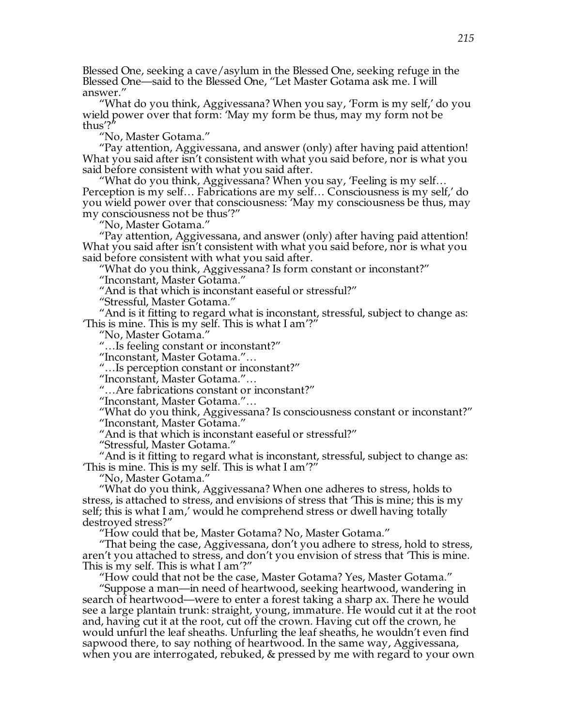Blessed One, seeking a cave/asylum in the Blessed One, seeking refuge in the Blessed One—said to the Blessed One, "Let Master Gotama ask me. I will answer."

"What do you think, Aggivessana? When you say, 'Form is my self,' do you wield power over that form: 'May my form be thus, may my form not be thus'?"

"No, Master Gotama."

"Pay attention, Aggivessana, and answer (only) after having paid attention! What you said after isn't consistent with what you said before, nor is what you

said before consistent with what you said after.<br>"What do you think, Aggivessana? When you say, 'Feeling is my self..." Perception is my self… Fabrications are my self… Consciousness is my self,' do you wield power over that consciousness: 'May my consciousness be thus, may my consciousness not be thus'?"

"No, Master Gotama."

"Pay attention, Aggivessana, and answer (only) after having paid attention! What you said after isn't consistent with what you said before, nor is what you said before consistent with what you said after.

"What do you think, Aggivessana? Is form constant or inconstant?"

"Inconstant, Master Gotama."

"And is that which is inconstant easeful or stressful?"

"Stressful, Master Gotama."

"And is it fitting to regard what is inconstant, stressful, subject to change as: 'This is mine. This is my self. This is what I am'?"

"No, Master Gotama."

"…Is feeling constant or inconstant?"

"Inconstant, Master Gotama."…

"…Is perception constant or inconstant?"

"Inconstant, Master Gotama."…

"…Are fabrications constant or inconstant?"

"Inconstant, Master Gotama."…

"What do you think, Aggivessana? Is consciousness constant or inconstant?" "Inconstant, Master Gotama."

"And is that which is inconstant easeful or stressful?"

"Stressful, Master Gotama."

"And is it fitting to regard what is inconstant, stressful, subject to change as: 'This is mine. This is my self. This is what I am'?"

"No, Master Gotama."

"What do you think, Aggivessana? When one adheres to stress, holds to stress, is attached to stress, and envisions of stress that 'This is mine; this is my self; this is what I am,' would he comprehend stress or dwell having totally destroyed stress?"

"How could that be, Master Gotama? No, Master Gotama."

"That being the case, Aggivessana, don't you adhere to stress, hold to stress, aren't you attached to stress, and don't you envision of stress that 'This is mine. This is my self. This is what I am'?"

"How could that not be the case, Master Gotama? Yes, Master Gotama."

"Suppose a man—in need of heartwood, seeking heartwood, wandering in search of heartwood—were to enter a forest taking a sharp ax. There he would see a large plantain trunk: straight, young, immature. He would cut it at the root and, having cut it at the root, cut off the crown. Having cut off the crown, he would unfurl the leaf sheaths. Unfurling the leaf sheaths, he wouldn't even find sapwood there, to say nothing of heartwood. In the same way, Aggivessana, when you are interrogated, rebuked, & pressed by me with regard to your own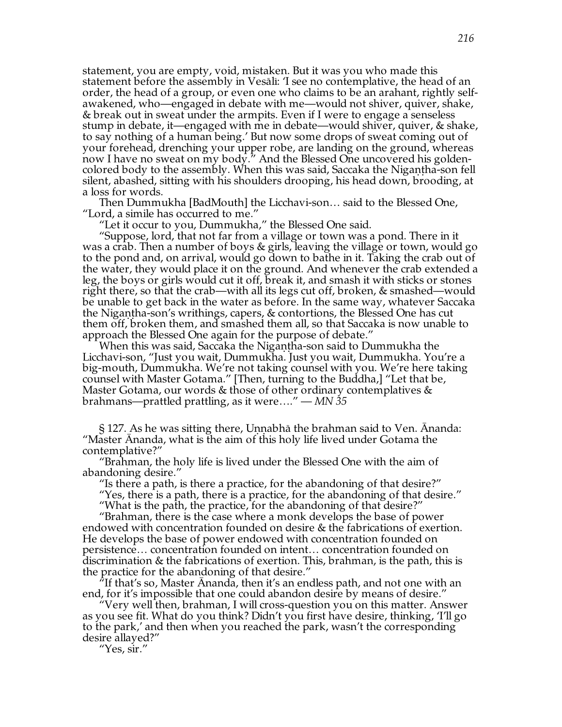statement, you are empty, void, mistaken. But it was you who made this statement before the assembly in Vesali: 'I see no contemplative, the head of an order, the head of a group, or even one who claims to be an arahant, rightly self- awakened, who—engaged in debate with me—would not shiver, quiver, shake, & break out in sweat under the armpits. Even if I were to engage a senseless stump in debate, it—engaged with me in debate—would shiver, quiver, & shake, to say nothing of a human being.' But now some drops of sweat coming out of your forehead, drenching your upper robe, are landing on the ground, whereas now I have no sweat on my body." And the Blessed One uncovered his golden-<br>colored body to the assembly. When this was said, Saccaka the Nigantha-son fell silent, abashed, sitting with his shoulders drooping, his head down, brooding, at a loss for words.

Then Dummukha [BadMouth] the Licchavi-son… said to the Blessed One, "Lord, a simile has occurred to me."

"Let it occur to you, Dummukha," the Blessed One said.

"Suppose, lord, that not far from a village or town was a pond. There in it was a crab. Then a number of boys & girls, leaving the village or town, would go to the pond and, on arrival, would go down to bathe in it. Taking the crab out of the water, they would place it on the ground. And whenever the crab extended a leg, the boys or girls would cut it off, break it, and smash it with sticks or stones right there, so that the crab—with all its legs cut off, broken, & smashed—would be unable to get back in the water as before. In the same way, whatever Saccaka the Nigantha-son's writhings, capers, & contortions, the Blessed One has cut them off, broken them, and smashed them all, so that Saccaka is now unable to approach the Blessed One again for the purpose of debate."

When this was said, Saccaka the Nigantha-son said to Dummukha the Licchavi-son, "Just you wait, Dummukha. Just you wait, Dummukha. You're a big-mouth, Dummukha. We're not taking counsel with you. We're here taking counsel with Master Gotama." [Then, turning to the Buddha,] "Let that be, Master Gotama, our words & those of other ordinary contemplatives & brahmans—prattled prattling, as it were…." — *MN 35*

§ 127. As he was sitting there, Unnabhā the brahman said to Ven. Ananda: "Master Ananda, what is the aim of this holy life lived under Gotama the contemplative?"

"Brahman, the holy life is lived under the Blessed One with the aim of abandoning desire."<br>
"Is there a path, is there a practice, for the abandoning of that desire?"

"Yes, there is a path, there is a practice, for the abandoning of that desire." "What is the path, the practice, for the abandoning of that desire?"

"Brahman, there is the case where a monk develops the base of power endowed with concentration founded on desire & the fabrications of exertion. He develops the base of power endowed with concentration founded on persistence… concentration founded on intent… concentration founded on discrimination & the fabrications of exertion. This, brahman, is the path, this is the practice for the abandoning of that desire."

"If that's so, Master Ananda, then it's an endless path, and not one with an end, for it's impossible that one could abandon desire by means of desire."

"Very well then, brahman, I will cross-question you on this matter. Answer as you see fit. What do you think? Didn't you first have desire, thinking, 'I'll go to the park,' and then when you reached the park, wasn't the corresponding desire allayed?"

"Yes, sir."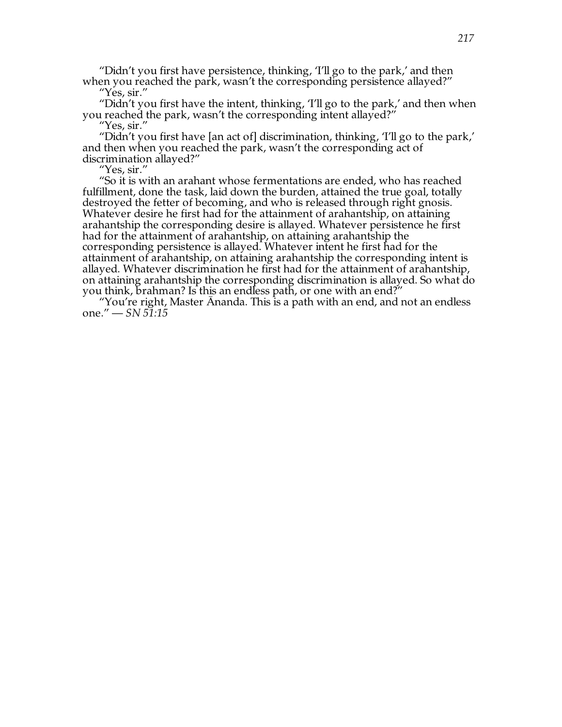"Didn't you first have persistence, thinking, 'I'll go to the park,' and then when you reached the park, wasn't the corresponding persistence allayed?"

"Yes, sir."

"Didn't you first have the intent, thinking, 'I'll go to the park,' and then when you reached the park, wasn't the corresponding intent allayed?"

"Yes, sir."

"Didn't you first have [an act of] discrimination, thinking, 'I'll go to the park,' and then when you reached the park, wasn't the corresponding act of discrimination allayed?"

"Yes, sir."

"So it is with an arahant whose fermentations are ended, who has reached fulfillment, done the task, laid down the burden, attained the true goal, totally destroyed the fetter of becoming, and who is released through right gnosis. Whatever desire he first had for the attainment of arahantship, on attaining arahantship the corresponding desire is allayed. Whatever persistence he first had for the attainment of arahantship, on attaining arahantship the corresponding persistence is allayed. Whatever intent he first had for the attainment of arahantship, on attaining arahantship the corresponding intent is allayed. Whatever discrimination he first had for the attainment of arahantship, on attaining arahantship the corresponding discrimination is allayed. So what do you think, brahman? Is this an endless path, or one with an end?"

"You're right, Master  $\bar{A}$ nanda. This is a path with an end, and not an endless one." — *SN 51:15*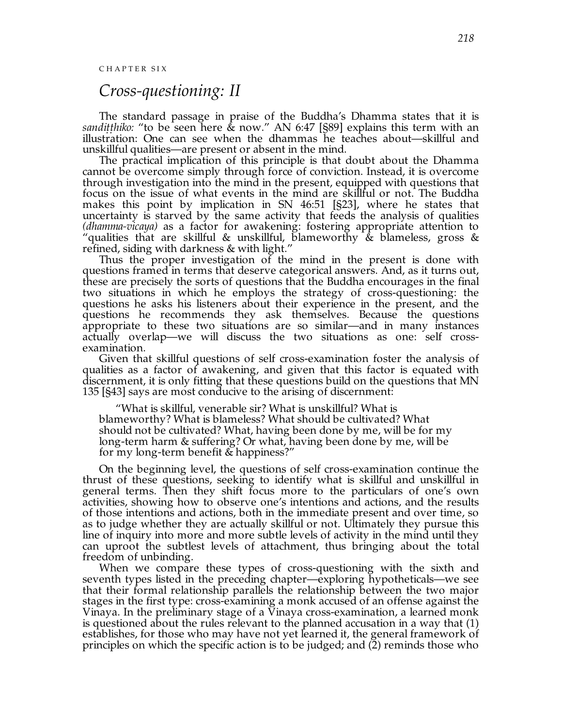## *Cross-questioning: II*

The standard passage in praise of the Buddha's Dhamma states that it is sanditthiko: "to be seen here & now." AN 6:47 [§89] explains this term with an illustration: One can see when the dhammas he teaches about—skillful and unskillful qualities—are present or absent in the mind.

The practical implication of this principle is that doubt about the Dhamma cannot be overcome simply through force of conviction. Instead, it is overcome through investigation into the mind in the present, equipped with questions that focus on the issue of what events in the mind are skillful or not. The Buddha makes this point by implication in SN 46:51 [§23], where he states that uncertainty is starved by the same activity that feeds the analysis of qualities *(dhamma-vicaya)* as a factor for awakening: fostering appropriate attention to "qualities that are skillful & unskillful, blameworthy  $\&$  blameless, gross & refined, siding with darkness & with light."

Thus the proper investigation of the mind in the present is done with questions framed in terms that deserve categorical answers. And, as it turns out, these are precisely the sorts of questions that the Buddha encourages in the final two situations in which he employs the strategy of cross-questioning: the questions he asks his listeners about their experience in the present, and the questions he recommends they ask themselves. Because the questions appropriate to these two situations are so similar—and in many instances actually overlap—we will discuss the two situations as one: self crossexamination.

Given that skillful questions of self cross-examination foster the analysis of qualities as a factor of awakening, and given that this factor is equated with discernment, it is only fitting that these questions build on the questions that MN 135 [§43] says are most conducive to the arising of discernment:

"What is skillful, venerable sir? What is unskillful? What is blameworthy? What is blameless? What should be cultivated? What should not be cultivated? What, having been done by me, will be for my long-term harm & suffering? Or what, having been done by me, will be for my long-term benefit & happiness?"

On the beginning level, the questions of self cross-examination continue the thrust of these questions, seeking to identify what is skillful and unskillful in general terms. Then they shift focus more to the particulars of one's own activities, showing how to observe one's intentions and actions, and the results of those intentions and actions, both in the immediate present and over time, so as to judge whether they are actually skillful or not. Ultimately they pursue this line of inquiry into more and more subtle levels of activity in the mind until they can uproot the subtlest levels of attachment, thus bringing about the total freedom of unbinding.

When we compare these types of cross-questioning with the sixth and seventh types listed in the preceding chapter—exploring hypotheticals—we see that their formal relationship parallels the relationship between the two major stages in the first type: cross-examining a monk accused of an offense against the Vinaya. In the preliminary stage of a Vinaya cross-examination, a learned monk is questioned about the rules relevant to the planned accusation in a way that (1) establishes, for those who may have not yet learned it, the general framework of principles on which the specific action is to be judged; and (2) reminds those who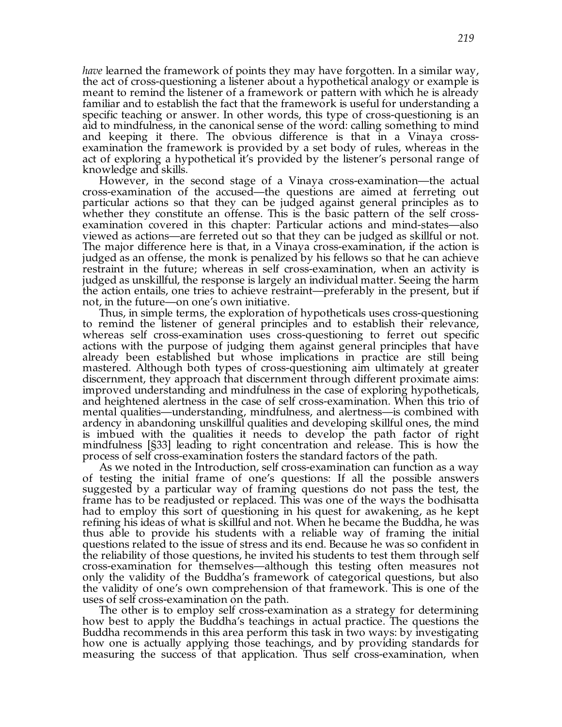*have* learned the framework of points they may have forgotten. In a similar way, the act of cross-questioning a listener about a hypothetical analogy or example is meant to remind the listener of a framework or pattern with which he is already familiar and to establish the fact that the framework is useful for understanding a specific teaching or answer. In other words, this type of cross-questioning is an aid to mindfulness, in the canonical sense of the word: calling something to mind and keeping it there. The obvious difference is that in a Vinaya cross- examination the framework is provided by a set body of rules, whereas in the act of exploring a hypothetical it's provided by the listener's personal range of knowledge and skills.

However, in the second stage of a Vinaya cross-examination—the actual cross-examination of the accused—the questions are aimed at ferreting out particular actions so that they can be judged against general principles as to whether they constitute an offense. This is the basic pattern of the self cross- examination covered in this chapter: Particular actions and mind-states—also viewed as actions—are ferreted out so that they can be judged as skillful or not. The major difference here is that, in a Vinaya cross-examination, if the action is judged as an offense, the monk is penalized by his fellows so that he can achieve restraint in the future; whereas in self cross-examination, when an activity is judged as unskillful, the response is largely an individual matter. Seeing the harm the action entails, one tries to achieve restraint—preferably in the present, but if not, in the future—on one's own initiative.

Thus, in simple terms, the exploration of hypotheticals uses cross-questioning to remind the listener of general principles and to establish their relevance, whereas self cross-examination uses cross-questioning to ferret out specific actions with the purpose of judging them against general principles that have already been established but whose implications in practice are still being mastered. Although both types of cross-questioning aim ultimately at greater discernment, they approach that discernment through different proximate aims: improved understanding and mindfulness in the case of exploring hypotheticals, and heightened alertness in the case of self cross-examination. When this trio of mental qualities—understanding, mindfulness, and alertness—is combined with ardency in abandoning unskillful qualities and developing skillful ones, the mind is imbued with the qualities it needs to develop the path factor of right mindfulness [§33] leading to right concentration and release. This is how the process of self cross-examination fosters the standard factors of the path.

As we noted in the Introduction, self cross-examination can function as a way of testing the initial frame of one's questions: If all the possible answers suggested by a particular way of framing questions do not pass the test, the frame has to be readjusted or replaced. This was one of the ways the bodhisatta had to employ this sort of questioning in his quest for awakening, as he kept refining his ideas of what is skillful and not. When he became the Buddha, he was thus able to provide his students with a reliable way of framing the initial questions related to the issue of stress and its end. Because he was so confident in the reliability of those questions, he invited his students to test them through self cross-examination for themselves—although this testing often measures not only the validity of the Buddha's framework of categorical questions, but also the validity of one's own comprehension of that framework. This is one of the uses of self cross-examination on the path.

The other is to employ self cross-examination as a strategy for determining how best to apply the Buddha's teachings in actual practice. The questions the Buddha recommends in this area perform this task in two ways: by investigating how one is actually applying those teachings, and by providing standards for measuring the success of that application. Thus self cross-examination, when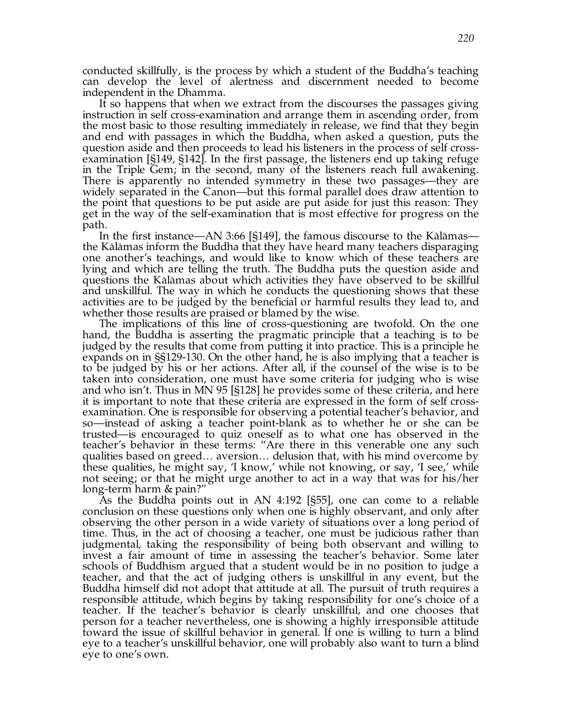conducted skillfully, is the process by which a student of the Buddha's teaching can develop the level of alertness and discernment needed to become independent in the Dhamma. It so happens that when we extract from the discourses the passages giving

instruction in self cross-examination and arrange them in ascending order, from the most basic to those resulting immediately in release, we find that they begin and end with passages in which the Buddha, when asked a question, puts the question aside and then proceeds to lead his listeners in the process of self cross- examination [§149, §142]. In the first passage, the listeners end up taking refuge in the Triple Gem; in the second, many of the listeners reach full awakening. There is apparently no intended symmetry in these two passages—they are widely separated in the Canon—but this formal parallel does draw attention to the point that questions to be put aside are put aside for just this reason: They get in the way of the self-examination that is most effective for progress on the path.

In the first instance—AN 3:66 [§149], the famous discourse to the Kālāmas— the Kalāmas inform the Buddha that they have heard many teachers disparaging one another's teachings, and would like to know which of these teachers are lying and which are telling the truth. The Buddha puts the question aside and questions the Kalamas about which activities they have observed to be skillful and unskillful. The way in which he conducts the questioning shows that these activities are to be judged by the beneficial or harmful results they lead to, and whether those results are praised or blamed by the wise.

The implications of this line of cross-questioning are twofold. On the one hand, the Buddha is asserting the pragmatic principle that a teaching is to be judged by the results that come from putting it into practice. This is a principle he expands on in §§129-130. On the other hand, he is also implying that a teacher is to be judged by his or her actions. After all, if the counsel of the wise is to be taken into consideration, one must have some criteria for judging who is wise and who isn't. Thus in MN 95 [§128] he provides some of these criteria, and here it is important to note that these criteria are expressed in the form of self crossexamination. One is responsible for observing a potential teacher's behavior, and so—instead of asking a teacher point-blank as to whether he or she can be trusted—is encouraged to quiz oneself as to what one has observed in the teacher's behavior in these terms: "Are there in this venerable one any such qualities based on greed… aversion… delusion that, with his mind overcome by these qualities, he might say, 'I know,' while not knowing, or say, 'I see,' while not seeing; or that he might urge another to act in a way that was for his/her long-term harm & pain?"

As the Buddha points out in AN 4:192 [§55], one can come to a reliable conclusion on these questions only when one is highly observant, and only after observing the other person in a wide variety of situations over a long period of time. Thus, in the act of choosing a teacher, one must be judicious rather than judgmental, taking the responsibility of being both observant and willing to invest a fair amount of time in assessing the teacher's behavior. Some later schools of Buddhism argued that a student would be in no position to judge a teacher, and that the act of judging others is unskillful in any event, but the Buddha himself did not adopt that attitude at all. The pursuit of truth requires a responsible attitude, which begins by taking responsibility for one's choice of a teacher. If the teacher's behavior is clearly unskillful, and one chooses that person for a teacher nevertheless, one is showing a highly irresponsible attitude toward the issue of skillful behavior in general. If one is willing to turn a blind eye to a teacher's unskillful behavior, one will probably also want to turn a blind eye to one's own.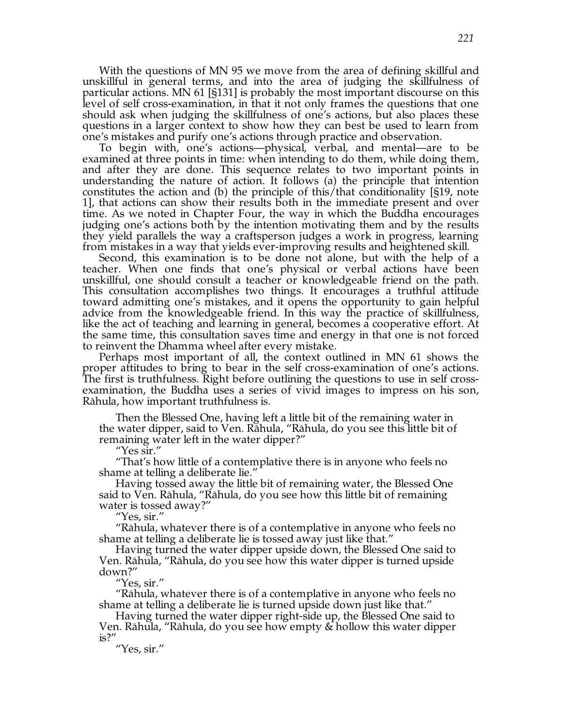With the questions of MN 95 we move from the area of defining skillful and unskillful in general terms, and into the area of judging the skillfulness of particular actions. MN 61 [§131] is probably the most important discourse on this level of self cross-examination, in that it not only frames the questions that one should ask when judging the skillfulness of one's actions, but also places these questions in a larger context to show how they can best be used to learn from one's mistakes and purify one's actions through practice and observation.

To begin with, one's actions—physical, verbal, and mental—are to be examined at three points in time: when intending to do them, while doing them, and after they are done. This sequence relates to two important points in understanding the nature of action. It follows (a) the principle that intention constitutes the action and (b) the principle of this/that conditionality [§19, note 1], that actions can show their results both in the immediate present and over time. As we noted in Chapter Four, the way in which the Buddha encourages judging one's actions both by the intention motivating them and by the results they yield parallels the way a craftsperson judges a work in progress, learning from mistakes in a way that yields ever-improving results and heightened skill.

Second, this examination is to be done not alone, but with the help of a teacher. When one finds that one's physical or verbal actions have been unskillful, one should consult a teacher or knowledgeable friend on the path. This consultation accomplishes two things. It encourages a truthful attitude toward admitting one's mistakes, and it opens the opportunity to gain helpful advice from the knowledgeable friend. In this way the practice of skillfulness, like the act of teaching and learning in general, becomes a cooperative effort. At the same time, this consultation saves time and energy in that one is not forced to reinvent the Dhamma wheel after every mistake.

Perhaps most important of all, the context outlined in MN 61 shows the proper attitudes to bring to bear in the self cross-examination of one's actions. The first is truthfulness. Right before outlining the questions to use in self crossexamination, the Buddha uses a series of vivid images to impress on his son, Rāhula, how important truthfulness is.

Then the Blessed One, having left a little bit of the remaining water in the water dipper, said to Ven. Rāhula, "Rāhula, do you see this little bit of remaining water left in the water dipper?"

"Yes sir."

"That's how little of a contemplative there is in anyone who feels no shame at telling a deliberate lie."

Having tossed away the little bit of remaining water, the Blessed One said to Ven. Rāhula, "Rāhula, do you see how this little bit of remaining water is tossed away?"

"Yes, sir."

"Rāhula, whatever there is of a contemplative in anyone who feels no shame at telling a deliberate lie is tossed away just like that."

Having turned the water dipper upside down, the Blessed One said to Ven. Rāhula, "Rāhula, do you see how this water dipper is turned upside down?"

"Yes, sir."

"Rahula, whatever there is of a contemplative in anyone who feels no shame at telling a deliberate lie is turned upside down just like that."

Having turned the water dipper right-side up, the Blessed One said to Ven. Rāhula, "Rāhula, do you see how empty & hollow this water dipper is?"

"Yes, sir."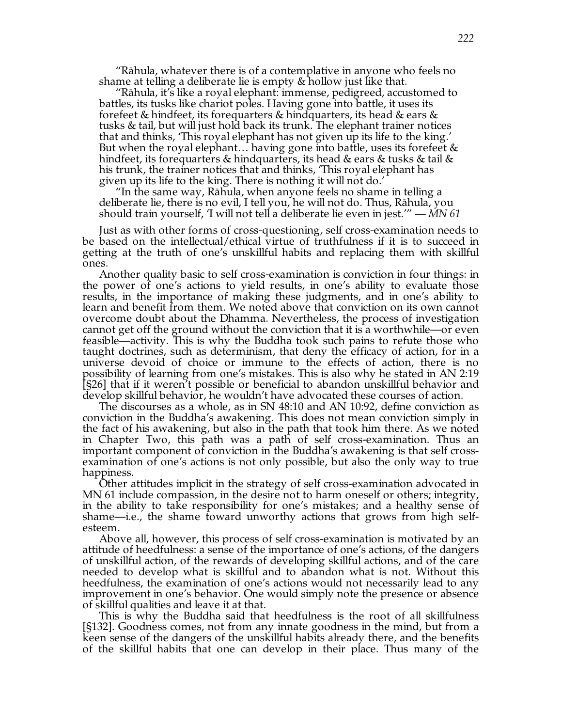"Rāhula, whatever there is of a contemplative in anyone who feels no shame at telling a deliberate lie is empty & hollow just like that.<br>"Rāhula, it's like a royal elephant: immense, pedigreed, accustomed to

battles, its tusks like chariot poles. Having gone into battle, it uses its forefeet & hindfeet, its forequarters & hindquarters, its head & ears & tusks & tail, but will just hold back its trunk. The elephant trainer notices that and thinks, 'This royal elephant has not given up its life to the king.' But when the royal elephant… having gone into battle, uses its forefeet & hindfeet, its forequarters & hindquarters, its head & ears & tusks & tail & his trunk, the trainer notices that and thinks, 'This royal elephant has given up its life to the king. There is nothing it will not do.'

"In the same way, Rāhula, when anyone feels no shame in telling a deliberate lie, there is no evil, I tell you, he will not do. Thus, Rāhula, you should train yourself, 'I will not tell a deliberate lie even in jest.'" — *MN 61*

Just as with other forms of cross-questioning, self cross-examination needs to be based on the intellectual/ethical virtue of truthfulness if it is to succeed in getting at the truth of one's unskillful habits and replacing them with skillful ones.

Another quality basic to self cross-examination is conviction in four things: in the power of one's actions to yield results, in one's ability to evaluate those results, in the importance of making these judgments, and in one's ability to learn and benefit from them. We noted above that conviction on its own cannot overcome doubt about the Dhamma. Nevertheless, the process of investigation cannot get off the ground without the conviction that it is a worthwhile—or even feasible—activity. This is why the Buddha took such pains to refute those who taught doctrines, such as determinism, that deny the efficacy of action, for in a universe devoid of choice or immune to the effects of action, there is no possibility of learning from one's mistakes. This is also why he stated in AN 2:19 [§26] that if it weren't possible or beneficial to abandon unskillful behavior and develop skillful behavior, he wouldn't have advocated these courses of action.

The discourses as a whole, as in SN 48:10 and AN 10:92, define conviction as conviction in the Buddha's awakening. This does not mean conviction simply in the fact of his awakening, but also in the path that took him there. As we noted in Chapter Two, this path was a path of self cross-examination. Thus an important component of conviction in the Buddha's awakening is that self crossexamination of one's actions is not only possible, but also the only way to true happiness.

Other attitudes implicit in the strategy of self cross-examination advocated in MN 61 include compassion, in the desire not to harm oneself or others; integrity, in the ability to take responsibility for one's mistakes; and a healthy sense of shame—i.e., the shame toward unworthy actions that grows from high selfesteem.

Above all, however, this process of self cross-examination is motivated by an attitude of heedfulness: a sense of the importance of one's actions, of the dangers of unskillful action, of the rewards of developing skillful actions, and of the care needed to develop what is skillful and to abandon what is not. Without this heedfulness, the examination of one's actions would not necessarily lead to any improvement in one's behavior. One would simply note the presence or absence of skillful qualities and leave it at that.

This is why the Buddha said that heedfulness is the root of all skillfulness [§132]. Goodness comes, not from any innate goodness in the mind, but from a keen sense of the dangers of the unskillful habits already there, and the benefits of the skillful habits that one can develop in their place. Thus many of the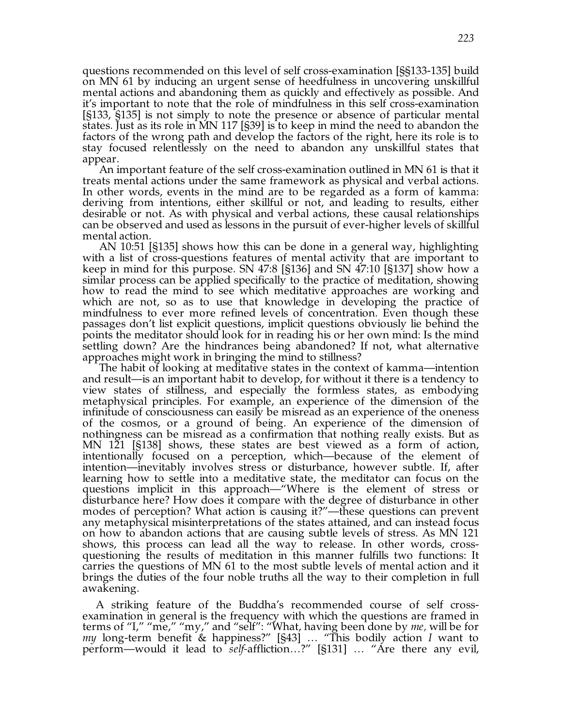questions recommended on this level of self cross-examination [§§133-135] build on MN 61 by inducing an urgent sense of heedfulness in uncovering unskillful mental actions and abandoning them as quickly and effectively as possible. And it's important to note that the role of mindfulness in this self cross-examination [§133, §135] is not simply to note the presence or absence of particular mental states. Just as its role in MN 117 [§39] is to keep in mind the need to abandon the factors of the wrong path and develop the factors of the right, here its role is to stay focused relentlessly on the need to abandon any unskillful states that appear.

An important feature of the self cross-examination outlined in MN 61 is that it treats mental actions under the same framework as physical and verbal actions. In other words, events in the mind are to be regarded as a form of kamma: deriving from intentions, either skillful or not, and leading to results, either desirable or not. As with physical and verbal actions, these causal relationships can be observed and used as lessons in the pursuit of ever-higher levels of skillful mental action.

AN 10:51 [§135] shows how this can be done in a general way, highlighting with a list of cross-questions features of mental activity that are important to keep in mind for this purpose. SN 47:8 [§136] and SN 47:10 [§137] show how a similar process can be applied specifically to the practice of meditation, showing how to read the mind to see which meditative approaches are working and which are not, so as to use that knowledge in developing the practice of mindfulness to ever more refined levels of concentration. Even though these passages don't list explicit questions, implicit questions obviously lie behind the points the meditator should look for in reading his or her own mind: Is the mind settling down? Are the hindrances being abandoned? If not, what alternative approaches might work in bringing the mind to stillness?

The habit of looking at meditative states in the context of kamma—intention and result—is an important habit to develop, for without it there is a tendency to view states of stillness, and especially the formless states, as embodying metaphysical principles. For example, an experience of the dimension of the infinitude of consciousness can easily be misread as an experience of the oneness of the cosmos, or a ground of being. An experience of the dimension of nothingness can be misread as a confirmation that nothing really exists. But as MN 121 [§138] shows, these states are best viewed as a form of action, intentionally focused on a perception, which—because of the element of intention—inevitably involves stress or disturbance, however subtle. If, after learning how to settle into a meditative state, the meditator can focus on the questions implicit in this approach—"Where is the element of stress or disturbance here? How does it compare with the degree of disturbance in other modes of perception? What action is causing it?"—these questions can prevent any metaphysical misinterpretations of the states attained, and can instead focus on how to abandon actions that are causing subtle levels of stress. As MN 121 shows, this process can lead all the way to release. In other words, crossquestioning the results of meditation in this manner fulfills two functions: It carries the questions of MN 61 to the most subtle levels of mental action and it brings the duties of the four noble truths all the way to their completion in full awakening.

A striking feature of the Buddha's recommended course of self crossexamination in general is the frequency with which the questions are framed in terms of "I," "me," "my," and "self": "What, having been done by *me,* will be for *my* long-term benefit & happiness?" [§43] … "This bodily action *I* want to perform—would it lead to *self-*affliction…?" [§131] … "Are there any evil,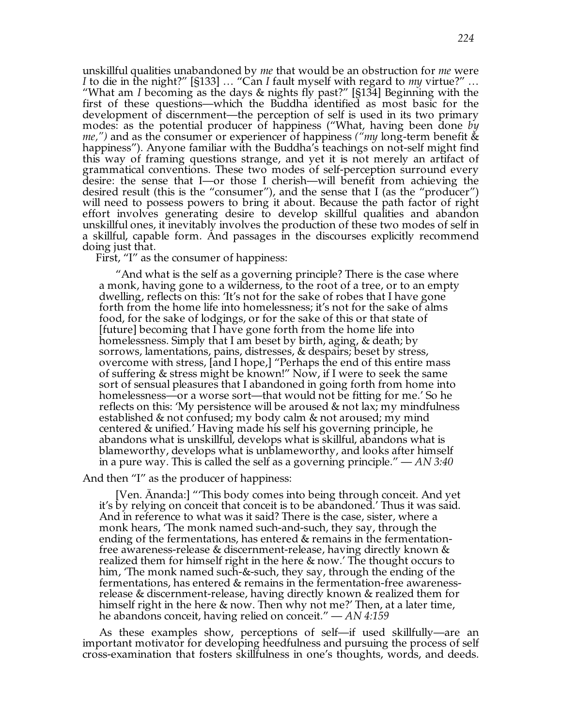unskillful qualities unabandoned by *me* that would be an obstruction for *me* were *I* to die in the night?" [§133] … "Can *I* fault myself with regard to *my* virtue?" … "What am *I* becoming as the days & nights fly past?" [§134] Beginning with the first of these questions—which the Buddha identified as most basic for the development of discernment—the perception of self is used in its two primary modes: as the potential producer of happiness ("What, having been done *by me,")* and as the consumer or experiencer of happiness *("my* long-term benefit & happiness"). Anyone familiar with the Buddha's teachings on not-self might find this way of framing questions strange, and yet it is not merely an artifact of grammatical conventions. These two modes of self-perception surround every desire: the sense that I—or those I cherish—will benefit from achieving the desired result (this is the "consumer"), and the sense that I (as the "producer") will need to possess powers to bring it about. Because the path factor of right effort involves generating desire to develop skillful qualities and abandon unskillful ones, it inevitably involves the production of these two modes of self in a skillful, capable form. And passages in the discourses explicitly recommend doing just that.

First, "I" as the consumer of happiness:

"And what is the self as a governing principle? There is the case where a monk, having gone to a wilderness, to the root of a tree, or to an empty dwelling, reflects on this: 'It's not for the sake of robes that I have gone forth from the home life into homelessness; it's not for the sake of alms food, for the sake of lodgings, or for the sake of this or that state of [future] becoming that I have gone forth from the home life into homelessness. Simply that I am beset by birth, aging, & death; by sorrows, lamentations, pains, distresses, & despairs; beset by stress, overcome with stress, [and I hope,] "Perhaps the end of this entire mass of suffering & stress might be known!" Now, if I were to seek the same sort of sensual pleasures that I abandoned in going forth from home into homelessness—or a worse sort—that would not be fitting for me.' So he reflects on this: 'My persistence will be aroused & not lax; my mindfulness established & not confused; my body calm & not aroused; my mind centered & unified.' Having made his self his governing principle, he abandons what is unskillful, develops what is skillful, abandons what is blameworthy, develops what is unblameworthy, and looks after himself in a pure way. This is called the self as a governing principle." — *AN 3:40*

And then "I" as the producer of happiness:

[Ven. Ananda:] "'This body comes into being through conceit. And yet it's by relying on conceit that conceit is to be abandoned.' Thus it was said. And in reference to what was it said? There is the case, sister, where a monk hears, 'The monk named such-and-such, they say, through the ending of the fermentations, has entered & remains in the fermentationfree awareness-release & discernment-release, having directly known & realized them for himself right in the here & now.' The thought occurs to him, 'The monk named such-&-such, they say, through the ending of the fermentations, has entered & remains in the fermentation-free awarenessrelease & discernment-release, having directly known & realized them for himself right in the here & now. Then why not me?' Then, at a later time, he abandons conceit, having relied on conceit." — *AN 4:159*

As these examples show, perceptions of self—if used skillfully—are an important motivator for developing heedfulness and pursuing the process of self cross-examination that fosters skillfulness in one's thoughts, words, and deeds.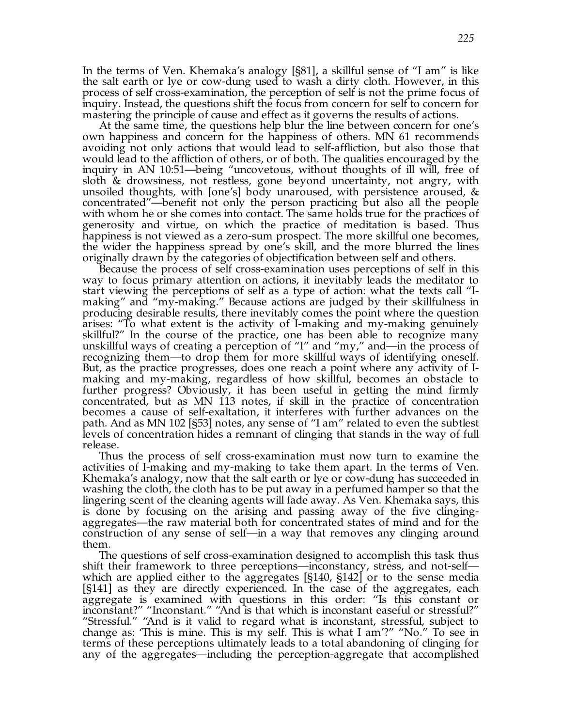In the terms of Ven. Khemaka's analogy [§81], a skillful sense of "I am" is like the salt earth or lye or cow-dung used to wash a dirty cloth. However, in this process of self cross-examination, the perception of self is not the prime focus of inquiry. Instead, the questions shift the focus from concern for self to concern for mastering the principle of cause and effect as it governs the results of actions.

At the same time, the questions help blur the line between concern for one's own happiness and concern for the happiness of others. MN 61 recommends avoiding not only actions that would lead to self-affliction, but also those that would lead to the affliction of others, or of both. The qualities encouraged by the inquiry in AN 10:51—being "uncovetous, without thoughts of ill will, free of sloth & drowsiness, not restless, gone beyond uncertainty, not angry, with unsoiled thoughts, with [one's] body unaroused, with persistence aroused, & concentrated"—benefit not only the person practicing but also all the people with whom he or she comes into contact. The same holds true for the practices of generosity and virtue, on which the practice of meditation is based. Thus happiness is not viewed as a zero-sum prospect. The more skillful one becomes, the wider the happiness spread by one's skill, and the more blurred the lines originally drawn by the categories of objectification between self and others.

Because the process of self cross-examination uses perceptions of self in this way to focus primary attention on actions, it inevitably leads the meditator to start viewing the perceptions of self as a type of action: what the texts call "I- making" and "my-making." Because actions are judged by their skillfulness in producing desirable results, there inevitably comes the point where the question arises: "To what extent is the activity of I-making and my-making genuinely skillful?" In the course of the practice, one has been able to recognize many unskillful ways of creating a perception of "I" and "my," and—in the process of recognizing them—to drop them for more skillful ways of identifying oneself. But, as the practice progresses, does one reach a point where any activity of I- making and my-making, regardless of how skillful, becomes an obstacle to further progress? Obviously, it has been useful in getting the mind firmly concentrated, but as MN 113 notes, if skill in the practice of concentration becomes a cause of self-exaltation, it interferes with further advances on the path. And as MN 102 [§53] notes, any sense of "I am" related to even the subtlest levels of concentration hides a remnant of clinging that stands in the way of full release.

Thus the process of self cross-examination must now turn to examine the activities of I-making and my-making to take them apart. In the terms of Ven. Khemaka's analogy, now that the salt earth or lye or cow-dung has succeeded in washing the cloth, the cloth has to be put away in a perfumed hamper so that the lingering scent of the cleaning agents will fade away. As Ven. Khemaka says, this is done by focusing on the arising and passing away of the five clingingaggregates—the raw material both for concentrated states of mind and for the construction of any sense of self—in a way that removes any clinging around them.

The questions of self cross-examination designed to accomplish this task thus shift their framework to three perceptions—inconstancy, stress, and not-self which are applied either to the aggregates [§140, §142] or to the sense media [§141] as they are directly experienced. In the case of the aggregates, each aggregate is examined with questions in this order: "Is this constant or inconstant?" "Inconstant." "And is that which is inconstant easeful or stressful?" "Stressful." "And is it valid to regard what is inconstant, stressful, subject to change as: 'This is mine. This is my self. This is what I am'?" "No." To see in terms of these perceptions ultimately leads to a total abandoning of clinging for any of the aggregates—including the perception-aggregate that accomplished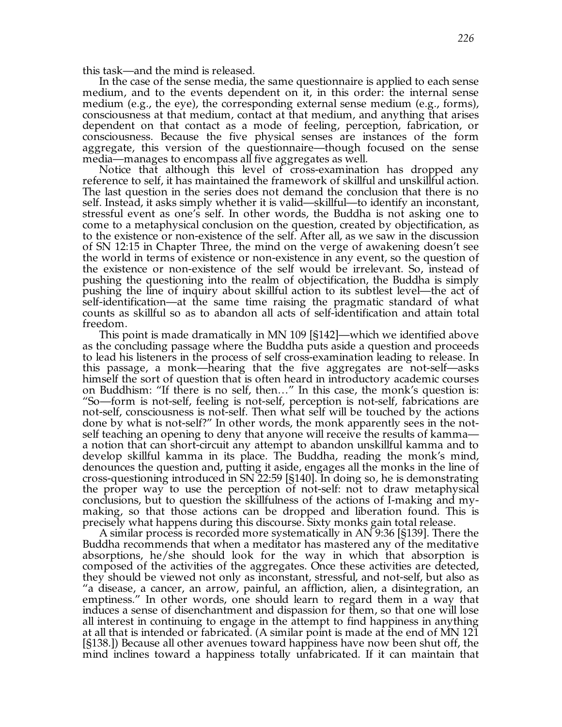this task—and the mind is released.

In the case of the sense media, the same questionnaire is applied to each sense medium, and to the events dependent on it, in this order: the internal sense medium (e.g., the eye), the corresponding external sense medium (e.g., forms), consciousness at that medium, contact at that medium, and anything that arises dependent on that contact as a mode of feeling, perception, fabrication, or consciousness. Because the five physical senses are instances of the form aggregate, this version of the questionnaire—though focused on the sense media—manages to encompass all five aggregates as well.

Notice that although this level of cross-examination has dropped any reference to self, it has maintained the framework of skillful and unskillful action. The last question in the series does not demand the conclusion that there is no self. Instead, it asks simply whether it is valid—skillful—to identify an inconstant, stressful event as one's self. In other words, the Buddha is not asking one to come to a metaphysical conclusion on the question, created by objectification, as to the existence or non-existence of the self. After all, as we saw in the discussion of SN 12:15 in Chapter Three, the mind on the verge of awakening doesn't see the world in terms of existence or non-existence in any event, so the question of the existence or non-existence of the self would be irrelevant. So, instead of pushing the questioning into the realm of objectification, the Buddha is simply pushing the line of inquiry about skillful action to its subtlest level—the act of self-identification—at the same time raising the pragmatic standard of what counts as skillful so as to abandon all acts of self-identification and attain total freedom.

This point is made dramatically in MN 109 [§142]—which we identified above as the concluding passage where the Buddha puts aside a question and proceeds to lead his listeners in the process of self cross-examination leading to release. In this passage, a monk—hearing that the five aggregates are not-self—asks himself the sort of question that is often heard in introductory academic courses on Buddhism: "If there is no self, then…" In this case, the monk's question is: "So—form is not-self, feeling is not-self, perception is not-self, fabrications are not-self, consciousness is not-self. Then what self will be touched by the actions done by what is not-self?" In other words, the monk apparently sees in the notself teaching an opening to deny that anyone will receive the results of kamma a notion that can short-circuit any attempt to abandon unskillful kamma and to develop skillful kamma in its place. The Buddha, reading the monk's mind, denounces the question and, putting it aside, engages all the monks in the line of cross-questioning introduced in SN 22:59 [§140]. In doing so, he is demonstrating the proper way to use the perception of not-self: not to draw metaphysical conclusions, but to question the skillfulness of the actions of I-making and mymaking, so that those actions can be dropped and liberation found. This is precisely what happens during this discourse. Sixty monks gain total release.

A similar process is recorded more systematically in AN 9:36 [§139]. There the Buddha recommends that when a meditator has mastered any of the meditative absorptions, he/she should look for the way in which that absorption is composed of the activities of the aggregates. Once these activities are detected, they should be viewed not only as inconstant, stressful, and not-self, but also as "a disease, a cancer, an arrow, painful, an affliction, alien, a disintegration, an emptiness." In other words, one should learn to regard them in a way that induces a sense of disenchantment and dispassion for them, so that one will lose all interest in continuing to engage in the attempt to find happiness in anything at all that is intended or fabricated. (A similar point is made at the end of MN 121 [§138.]) Because all other avenues toward happiness have now been shut off, the mind inclines toward a happiness totally unfabricated. If it can maintain that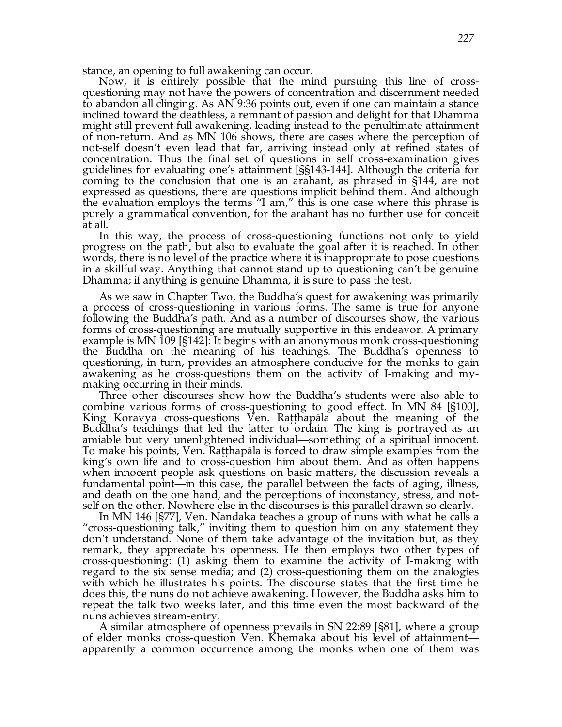stance, an opening to full awakening can occur.

Now, it is entirely possible that the mind pursuing this line of cross- questioning may not have the powers of concentration and discernment needed to abandon all clinging. As AN 9:36 points out, even if one can maintain a stance inclined toward the deathless, a remnant of passion and delight for that Dhamma might still prevent full awakening, leading instead to the penultimate attainment of non-return. And as MN 106 shows, there are cases where the perception of not-self doesn't even lead that far, arriving instead only at refined states of concentration. Thus the final set of questions in self cross-examination gives guidelines for evaluating one's attainment [§§143-144]. Although the criteria for coming to the conclusion that one is an arahant, as phrased in §144, are not expressed as questions, there are questions implicit behind them. And although the evaluation employs the terms "I am," this is one case where this phrase is purely a grammatical convention, for the arahant has no further use for conceit at all.

In this way, the process of cross-questioning functions not only to yield progress on the path, but also to evaluate the goal after it is reached. In other words, there is no level of the practice where it is inappropriate to pose questions in a skillful way. Anything that cannot stand up to questioning can't be genuine Dhamma; if anything is genuine Dhamma, it is sure to pass the test.

As we saw in Chapter Two, the Buddha's quest for awakening was primarily a process of cross-questioning in various forms. The same is true for anyone following the Buddha's path. And as a number of discourses show, the various forms of cross-questioning are mutually supportive in this endeavor. A primary example is MN 109 [§142]: It begins with an anonymous monk cross-questioning the Buddha on the meaning of his teachings. The Buddha's openness to questioning, in turn, provides an atmosphere conducive for the monks to gain awakening as he cross-questions them on the activity of I-making and mymaking occurring in their minds.

Three other discourses show how the Buddha's students were also able to combine various forms of cross-questioning to good effect. In MN 84 [§100], King Koravya cross-questions Ven. Ratthapala about the meaning of the Buddha's teachings that led the latter to ordain. The king is portrayed as an amiable but very unenlightened individual—something of a spiritual innocent. To make his points, Ven. Ratthapala is forced to draw simple examples from the king's own life and to cross-question him about them. And as often happens when innocent people ask questions on basic matters, the discussion reveals a fundamental point—in this case, the parallel between the facts of aging, illness, and death on the one hand, and the perceptions of inconstancy, stress, and notself on the other. Nowhere else in the discourses is this parallel drawn so clearly.

In MN 146 [§77], Ven. Nandaka teaches a group of nuns with what he calls a "cross-questioning talk," inviting them to question him on any statement they don't understand. None of them take advantage of the invitation but, as they remark, they appreciate his openness. He then employs two other types of cross-questioning: (1) asking them to examine the activity of I-making with regard to the six sense media; and (2) cross-questioning them on the analogies with which he illustrates his points. The discourse states that the first time he does this, the nuns do not achieve awakening. However, the Buddha asks him to repeat the talk two weeks later, and this time even the most backward of the nuns achieves stream-entry.

A similar atmosphere of openness prevails in SN 22:89 [§81], where a group of elder monks cross-question Ven. Khemaka about his level of attainment— apparently a common occurrence among the monks when one of them was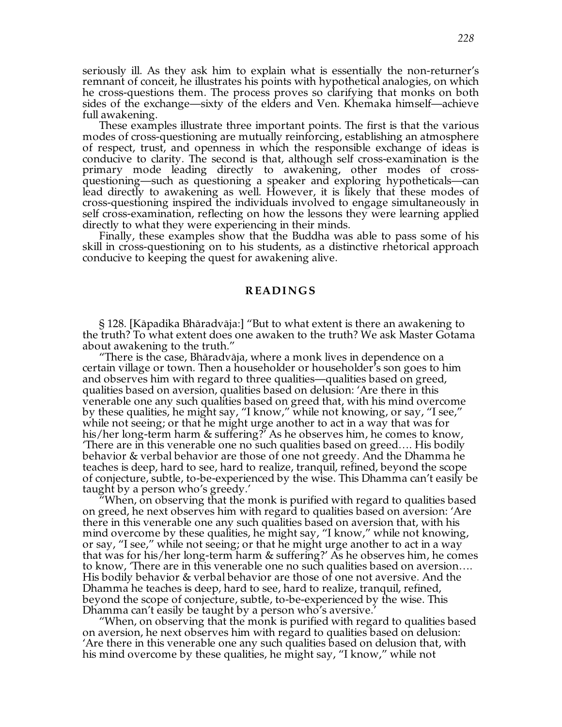seriously ill. As they ask him to explain what is essentially the non-returner's remnant of conceit, he illustrates his points with hypothetical analogies, on which he cross-questions them. The process proves so clarifying that monks on both sides of the exchange—sixty of the elders and Ven. Khemaka himself—achieve

full awakening. These examples illustrate three important points. The first is that the various modes of cross-questioning are mutually reinforcing, establishing an atmosphere of respect, trust, and openness in which the responsible exchange of ideas is conducive to clarity. The second is that, although self cross-examination is the primary mode leading directly to awakening, other modes of cross- questioning—such as questioning a speaker and exploring hypotheticals—can lead directly to awakening as well. However, it is likely that these modes of cross-questioning inspired the individuals involved to engage simultaneously in self cross-examination, reflecting on how the lessons they were learning applied directly to what they were experiencing in their minds.

Finally, these examples show that the Buddha was able to pass some of his skill in cross-questioning on to his students, as a distinctive rhetorical approach conducive to keeping the quest for awakening alive.

## **READINGS**

§ 128. [Kāpadika Bhāradvāja:] "But to what extent is there an awakening to the truth? To what extent does one awaken to the truth? We ask Master Gotama about awakening to the truth."

"There is the case, Bhāradvāja, where a monk lives in dependence on a certain village or town. Then a householder or householder's son goes to him and observes him with regard to three qualities—qualities based on greed, qualities based on aversion, qualities based on delusion: 'Are there in this venerable one any such qualities based on greed that, with his mind overcome by these qualities, he might say, "I know," while not knowing, or say, "I see," while not seeing; or that he might urge another to act in a way that was for his/her long-term harm & suffering?' As he observes him, he comes to know, 'There are in this venerable one no such qualities based on greed…. His bodily behavior & verbal behavior are those of one not greedy. And the Dhamma he teaches is deep, hard to see, hard to realize, tranquil, refined, beyond the scope of conjecture, subtle, to-be-experienced by the wise. This Dhamma can't easily be taught by a person who's greedy.'

When, on observing that the monk is purified with regard to qualities based on greed, he next observes him with regard to qualities based on aversion: 'Are there in this venerable one any such qualities based on aversion that, with his mind overcome by these qualities, he might say, "I know," while not knowing, or say, "I see," while not seeing; or that he might urge another to act in a way that was for his/her long-term harm & suffering?' As he observes him, he comes to know, 'There are in this venerable one no such qualities based on aversion…. His bodily behavior & verbal behavior are those of one not aversive. And the Dhamma he teaches is deep, hard to see, hard to realize, tranquil, refined, beyond the scope of conjecture, subtle, to-be-experienced by the wise. This Dhamma can't easily be taught by a person who's aversive.'

"When, on observing that the monk is purified with regard to qualities based on aversion, he next observes him with regard to qualities based on delusion: 'Are there in this venerable one any such qualities based on delusion that, with his mind overcome by these qualities, he might say, "I know," while not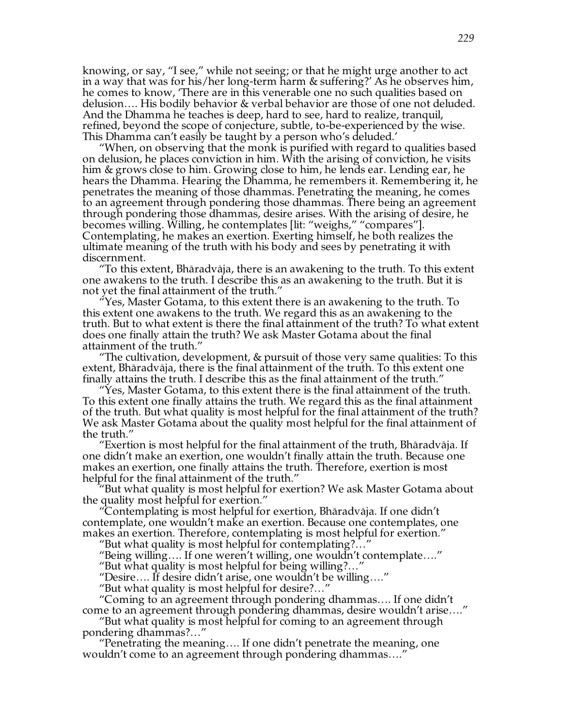knowing, or say, "I see," while not seeing; or that he might urge another to act in a way that was for his/her long-term harm & suffering?' As he observes him, he comes to know, 'There are in this venerable one no such qualities based on delusion…. His bodily behavior & verbal behavior are those of one not deluded. And the Dhamma he teaches is deep, hard to see, hard to realize, tranquil, refined, beyond the scope of conjecture, subtle, to-be-experienced by the wise. This Dhamma can't easily be taught by a person who's deluded.'

"When, on observing that the monk is purified with regard to qualities based on delusion, he places conviction in him. With the arising of conviction, he visits him & grows close to him. Growing close to him, he lends ear. Lending ear, he hears the Dhamma. Hearing the Dhamma, he remembers it. Remembering it, he penetrates the meaning of those dhammas. Penetrating the meaning, he comes to an agreement through pondering those dhammas. There being an agreement through pondering those dhammas, desire arises. With the arising of desire, he becomes willing. Willing, he contemplates [lit: "weighs," "compares"]. Contemplating, he makes an exertion. Exerting himself, he both realizes the ultimate meaning of the truth with his body and sees by penetrating it with discernment.

"To this extent, Bhāradvāja, there is an awakening to the truth. To this extent one awakens to the truth. I describe this as an awakening to the truth. But it is not yet the final attainment of the truth."

"Yes, Master Gotama, to this extent there is an awakening to the truth. To this extent one awakens to the truth. We regard this as an awakening to the truth. But to what extent is there the final attainment of the truth? To what extent does one finally attain the truth? We ask Master Gotama about the final attainment of the truth."

"The cultivation, development, & pursuit of those very same qualities: To this extent, Bhāradvāja, there is the final attainment of the truth. To this extent one finally attains the truth. I describe this as the final attainment of the truth."

"Yes, Master Gotama, to this extent there is the final attainment of the truth. To this extent one finally attains the truth. We regard this as the final attainment of the truth. But what quality is most helpful for the final attainment of the truth? We ask Master Gotama about the quality most helpful for the final attainment of the truth."

"Exertion is most helpful for the final attainment of the truth, Bhāradvāja. If one didn't make an exertion, one wouldn't finally attain the truth. Because one makes an exertion, one finally attains the truth. Therefore, exertion is most helpful for the final attainment of the truth."

"But what quality is most helpful for exertion? We ask Master Gotama about the quality most helpful for exertion."

"Contemplating is most helpful for exertion, Bhāradvāja. If one didn't contemplate, one wouldn't make an exertion. Because one contemplates, one makes an exertion. Therefore, contemplating is most helpful for exertion."

"But what quality is most helpful for contemplating?…"

"Being willing…. If one weren't willing, one wouldn't contemplate…."

"But what quality is most helpful for being willing?…"

"Desire…. If desire didn't arise, one wouldn't be willing…."

"But what quality is most helpful for desire?…"

"Coming to an agreement through pondering dhammas…. If one didn't come to an agreement through pondering dhammas, desire wouldn't arise…."

"But what quality is most helpful for coming to an agreement through pondering dhammas?…"

"Penetrating the meaning…. If one didn't penetrate the meaning, one wouldn't come to an agreement through pondering dhammas…."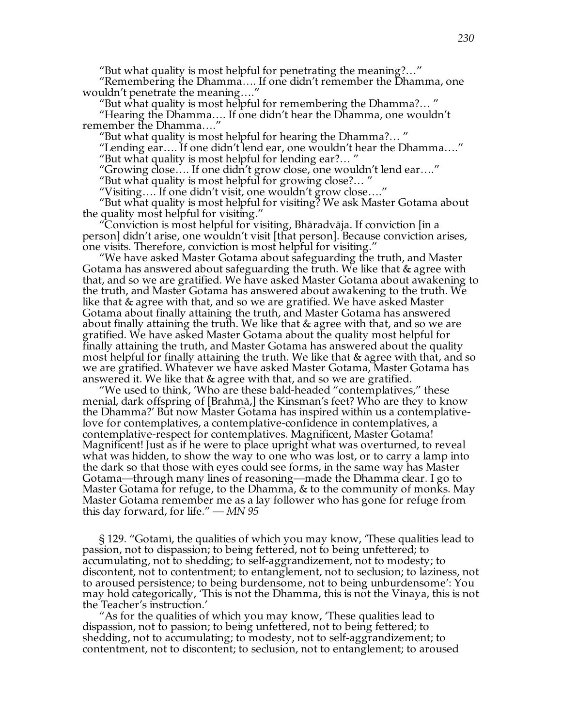"But what quality is most helpful for penetrating the meaning?…" "Remembering the Dhamma…. If one didn't remember the Dhamma, one wouldn't penetrate the meaning…."

"But what quality is most helpful for remembering the Dhamma?… " "Hearing the Dhamma…. If one didn't hear the Dhamma, one wouldn't remember the Dhamma…."

"But what quality is most helpful for hearing the Dhamma?… "

"Lending ear…. If one didn't lend ear, one wouldn't hear the Dhamma…." "But what quality is most helpful for lending ear?… "

"Growing close…. If one didn't grow close, one wouldn't lend ear…."

"But what quality is most helpful for growing close?… "

"Visiting…. If one didn't visit, one wouldn't grow close…."

"But what quality is most helpful for visiting? We ask Master Gotama about the quality most helpful for visiting."

"Conviction is most helpful for visiting, Bhāradvāja. If conviction [in a person] didn't arise, one wouldn't visit [that person]. Because conviction arises, one visits. Therefore, conviction is most helpful for visiting."

"We have asked Master Gotama about safeguarding the truth, and Master Gotama has answered about safeguarding the truth. We like that & agree with that, and so we are gratified. We have asked Master Gotama about awakening to the truth, and Master Gotama has answered about awakening to the truth. We like that & agree with that, and so we are gratified. We have asked Master Gotama about finally attaining the truth, and Master Gotama has answered about finally attaining the truth. We like that & agree with that, and so we are gratified. We have asked Master Gotama about the quality most helpful for finally attaining the truth, and Master Gotama has answered about the quality most helpful for finally attaining the truth. We like that & agree with that, and so we are gratified. Whatever we have asked Master Gotama, Master Gotama has answered it. We like that & agree with that, and so we are gratified.

"We used to think, 'Who are these bald-headed "contemplatives," these menial, dark offspring of [Brahmā,] the Kinsman's feet? Who are they to know the Dhamma?' But now Master Gotama has inspired within us a contemplativelove for contemplatives, a contemplative-confidence in contemplatives, a contemplative-respect for contemplatives. Magnificent, Master Gotama! Magnificent! Just as if he were to place upright what was overturned, to reveal what was hidden, to show the way to one who was lost, or to carry a lamp into the dark so that those with eyes could see forms, in the same way has Master Gotama—through many lines of reasoning—made the Dhamma clear. I go to Master Gotama for refuge, to the Dhamma, & to the community of monks. May Master Gotama remember me as a lay follower who has gone for refuge from this day forward, for life." — *MN 95*

§ 129. "Gotamı, the qualities of which you may know, 'These qualities lead to passion, not to dispassion; to being fettered, not to being unfettered; to accumulating, not to shedding; to self-aggrandizement, not to modesty; to discontent, not to contentment; to entanglement, not to seclusion; to laziness, not to aroused persistence; to being burdensome, not to being unburdensome': You may hold categorically, 'This is not the Dhamma, this is not the Vinaya, this is not the Teacher's instruction.'

"As for the qualities of which you may know, 'These qualities lead to dispassion, not to passion; to being unfettered, not to being fettered; to shedding, not to accumulating; to modesty, not to self-aggrandizement; to contentment, not to discontent; to seclusion, not to entanglement; to aroused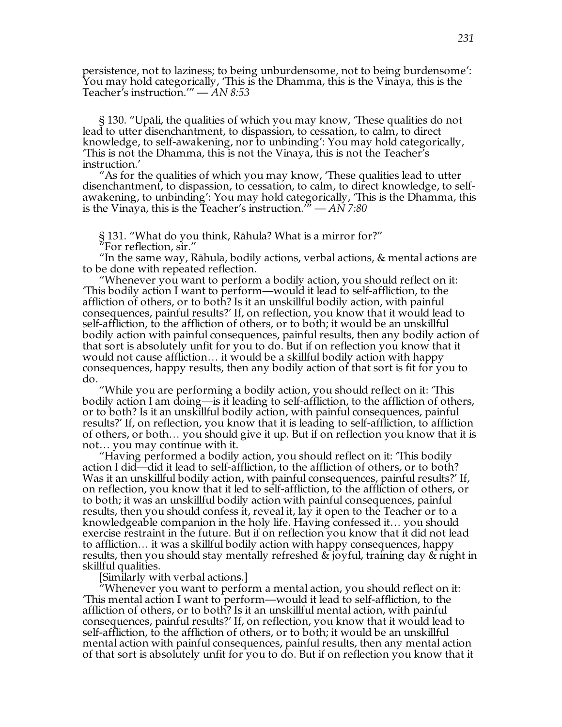persistence, not to laziness; to being unburdensome, not to being burdensome': You may hold categorically, 'This is the Dhamma, this is the Vinaya, this is the Teacher's instruction.'" — *AN 8:53*

 $\S$  130. "Upali, the qualities of which you may know, These qualities do not lead to utter disenchantment, to dispassion, to cessation, to calm, to direct knowledge, to self-awakening, nor to unbinding': You may hold categorically, 'This is not the Dhamma, this is not the Vinaya, this is not the Teacher's instruction.'

"As for the qualities of which you may know, 'These qualities lead to utter disenchantment, to dispassion, to cessation, to calm, to direct knowledge, to self- awakening, to unbinding': You may hold categorically, 'This is the Dhamma, this is the Vinaya, this is the Teacher's instruction.'" — *AN 7:80*

 $\S$  131. "What do you think, Rāhula? What is a mirror for?"

"For reflection, sir."

"In the same way, Rāhula, bodily actions, verbal actions,  $\&$  mental actions are to be done with repeated reflection.

"Whenever you want to perform a bodily action, you should reflect on it: 'This bodily action I want to perform—would it lead to self-affliction, to the affliction of others, or to both? Is it an unskillful bodily action, with painful consequences, painful results?' If, on reflection, you know that it would lead to self-affliction, to the affliction of others, or to both; it would be an unskillful bodily action with painful consequences, painful results, then any bodily action of that sort is absolutely unfit for you to do. But if on reflection you know that it would not cause affliction… it would be a skillful bodily action with happy consequences, happy results, then any bodily action of that sort is fit for you to do.

"While you are performing a bodily action, you should reflect on it: 'This bodily action I am doing—is it leading to self-affliction, to the affliction of others, or to both? Is it an unskillful bodily action, with painful consequences, painful results?' If, on reflection, you know that it is leading to self-affliction, to affliction of others, or both… you should give it up. But if on reflection you know that it is not… you may continue with it.

"Having performed a bodily action, you should reflect on it: 'This bodily action I did—did it lead to self-affliction, to the affliction of others, or to both? Was it an unskillful bodily action, with painful consequences, painful results?' If, on reflection, you know that it led to self-affliction, to the affliction of others, or to both; it was an unskillful bodily action with painful consequences, painful results, then you should confess it, reveal it, lay it open to the Teacher or to a knowledgeable companion in the holy life. Having confessed it… you should exercise restraint in the future. But if on reflection you know that it did not lead to affliction… it was a skillful bodily action with happy consequences, happy results, then you should stay mentally refreshed & joyful, training day & night in skillful qualities.

[Similarly with verbal actions.]

"Whenever you want to perform a mental action, you should reflect on it: 'This mental action I want to perform—would it lead to self-affliction, to the affliction of others, or to both? Is it an unskillful mental action, with painful consequences, painful results?' If, on reflection, you know that it would lead to self-affliction, to the affliction of others, or to both; it would be an unskillful mental action with painful consequences, painful results, then any mental action of that sort is absolutely unfit for you to do. But if on reflection you know that it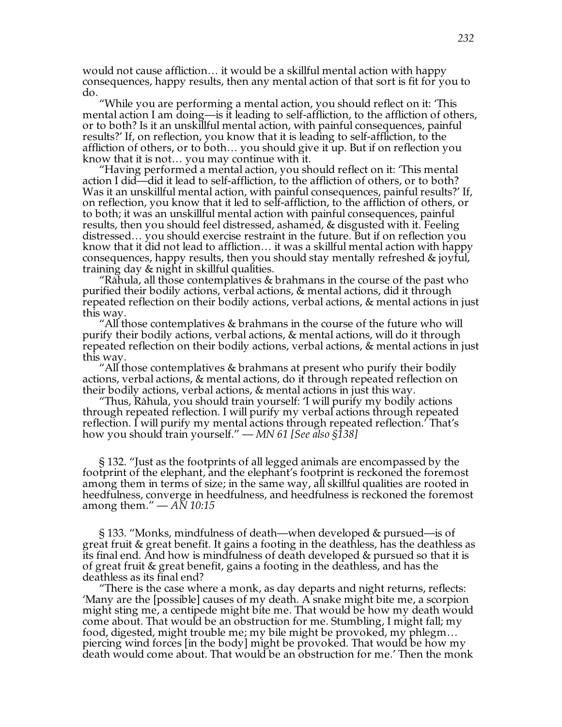would not cause affliction… it would be a skillful mental action with happy consequences, happy results, then any mental action of that sort is fit for you to do.

"While you are performing a mental action, you should reflect on it: 'This mental action I am doing—is it leading to self-affliction, to the affliction of others, or to both? Is it an unskillful mental action, with painful consequences, painful results?' If, on reflection, you know that it is leading to self-affliction, to the affliction of others, or to both… you should give it up. But if on reflection you know that it is not… you may continue with it.

"Having performed a mental action, you should reflect on it: 'This mental action I did—did it lead to self-affliction, to the affliction of others, or to both? Was it an unskillful mental action, with painful consequences, painful results?' If, on reflection, you know that it led to self-affliction, to the affliction of others, or to both; it was an unskillful mental action with painful consequences, painful results, then you should feel distressed, ashamed, & disgusted with it. Feeling distressed… you should exercise restraint in the future. But if on reflection you know that it did not lead to affliction… it was a skillful mental action with happy consequences, happy results, then you should stay mentally refreshed & joyful, training day & night in skillful qualities.

"Rāhula, all those contemplatives  $\&$  brahmans in the course of the past who purified their bodily actions, verbal actions, & mental actions, did it through repeated reflection on their bodily actions, verbal actions, & mental actions in just this way.

"All those contemplatives & brahmans in the course of the future who will purify their bodily actions, verbal actions, & mental actions, will do it through repeated reflection on their bodily actions, verbal actions, & mental actions in just this way.

"All those contemplatives  $\&$  brahmans at present who purify their bodily actions, verbal actions, & mental actions, do it through repeated reflection on their bodily actions, verbal actions, & mental actions in just this way.

"Thus, Rāhula, you should train yourself: 'I will purify my bodily actions through repeated reflection. I will purify my verbal actions through repeated reflection. I will purify my mental actions through repeated reflection.' That's how you should train yourself." — *MN 61 [See also §138]*

§ 132. "Just as the footprints of all legged animals are encompassed by the footprint of the elephant, and the elephant's footprint is reckoned the foremost among them in terms of size; in the same way, all skillful qualities are rooted in heedfulness, converge in heedfulness, and heedfulness is reckoned the foremost among them." — *AN 10:15*

§ 133. "Monks, mindfulness of death—when developed & pursued—is of great fruit & great benefit. It gains a footing in the deathless, has the deathless as its final end. And how is mindfulness of death developed & pursued so that it is of great fruit & great benefit, gains a footing in the deathless, and has the deathless as its final end?

"There is the case where a monk, as day departs and night returns, reflects: 'Many are the [possible] causes of my death. A snake might bite me, a scorpion might sting me, a centipede might bite me. That would be how my death would come about. That would be an obstruction for me. Stumbling, I might fall; my food, digested, might trouble me; my bile might be provoked, my phlegm… piercing wind forces [in the body] might be provoked. That would be how my death would come about. That would be an obstruction for me.' Then the monk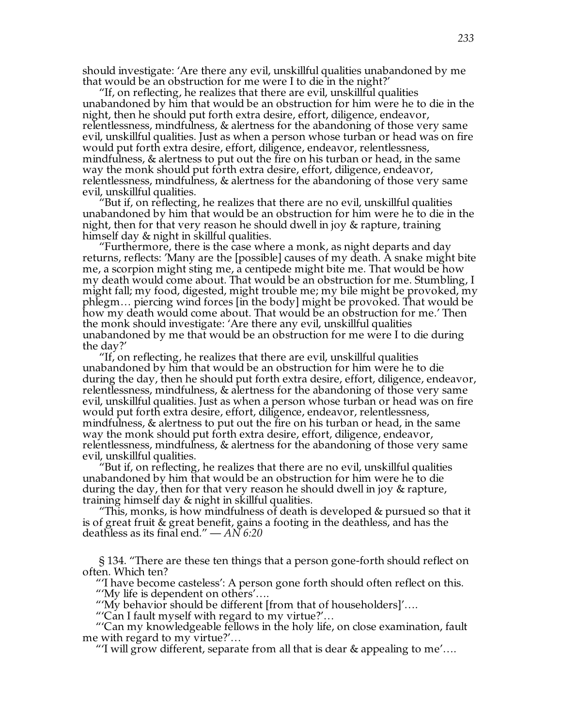should investigate: 'Are there any evil, unskillful qualities unabandoned by me that would be an obstruction for me were I to die in the night?'

"If, on reflecting, he realizes that there are evil, unskillful qualities unabandoned by him that would be an obstruction for him were he to die in the night, then he should put forth extra desire, effort, diligence, endeavor, relentlessness, mindfulness, & alertness for the abandoning of those very same evil, unskillful qualities. Just as when a person whose turban or head was on fire would put forth extra desire, effort, diligence, endeavor, relentlessness, mindfulness, & alertness to put out the fire on his turban or head, in the same way the monk should put forth extra desire, effort, diligence, endeavor, relentlessness, mindfulness, & alertness for the abandoning of those very same evil, unskillful qualities.

"But if, on reflecting, he realizes that there are no evil, unskillful qualities unabandoned by him that would be an obstruction for him were he to die in the night, then for that very reason he should dwell in joy & rapture, training himself day & night in skillful qualities.

"Furthermore, there is the case where a monk, as night departs and day returns, reflects: 'Many are the [possible] causes of my death. A snake might bite me, a scorpion might sting me, a centipede might bite me. That would be how my death would come about. That would be an obstruction for me. Stumbling, I might fall; my food, digested, might trouble me; my bile might be provoked, my phlegm… piercing wind forces [in the body] might be provoked. That would be how my death would come about. That would be an obstruction for me.' Then the monk should investigate: 'Are there any evil, unskillful qualities unabandoned by me that would be an obstruction for me were I to die during the day?'

"If, on reflecting, he realizes that there are evil, unskillful qualities unabandoned by him that would be an obstruction for him were he to die during the day, then he should put forth extra desire, effort, diligence, endeavor, relentlessness, mindfulness, & alertness for the abandoning of those very same evil, unskillful qualities. Just as when a person whose turban or head was on fire would put forth extra desire, effort, diligence, endeavor, relentlessness, mindfulness, & alertness to put out the fire on his turban or head, in the same way the monk should put forth extra desire, effort, diligence, endeavor, relentlessness, mindfulness, & alertness for the abandoning of those very same evil, unskillful qualities.

"But if, on reflecting, he realizes that there are no evil, unskillful qualities unabandoned by him that would be an obstruction for him were he to die during the day, then for that very reason he should dwell in joy & rapture, training himself day & night in skillful qualities.

"This, monks, is how mindfulness of death is developed & pursued so that it is of great fruit & great benefit, gains a footing in the deathless, and has the deathless as its final end." — *AN 6:20*

§ 134. "There are these ten things that a person gone-forth should reflect on often. Which ten?

"'I have become casteless': A person gone forth should often reflect on this.

"'My life is dependent on others'….

"'My behavior should be different [from that of householders]'….

"'Can I fault myself with regard to my virtue?'…

"'Can my knowledgeable fellows in the holy life, on close examination, fault me with regard to my virtue?'…

"'I will grow different, separate from all that is dear & appealing to me'….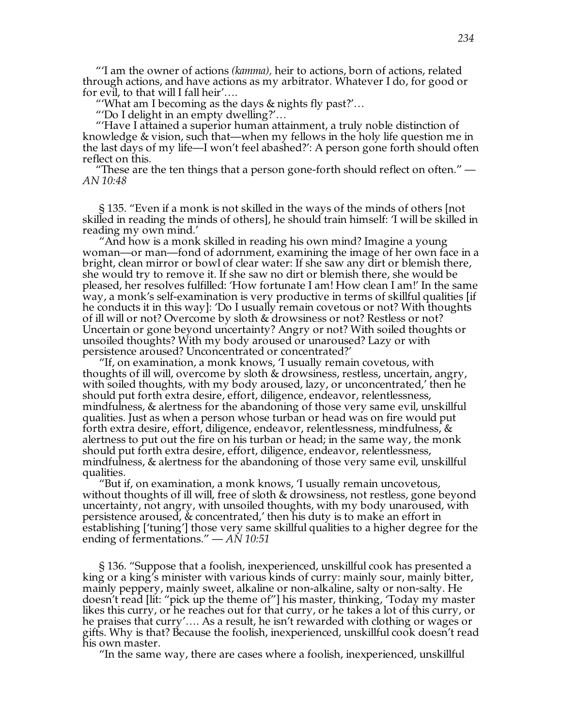"'I am the owner of actions *(kamma),* heir to actions, born of actions, related through actions, and have actions as my arbitrator. Whatever I do, for good or for evil, to that will I fall heir'….

"'What am I becoming as the days & nights fly past?'…

"'Do I delight in an empty dwelling?'…

"'Have I attained a superior human attainment, a truly noble distinction of knowledge & vision, such that—when my fellows in the holy life question me in the last days of my life—I won't feel abashed?': A person gone forth should often reflect on this.

"These are the ten things that a person gone-forth should reflect on often."  $-$ *AN 10:48*

§ 135. "Even if a monk is not skilled in the ways of the minds of others [not skilled in reading the minds of others], he should train himself: 'I will be skilled in reading my own mind.'

"And how is a monk skilled in reading his own mind? Imagine a young woman—or man—fond of adornment, examining the image of her own face in a bright, clean mirror or bowl of clear water: If she saw any dirt or blemish there, she would try to remove it. If she saw no dirt or blemish there, she would be pleased, her resolves fulfilled: 'How fortunate I am! How clean I am!' In the same way, a monk's self-examination is very productive in terms of skillful qualities [if he conducts it in this way]: 'Do I usually remain covetous or not? With thoughts of ill will or not? Overcome by sloth & drowsiness or not? Restless or not? Uncertain or gone beyond uncertainty? Angry or not? With soiled thoughts or unsoiled thoughts? With my body aroused or unaroused? Lazy or with persistence aroused? Unconcentrated or concentrated?'

"If, on examination, a monk knows, 'I usually remain covetous, with thoughts of ill will, overcome by sloth & drowsiness, restless, uncertain, angry, with soiled thoughts, with my body aroused, lazy, or unconcentrated,' then he should put forth extra desire, effort, diligence, endeavor, relentlessness, mindfulness, & alertness for the abandoning of those very same evil, unskillful qualities. Just as when a person whose turban or head was on fire would put forth extra desire, effort, diligence, endeavor, relentlessness, mindfulness, & alertness to put out the fire on his turban or head; in the same way, the monk should put forth extra desire, effort, diligence, endeavor, relentlessness, mindfulness, & alertness for the abandoning of those very same evil, unskillful qualities.

"But if, on examination, a monk knows, 'I usually remain uncovetous, without thoughts of ill will, free of sloth & drowsiness, not restless, gone beyond uncertainty, not angry, with unsoiled thoughts, with my body unaroused, with persistence aroused, & concentrated,' then his duty is to make an effort in establishing ['tuning'] those very same skillful qualities to a higher degree for the ending of fermentations." — *AN 10:51*

§ 136. "Suppose that a foolish, inexperienced, unskillful cook has presented a king or a king's minister with various kinds of curry: mainly sour, mainly bitter, mainly peppery, mainly sweet, alkaline or non-alkaline, salty or non-salty. He doesn't read [lit: "pick up the theme of"] his master, thinking, 'Today my master likes this curry, or he reaches out for that curry, or he takes a lot of this curry, or he praises that curry'…. As a result, he isn't rewarded with clothing or wages or gifts. Why is that? Because the foolish, inexperienced, unskillful cook doesn't read his own master.

"In the same way, there are cases where a foolish, inexperienced, unskillful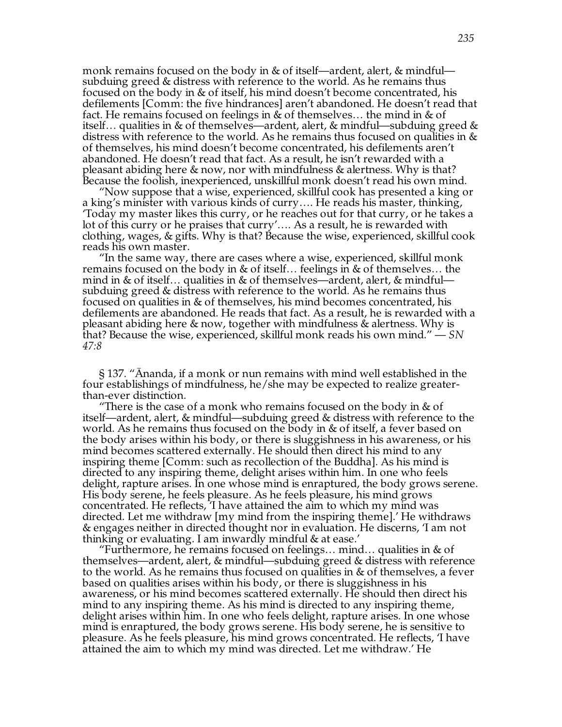monk remains focused on the body in & of itself—ardent, alert, & mindful— subduing greed & distress with reference to the world. As he remains thus focused on the body in & of itself, his mind doesn't become concentrated, his defilements [Comm: the five hindrances] aren't abandoned. He doesn't read that fact. He remains focused on feelings in & of themselves... the mind in  $\&$  of itself… qualities in & of themselves—ardent, alert, & mindful—subduing greed & distress with reference to the world. As he remains thus focused on qualities in & of themselves, his mind doesn't become concentrated, his defilements aren't abandoned. He doesn't read that fact. As a result, he isn't rewarded with a pleasant abiding here & now, nor with mindfulness & alertness. Why is that? Because the foolish, inexperienced, unskillful monk doesn't read his own mind.

"Now suppose that a wise, experienced, skillful cook has presented a king or a king's minister with various kinds of curry…. He reads his master, thinking, 'Today my master likes this curry, or he reaches out for that curry, or he takes a lot of this curry or he praises that curry'…. As a result, he is rewarded with clothing, wages, & gifts. Why is that? Because the wise, experienced, skillful cook reads his own master.

"In the same way, there are cases where a wise, experienced, skillful monk remains focused on the body in & of itself… feelings in & of themselves… the mind in & of itself… qualities in & of themselves—ardent, alert, & mindful— subduing greed & distress with reference to the world. As he remains thus focused on qualities in & of themselves, his mind becomes concentrated, his defilements are abandoned. He reads that fact. As a result, he is rewarded with a pleasant abiding here & now, together with mindfulness & alertness. Why is that? Because the wise, experienced, skillful monk reads his own mind." — *SN 47:8*

§ 137. "finanda, if a monk or nun remains with mind well established in the four establishings of mindfulness, he/she may be expected to realize greaterthan-ever distinction.

"There is the case of a monk who remains focused on the body in  $\&$  of itself—ardent, alert, & mindful—subduing greed & distress with reference to the world. As he remains thus focused on the body in & of itself, a fever based on the body arises within his body, or there is sluggishness in his awareness, or his mind becomes scattered externally. He should then direct his mind to any inspiring theme [Comm: such as recollection of the Buddha]. As his mind is directed to any inspiring theme, delight arises within him. In one who feels delight, rapture arises. In one whose mind is enraptured, the body grows serene. His body serene, he feels pleasure. As he feels pleasure, his mind grows concentrated. He reflects, 'I have attained the aim to which my mind was directed. Let me withdraw [my mind from the inspiring theme].' He withdraws & engages neither in directed thought nor in evaluation. He discerns, 'I am not thinking or evaluating. I am inwardly mindful & at ease.'

"Furthermore, he remains focused on feelings... mind... qualities in  $\&$  of themselves—ardent, alert, & mindful—subduing greed & distress with reference to the world. As he remains thus focused on qualities in & of themselves, a fever based on qualities arises within his body, or there is sluggishness in his awareness, or his mind becomes scattered externally. He should then direct his mind to any inspiring theme. As his mind is directed to any inspiring theme, delight arises within him. In one who feels delight, rapture arises. In one whose mind is enraptured, the body grows serene. His body serene, he is sensitive to pleasure. As he feels pleasure, his mind grows concentrated. He reflects, 'I have attained the aim to which my mind was directed. Let me withdraw.' He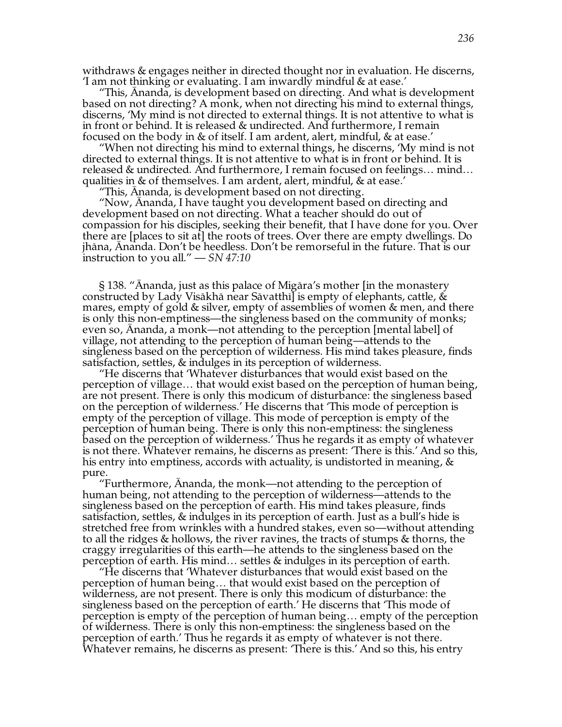withdraws & engages neither in directed thought nor in evaluation. He discerns, 'I am not thinking or evaluating. I am inwardly mindful & at ease.'

"This, Ananda, is development based on directing. And what is development based on not directing? A monk, when not directing his mind to external things, discerns, 'My mind is not directed to external things. It is not attentive to what is in front or behind. It is released & undirected. And furthermore, I remain focused on the body in & of itself. I am ardent, alert, mindful, & at ease.'

"When not directing his mind to external things, he discerns, 'My mind is not directed to external things. It is not attentive to what is in front or behind. It is released & undirected. And furthermore, I remain focused on feelings… mind… qualities in & of themselves. I am ardent, alert, mindful, & at ease.' "This, finanda, is development based on not directing.

"Now, Ananda, I have taught you development based on directing and development based on not directing. What a teacher should do out of compassion for his disciples, seeking their benefit, that I have done for you. Over there are [places to sit at] the roots of trees. Over there are empty dwellings. Do jhāna, Ananda. Don't be heedless. Don't be remorseful in the future. That is our instruction to you all." — *SN 47:10*

 $\S$  138. "Ananda, just as this palace of Migara's mother [in the monastery constructed by Lady Visākhā near Sāvatthi] is empty of elephants, cattle,  $\&$ mares, empty of gold & silver, empty of assemblies of women & men, and there is only this non-emptiness—the singleness based on the community of monks; even so, Ananda, a monk—not attending to the perception [mental label] of village, not attending to the perception of human being—attends to the singleness based on the perception of wilderness. His mind takes pleasure, finds satisfaction, settles, & indulges in its perception of wilderness.

"He discerns that 'Whatever disturbances that would exist based on the perception of village… that would exist based on the perception of human being, are not present. There is only this modicum of disturbance: the singleness based on the perception of wilderness.' He discerns that 'This mode of perception is empty of the perception of village. This mode of perception is empty of the perception of human being. There is only this non-emptiness: the singleness based on the perception of wilderness.' Thus he regards it as empty of whatever is not there. Whatever remains, he discerns as present: 'There is this.' And so this, his entry into emptiness, accords with actuality, is undistorted in meaning, & pure.

"Furthermore, Ananda, the monk—not attending to the perception of human being, not attending to the perception of wilderness—attends to the singleness based on the perception of earth. His mind takes pleasure, finds satisfaction, settles, & indulges in its perception of earth. Just as a bull's hide is stretched free from wrinkles with a hundred stakes, even so—without attending to all the ridges & hollows, the river ravines, the tracts of stumps & thorns, the craggy irregularities of this earth—he attends to the singleness based on the perception of earth. His mind… settles & indulges in its perception of earth.

"He discerns that 'Whatever disturbances that would exist based on the perception of human being… that would exist based on the perception of wilderness, are not present. There is only this modicum of disturbance: the singleness based on the perception of earth.' He discerns that 'This mode of perception is empty of the perception of human being… empty of the perception of wilderness. There is only this non-emptiness: the singleness based on the perception of earth.' Thus he regards it as empty of whatever is not there. Whatever remains, he discerns as present: 'There is this.' And so this, his entry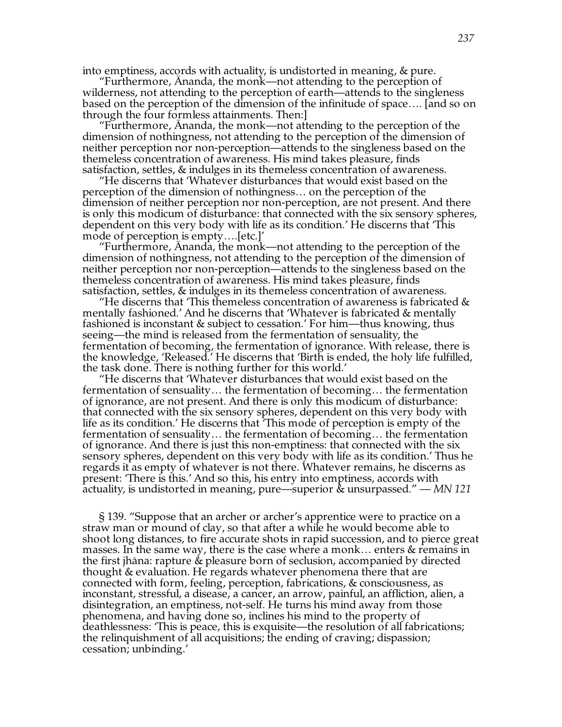into emptiness, accords with actuality, is undistorted in meaning, & pure.<br>"Furthermore, Ananda, the monk—not attending to the perception of wilderness, not attending to the perception of earth—attends to the singleness based on the perception of the dimension of the infinitude of space…. [and so on through the four formless attainments. Then:]

"Furthermore, Ananda, the monk—not attending to the perception of the dimension of nothingness, not attending to the perception of the dimension of neither perception nor non-perception—attends to the singleness based on the themeless concentration of awareness. His mind takes pleasure, finds satisfaction, settles, & indulges in its themeless concentration of awareness.

"He discerns that 'Whatever disturbances that would exist based on the perception of the dimension of nothingness… on the perception of the dimension of neither perception nor non-perception, are not present. And there is only this modicum of disturbance: that connected with the six sensory spheres, dependent on this very body with life as its condition.' He discerns that 'This mode of perception is empty....[etc.]'<br>"Furthermore,  $\bar{A}$ nanda, the monk—not attending to the perception of the

dimension of nothingness, not attending to the perception of the dimension of neither perception nor non-perception—attends to the singleness based on the themeless concentration of awareness. His mind takes pleasure, finds satisfaction, settles, & indulges in its themeless concentration of awareness.

"He discerns that 'This themeless concentration of awareness is fabricated  $\&$ mentally fashioned.' And he discerns that 'Whatever is fabricated & mentally fashioned is inconstant & subject to cessation.' For him—thus knowing, thus seeing—the mind is released from the fermentation of sensuality, the fermentation of becoming, the fermentation of ignorance. With release, there is the knowledge, 'Released.' He discerns that 'Birth is ended, the holy life fulfilled, the task done. There is nothing further for this world.'

"He discerns that 'Whatever disturbances that would exist based on the fermentation of sensuality… the fermentation of becoming… the fermentation of ignorance, are not present. And there is only this modicum of disturbance: that connected with the six sensory spheres, dependent on this very body with life as its condition.' He discerns that 'This mode of perception is empty of the fermentation of sensuality… the fermentation of becoming… the fermentation of ignorance. And there is just this non-emptiness: that connected with the six sensory spheres, dependent on this very body with life as its condition.' Thus he regards it as empty of whatever is not there. Whatever remains, he discerns as present: 'There is this.' And so this, his entry into emptiness, accords with actuality, is undistorted in meaning, pure—superior & unsurpassed." — *MN 121*

§ 139. "Suppose that an archer or archer's apprentice were to practice on a straw man or mound of clay, so that after a while he would become able to shoot long distances, to fire accurate shots in rapid succession, and to pierce great masses. In the same way, there is the case where a monk… enters & remains in the first jhana: rapture & pleasure born of seclusion, accompanied by directed thought & evaluation. He regards whatever phenomena there that are connected with form, feeling, perception, fabrications, & consciousness, as inconstant, stressful, a disease, a cancer, an arrow, painful, an affliction, alien, a disintegration, an emptiness, not-self. He turns his mind away from those phenomena, and having done so, inclines his mind to the property of deathlessness: 'This is peace, this is exquisite—the resolution of all fabrications; the relinquishment of all acquisitions; the ending of craving; dispassion; cessation; unbinding.'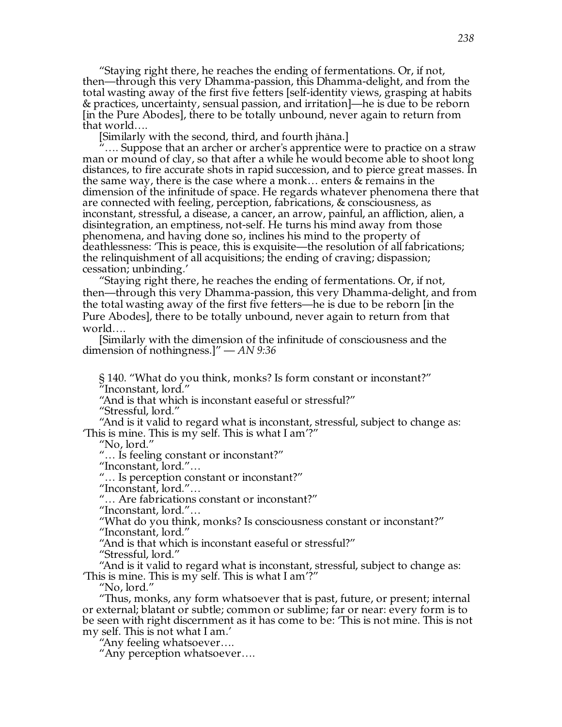"Staying right there, he reaches the ending of fermentations. Or, if not, then—through this very Dhamma-passion, this Dhamma-delight, and from the total wasting away of the first five fetters [self-identity views, grasping at habits & practices, uncertainty, sensual passion, and irritation]—he is due to be reborn [in the Pure Abodes], there to be totally unbound, never again to return from that world….

[Similarly with the second, third, and fourth jhāna.]

"…. Suppose that an archer or archer's apprentice were to practice on a straw man or mound of clay, so that after a while he would become able to shoot long distances, to fire accurate shots in rapid succession, and to pierce great masses. In the same way, there is the case where a monk… enters & remains in the dimension of the infinitude of space. He regards whatever phenomena there that are connected with feeling, perception, fabrications, & consciousness, as inconstant, stressful, a disease, a cancer, an arrow, painful, an affliction, alien, a disintegration, an emptiness, not-self. He turns his mind away from those phenomena, and having done so, inclines his mind to the property of deathlessness: 'This is peace, this is exquisite—the resolution of all fabrications; the relinquishment of all acquisitions; the ending of craving; dispassion; cessation; unbinding.'

"Staying right there, he reaches the ending of fermentations. Or, if not, then—through this very Dhamma-passion, this very Dhamma-delight, and from the total wasting away of the first five fetters—he is due to be reborn [in the Pure Abodes], there to be totally unbound, never again to return from that world….

[Similarly with the dimension of the infinitude of consciousness and the dimension of nothingness.]" — *AN 9:36*

§ 140. "What do you think, monks? Is form constant or inconstant?" "Inconstant, lord."

"And is that which is inconstant easeful or stressful?"

"Stressful, lord."

"And is it valid to regard what is inconstant, stressful, subject to change as: 'This is mine. This is my self. This is what I am'?"

"No, lord."

"… Is feeling constant or inconstant?"

"Inconstant, lord."…

"… Is perception constant or inconstant?"

"Inconstant, lord."…

"… Are fabrications constant or inconstant?"

"Inconstant, lord."…

"What do you think, monks? Is consciousness constant or inconstant?"

"Inconstant, lord."

"And is that which is inconstant easeful or stressful?"

"Stressful, lord."

"And is it valid to regard what is inconstant, stressful, subject to change as: 'This is mine. This is my self. This is what I am'?"

"No, lord."

"Thus, monks, any form whatsoever that is past, future, or present; internal or external; blatant or subtle; common or sublime; far or near: every form is to be seen with right discernment as it has come to be: 'This is not mine. This is not my self. This is not what I am.' "Any feeling whatsoever….

"Any perception whatsoever….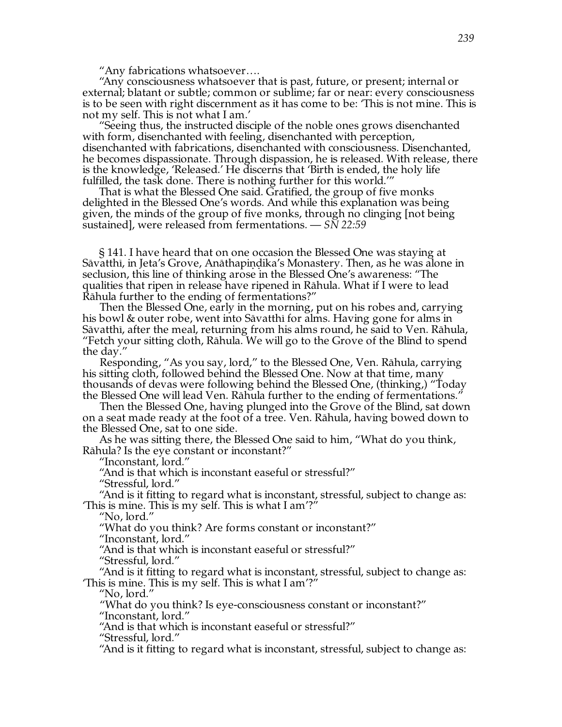"Any fabrications whatsoever….

"Any consciousness whatsoever that is past, future, or present; internal or external; blatant or subtle; common or sublime; far or near: every consciousness is to be seen with right discernment as it has come to be: 'This is not mine. This is not my self. This is not what I am.'

"Seeing thus, the instructed disciple of the noble ones grows disenchanted with form, disenchanted with feeling, disenchanted with perception, disenchanted with fabrications, disenchanted with consciousness. Disenchanted, he becomes dispassionate. Through dispassion, he is released. With release, there is the knowledge, 'Released.' He discerns that 'Birth is ended, the holy life fulfilled, the task done. There is nothing further for this world.'"

That is what the Blessed One said. Gratified, the group of five monks delighted in the Blessed One's words. And while this explanation was being given, the minds of the group of five monks, through no clinging [not being sustained], were released from fermentations. — *SN 22:59*

§ 141. I have heard that on one occasion the Blessed One was staying at Sāvatthī, in Jeta's Grove, Anāthapindika's Monastery. Then, as he was alone in seclusion, this line of thinking arose in the Blessed One's awareness: "The qualities that ripen in release have ripened in Rāhula. What if I were to lead Rahula further to the ending of fermentations?"

Then the Blessed One, early in the morning, put on his robes and, carrying his bowl & outer robe, went into Savatthi for alms. Having gone for alms in Sāvatthī, after the meal, returning from his alms round, he said to Ven. Rāhula, "Fetch your sitting cloth, Rāhula. We will go to the Grove of the Blind to spend the day."

Responding, "As you say, lord," to the Blessed One, Ven. Rāhula, carrying his sitting cloth, followed behind the Blessed One. Now at that time, many thousands of devas were following behind the Blessed One, (thinking,) "Today the Blessed One will lead Ven. Rahula further to the ending of fermentations."

Then the Blessed One, having plunged into the Grove of the Blind, sat down on a seat made ready at the foot of a tree. Ven. Rāhula, having bowed down to the Blessed One, sat to one side.

As he was sitting there, the Blessed One said to him, "What do you think, Rāhula? Is the eye constant or inconstant?"

"Inconstant, lord."

"And is that which is inconstant easeful or stressful?"

"Stressful, lord."

"And is it fitting to regard what is inconstant, stressful, subject to change as: 'This is mine. This is my self. This is what I am'?"

"No, lord."

"What do you think? Are forms constant or inconstant?"

"Inconstant, lord."

"And is that which is inconstant easeful or stressful?"

"Stressful, lord."

"And is it fitting to regard what is inconstant, stressful, subject to change as: 'This is mine. This is my self. This is what I am'?"

"No, lord."

"What do you think? Is eye-consciousness constant or inconstant?"

"Inconstant, lord."

"And is that which is inconstant easeful or stressful?"

"Stressful, lord."

"And is it fitting to regard what is inconstant, stressful, subject to change as: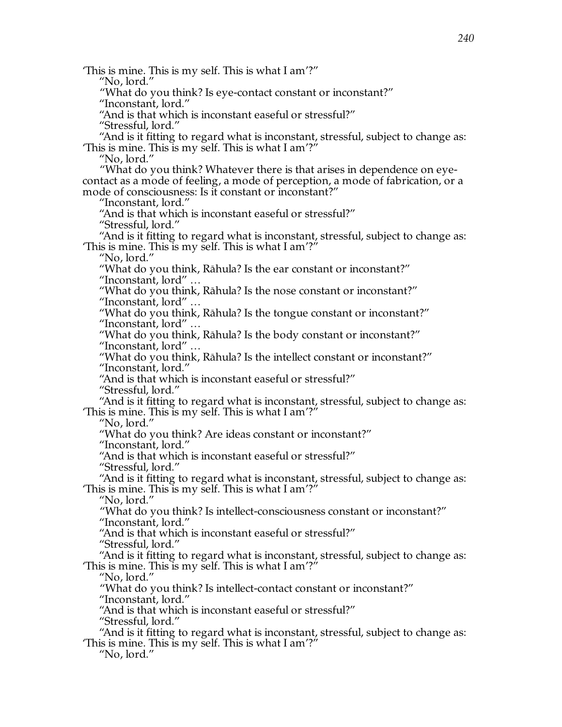'This is mine. This is my self. This is what I am'?"

"No, lord."

"What do you think? Is eye-contact constant or inconstant?"

"Inconstant, lord."

"And is that which is inconstant easeful or stressful?"

"Stressful, lord."

"And is it fitting to regard what is inconstant, stressful, subject to change as: 'This is mine. This is my self. This is what I am'?"

"No, lord."<br>"What do you think? Whatever there is that arises in dependence on eyecontact as a mode of feeling, a mode of perception, a mode of fabrication, or a mode of consciousness: Is it constant or inconstant?"

"Inconstant, lord."

"And is that which is inconstant easeful or stressful?"

"Stressful, lord."

"And is it fitting to regard what is inconstant, stressful, subject to change as: 'This is mine. This is my self. This is what I am'?"

"No, lord."

"What do you think, Rāhula? Is the ear constant or inconstant?"

"Inconstant, lord" …

"What do you think, Rāhula? Is the nose constant or inconstant?" "Inconstant, lord" …

"What do you think, Rāhula? Is the tongue constant or inconstant?" "Inconstant, lord" …

"What do you think, Rāhula? Is the body constant or inconstant?" "Inconstant, lord" …

"What do you think, Rāhula? Is the intellect constant or inconstant?" "Inconstant, lord."

"And is that which is inconstant easeful or stressful?"

"Stressful, lord."

"And is it fitting to regard what is inconstant, stressful, subject to change as: 'This is mine. This is my self. This is what I am'?"

"No, lord."

"What do you think? Are ideas constant or inconstant?"

"Inconstant, lord."

"And is that which is inconstant easeful or stressful?"

"Stressful, lord."

"And is it fitting to regard what is inconstant, stressful, subject to change as: 'This is mine. This is my self. This is what I am'?"

"No, lord."

"What do you think? Is intellect-consciousness constant or inconstant?" "Inconstant, lord."

"And is that which is inconstant easeful or stressful?"

"Stressful, lord."

"And is it fitting to regard what is inconstant, stressful, subject to change as: 'This is mine. This is my self. This is what I am'?"

"No, lord."

"What do you think? Is intellect-contact constant or inconstant?"

"Inconstant, lord."

"And is that which is inconstant easeful or stressful?"

"Stressful, lord."

"And is it fitting to regard what is inconstant, stressful, subject to change as: 'This is mine. This is my self. This is what I am'?"

"No, lord."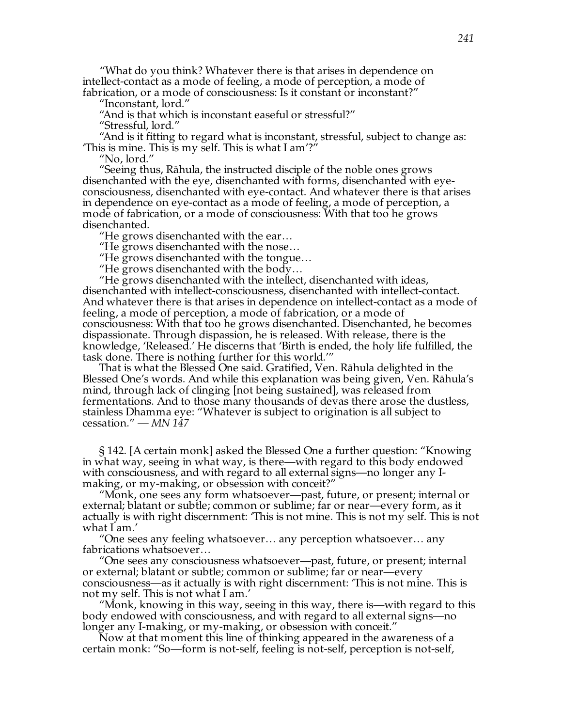"What do you think? Whatever there is that arises in dependence on intellect-contact as a mode of feeling, a mode of perception, a mode of fabrication, or a mode of consciousness: Is it constant or inconstant?"

"Inconstant, lord."

"And is that which is inconstant easeful or stressful?"

"Stressful, lord."

"And is it fitting to regard what is inconstant, stressful, subject to change as: 'This is mine. This is my self. This is what I am'?"

"No, lord."

"Seeing thus, Rāhula, the instructed disciple of the noble ones grows disenchanted with the eye, disenchanted with forms, disenchanted with eye- consciousness, disenchanted with eye-contact. And whatever there is that arises in dependence on eye-contact as a mode of feeling, a mode of perception, a mode of fabrication, or a mode of consciousness: With that too he grows disenchanted.

"He grows disenchanted with the ear…

"He grows disenchanted with the nose…

"He grows disenchanted with the tongue…

"He grows disenchanted with the body…

"He grows disenchanted with the intellect, disenchanted with ideas, disenchanted with intellect-consciousness, disenchanted with intellect-contact. And whatever there is that arises in dependence on intellect-contact as a mode of feeling, a mode of perception, a mode of fabrication, or a mode of consciousness: With that too he grows disenchanted. Disenchanted, he becomes dispassionate. Through dispassion, he is released. With release, there is the knowledge, 'Released.' He discerns that 'Birth is ended, the holy life fulfilled, the task done. There is nothing further for this world.'"

That is what the Blessed One said. Gratified, Ven. Rāhula delighted in the Blessed One's words. And while this explanation was being given, Ven. Rāhula's mind, through lack of clinging [not being sustained], was released from fermentations. And to those many thousands of devas there arose the dustless, stainless Dhamma eye: "Whatever is subject to origination is all subject to cessation." — *MN 147*

§ 142. [A certain monk] asked the Blessed One a further question: "Knowing in what way, seeing in what way, is there—with regard to this body endowed with consciousness, and with regard to all external signs—no longer any Imaking, or my-making, or obsession with conceit?"

"Monk, one sees any form whatsoever—past, future, or present; internal or external; blatant or subtle; common or sublime; far or near—every form, as it actually is with right discernment: 'This is not mine. This is not my self. This is not what I am.'

"One sees any feeling whatsoever… any perception whatsoever… any fabrications whatsoever…

"One sees any consciousness whatsoever—past, future, or present; internal or external; blatant or subtle; common or sublime; far or near—every consciousness—as it actually is with right discernment: 'This is not mine. This is not my self. This is not what I am.'

"Monk, knowing in this way, seeing in this way, there is—with regard to this body endowed with consciousness, and with regard to all external signs—no longer any I-making, or my-making, or obsession with conceit."

Now at that moment this line of thinking appeared in the awareness of a certain monk: "So—form is not-self, feeling is not-self, perception is not-self,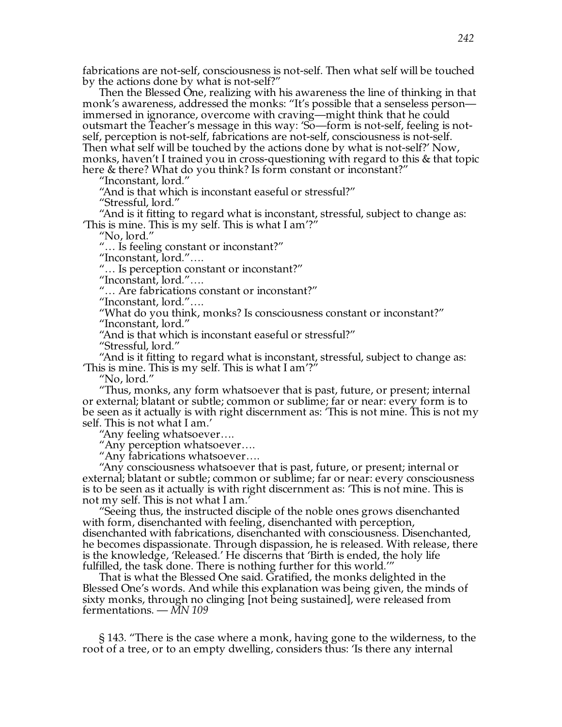fabrications are not-self, consciousness is not-self. Then what self will be touched by the actions done by what is not-self?"

Then the Blessed One, realizing with his awareness the line of thinking in that monk's awareness, addressed the monks: "It's possible that a senseless person— immersed in ignorance, overcome with craving—might think that he could outsmart the Teacher's message in this way: 'So—form is not-self, feeling is not-<br>self, perception is not-self, fabrications are not-self, consciousness is not-self. Then what self will be touched by the actions done by what is not-self?' Now, monks, haven't I trained you in cross-questioning with regard to this & that topic here & there? What do you think? Is form constant or inconstant?"

"Inconstant, lord."

"And is that which is inconstant easeful or stressful?"

"Stressful, lord."

"And is it fitting to regard what is inconstant, stressful, subject to change as: 'This is mine. This is my self. This is what I am'?"

"No, lord."

"… Is feeling constant or inconstant?"

"Inconstant, lord."….

"… Is perception constant or inconstant?"

"Inconstant, lord."….

"… Are fabrications constant or inconstant?"

"Inconstant, lord."….

"What do you think, monks? Is consciousness constant or inconstant?"

"Inconstant, lord."

"And is that which is inconstant easeful or stressful?"

"Stressful, lord."

"And is it fitting to regard what is inconstant, stressful, subject to change as: 'This is mine. This is my self. This is what I am'?"

"No, lord."

"Thus, monks, any form whatsoever that is past, future, or present; internal or external; blatant or subtle; common or sublime; far or near: every form is to be seen as it actually is with right discernment as: 'This is not mine. This is not my self. This is not what I am.'

"Any feeling whatsoever….

"Any perception whatsoever….

"Any fabrications whatsoever….

"Any consciousness whatsoever that is past, future, or present; internal or external; blatant or subtle; common or sublime; far or near: every consciousness is to be seen as it actually is with right discernment as: 'This is not mine. This is not my self. This is not what I am.'

"Seeing thus, the instructed disciple of the noble ones grows disenchanted with form, disenchanted with feeling, disenchanted with perception, disenchanted with fabrications, disenchanted with consciousness. Disenchanted, he becomes dispassionate. Through dispassion, he is released. With release, there is the knowledge, 'Released.' He discerns that 'Birth is ended, the holy life fulfilled, the task done. There is nothing further for this world.'"

That is what the Blessed One said. Gratified, the monks delighted in the Blessed One's words. And while this explanation was being given, the minds of sixty monks, through no clinging [not being sustained], were released from fermentations. — *MN 109*

§ 143. "There is the case where a monk, having gone to the wilderness, to the root of a tree, or to an empty dwelling, considers thus: 'Is there any internal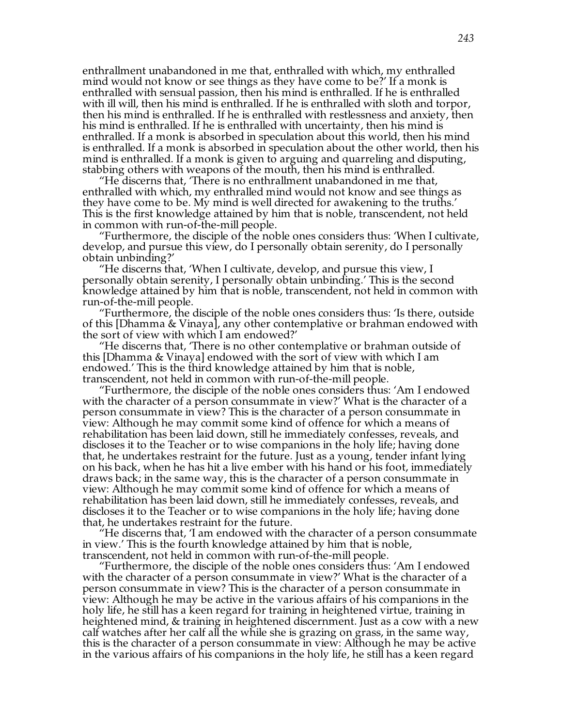enthrallment unabandoned in me that, enthralled with which, my enthralled mind would not know or see things as they have come to be?' If a monk is enthralled with sensual passion, then his mind is enthralled. If he is enthralled with ill will, then his mind is enthralled. If he is enthralled with sloth and torpor, then his mind is enthralled. If he is enthralled with restlessness and anxiety, then his mind is enthralled. If he is enthralled with uncertainty, then his mind is enthralled. If a monk is absorbed in speculation about this world, then his mind is enthralled. If a monk is absorbed in speculation about the other world, then his mind is enthralled. If a monk is given to arguing and quarreling and disputing, stabbing others with weapons of the mouth, then his mind is enthralled.

"He discerns that, 'There is no enthrallment unabandoned in me that, enthralled with which, my enthralled mind would not know and see things as they have come to be. My mind is well directed for awakening to the truths.' This is the first knowledge attained by him that is noble, transcendent, not held in common with run-of-the-mill people.

"Furthermore, the disciple of the noble ones considers thus: 'When I cultivate, develop, and pursue this view, do I personally obtain serenity, do I personally obtain unbinding?'

"He discerns that, 'When I cultivate, develop, and pursue this view, I personally obtain serenity, I personally obtain unbinding.' This is the second knowledge attained by him that is noble, transcendent, not held in common with run-of-the-mill people.

"Furthermore, the disciple of the noble ones considers thus: 'Is there, outside of this [Dhamma & Vinaya], any other contemplative or brahman endowed with the sort of view with which I am endowed?'

"He discerns that, 'There is no other contemplative or brahman outside of this [Dhamma & Vinaya] endowed with the sort of view with which I am endowed.' This is the third knowledge attained by him that is noble, transcendent, not held in common with run-of-the-mill people.

"Furthermore, the disciple of the noble ones considers thus: 'Am I endowed with the character of a person consummate in view?' What is the character of a person consummate in view? This is the character of a person consummate in view: Although he may commit some kind of offence for which a means of rehabilitation has been laid down, still he immediately confesses, reveals, and discloses it to the Teacher or to wise companions in the holy life; having done that, he undertakes restraint for the future. Just as a young, tender infant lying on his back, when he has hit a live ember with his hand or his foot, immediately draws back; in the same way, this is the character of a person consummate in view: Although he may commit some kind of offence for which a means of rehabilitation has been laid down, still he immediately confesses, reveals, and discloses it to the Teacher or to wise companions in the holy life; having done that, he undertakes restraint for the future.

"He discerns that, 'I am endowed with the character of a person consummate in view.' This is the fourth knowledge attained by him that is noble, transcendent, not held in common with run-of-the-mill people.

"Furthermore, the disciple of the noble ones considers thus: 'Am I endowed with the character of a person consummate in view?' What is the character of a person consummate in view? This is the character of a person consummate in view: Although he may be active in the various affairs of his companions in the holy life, he still has a keen regard for training in heightened virtue, training in heightened mind, & training in heightened discernment. Just as a cow with a new calf watches after her calf all the while she is grazing on grass, in the same way, this is the character of a person consummate in view: Although he may be active in the various affairs of his companions in the holy life, he still has a keen regard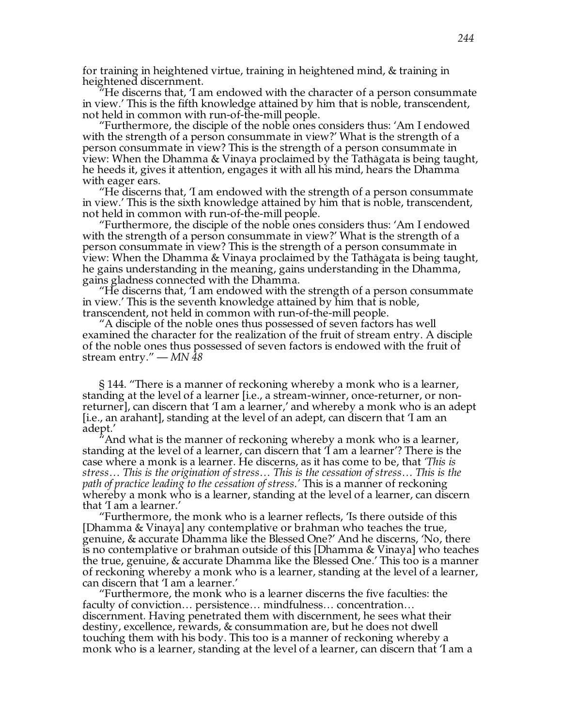for training in heightened virtue, training in heightened mind, & training in heightened discernment.

"He discerns that, 'I am endowed with the character of a person consummate in view.' This is the fifth knowledge attained by him that is noble, transcendent, not held in common with run-of-the-mill people.

"Furthermore, the disciple of the noble ones considers thus: 'Am I endowed with the strength of a person consummate in view?' What is the strength of a person consummate in view? This is the strength of a person consummate in view: When the Dhamma  $\&$  Vinaya proclaimed by the Tath $\bar{a}$ gata is being taught, he heeds it, gives it attention, engages it with all his mind, hears the Dhamma with eager ears.

"He discerns that, 'I am endowed with the strength of a person consummate in view.' This is the sixth knowledge attained by him that is noble, transcendent, not held in common with run-of-the-mill people.

"Furthermore, the disciple of the noble ones considers thus: 'Am I endowed with the strength of a person consummate in view?' What is the strength of a person consummate in view? This is the strength of a person consummate in view: When the Dhamma  $\&$  Vinaya proclaimed by the Tath $\bar{a}$ gata is being taught, he gains understanding in the meaning, gains understanding in the Dhamma, gains gladness connected with the Dhamma.

"He discerns that, 'I am endowed with the strength of a person consummate in view.' This is the seventh knowledge attained by him that is noble, transcendent, not held in common with run-of-the-mill people.

"A disciple of the noble ones thus possessed of seven factors has well examined the character for the realization of the fruit of stream entry. A disciple of the noble ones thus possessed of seven factors is endowed with the fruit of stream entry." — *MN 48* 

§ 144. "There is a manner of reckoning whereby a monk who is a learner, standing at the level of a learner [i.e., a stream-winner, once-returner, or nonreturner], can discern that 'I am a learner,' and whereby a monk who is an adept [i.e., an arahant], standing at the level of an adept, can discern that 'I am an adept.'

And what is the manner of reckoning whereby a monk who is a learner, standing at the level of a learner, can discern that 'I am a learner'? There is the case where a monk is a learner. He discerns, as it has come to be, that *'This is stress… This is the origination of stress… This is the cessation of stress… This is the path of practice leading to the cessation of stress.'* This is a manner of reckoning whereby a monk who is a learner, standing at the level of a learner, can discern that 'I am a learner.'

"Furthermore, the monk who is a learner reflects, 'Is there outside of this [Dhamma & Vinaya] any contemplative or brahman who teaches the true, genuine, & accurate Dhamma like the Blessed One?' And he discerns, 'No, there is no contemplative or brahman outside of this [Dhamma & Vinaya] who teaches the true, genuine, & accurate Dhamma like the Blessed One.' This too is a manner of reckoning whereby a monk who is a learner, standing at the level of a learner, can discern that 'I am a learner.'

"Furthermore, the monk who is a learner discerns the five faculties: the faculty of conviction… persistence… mindfulness… concentration… discernment. Having penetrated them with discernment, he sees what their destiny, excellence, rewards, & consummation are, but he does not dwell touching them with his body. This too is a manner of reckoning whereby a monk who is a learner, standing at the level of a learner, can discern that 'I am a